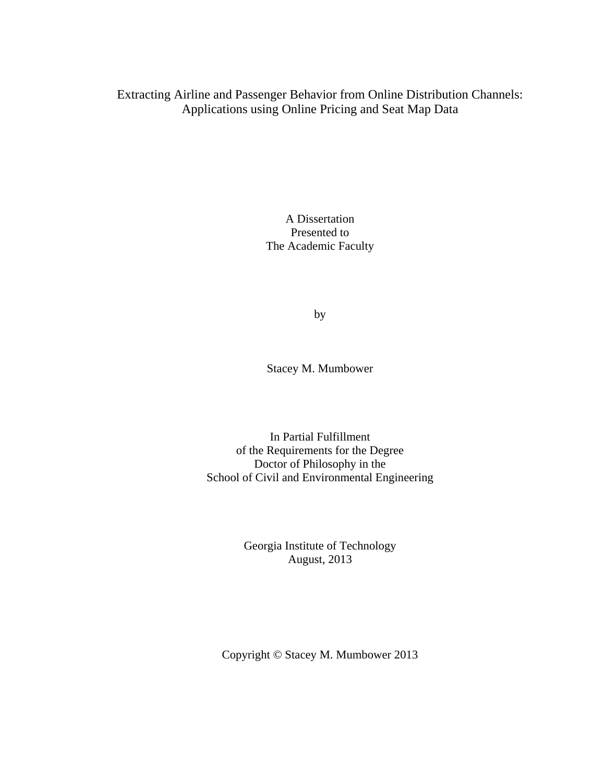Extracting Airline and Passenger Behavior from Online Distribution Channels: Applications using Online Pricing and Seat Map Data

> A Dissertation Presented to The Academic Faculty

> > by

Stacey M. Mumbower

In Partial Fulfillment of the Requirements for the Degree Doctor of Philosophy in the School of Civil and Environmental Engineering

> Georgia Institute of Technology August, 2013

Copyright © Stacey M. Mumbower 2013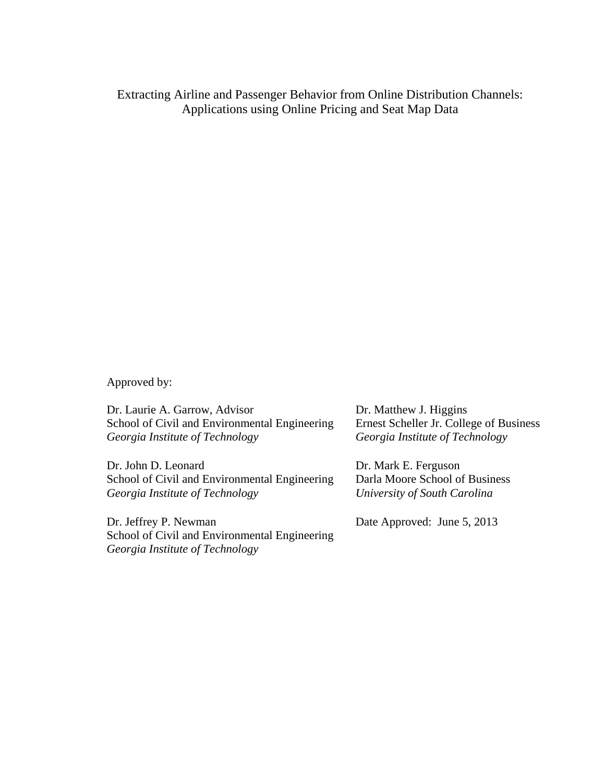Extracting Airline and Passenger Behavior from Online Distribution Channels: Applications using Online Pricing and Seat Map Data

Approved by:

Dr. Laurie A. Garrow, Advisor School of Civil and Environmental Engineering *Georgia Institute of Technology* 

Dr. John D. Leonard School of Civil and Environmental Engineering *Georgia Institute of Technology* 

Dr. Jeffrey P. Newman School of Civil and Environmental Engineering *Georgia Institute of Technology* 

Dr. Matthew J. Higgins Ernest Scheller Jr. College of Business *Georgia Institute of Technology* 

Dr. Mark E. Ferguson Darla Moore School of Business *University of South Carolina* 

Date Approved: June 5, 2013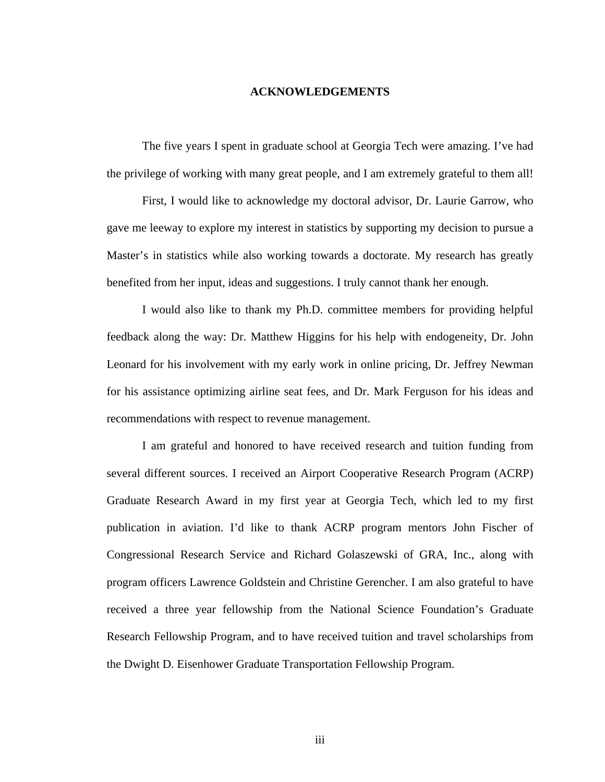## **ACKNOWLEDGEMENTS**

<span id="page-2-0"></span> The five years I spent in graduate school at Georgia Tech were amazing. I've had the privilege of working with many great people, and I am extremely grateful to them all!

 First, I would like to acknowledge my doctoral advisor, Dr. Laurie Garrow, who gave me leeway to explore my interest in statistics by supporting my decision to pursue a Master's in statistics while also working towards a doctorate. My research has greatly benefited from her input, ideas and suggestions. I truly cannot thank her enough.

 I would also like to thank my Ph.D. committee members for providing helpful feedback along the way: Dr. Matthew Higgins for his help with endogeneity, Dr. John Leonard for his involvement with my early work in online pricing, Dr. Jeffrey Newman for his assistance optimizing airline seat fees, and Dr. Mark Ferguson for his ideas and recommendations with respect to revenue management.

 I am grateful and honored to have received research and tuition funding from several different sources. I received an Airport Cooperative Research Program (ACRP) Graduate Research Award in my first year at Georgia Tech, which led to my first publication in aviation. I'd like to thank ACRP program mentors John Fischer of Congressional Research Service and Richard Golaszewski of GRA, Inc., along with program officers Lawrence Goldstein and Christine Gerencher. I am also grateful to have received a three year fellowship from the National Science Foundation's Graduate Research Fellowship Program, and to have received tuition and travel scholarships from the Dwight D. Eisenhower Graduate Transportation Fellowship Program.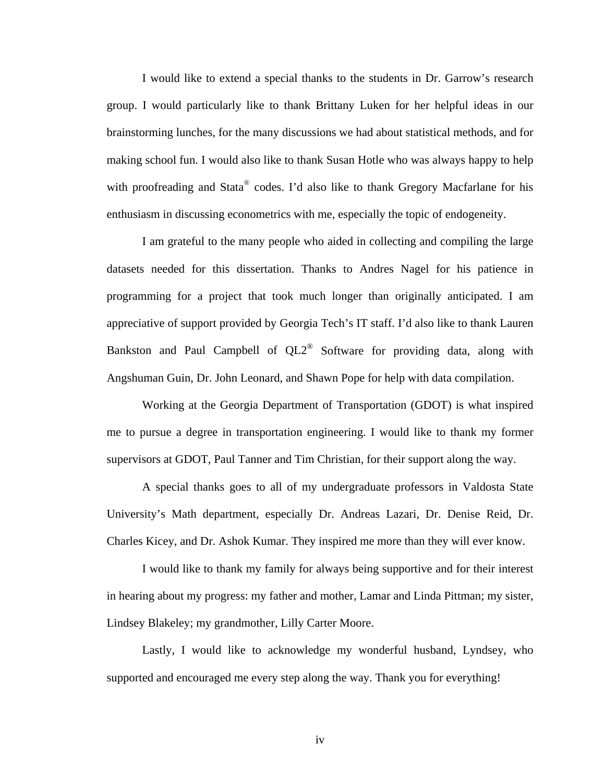I would like to extend a special thanks to the students in Dr. Garrow's research group. I would particularly like to thank Brittany Luken for her helpful ideas in our brainstorming lunches, for the many discussions we had about statistical methods, and for making school fun. I would also like to thank Susan Hotle who was always happy to help with proofreading and Stata<sup>®</sup> codes. I'd also like to thank Gregory Macfarlane for his enthusiasm in discussing econometrics with me, especially the topic of endogeneity.

 I am grateful to the many people who aided in collecting and compiling the large datasets needed for this dissertation. Thanks to Andres Nagel for his patience in programming for a project that took much longer than originally anticipated. I am appreciative of support provided by Georgia Tech's IT staff. I'd also like to thank Lauren Bankston and Paul Campbell of QL2® Software for providing data, along with Angshuman Guin, Dr. John Leonard, and Shawn Pope for help with data compilation.

 Working at the Georgia Department of Transportation (GDOT) is what inspired me to pursue a degree in transportation engineering. I would like to thank my former supervisors at GDOT, Paul Tanner and Tim Christian, for their support along the way.

 A special thanks goes to all of my undergraduate professors in Valdosta State University's Math department, especially Dr. Andreas Lazari, Dr. Denise Reid, Dr. Charles Kicey, and Dr. Ashok Kumar. They inspired me more than they will ever know.

 I would like to thank my family for always being supportive and for their interest in hearing about my progress: my father and mother, Lamar and Linda Pittman; my sister, Lindsey Blakeley; my grandmother, Lilly Carter Moore.

 Lastly, I would like to acknowledge my wonderful husband, Lyndsey, who supported and encouraged me every step along the way. Thank you for everything!

iv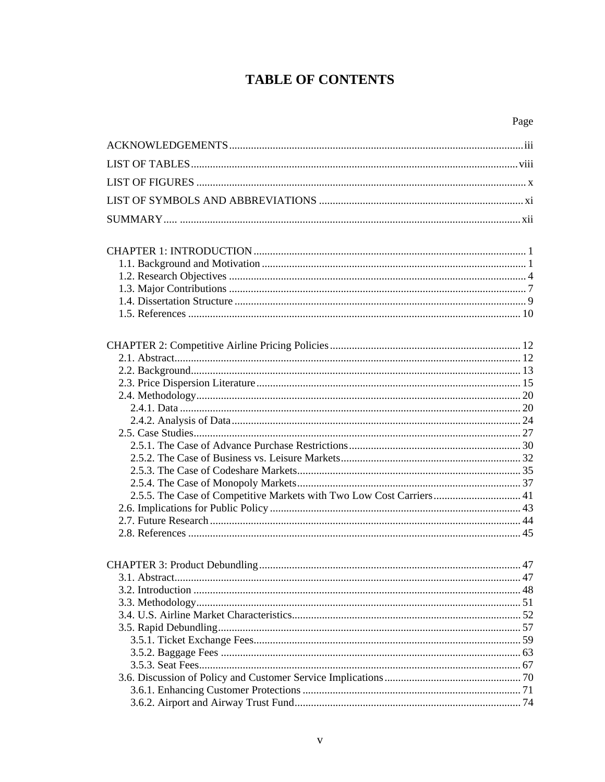# **TABLE OF CONTENTS**

| 2.5.5. The Case of Competitive Markets with Two Low Cost Carriers 41 |  |
|----------------------------------------------------------------------|--|
|                                                                      |  |
|                                                                      |  |
|                                                                      |  |
|                                                                      |  |
|                                                                      |  |
| $\overline{47}$<br>3.1 Abstract                                      |  |
|                                                                      |  |
|                                                                      |  |
|                                                                      |  |
|                                                                      |  |
|                                                                      |  |
|                                                                      |  |
|                                                                      |  |
|                                                                      |  |
|                                                                      |  |
|                                                                      |  |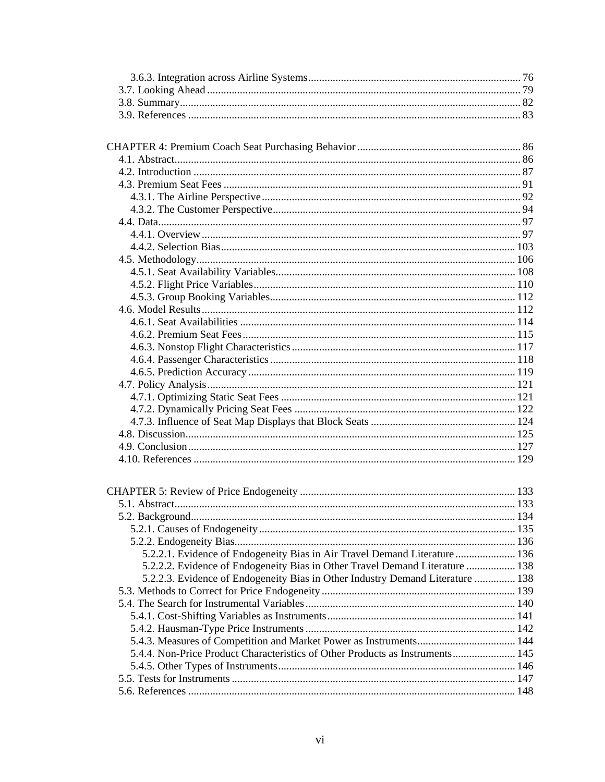| 5.2.2.1. Evidence of Endogeneity Bias in Air Travel Demand Literature  136     |  |
|--------------------------------------------------------------------------------|--|
| 5.2.2.2. Evidence of Endogeneity Bias in Other Travel Demand Literature  138   |  |
| 5.2.2.3. Evidence of Endogeneity Bias in Other Industry Demand Literature  138 |  |
|                                                                                |  |
|                                                                                |  |
|                                                                                |  |
|                                                                                |  |
|                                                                                |  |
| 5.4.4. Non-Price Product Characteristics of Other Products as Instruments 145  |  |
|                                                                                |  |
|                                                                                |  |
|                                                                                |  |
|                                                                                |  |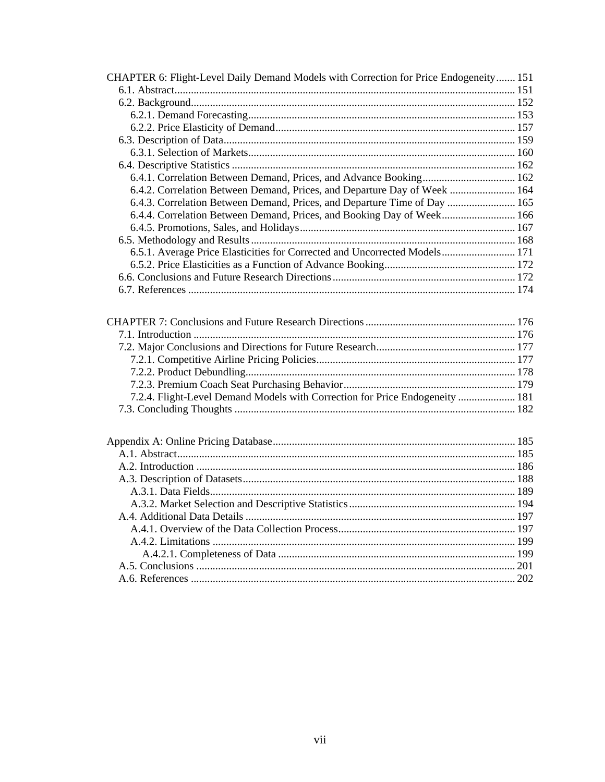| 6.4.1. Correlation Between Demand, Prices, and Advance Booking 162<br>6.4.2. Correlation Between Demand, Prices, and Departure Day of Week  164<br>6.4.3. Correlation Between Demand, Prices, and Departure Time of Day  165<br>6.4.4. Correlation Between Demand, Prices, and Booking Day of Week 166<br>6.5.1. Average Price Elasticities for Corrected and Uncorrected Models 171<br>7.2.4. Flight-Level Demand Models with Correction for Price Endogeneity  181 | CHAPTER 6: Flight-Level Daily Demand Models with Correction for Price Endogeneity  151 |  |
|----------------------------------------------------------------------------------------------------------------------------------------------------------------------------------------------------------------------------------------------------------------------------------------------------------------------------------------------------------------------------------------------------------------------------------------------------------------------|----------------------------------------------------------------------------------------|--|
|                                                                                                                                                                                                                                                                                                                                                                                                                                                                      |                                                                                        |  |
|                                                                                                                                                                                                                                                                                                                                                                                                                                                                      |                                                                                        |  |
|                                                                                                                                                                                                                                                                                                                                                                                                                                                                      |                                                                                        |  |
|                                                                                                                                                                                                                                                                                                                                                                                                                                                                      |                                                                                        |  |
|                                                                                                                                                                                                                                                                                                                                                                                                                                                                      |                                                                                        |  |
|                                                                                                                                                                                                                                                                                                                                                                                                                                                                      |                                                                                        |  |
|                                                                                                                                                                                                                                                                                                                                                                                                                                                                      |                                                                                        |  |
|                                                                                                                                                                                                                                                                                                                                                                                                                                                                      |                                                                                        |  |
|                                                                                                                                                                                                                                                                                                                                                                                                                                                                      |                                                                                        |  |
|                                                                                                                                                                                                                                                                                                                                                                                                                                                                      |                                                                                        |  |
|                                                                                                                                                                                                                                                                                                                                                                                                                                                                      |                                                                                        |  |
|                                                                                                                                                                                                                                                                                                                                                                                                                                                                      |                                                                                        |  |
|                                                                                                                                                                                                                                                                                                                                                                                                                                                                      |                                                                                        |  |
|                                                                                                                                                                                                                                                                                                                                                                                                                                                                      |                                                                                        |  |
|                                                                                                                                                                                                                                                                                                                                                                                                                                                                      |                                                                                        |  |
|                                                                                                                                                                                                                                                                                                                                                                                                                                                                      |                                                                                        |  |
|                                                                                                                                                                                                                                                                                                                                                                                                                                                                      |                                                                                        |  |
|                                                                                                                                                                                                                                                                                                                                                                                                                                                                      |                                                                                        |  |
|                                                                                                                                                                                                                                                                                                                                                                                                                                                                      |                                                                                        |  |
|                                                                                                                                                                                                                                                                                                                                                                                                                                                                      |                                                                                        |  |
|                                                                                                                                                                                                                                                                                                                                                                                                                                                                      |                                                                                        |  |
|                                                                                                                                                                                                                                                                                                                                                                                                                                                                      |                                                                                        |  |
|                                                                                                                                                                                                                                                                                                                                                                                                                                                                      |                                                                                        |  |
|                                                                                                                                                                                                                                                                                                                                                                                                                                                                      |                                                                                        |  |
|                                                                                                                                                                                                                                                                                                                                                                                                                                                                      |                                                                                        |  |
|                                                                                                                                                                                                                                                                                                                                                                                                                                                                      |                                                                                        |  |
|                                                                                                                                                                                                                                                                                                                                                                                                                                                                      |                                                                                        |  |
|                                                                                                                                                                                                                                                                                                                                                                                                                                                                      |                                                                                        |  |
|                                                                                                                                                                                                                                                                                                                                                                                                                                                                      |                                                                                        |  |
|                                                                                                                                                                                                                                                                                                                                                                                                                                                                      |                                                                                        |  |
|                                                                                                                                                                                                                                                                                                                                                                                                                                                                      |                                                                                        |  |
|                                                                                                                                                                                                                                                                                                                                                                                                                                                                      |                                                                                        |  |
|                                                                                                                                                                                                                                                                                                                                                                                                                                                                      |                                                                                        |  |
|                                                                                                                                                                                                                                                                                                                                                                                                                                                                      |                                                                                        |  |
|                                                                                                                                                                                                                                                                                                                                                                                                                                                                      |                                                                                        |  |
|                                                                                                                                                                                                                                                                                                                                                                                                                                                                      |                                                                                        |  |
|                                                                                                                                                                                                                                                                                                                                                                                                                                                                      |                                                                                        |  |
|                                                                                                                                                                                                                                                                                                                                                                                                                                                                      |                                                                                        |  |
|                                                                                                                                                                                                                                                                                                                                                                                                                                                                      |                                                                                        |  |
|                                                                                                                                                                                                                                                                                                                                                                                                                                                                      |                                                                                        |  |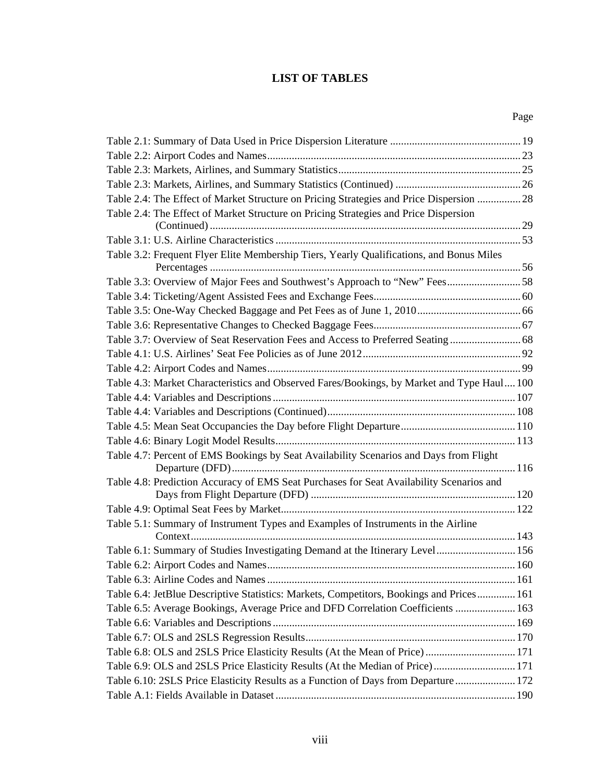## **LIST OF TABLES**

<span id="page-7-0"></span>

| Table 2.4: The Effect of Market Structure on Pricing Strategies and Price Dispersion  28   |  |
|--------------------------------------------------------------------------------------------|--|
| Table 2.4: The Effect of Market Structure on Pricing Strategies and Price Dispersion       |  |
|                                                                                            |  |
|                                                                                            |  |
| Table 3.2: Frequent Flyer Elite Membership Tiers, Yearly Qualifications, and Bonus Miles   |  |
|                                                                                            |  |
| Table 3.3: Overview of Major Fees and Southwest's Approach to "New" Fees58                 |  |
|                                                                                            |  |
|                                                                                            |  |
|                                                                                            |  |
|                                                                                            |  |
|                                                                                            |  |
|                                                                                            |  |
| Table 4.3: Market Characteristics and Observed Fares/Bookings, by Market and Type Haul 100 |  |
|                                                                                            |  |
|                                                                                            |  |
|                                                                                            |  |
|                                                                                            |  |
| Table 4.7: Percent of EMS Bookings by Seat Availability Scenarios and Days from Flight     |  |
| Table 4.8: Prediction Accuracy of EMS Seat Purchases for Seat Availability Scenarios and   |  |
|                                                                                            |  |
|                                                                                            |  |
| Table 5.1: Summary of Instrument Types and Examples of Instruments in the Airline          |  |
|                                                                                            |  |
| Table 6.1: Summary of Studies Investigating Demand at the Itinerary Level 156              |  |
|                                                                                            |  |
|                                                                                            |  |
| Table 6.4: JetBlue Descriptive Statistics: Markets, Competitors, Bookings and Prices 161   |  |
| Table 6.5: Average Bookings, Average Price and DFD Correlation Coefficients  163           |  |
|                                                                                            |  |
|                                                                                            |  |
|                                                                                            |  |
| Table 6.9: OLS and 2SLS Price Elasticity Results (At the Median of Price) 171              |  |
| Table 6.10: 2SLS Price Elasticity Results as a Function of Days from Departure 172         |  |
|                                                                                            |  |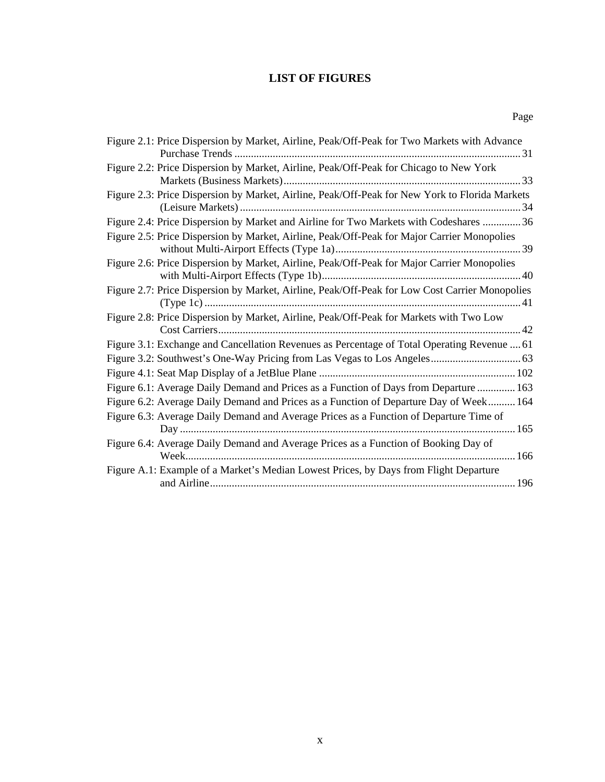## **LIST OF FIGURES**

<span id="page-9-0"></span>

| Figure 2.1: Price Dispersion by Market, Airline, Peak/Off-Peak for Two Markets with Advance    |
|------------------------------------------------------------------------------------------------|
| Figure 2.2: Price Dispersion by Market, Airline, Peak/Off-Peak for Chicago to New York         |
| Figure 2.3: Price Dispersion by Market, Airline, Peak/Off-Peak for New York to Florida Markets |
| Figure 2.4: Price Dispersion by Market and Airline for Two Markets with Codeshares  36         |
| Figure 2.5: Price Dispersion by Market, Airline, Peak/Off-Peak for Major Carrier Monopolies    |
| Figure 2.6: Price Dispersion by Market, Airline, Peak/Off-Peak for Major Carrier Monopolies    |
| Figure 2.7: Price Dispersion by Market, Airline, Peak/Off-Peak for Low Cost Carrier Monopolies |
| Figure 2.8: Price Dispersion by Market, Airline, Peak/Off-Peak for Markets with Two Low        |
| Figure 3.1: Exchange and Cancellation Revenues as Percentage of Total Operating Revenue  61    |
|                                                                                                |
|                                                                                                |
| Figure 6.1: Average Daily Demand and Prices as a Function of Days from Departure  163          |
| Figure 6.2: Average Daily Demand and Prices as a Function of Departure Day of Week 164         |
| Figure 6.3: Average Daily Demand and Average Prices as a Function of Departure Time of         |
| Figure 6.4: Average Daily Demand and Average Prices as a Function of Booking Day of            |
| Figure A.1: Example of a Market's Median Lowest Prices, by Days from Flight Departure          |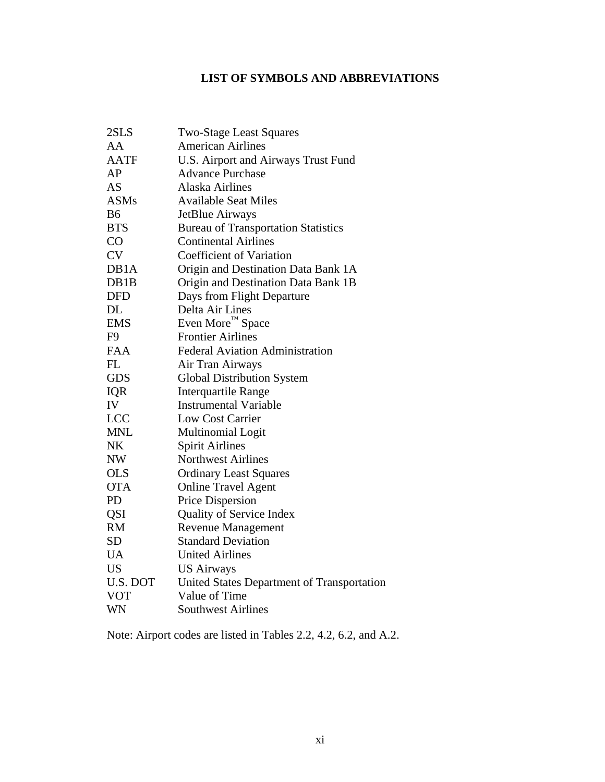## **LIST OF SYMBOLS AND ABBREVIATIONS**

<span id="page-10-0"></span>

| 2SLS           | <b>Two-Stage Least Squares</b>             |
|----------------|--------------------------------------------|
| AA             | <b>American Airlines</b>                   |
| <b>AATF</b>    | U.S. Airport and Airways Trust Fund        |
| AP             | <b>Advance Purchase</b>                    |
| <b>AS</b>      | <b>Alaska Airlines</b>                     |
| <b>ASMs</b>    | <b>Available Seat Miles</b>                |
| <b>B6</b>      | JetBlue Airways                            |
| <b>BTS</b>     | <b>Bureau of Transportation Statistics</b> |
| CO             | <b>Continental Airlines</b>                |
| <b>CV</b>      | <b>Coefficient of Variation</b>            |
| DB1A           | Origin and Destination Data Bank 1A        |
| DB1B           | Origin and Destination Data Bank 1B        |
| <b>DFD</b>     | Days from Flight Departure                 |
| <b>DL</b>      | Delta Air Lines                            |
| <b>EMS</b>     | Even More™ Space                           |
| F <sub>9</sub> | <b>Frontier Airlines</b>                   |
| <b>FAA</b>     | <b>Federal Aviation Administration</b>     |
| FL             | Air Tran Airways                           |
| <b>GDS</b>     | <b>Global Distribution System</b>          |
| <b>IQR</b>     | <b>Interquartile Range</b>                 |
| IV             | <b>Instrumental Variable</b>               |
| <b>LCC</b>     | <b>Low Cost Carrier</b>                    |
| <b>MNL</b>     | Multinomial Logit                          |
| <b>NK</b>      | <b>Spirit Airlines</b>                     |
| <b>NW</b>      | <b>Northwest Airlines</b>                  |
| <b>OLS</b>     | <b>Ordinary Least Squares</b>              |
| <b>OTA</b>     | <b>Online Travel Agent</b>                 |
| <b>PD</b>      | Price Dispersion                           |
| QSI            | Quality of Service Index                   |
| <b>RM</b>      | <b>Revenue Management</b>                  |
| <b>SD</b>      | <b>Standard Deviation</b>                  |
| UA             | <b>United Airlines</b>                     |
| <b>US</b>      | <b>US Airways</b>                          |
| U.S. DOT       | United States Department of Transportation |
| <b>VOT</b>     | Value of Time                              |
| WN             | <b>Southwest Airlines</b>                  |

Note: Airport codes are listed in Tables 2.2, 4.2, 6.2, and A.2.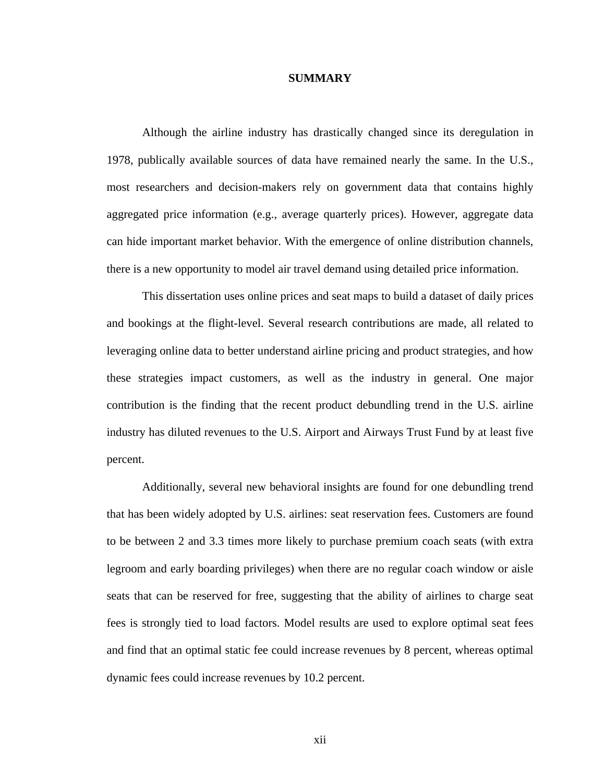### **SUMMARY**

<span id="page-11-0"></span> Although the airline industry has drastically changed since its deregulation in 1978, publically available sources of data have remained nearly the same. In the U.S., most researchers and decision-makers rely on government data that contains highly aggregated price information (e.g., average quarterly prices). However, aggregate data can hide important market behavior. With the emergence of online distribution channels, there is a new opportunity to model air travel demand using detailed price information.

 This dissertation uses online prices and seat maps to build a dataset of daily prices and bookings at the flight-level. Several research contributions are made, all related to leveraging online data to better understand airline pricing and product strategies, and how these strategies impact customers, as well as the industry in general. One major contribution is the finding that the recent product debundling trend in the U.S. airline industry has diluted revenues to the U.S. Airport and Airways Trust Fund by at least five percent.

 Additionally, several new behavioral insights are found for one debundling trend that has been widely adopted by U.S. airlines: seat reservation fees. Customers are found to be between 2 and 3.3 times more likely to purchase premium coach seats (with extra legroom and early boarding privileges) when there are no regular coach window or aisle seats that can be reserved for free, suggesting that the ability of airlines to charge seat fees is strongly tied to load factors. Model results are used to explore optimal seat fees and find that an optimal static fee could increase revenues by 8 percent, whereas optimal dynamic fees could increase revenues by 10.2 percent.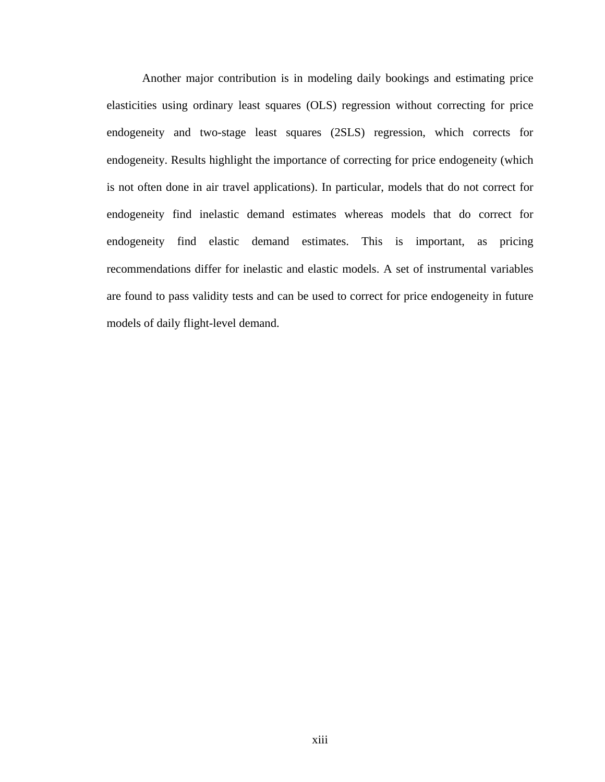Another major contribution is in modeling daily bookings and estimating price elasticities using ordinary least squares (OLS) regression without correcting for price endogeneity and two-stage least squares (2SLS) regression, which corrects for endogeneity. Results highlight the importance of correcting for price endogeneity (which is not often done in air travel applications). In particular, models that do not correct for endogeneity find inelastic demand estimates whereas models that do correct for endogeneity find elastic demand estimates. This is important, as pricing recommendations differ for inelastic and elastic models. A set of instrumental variables are found to pass validity tests and can be used to correct for price endogeneity in future models of daily flight-level demand.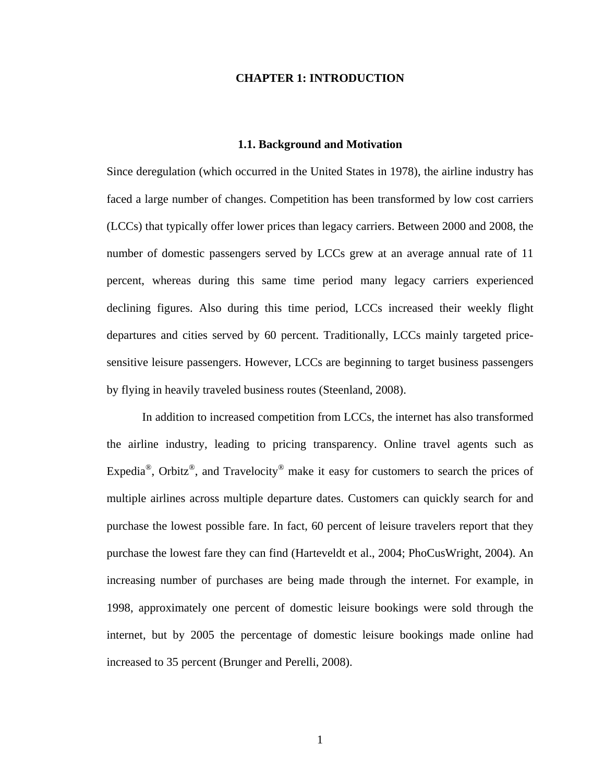## **CHAPTER 1: INTRODUCTION**

#### **1.1. Background and Motivation**

<span id="page-13-0"></span>Since deregulation (which occurred in the United States in 1978), the airline industry has faced a large number of changes. Competition has been transformed by low cost carriers (LCCs) that typically offer lower prices than legacy carriers. Between 2000 and 2008, the number of domestic passengers served by LCCs grew at an average annual rate of 11 percent, whereas during this same time period many legacy carriers experienced declining figures. Also during this time period, LCCs increased their weekly flight departures and cities served by 60 percent. Traditionally, LCCs mainly targeted pricesensitive leisure passengers. However, LCCs are beginning to target business passengers by flying in heavily traveled business routes (Steenland, 2008).

 In addition to increased competition from LCCs, the internet has also transformed the airline industry, leading to pricing transparency. Online travel agents such as Expedia<sup>®</sup>, Orbitz<sup>®</sup>, and Travelocity<sup>®</sup> make it easy for customers to search the prices of multiple airlines across multiple departure dates. Customers can quickly search for and purchase the lowest possible fare. In fact, 60 percent of leisure travelers report that they purchase the lowest fare they can find (Harteveldt et al., 2004; PhoCusWright, 2004). An increasing number of purchases are being made through the internet. For example, in 1998, approximately one percent of domestic leisure bookings were sold through the internet, but by 2005 the percentage of domestic leisure bookings made online had increased to 35 percent (Brunger and Perelli, 2008).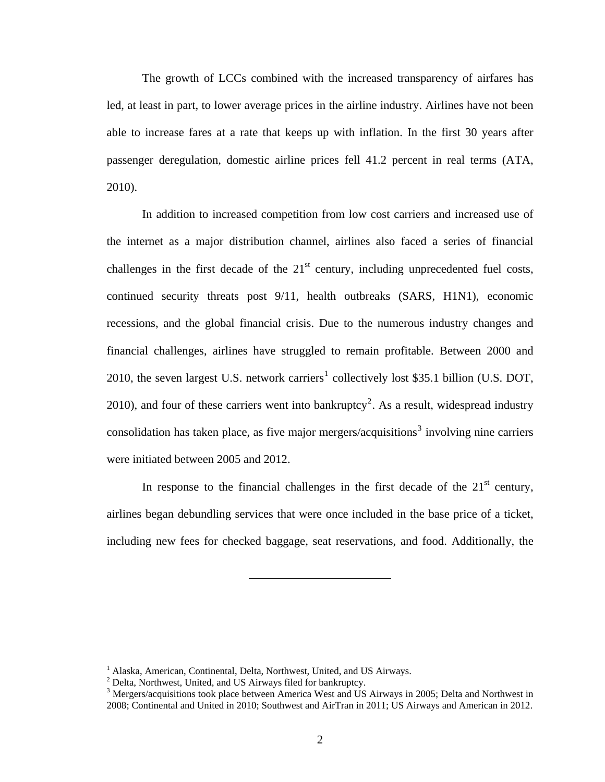The growth of LCCs combined with the increased transparency of airfares has led, at least in part, to lower average prices in the airline industry. Airlines have not been able to increase fares at a rate that keeps up with inflation. In the first 30 years after passenger deregulation, domestic airline prices fell 41.2 percent in real terms (ATA, 2010).

 In addition to increased competition from low cost carriers and increased use of the internet as a major distribution channel, airlines also faced a series of financial challenges in the first decade of the  $21<sup>st</sup>$  century, including unprecedented fuel costs, continued security threats post 9/11, health outbreaks (SARS, H1N1), economic recessions, and the global financial crisis. Due to the numerous industry changes and financial challenges, airlines have struggled to remain profitable. Between 2000 and 20[1](#page-14-0)0, the seven largest U.S. network carriers<sup>1</sup> collectively lost \$35.1 billion (U.S. DOT, [2](#page-14-1)010), and four of these carriers went into bankruptcy<sup>2</sup>. As a result, widespread industry consolidation has taken place, as five major mergers/acquisitions<sup>[3](#page-14-2)</sup> involving nine carriers were initiated between 2005 and 2012.

In response to the financial challenges in the first decade of the  $21<sup>st</sup>$  century, airlines began debundling services that were once included in the base price of a ticket, including new fees for checked baggage, seat reservations, and food. Additionally, the

<sup>&</sup>lt;sup>1</sup> Alaska, American, Continental, Delta, Northwest, United, and US Airways.

 $2$  Delta, Northwest, United, and US Airways filed for bankruptcy.

<span id="page-14-2"></span><span id="page-14-1"></span><span id="page-14-0"></span><sup>&</sup>lt;sup>3</sup> Mergers/acquisitions took place between America West and US Airways in 2005; Delta and Northwest in 2008; Continental and United in 2010; Southwest and AirTran in 2011; US Airways and American in 2012.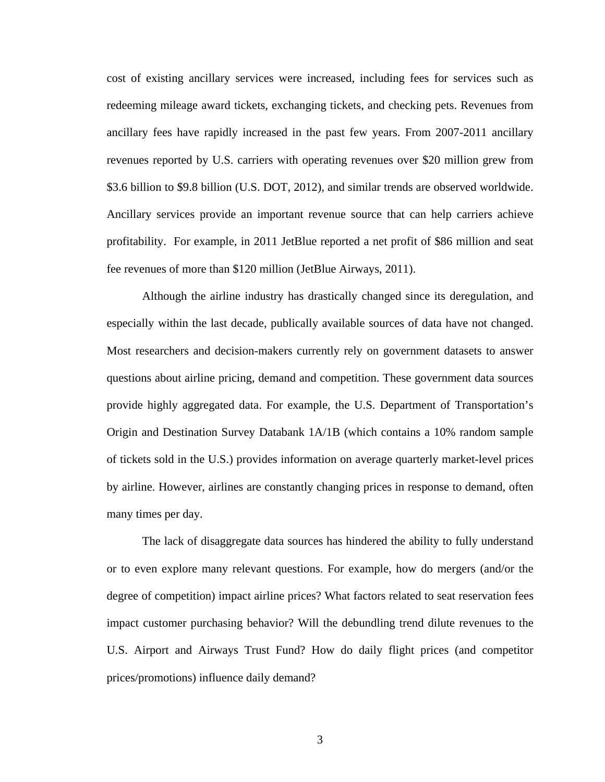cost of existing ancillary services were increased, including fees for services such as redeeming mileage award tickets, exchanging tickets, and checking pets. Revenues from ancillary fees have rapidly increased in the past few years. From 2007-2011 ancillary revenues reported by U.S. carriers with operating revenues over \$20 million grew from \$3.6 billion to \$9.8 billion (U.S. DOT, 2012), and similar trends are observed worldwide. Ancillary services provide an important revenue source that can help carriers achieve profitability. For example, in 2011 JetBlue reported a net profit of \$86 million and seat fee revenues of more than \$120 million (JetBlue Airways, 2011).

 Although the airline industry has drastically changed since its deregulation, and especially within the last decade, publically available sources of data have not changed. Most researchers and decision-makers currently rely on government datasets to answer questions about airline pricing, demand and competition. These government data sources provide highly aggregated data. For example, the U.S. Department of Transportation's Origin and Destination Survey Databank 1A/1B (which contains a 10% random sample of tickets sold in the U.S.) provides information on average quarterly market-level prices by airline. However, airlines are constantly changing prices in response to demand, often many times per day.

 The lack of disaggregate data sources has hindered the ability to fully understand or to even explore many relevant questions. For example, how do mergers (and/or the degree of competition) impact airline prices? What factors related to seat reservation fees impact customer purchasing behavior? Will the debundling trend dilute revenues to the U.S. Airport and Airways Trust Fund? How do daily flight prices (and competitor prices/promotions) influence daily demand?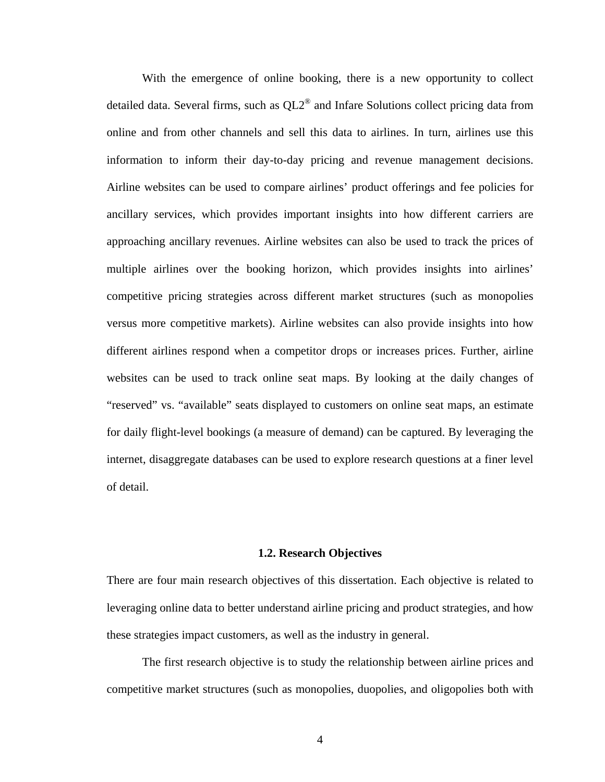<span id="page-16-0"></span> With the emergence of online booking, there is a new opportunity to collect detailed data. Several firms, such as  $QL2^{\circledast}$  and Infare Solutions collect pricing data from online and from other channels and sell this data to airlines. In turn, airlines use this information to inform their day-to-day pricing and revenue management decisions. Airline websites can be used to compare airlines' product offerings and fee policies for ancillary services, which provides important insights into how different carriers are approaching ancillary revenues. Airline websites can also be used to track the prices of multiple airlines over the booking horizon, which provides insights into airlines' competitive pricing strategies across different market structures (such as monopolies versus more competitive markets). Airline websites can also provide insights into how different airlines respond when a competitor drops or increases prices. Further, airline websites can be used to track online seat maps. By looking at the daily changes of "reserved" vs. "available" seats displayed to customers on online seat maps, an estimate for daily flight-level bookings (a measure of demand) can be captured. By leveraging the internet, disaggregate databases can be used to explore research questions at a finer level of detail.

## **1.2. Research Objectives**

There are four main research objectives of this dissertation. Each objective is related to leveraging online data to better understand airline pricing and product strategies, and how these strategies impact customers, as well as the industry in general.

 The first research objective is to study the relationship between airline prices and competitive market structures (such as monopolies, duopolies, and oligopolies both with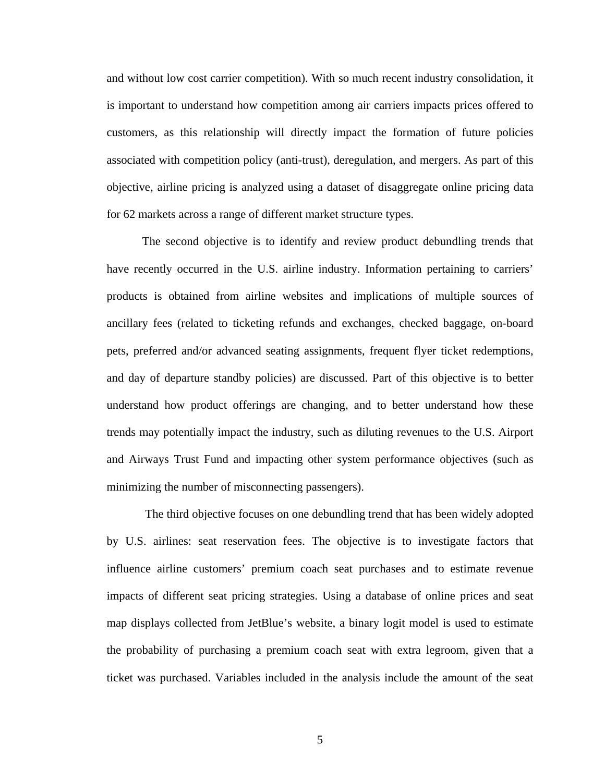and without low cost carrier competition). With so much recent industry consolidation, it is important to understand how competition among air carriers impacts prices offered to customers, as this relationship will directly impact the formation of future policies associated with competition policy (anti-trust), deregulation, and mergers. As part of this objective, airline pricing is analyzed using a dataset of disaggregate online pricing data for 62 markets across a range of different market structure types.

 The second objective is to identify and review product debundling trends that have recently occurred in the U.S. airline industry. Information pertaining to carriers' products is obtained from airline websites and implications of multiple sources of ancillary fees (related to ticketing refunds and exchanges, checked baggage, on-board pets, preferred and/or advanced seating assignments, frequent flyer ticket redemptions, and day of departure standby policies) are discussed. Part of this objective is to better understand how product offerings are changing, and to better understand how these trends may potentially impact the industry, such as diluting revenues to the U.S. Airport and Airways Trust Fund and impacting other system performance objectives (such as minimizing the number of misconnecting passengers).

 The third objective focuses on one debundling trend that has been widely adopted by U.S. airlines: seat reservation fees. The objective is to investigate factors that influence airline customers' premium coach seat purchases and to estimate revenue impacts of different seat pricing strategies. Using a database of online prices and seat map displays collected from JetBlue's website, a binary logit model is used to estimate the probability of purchasing a premium coach seat with extra legroom, given that a ticket was purchased. Variables included in the analysis include the amount of the seat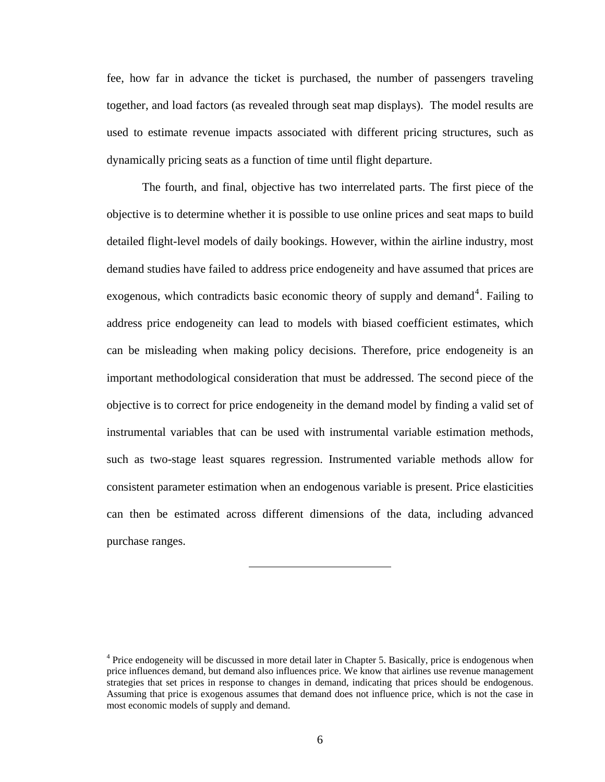<span id="page-18-0"></span>fee, how far in advance the ticket is purchased, the number of passengers traveling together, and load factors (as revealed through seat map displays). The model results are used to estimate revenue impacts associated with different pricing structures, such as dynamically pricing seats as a function of time until flight departure.

 The fourth, and final, objective has two interrelated parts. The first piece of the objective is to determine whether it is possible to use online prices and seat maps to build detailed flight-level models of daily bookings. However, within the airline industry, most demand studies have failed to address price endogeneity and have assumed that prices are exogenous, which contradicts basic economic theory of supply and demand<sup>[4](#page-18-0)</sup>. Failing to address price endogeneity can lead to models with biased coefficient estimates, which can be misleading when making policy decisions. Therefore, price endogeneity is an important methodological consideration that must be addressed. The second piece of the objective is to correct for price endogeneity in the demand model by finding a valid set of instrumental variables that can be used with instrumental variable estimation methods, such as two-stage least squares regression. Instrumented variable methods allow for consistent parameter estimation when an endogenous variable is present. Price elasticities can then be estimated across different dimensions of the data, including advanced purchase ranges.

<sup>&</sup>lt;sup>4</sup> Price endogeneity will be discussed in more detail later in Chapter 5. Basically, price is endogenous when price influences demand, but demand also influences price. We know that airlines use revenue management strategies that set prices in response to changes in demand, indicating that prices should be endogenous. Assuming that price is exogenous assumes that demand does not influence price, which is not the case in most economic models of supply and demand.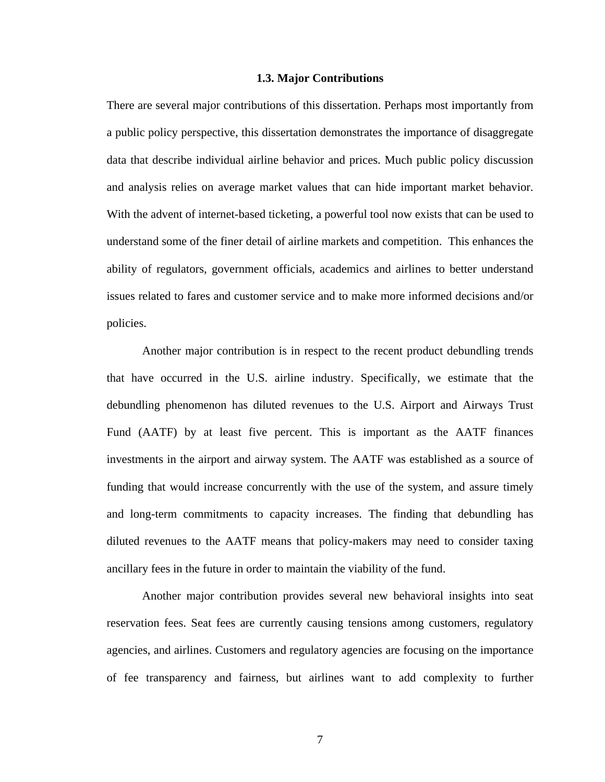#### **1.3. Major Contributions**

<span id="page-19-0"></span>There are several major contributions of this dissertation. Perhaps most importantly from a public policy perspective, this dissertation demonstrates the importance of disaggregate data that describe individual airline behavior and prices. Much public policy discussion and analysis relies on average market values that can hide important market behavior. With the advent of internet-based ticketing, a powerful tool now exists that can be used to understand some of the finer detail of airline markets and competition. This enhances the ability of regulators, government officials, academics and airlines to better understand issues related to fares and customer service and to make more informed decisions and/or policies.

 Another major contribution is in respect to the recent product debundling trends that have occurred in the U.S. airline industry. Specifically, we estimate that the debundling phenomenon has diluted revenues to the U.S. Airport and Airways Trust Fund (AATF) by at least five percent. This is important as the AATF finances investments in the airport and airway system. The AATF was established as a source of funding that would increase concurrently with the use of the system, and assure timely and long-term commitments to capacity increases. The finding that debundling has diluted revenues to the AATF means that policy-makers may need to consider taxing ancillary fees in the future in order to maintain the viability of the fund.

 Another major contribution provides several new behavioral insights into seat reservation fees. Seat fees are currently causing tensions among customers, regulatory agencies, and airlines. Customers and regulatory agencies are focusing on the importance of fee transparency and fairness, but airlines want to add complexity to further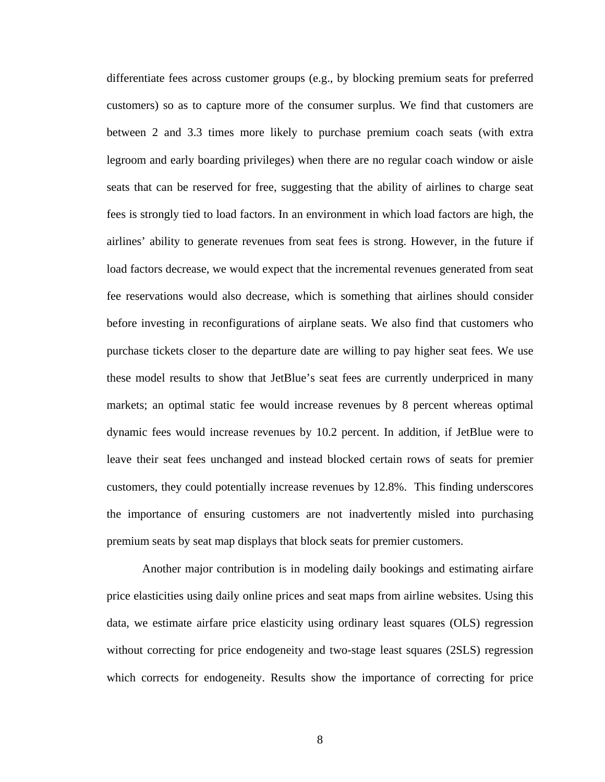differentiate fees across customer groups (e.g., by blocking premium seats for preferred customers) so as to capture more of the consumer surplus. We find that customers are between 2 and 3.3 times more likely to purchase premium coach seats (with extra legroom and early boarding privileges) when there are no regular coach window or aisle seats that can be reserved for free, suggesting that the ability of airlines to charge seat fees is strongly tied to load factors. In an environment in which load factors are high, the airlines' ability to generate revenues from seat fees is strong. However, in the future if load factors decrease, we would expect that the incremental revenues generated from seat fee reservations would also decrease, which is something that airlines should consider before investing in reconfigurations of airplane seats. We also find that customers who purchase tickets closer to the departure date are willing to pay higher seat fees. We use these model results to show that JetBlue's seat fees are currently underpriced in many markets; an optimal static fee would increase revenues by 8 percent whereas optimal dynamic fees would increase revenues by 10.2 percent. In addition, if JetBlue were to leave their seat fees unchanged and instead blocked certain rows of seats for premier customers, they could potentially increase revenues by 12.8%. This finding underscores the importance of ensuring customers are not inadvertently misled into purchasing premium seats by seat map displays that block seats for premier customers.

 Another major contribution is in modeling daily bookings and estimating airfare price elasticities using daily online prices and seat maps from airline websites. Using this data, we estimate airfare price elasticity using ordinary least squares (OLS) regression without correcting for price endogeneity and two-stage least squares (2SLS) regression which corrects for endogeneity. Results show the importance of correcting for price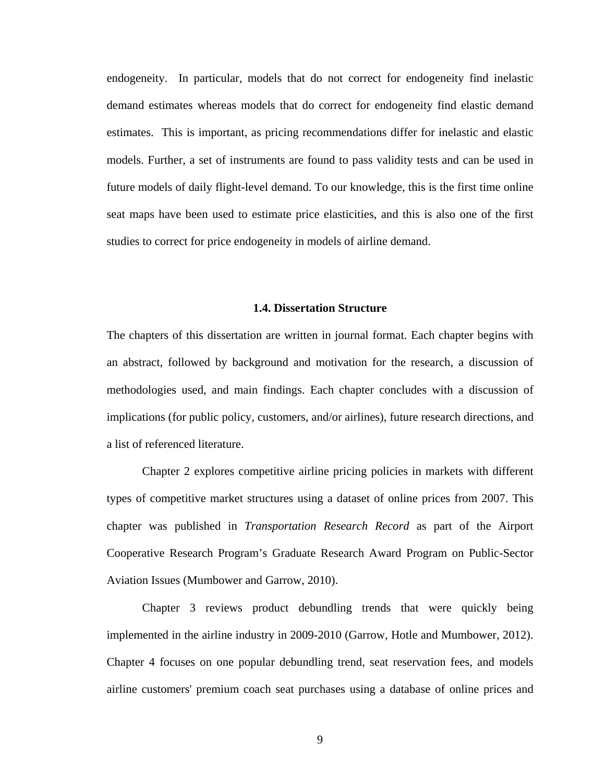<span id="page-21-0"></span>endogeneity. In particular, models that do not correct for endogeneity find inelastic demand estimates whereas models that do correct for endogeneity find elastic demand estimates. This is important, as pricing recommendations differ for inelastic and elastic models. Further, a set of instruments are found to pass validity tests and can be used in future models of daily flight-level demand. To our knowledge, this is the first time online seat maps have been used to estimate price elasticities, and this is also one of the first studies to correct for price endogeneity in models of airline demand.

#### **1.4. Dissertation Structure**

The chapters of this dissertation are written in journal format. Each chapter begins with an abstract, followed by background and motivation for the research, a discussion of methodologies used, and main findings. Each chapter concludes with a discussion of implications (for public policy, customers, and/or airlines), future research directions, and a list of referenced literature.

 Chapter 2 explores competitive airline pricing policies in markets with different types of competitive market structures using a dataset of online prices from 2007. This chapter was published in *Transportation Research Record* as part of the Airport Cooperative Research Program's Graduate Research Award Program on Public-Sector Aviation Issues (Mumbower and Garrow, 2010).

 Chapter 3 reviews product debundling trends that were quickly being implemented in the airline industry in 2009-2010 (Garrow, Hotle and Mumbower, 2012). Chapter 4 focuses on one popular debundling trend, seat reservation fees, and models airline customers' premium coach seat purchases using a database of online prices and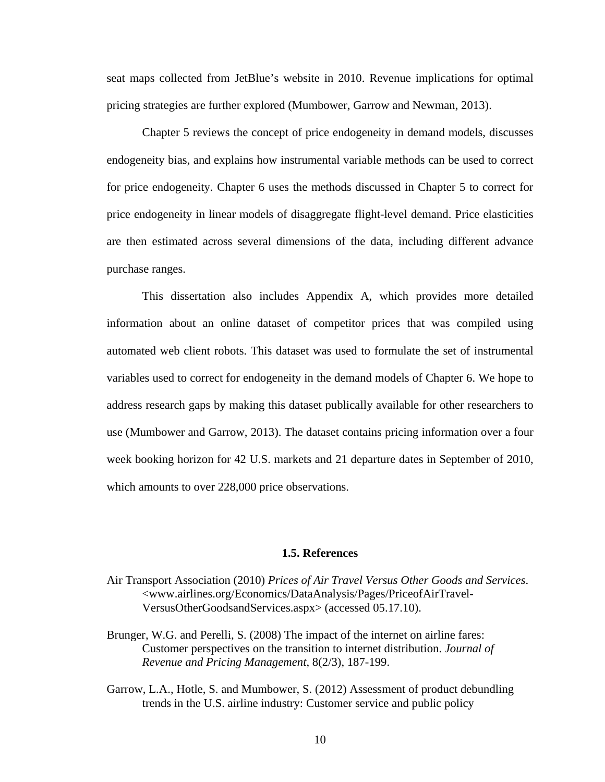<span id="page-22-0"></span>seat maps collected from JetBlue's website in 2010. Revenue implications for optimal pricing strategies are further explored (Mumbower, Garrow and Newman, 2013).

 Chapter 5 reviews the concept of price endogeneity in demand models, discusses endogeneity bias, and explains how instrumental variable methods can be used to correct for price endogeneity. Chapter 6 uses the methods discussed in Chapter 5 to correct for price endogeneity in linear models of disaggregate flight-level demand. Price elasticities are then estimated across several dimensions of the data, including different advance purchase ranges.

 This dissertation also includes Appendix A, which provides more detailed information about an online dataset of competitor prices that was compiled using automated web client robots. This dataset was used to formulate the set of instrumental variables used to correct for endogeneity in the demand models of Chapter 6. We hope to address research gaps by making this dataset publically available for other researchers to use (Mumbower and Garrow, 2013). The dataset contains pricing information over a four week booking horizon for 42 U.S. markets and 21 departure dates in September of 2010, which amounts to over 228,000 price observations.

## **1.5. References**

- Air Transport Association (2010) *Prices of Air Travel Versus Other Goods and Services*. <www.airlines.org/Economics/DataAnalysis/Pages/PriceofAirTravel-VersusOtherGoodsandServices.aspx> (accessed 05.17.10).
- Brunger, W.G. and Perelli, S. (2008) The impact of the internet on airline fares: Customer perspectives on the transition to internet distribution. *Journal of Revenue and Pricing Management*, 8(2/3), 187-199.
- Garrow, L.A., Hotle, S. and Mumbower, S. (2012) Assessment of product debundling trends in the U.S. airline industry: Customer service and public policy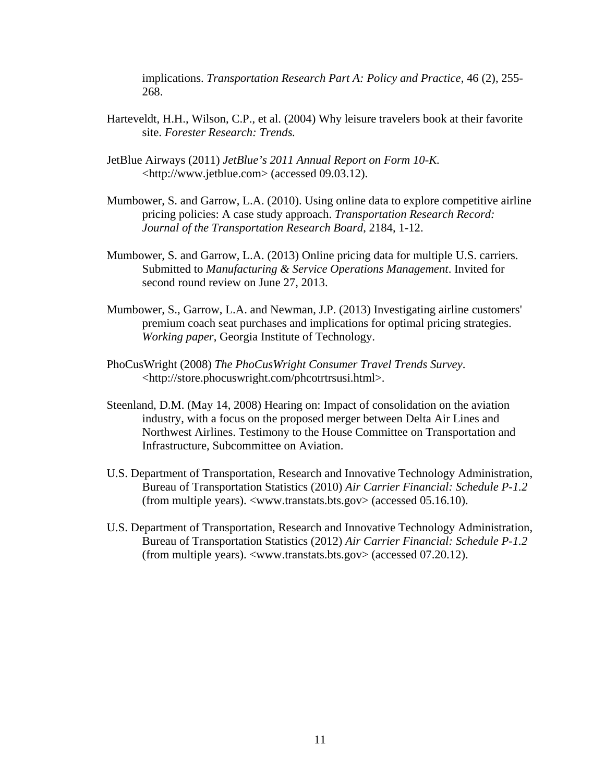implications. *Transportation Research Part A: Policy and Practice*, 46 (2), 255- 268.

- Harteveldt, H.H., Wilson, C.P., et al. (2004) Why leisure travelers book at their favorite site. *Forester Research: Trends.*
- JetBlue Airways (2011) *JetBlue's 2011 Annual Report on Form 10-K.* <http://www.jetblue.com> (accessed 09.03.12).
- Mumbower, S. and Garrow, L.A. (2010). Using online data to explore competitive airline pricing policies: A case study approach. *Transportation Research Record: Journal of the Transportation Research Board*, 2184, 1-12.
- Mumbower, S. and Garrow, L.A. (2013) Online pricing data for multiple U.S. carriers. Submitted to *Manufacturing & Service Operations Management*. Invited for second round review on June 27, 2013.
- Mumbower, S., Garrow, L.A. and Newman, J.P. (2013) Investigating airline customers' premium coach seat purchases and implications for optimal pricing strategies. *Working paper*, Georgia Institute of Technology.
- PhoCusWright (2008) *The PhoCusWright Consumer Travel Trends Survey*. <[http://store.phocuswright.com/phcotrtrsusi.html>](http://store.phocuswright.com/phcotrtrsusi.html).
- Steenland, D.M. (May 14, 2008) Hearing on: Impact of consolidation on the aviation industry, with a focus on the proposed merger between Delta Air Lines and Northwest Airlines. Testimony to the House Committee on Transportation and Infrastructure, Subcommittee on Aviation.
- U.S. Department of Transportation, Research and Innovative Technology Administration, Bureau of Transportation Statistics (2010) *Air Carrier Financial: Schedule P-1.2* (from multiple years). <www.transtats.bts.gov> (accessed 05.16.10).
- U.S. Department of Transportation, Research and Innovative Technology Administration, Bureau of Transportation Statistics (2012) *Air Carrier Financial: Schedule P-1.2* (from multiple years). <www.transtats.bts.gov> (accessed 07.20.12).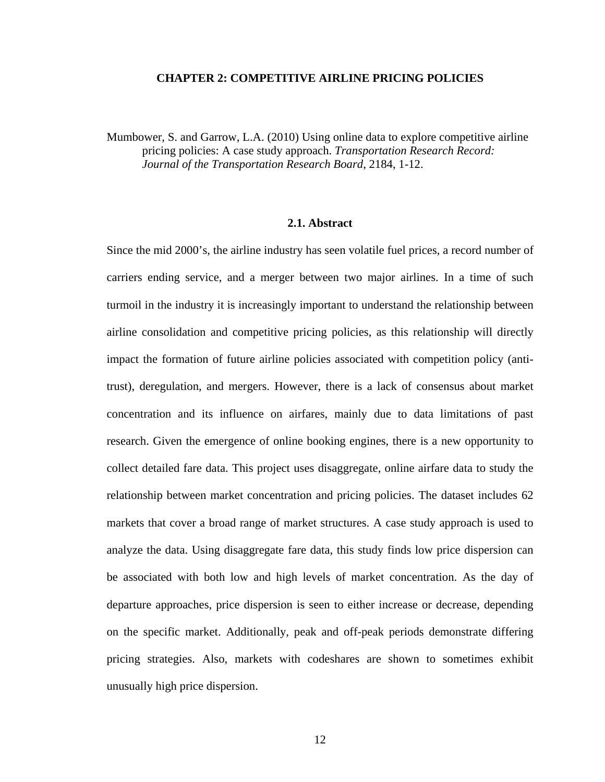## **CHAPTER 2: COMPETITIVE AIRLINE PRICING POLICIES**

<span id="page-24-0"></span>Mumbower, S. and Garrow, L.A. (2010) Using online data to explore competitive airline pricing policies: A case study approach. *Transportation Research Record: Journal of the Transportation Research Board*, 2184, 1-12.

## **2.1. Abstract**

Since the mid 2000's, the airline industry has seen volatile fuel prices, a record number of carriers ending service, and a merger between two major airlines. In a time of such turmoil in the industry it is increasingly important to understand the relationship between airline consolidation and competitive pricing policies, as this relationship will directly impact the formation of future airline policies associated with competition policy (antitrust), deregulation, and mergers. However, there is a lack of consensus about market concentration and its influence on airfares, mainly due to data limitations of past research. Given the emergence of online booking engines, there is a new opportunity to collect detailed fare data. This project uses disaggregate, online airfare data to study the relationship between market concentration and pricing policies. The dataset includes 62 markets that cover a broad range of market structures. A case study approach is used to analyze the data. Using disaggregate fare data, this study finds low price dispersion can be associated with both low and high levels of market concentration. As the day of departure approaches, price dispersion is seen to either increase or decrease, depending on the specific market. Additionally, peak and off-peak periods demonstrate differing pricing strategies. Also, markets with codeshares are shown to sometimes exhibit unusually high price dispersion.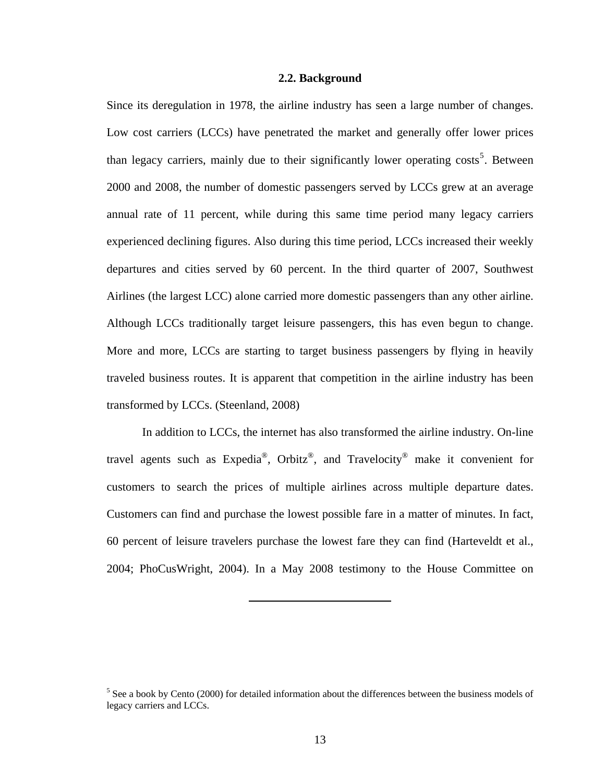## **2.2. Background**

<span id="page-25-0"></span>Since its deregulation in 1978, the airline industry has seen a large number of changes. Low cost carriers (LCCs) have penetrated the market and generally offer lower prices than legacy carriers, mainly due to their significantly lower operating costs<sup>[5](#page-25-0)</sup>. Between 2000 and 2008, the number of domestic passengers served by LCCs grew at an average annual rate of 11 percent, while during this same time period many legacy carriers experienced declining figures. Also during this time period, LCCs increased their weekly departures and cities served by 60 percent. In the third quarter of 2007, Southwest Airlines (the largest LCC) alone carried more domestic passengers than any other airline. Although LCCs traditionally target leisure passengers, this has even begun to change. More and more, LCCs are starting to target business passengers by flying in heavily traveled business routes. It is apparent that competition in the airline industry has been transformed by LCCs. (Steenland, 2008)

 In addition to LCCs, the internet has also transformed the airline industry. On-line travel agents such as Expedia®, Orbitz®, and Travelocity® make it convenient for customers to search the prices of multiple airlines across multiple departure dates. Customers can find and purchase the lowest possible fare in a matter of minutes. In fact, 60 percent of leisure travelers purchase the lowest fare they can find (Harteveldt et al., 2004; PhoCusWright, 2004). In a May 2008 testimony to the House Committee on

 $<sup>5</sup>$  See a book by Cento (2000) for detailed information about the differences between the business models of</sup> legacy carriers and LCCs.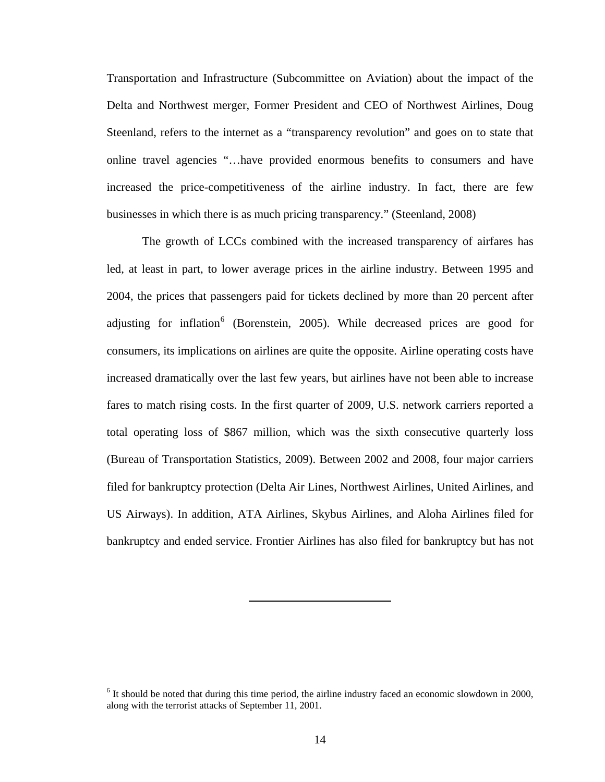<span id="page-26-0"></span>Transportation and Infrastructure (Subcommittee on Aviation) about the impact of the Delta and Northwest merger, Former President and CEO of Northwest Airlines, Doug Steenland, refers to the internet as a "transparency revolution" and goes on to state that online travel agencies "…have provided enormous benefits to consumers and have increased the price-competitiveness of the airline industry. In fact, there are few businesses in which there is as much pricing transparency." (Steenland, 2008)

 The growth of LCCs combined with the increased transparency of airfares has led, at least in part, to lower average prices in the airline industry. Between 1995 and 2004, the prices that passengers paid for tickets declined by more than 20 percent after adjusting for inflation<sup>[6](#page-26-0)</sup> (Borenstein, 2005). While decreased prices are good for consumers, its implications on airlines are quite the opposite. Airline operating costs have increased dramatically over the last few years, but airlines have not been able to increase fares to match rising costs. In the first quarter of 2009, U.S. network carriers reported a total operating loss of \$867 million, which was the sixth consecutive quarterly loss (Bureau of Transportation Statistics, 2009). Between 2002 and 2008, four major carriers filed for bankruptcy protection (Delta Air Lines, Northwest Airlines, United Airlines, and US Airways). In addition, ATA Airlines, Skybus Airlines, and Aloha Airlines filed for bankruptcy and ended service. Frontier Airlines has also filed for bankruptcy but has not

<sup>&</sup>lt;sup>6</sup> It should be noted that during this time period, the airline industry faced an economic slowdown in 2000, along with the terrorist attacks of September 11, 2001.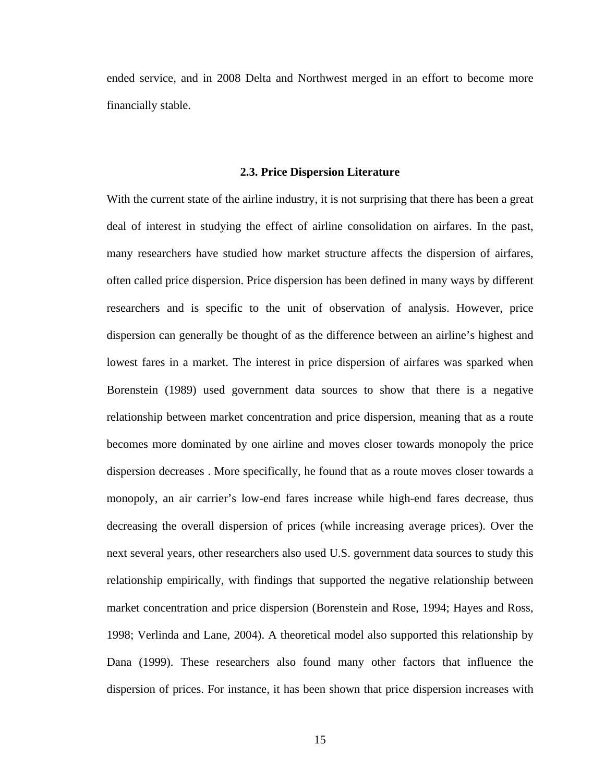<span id="page-27-0"></span>ended service, and in 2008 Delta and Northwest merged in an effort to become more financially stable.

#### **2.3. Price Dispersion Literature**

With the current state of the airline industry, it is not surprising that there has been a great deal of interest in studying the effect of airline consolidation on airfares. In the past, many researchers have studied how market structure affects the dispersion of airfares, often called price dispersion. Price dispersion has been defined in many ways by different researchers and is specific to the unit of observation of analysis. However, price dispersion can generally be thought of as the difference between an airline's highest and lowest fares in a market. The interest in price dispersion of airfares was sparked when Borenstein (1989) used government data sources to show that there is a negative relationship between market concentration and price dispersion, meaning that as a route becomes more dominated by one airline and moves closer towards monopoly the price dispersion decreases . More specifically, he found that as a route moves closer towards a monopoly, an air carrier's low-end fares increase while high-end fares decrease, thus decreasing the overall dispersion of prices (while increasing average prices). Over the next several years, other researchers also used U.S. government data sources to study this relationship empirically, with findings that supported the negative relationship between market concentration and price dispersion (Borenstein and Rose, 1994; Hayes and Ross, 1998; Verlinda and Lane, 2004). A theoretical model also supported this relationship by Dana (1999). These researchers also found many other factors that influence the dispersion of prices. For instance, it has been shown that price dispersion increases with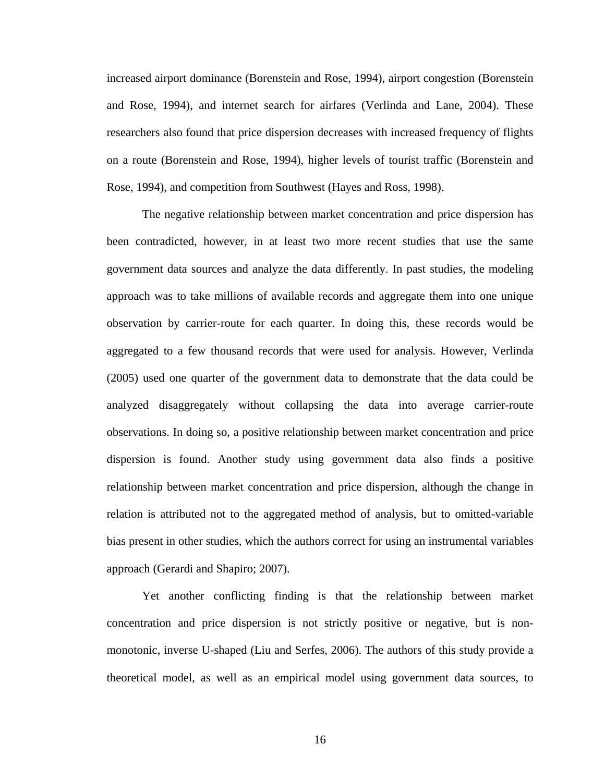increased airport dominance (Borenstein and Rose, 1994), airport congestion (Borenstein and Rose, 1994), and internet search for airfares (Verlinda and Lane, 2004). These researchers also found that price dispersion decreases with increased frequency of flights on a route (Borenstein and Rose, 1994), higher levels of tourist traffic (Borenstein and Rose, 1994), and competition from Southwest (Hayes and Ross, 1998).

 The negative relationship between market concentration and price dispersion has been contradicted, however, in at least two more recent studies that use the same government data sources and analyze the data differently. In past studies, the modeling approach was to take millions of available records and aggregate them into one unique observation by carrier-route for each quarter. In doing this, these records would be aggregated to a few thousand records that were used for analysis. However, Verlinda (2005) used one quarter of the government data to demonstrate that the data could be analyzed disaggregately without collapsing the data into average carrier-route observations. In doing so, a positive relationship between market concentration and price dispersion is found. Another study using government data also finds a positive relationship between market concentration and price dispersion, although the change in relation is attributed not to the aggregated method of analysis, but to omitted-variable bias present in other studies, which the authors correct for using an instrumental variables approach (Gerardi and Shapiro; 2007).

 Yet another conflicting finding is that the relationship between market concentration and price dispersion is not strictly positive or negative, but is nonmonotonic, inverse U-shaped (Liu and Serfes, 2006). The authors of this study provide a theoretical model, as well as an empirical model using government data sources, to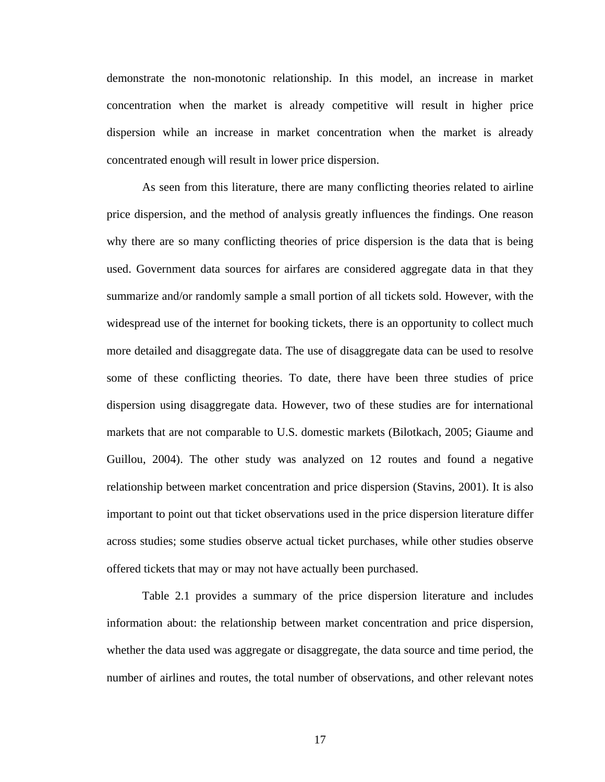demonstrate the non-monotonic relationship. In this model, an increase in market concentration when the market is already competitive will result in higher price dispersion while an increase in market concentration when the market is already concentrated enough will result in lower price dispersion.

 As seen from this literature, there are many conflicting theories related to airline price dispersion, and the method of analysis greatly influences the findings. One reason why there are so many conflicting theories of price dispersion is the data that is being used. Government data sources for airfares are considered aggregate data in that they summarize and/or randomly sample a small portion of all tickets sold. However, with the widespread use of the internet for booking tickets, there is an opportunity to collect much more detailed and disaggregate data. The use of disaggregate data can be used to resolve some of these conflicting theories. To date, there have been three studies of price dispersion using disaggregate data. However, two of these studies are for international markets that are not comparable to U.S. domestic markets (Bilotkach, 2005; Giaume and Guillou, 2004). The other study was analyzed on 12 routes and found a negative relationship between market concentration and price dispersion (Stavins, 2001). It is also important to point out that ticket observations used in the price dispersion literature differ across studies; some studies observe actual ticket purchases, while other studies observe offered tickets that may or may not have actually been purchased.

 Table 2.1 provides a summary of the price dispersion literature and includes information about: the relationship between market concentration and price dispersion, whether the data used was aggregate or disaggregate, the data source and time period, the number of airlines and routes, the total number of observations, and other relevant notes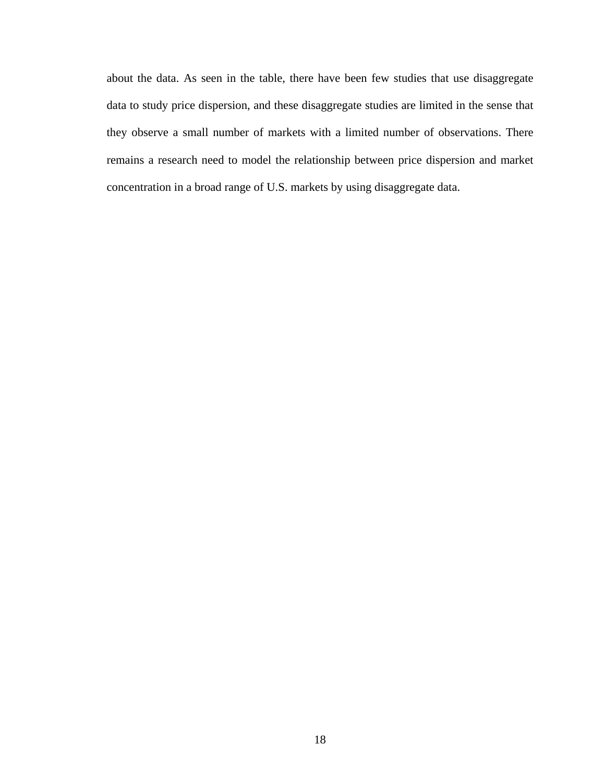about the data. As seen in the table, there have been few studies that use disaggregate data to study price dispersion, and these disaggregate studies are limited in the sense that they observe a small number of markets with a limited number of observations. There remains a research need to model the relationship between price dispersion and market concentration in a broad range of U.S. markets by using disaggregate data.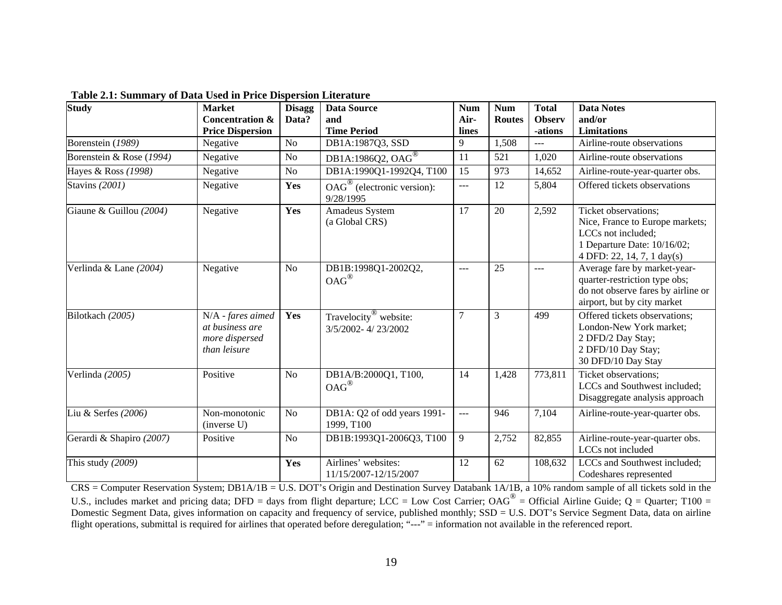| <b>Study</b>             | <b>Market</b><br><b>Concentration &amp;</b><br><b>Price Dispersion</b> | <b>Disagg</b><br>Data? | <b>Data Source</b><br>and<br><b>Time Period</b>                 | <b>Num</b><br>Air-<br>lines | <b>Num</b><br><b>Routes</b> | <b>Total</b><br><b>Observ</b><br>-ations | <b>Data Notes</b><br>and/or<br>Limitations                                                                                                 |
|--------------------------|------------------------------------------------------------------------|------------------------|-----------------------------------------------------------------|-----------------------------|-----------------------------|------------------------------------------|--------------------------------------------------------------------------------------------------------------------------------------------|
| Borenstein (1989)        | Negative                                                               | N <sub>o</sub>         | DB1A:1987Q3, SSD                                                | 9                           | 1,508                       | $---$                                    | Airline-route observations                                                                                                                 |
| Borenstein & Rose (1994) | Negative                                                               | N <sub>o</sub>         | DB1A:1986Q2, OAG <sup>®</sup>                                   | 11                          | 521                         | 1,020                                    | Airline-route observations                                                                                                                 |
| Hayes & Ross (1998)      | Negative                                                               | N <sub>o</sub>         | DB1A:1990Q1-1992Q4, T100                                        | 15                          | 973                         | 14,652                                   | Airline-route-year-quarter obs.                                                                                                            |
| Stavins (2001)           | Negative                                                               | Yes                    | $\overline{OAG}^{\circledR}$ (electronic version):<br>9/28/1995 | ---                         | 12                          | 5,804                                    | Offered tickets observations                                                                                                               |
| Giaune & Guillou (2004)  | Negative                                                               | Yes                    | Amadeus System<br>(a Global CRS)                                | $\overline{17}$             | 20                          | 2,592                                    | Ticket observations;<br>Nice, France to Europe markets;<br>LCCs not included;<br>1 Departure Date: 10/16/02;<br>4 DFD: 22, 14, 7, 1 day(s) |
| Verlinda & Lane (2004)   | Negative                                                               | N <sub>o</sub>         | DB1B:1998Q1-2002Q2,<br>$OAG^{\circledR}$                        | $\frac{1}{2}$               | 25                          | ---                                      | Average fare by market-year-<br>quarter-restriction type obs;<br>do not observe fares by airline or<br>airport, but by city market         |
| Bilotkach (2005)         | N/A - fares aimed<br>at business are<br>more dispersed<br>than leisure | Yes                    | Travelocity <sup>®</sup> website:<br>3/5/2002-4/23/2002         | $\overline{7}$              | $\overline{3}$              | 499                                      | Offered tickets observations;<br>London-New York market;<br>2 DFD/2 Day Stay;<br>2 DFD/10 Day Stay;<br>30 DFD/10 Day Stay                  |
| Verlinda (2005)          | Positive                                                               | N <sub>o</sub>         | DB1A/B:2000Q1, T100,<br>$OAG^{\circledR}$                       | 14                          | 1,428                       | 773,811                                  | Ticket observations;<br>LCCs and Southwest included;<br>Disaggregate analysis approach                                                     |
| Liu & Serfes (2006)      | Non-monotonic<br>(inverse U)                                           | N <sub>o</sub>         | DB1A: Q2 of odd years 1991-<br>1999, T100                       | $\overline{a}$              | 946                         | 7,104                                    | Airline-route-year-quarter obs.                                                                                                            |
| Gerardi & Shapiro (2007) | Positive                                                               | N <sub>o</sub>         | DB1B:1993Q1-2006Q3, T100                                        | 9                           | 2,752                       | 82,855                                   | Airline-route-year-quarter obs.<br>LCCs not included                                                                                       |
| This study (2009)        |                                                                        | Yes                    | Airlines' websites:<br>11/15/2007-12/15/2007                    | 12                          | 62                          | 108,632                                  | LCCs and Southwest included;<br>Codeshares represented                                                                                     |

**Table 2.1: Summary of Data Used in Price Dispersion Literature** 

<span id="page-31-0"></span>CRS = Computer Reservation System; DB1A/1B = U.S. DOT's Origin and Destination Survey Databank 1A/1B, a 10% random sample of all tickets sold in the U.S., includes market and pricing data; DFD = days from flight departure; LCC = Low Cost Carrier; OAG<sup>®</sup> = Official Airline Guide; Q = Quarter; T100 = Domestic Segment Data, gives information on capacity and frequency of service, published monthly; SSD = U.S. DOT's Service Segment Data, data on airline flight operations, submittal is required for airlines that operated before deregulation; "---" = information not available in the referenced report.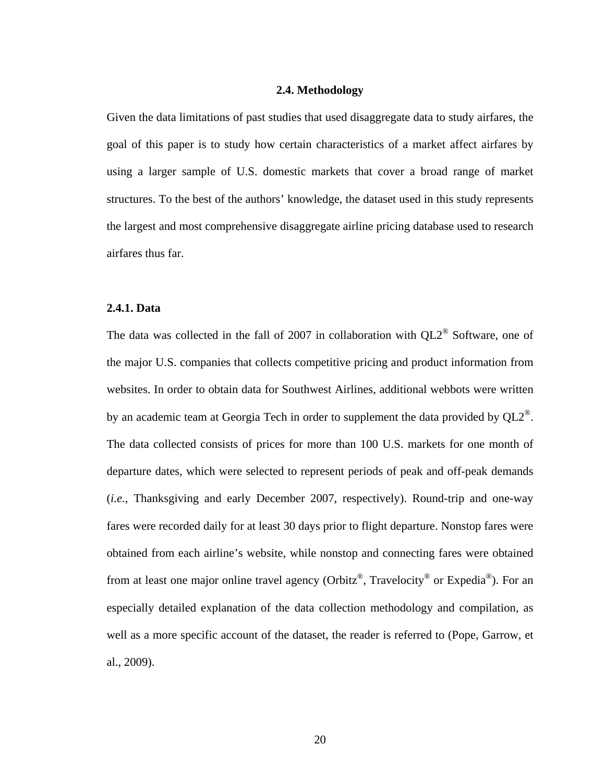## **2.4. Methodology**

<span id="page-32-0"></span>Given the data limitations of past studies that used disaggregate data to study airfares, the goal of this paper is to study how certain characteristics of a market affect airfares by using a larger sample of U.S. domestic markets that cover a broad range of market structures. To the best of the authors' knowledge, the dataset used in this study represents the largest and most comprehensive disaggregate airline pricing database used to research airfares thus far.

## **2.4.1. Data**

The data was collected in the fall of 2007 in collaboration with  $QL2^{\circledR}$  Software, one of the major U.S. companies that collects competitive pricing and product information from websites. In order to obtain data for Southwest Airlines, additional webbots were written by an academic team at Georgia Tech in order to supplement the data provided by  $QL2^{\omega}$ . The data collected consists of prices for more than 100 U.S. markets for one month of departure dates, which were selected to represent periods of peak and off-peak demands (*i.e.*, Thanksgiving and early December 2007, respectively). Round-trip and one-way fares were recorded daily for at least 30 days prior to flight departure. Nonstop fares were obtained from each airline's website, while nonstop and connecting fares were obtained from at least one major online travel agency (Orbitz<sup>®</sup>, Travelocity<sup>®</sup> or Expedia<sup>®</sup>). For an especially detailed explanation of the data collection methodology and compilation, as well as a more specific account of the dataset, the reader is referred to (Pope, Garrow, et al., 2009).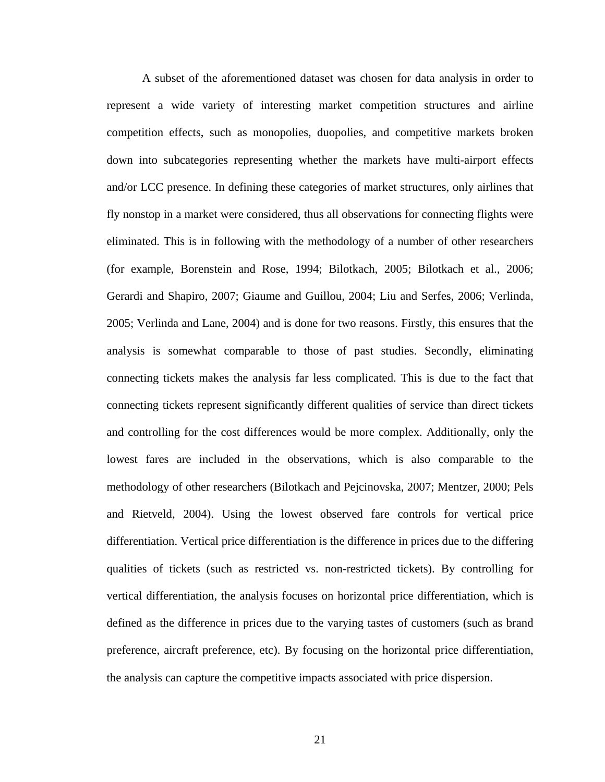A subset of the aforementioned dataset was chosen for data analysis in order to represent a wide variety of interesting market competition structures and airline competition effects, such as monopolies, duopolies, and competitive markets broken down into subcategories representing whether the markets have multi-airport effects and/or LCC presence. In defining these categories of market structures, only airlines that fly nonstop in a market were considered, thus all observations for connecting flights were eliminated. This is in following with the methodology of a number of other researchers (for example, Borenstein and Rose, 1994; Bilotkach, 2005; Bilotkach et al., 2006; Gerardi and Shapiro, 2007; Giaume and Guillou, 2004; Liu and Serfes, 2006; Verlinda, 2005; Verlinda and Lane, 2004) and is done for two reasons. Firstly, this ensures that the analysis is somewhat comparable to those of past studies. Secondly, eliminating connecting tickets makes the analysis far less complicated. This is due to the fact that connecting tickets represent significantly different qualities of service than direct tickets and controlling for the cost differences would be more complex. Additionally, only the lowest fares are included in the observations, which is also comparable to the methodology of other researchers (Bilotkach and Pejcinovska, 2007; Mentzer, 2000; Pels and Rietveld, 2004). Using the lowest observed fare controls for vertical price differentiation. Vertical price differentiation is the difference in prices due to the differing qualities of tickets (such as restricted vs. non-restricted tickets). By controlling for vertical differentiation, the analysis focuses on horizontal price differentiation, which is defined as the difference in prices due to the varying tastes of customers (such as brand preference, aircraft preference, etc). By focusing on the horizontal price differentiation, the analysis can capture the competitive impacts associated with price dispersion.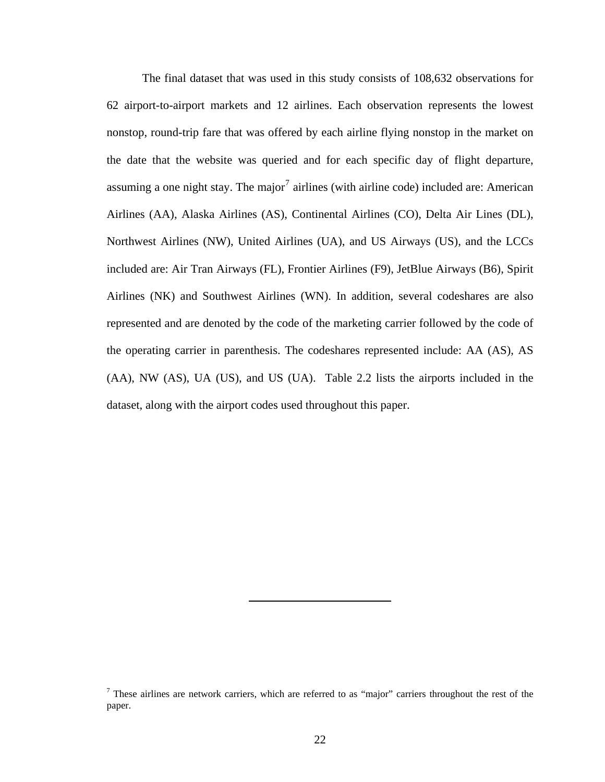<span id="page-34-0"></span> The final dataset that was used in this study consists of 108,632 observations for 62 airport-to-airport markets and 12 airlines. Each observation represents the lowest nonstop, round-trip fare that was offered by each airline flying nonstop in the market on the date that the website was queried and for each specific day of flight departure, assuming a one night stay. The major<sup>[7](#page-34-0)</sup> airlines (with airline code) included are: American Airlines (AA), Alaska Airlines (AS), Continental Airlines (CO), Delta Air Lines (DL), Northwest Airlines (NW), United Airlines (UA), and US Airways (US), and the LCCs included are: Air Tran Airways (FL), Frontier Airlines (F9), JetBlue Airways (B6), Spirit Airlines (NK) and Southwest Airlines (WN). In addition, several codeshares are also represented and are denoted by the code of the marketing carrier followed by the code of the operating carrier in parenthesis. The codeshares represented include: AA (AS), AS (AA), NW (AS), UA (US), and US (UA). Table 2.2 lists the airports included in the dataset, along with the airport codes used throughout this paper.

 $<sup>7</sup>$  These airlines are network carriers, which are referred to as "major" carriers throughout the rest of the</sup> paper.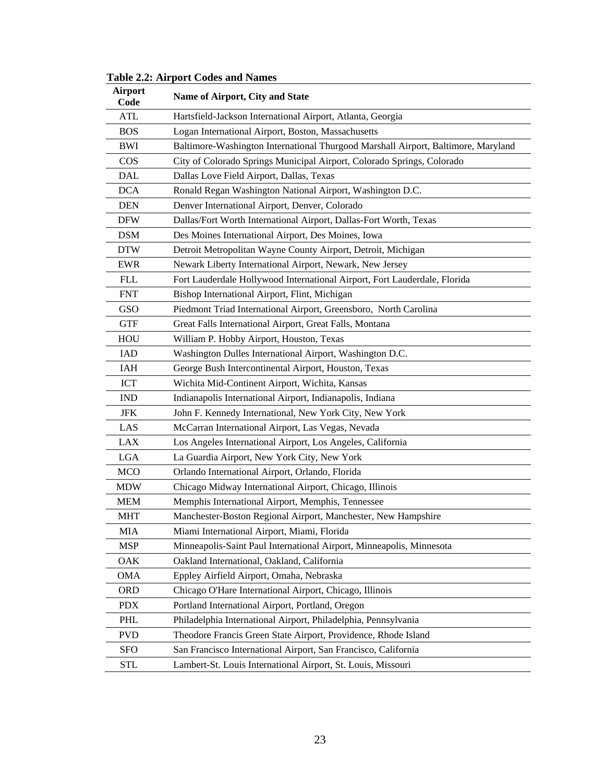| <b>Airport</b><br>Code | Name of Airport, City and State                                                   |
|------------------------|-----------------------------------------------------------------------------------|
| <b>ATL</b>             | Hartsfield-Jackson International Airport, Atlanta, Georgia                        |
| <b>BOS</b>             | Logan International Airport, Boston, Massachusetts                                |
| <b>BWI</b>             | Baltimore-Washington International Thurgood Marshall Airport, Baltimore, Maryland |
| <b>COS</b>             | City of Colorado Springs Municipal Airport, Colorado Springs, Colorado            |
| <b>DAL</b>             | Dallas Love Field Airport, Dallas, Texas                                          |
| <b>DCA</b>             | Ronald Regan Washington National Airport, Washington D.C.                         |
| <b>DEN</b>             | Denver International Airport, Denver, Colorado                                    |
| <b>DFW</b>             | Dallas/Fort Worth International Airport, Dallas-Fort Worth, Texas                 |
| <b>DSM</b>             | Des Moines International Airport, Des Moines, Iowa                                |
| <b>DTW</b>             | Detroit Metropolitan Wayne County Airport, Detroit, Michigan                      |
| <b>EWR</b>             | Newark Liberty International Airport, Newark, New Jersey                          |
| <b>FLL</b>             | Fort Lauderdale Hollywood International Airport, Fort Lauderdale, Florida         |
| <b>FNT</b>             | Bishop International Airport, Flint, Michigan                                     |
| <b>GSO</b>             | Piedmont Triad International Airport, Greensboro, North Carolina                  |
| <b>GTF</b>             | Great Falls International Airport, Great Falls, Montana                           |
| HOU                    | William P. Hobby Airport, Houston, Texas                                          |
| <b>IAD</b>             | Washington Dulles International Airport, Washington D.C.                          |
| <b>IAH</b>             | George Bush Intercontinental Airport, Houston, Texas                              |
| <b>ICT</b>             | Wichita Mid-Continent Airport, Wichita, Kansas                                    |
| <b>IND</b>             | Indianapolis International Airport, Indianapolis, Indiana                         |
| <b>JFK</b>             | John F. Kennedy International, New York City, New York                            |
| LAS                    | McCarran International Airport, Las Vegas, Nevada                                 |
| <b>LAX</b>             | Los Angeles International Airport, Los Angeles, California                        |
| <b>LGA</b>             | La Guardia Airport, New York City, New York                                       |
| <b>MCO</b>             | Orlando International Airport, Orlando, Florida                                   |
| <b>MDW</b>             | Chicago Midway International Airport, Chicago, Illinois                           |
| <b>MEM</b>             | Memphis International Airport, Memphis, Tennessee                                 |
| <b>MHT</b>             | Manchester-Boston Regional Airport, Manchester, New Hampshire                     |
| <b>MIA</b>             | Miami International Airport, Miami, Florida                                       |
| <b>MSP</b>             | Minneapolis-Saint Paul International Airport, Minneapolis, Minnesota              |
| OAK                    | Oakland International, Oakland, California                                        |
| <b>OMA</b>             | Eppley Airfield Airport, Omaha, Nebraska                                          |
| <b>ORD</b>             | Chicago O'Hare International Airport, Chicago, Illinois                           |
| <b>PDX</b>             | Portland International Airport, Portland, Oregon                                  |
| PHL                    | Philadelphia International Airport, Philadelphia, Pennsylvania                    |
| <b>PVD</b>             | Theodore Francis Green State Airport, Providence, Rhode Island                    |
| <b>SFO</b>             | San Francisco International Airport, San Francisco, California                    |
| <b>STL</b>             | Lambert-St. Louis International Airport, St. Louis, Missouri                      |

<span id="page-35-0"></span>**Table 2.2: Airport Codes and Names**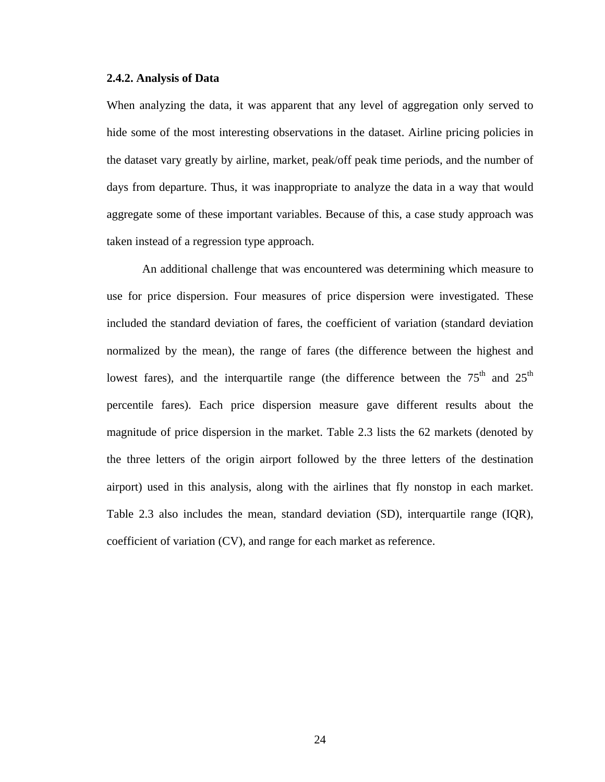### **2.4.2. Analysis of Data**

When analyzing the data, it was apparent that any level of aggregation only served to hide some of the most interesting observations in the dataset. Airline pricing policies in the dataset vary greatly by airline, market, peak/off peak time periods, and the number of days from departure. Thus, it was inappropriate to analyze the data in a way that would aggregate some of these important variables. Because of this, a case study approach was taken instead of a regression type approach.

 An additional challenge that was encountered was determining which measure to use for price dispersion. Four measures of price dispersion were investigated. These included the standard deviation of fares, the coefficient of variation (standard deviation normalized by the mean), the range of fares (the difference between the highest and lowest fares), and the interquartile range (the difference between the  $75<sup>th</sup>$  and  $25<sup>th</sup>$ percentile fares). Each price dispersion measure gave different results about the magnitude of price dispersion in the market. Table 2.3 lists the 62 markets (denoted by the three letters of the origin airport followed by the three letters of the destination airport) used in this analysis, along with the airlines that fly nonstop in each market. Table 2.3 also includes the mean, standard deviation (SD), interquartile range (IQR), coefficient of variation (CV), and range for each market as reference.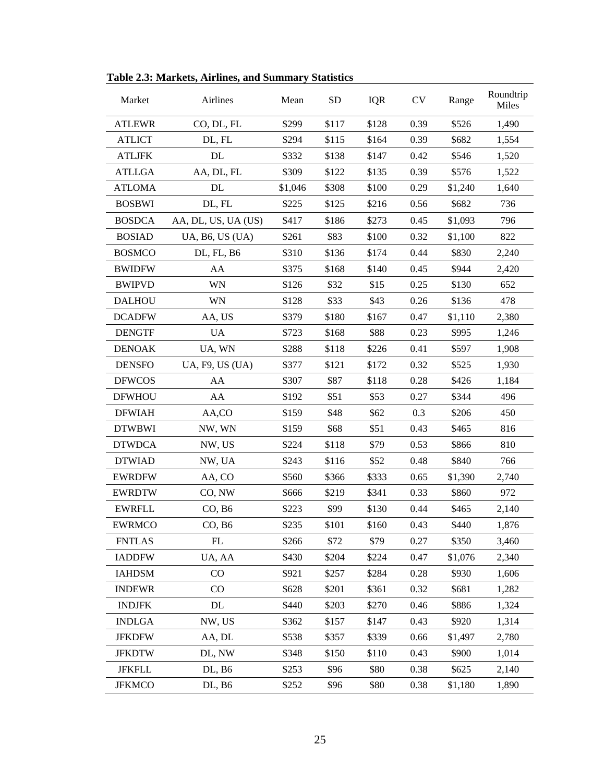| Market        | Airlines             | Mean    | SD    |       | <b>CV</b> | Range   | Roundtrip<br>Miles |
|---------------|----------------------|---------|-------|-------|-----------|---------|--------------------|
| <b>ATLEWR</b> | CO, DL, FL           | \$299   | \$117 | \$128 | 0.39      | \$526   | 1,490              |
| <b>ATLICT</b> | DL, FL               | \$294   | \$115 | \$164 | 0.39      | \$682   | 1,554              |
| <b>ATLJFK</b> | DL                   | \$332   | \$138 | \$147 | 0.42      | \$546   | 1,520              |
| <b>ATLLGA</b> | AA, DL, FL           | \$309   | \$122 | \$135 | 0.39      | \$576   | 1,522              |
| <b>ATLOMA</b> | DL                   | \$1,046 | \$308 | \$100 | 0.29      | \$1,240 | 1,640              |
| <b>BOSBWI</b> | DL, FL               | \$225   | \$125 | \$216 | 0.56      | \$682   | 736                |
| <b>BOSDCA</b> | AA, DL, US, UA (US)  | \$417   | \$186 | \$273 | 0.45      | \$1,093 | 796                |
| <b>BOSIAD</b> | UA, B6, US $(UA)$    | \$261   | \$83  | \$100 | 0.32      | \$1,100 | 822                |
| <b>BOSMCO</b> | DL, FL, B6           | \$310   | \$136 | \$174 | 0.44      | \$830   | 2,240              |
| <b>BWIDFW</b> | AA                   | \$375   | \$168 | \$140 | 0.45      | \$944   | 2,420              |
| <b>BWIPVD</b> | WN                   | \$126   | \$32  | \$15  | 0.25      | \$130   | 652                |
| <b>DALHOU</b> | WN                   | \$128   | \$33  | \$43  | 0.26      | \$136   | 478                |
| <b>DCADFW</b> | AA, US               | \$379   | \$180 | \$167 | 0.47      | \$1,110 | 2,380              |
| <b>DENGTF</b> | <b>UA</b>            | \$723   | \$168 | \$88  | 0.23      | \$995   | 1,246              |
| <b>DENOAK</b> | UA, WN               | \$288   | \$118 | \$226 | 0.41      | \$597   | 1,908              |
| <b>DENSFO</b> | $UA$ , F9, US $(UA)$ | \$377   | \$121 | \$172 | 0.32      | \$525   | 1,930              |
| <b>DFWCOS</b> | AA                   | \$307   | \$87  | \$118 | 0.28      | \$426   | 1,184              |
| <b>DFWHOU</b> | AA                   | \$192   | \$51  | \$53  | 0.27      | \$344   | 496                |
| <b>DFWIAH</b> | AA,CO                | \$159   | \$48  | \$62  | 0.3       | \$206   | 450                |
| <b>DTWBWI</b> | NW, WN               | \$159   | \$68  | \$51  | 0.43      | \$465   | 816                |
| <b>DTWDCA</b> | NW, US               | \$224   | \$118 | \$79  | 0.53      | \$866   | 810                |
| <b>DTWIAD</b> | NW, UA               | \$243   | \$116 | \$52  | 0.48      | \$840   | 766                |
| <b>EWRDFW</b> | AA, CO               | \$560   | \$366 | \$333 | 0.65      | \$1,390 | 2,740              |
| <b>EWRDTW</b> | CO, NW               | \$666   | \$219 | \$341 | 0.33      | \$860   | 972                |
| <b>EWRFLL</b> | CO, B6               | \$223   | \$99  | \$130 | 0.44      | \$465   | 2,140              |
| <b>EWRMCO</b> | CO, B6               | \$235   | \$101 | \$160 | 0.43      | \$440   | 1,876              |
| <b>FNTLAS</b> | FL                   | \$266   | \$72  | \$79  | 0.27      | \$350   | 3,460              |
| <b>IADDFW</b> | UA, AA               | \$430   | \$204 | \$224 | 0.47      | \$1,076 | 2,340              |
| <b>IAHDSM</b> | CO                   | \$921   | \$257 | \$284 | 0.28      | \$930   | 1,606              |
| <b>INDEWR</b> | CO                   | \$628   | \$201 | \$361 | 0.32      | \$681   | 1,282              |
| <b>INDJFK</b> | DL                   | \$440   | \$203 | \$270 | 0.46      | \$886   | 1,324              |
| <b>INDLGA</b> | NW, US               | \$362   | \$157 | \$147 | 0.43      | \$920   | 1,314              |
| <b>JFKDFW</b> | AA, DL               | \$538   | \$357 | \$339 | 0.66      | \$1,497 | 2,780              |
| <b>JFKDTW</b> | DL, NW               | \$348   | \$150 | \$110 | 0.43      | \$900   | 1,014              |
| <b>JFKFLL</b> | DL, B6               | \$253   | \$96  | \$80  | 0.38      | \$625   | 2,140              |
| <b>JFKMCO</b> | DL, B6               | \$252   | \$96  | \$80  | 0.38      | \$1,180 | 1,890              |

**Table 2.3: Markets, Airlines, and Summary Statistics**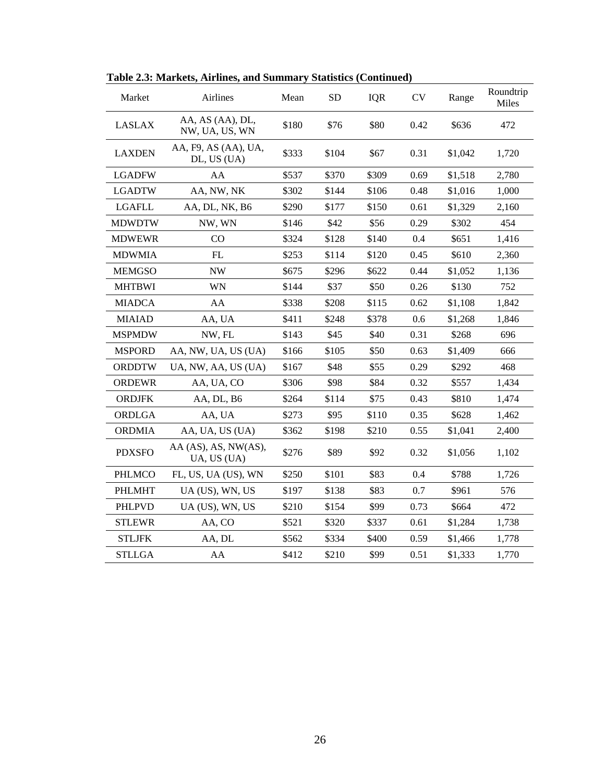| Market        | Airlines                            | Mean  | <b>SD</b> | <b>IQR</b> | <b>CV</b> | Range   | Roundtrip<br>Miles |
|---------------|-------------------------------------|-------|-----------|------------|-----------|---------|--------------------|
| <b>LASLAX</b> | AA, AS (AA), DL,<br>NW, UA, US, WN  | \$180 | \$76      | \$80       | 0.42      | \$636   | 472                |
| <b>LAXDEN</b> | AA, F9, AS (AA), UA,<br>DL, US (UA) | \$333 | \$104     | \$67       | 0.31      | \$1,042 | 1,720              |
| <b>LGADFW</b> | AA                                  | \$537 | \$370     | \$309      | 0.69      | \$1,518 | 2,780              |
| <b>LGADTW</b> | AA, NW, NK                          | \$302 | \$144     | \$106      | 0.48      | \$1,016 | 1,000              |
| LGAFLL        | AA, DL, NK, B6                      | \$290 | \$177     | \$150      | 0.61      | \$1,329 | 2,160              |
| <b>MDWDTW</b> | NW, WN                              | \$146 | \$42      | \$56       | 0.29      | \$302   | 454                |
| <b>MDWEWR</b> | CO.                                 | \$324 | \$128     | \$140      | 0.4       | \$651   | 1,416              |
| <b>MDWMIA</b> | FL                                  | \$253 | \$114     | \$120      | 0.45      | \$610   | 2,360              |
| <b>MEMGSO</b> | NW                                  | \$675 | \$296     | \$622      | 0.44      | \$1,052 | 1,136              |
| <b>MHTBWI</b> | WN                                  | \$144 | \$37      | \$50       | 0.26      | \$130   | 752                |
| <b>MIADCA</b> | AA                                  | \$338 | \$208     | \$115      | 0.62      | \$1,108 | 1,842              |
| <b>MIAIAD</b> | AA, UA                              | \$411 | \$248     | \$378      | 0.6       | \$1,268 | 1,846              |
| <b>MSPMDW</b> | NW, FL                              | \$143 | \$45      | \$40       | 0.31      | \$268   | 696                |
| <b>MSPORD</b> | AA, NW, UA, US (UA)                 | \$166 | \$105     | \$50       | 0.63      | \$1,409 | 666                |
| <b>ORDDTW</b> | UA, NW, AA, US (UA)                 | \$167 | \$48      | \$55       | 0.29      | \$292   | 468                |
| ORDEWR        | AA, UA, CO                          | \$306 | \$98      | \$84       | 0.32      | \$557   | 1,434              |
| <b>ORDJFK</b> | AA, DL, B6                          | \$264 | \$114     | \$75       | 0.43      | \$810   | 1,474              |
| ORDLGA        | AA, UA                              | \$273 | \$95      | \$110      | 0.35      | \$628   | 1,462              |
| <b>ORDMIA</b> | AA, UA, US (UA)                     | \$362 | \$198     | \$210      | 0.55      | \$1,041 | 2,400              |
| <b>PDXSFO</b> | AA (AS), AS, NW(AS),<br>UA, US (UA) | \$276 | \$89      | \$92       | 0.32      | \$1,056 | 1,102              |
| PHLMCO        | FL, US, UA (US), WN                 | \$250 | \$101     | \$83       | 0.4       | \$788   | 1,726              |
| <b>PHLMHT</b> | UA (US), WN, US                     | \$197 | \$138     | \$83       | 0.7       | \$961   | 576                |
| <b>PHLPVD</b> | UA (US), WN, US                     | \$210 | \$154     | \$99       | 0.73      | \$664   | 472                |
| <b>STLEWR</b> | AA, CO                              | \$521 | \$320     | \$337      | 0.61      | \$1,284 | 1,738              |
| <b>STLJFK</b> | AA, DL                              | \$562 | \$334     | \$400      | 0.59      | \$1,466 | 1,778              |
| <b>STLLGA</b> | AA                                  | \$412 | \$210     | \$99       | 0.51      | \$1,333 | 1,770              |

**Table 2.3: Markets, Airlines, and Summary Statistics (Continued)**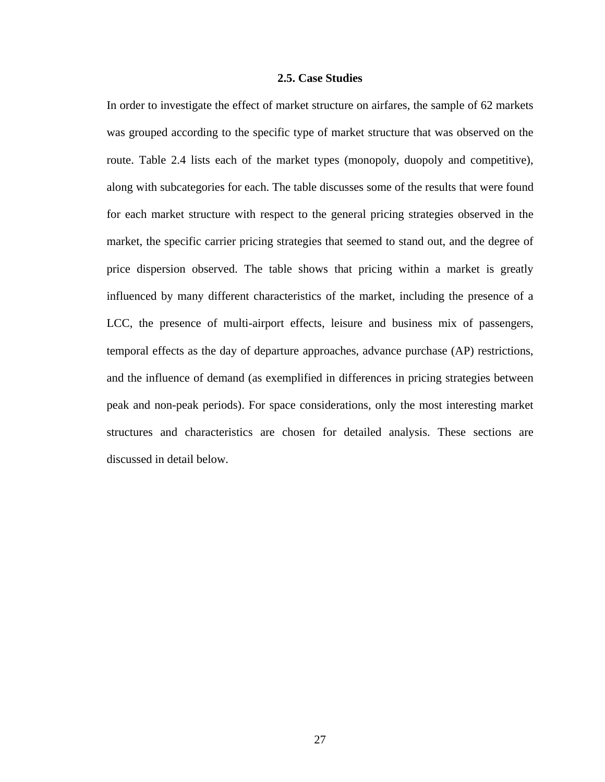# **2.5. Case Studies**

In order to investigate the effect of market structure on airfares, the sample of 62 markets was grouped according to the specific type of market structure that was observed on the route. Table 2.4 lists each of the market types (monopoly, duopoly and competitive), along with subcategories for each. The table discusses some of the results that were found for each market structure with respect to the general pricing strategies observed in the market, the specific carrier pricing strategies that seemed to stand out, and the degree of price dispersion observed. The table shows that pricing within a market is greatly influenced by many different characteristics of the market, including the presence of a LCC, the presence of multi-airport effects, leisure and business mix of passengers, temporal effects as the day of departure approaches, advance purchase (AP) restrictions, and the influence of demand (as exemplified in differences in pricing strategies between peak and non-peak periods). For space considerations, only the most interesting market structures and characteristics are chosen for detailed analysis. These sections are discussed in detail below.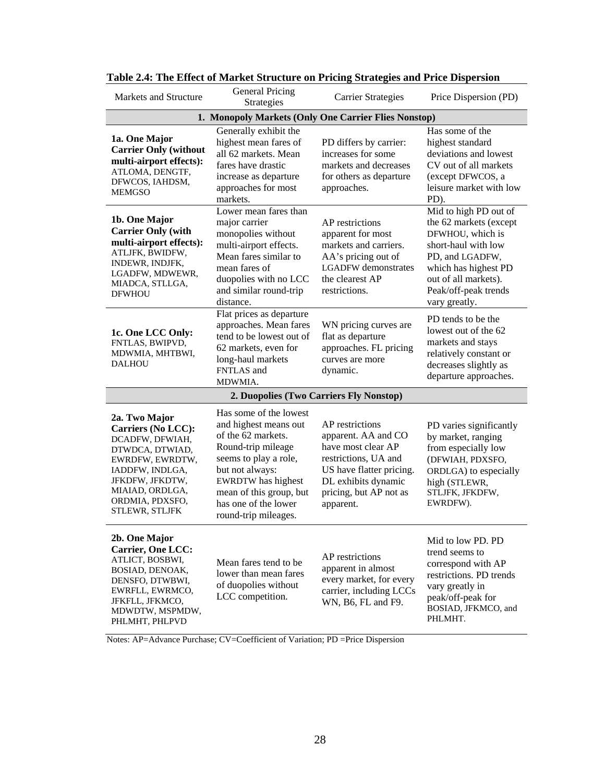| Markets and Structure                                                                                                                                                                                    | <b>General Pricing</b><br>Strategies                                                                                                                                                                                                            | <b>Carrier Strategies</b>                                                                                                                                                      | Price Dispersion (PD)                                                                                                                                                                                  |  |  |  |  |  |  |  |
|----------------------------------------------------------------------------------------------------------------------------------------------------------------------------------------------------------|-------------------------------------------------------------------------------------------------------------------------------------------------------------------------------------------------------------------------------------------------|--------------------------------------------------------------------------------------------------------------------------------------------------------------------------------|--------------------------------------------------------------------------------------------------------------------------------------------------------------------------------------------------------|--|--|--|--|--|--|--|
| 1. Monopoly Markets (Only One Carrier Flies Nonstop)                                                                                                                                                     |                                                                                                                                                                                                                                                 |                                                                                                                                                                                |                                                                                                                                                                                                        |  |  |  |  |  |  |  |
| 1a. One Major<br><b>Carrier Only (without</b><br>multi-airport effects):<br>ATLOMA, DENGTF,<br>DFWCOS, IAHDSM,<br><b>MEMGSO</b>                                                                          | Generally exhibit the<br>highest mean fares of<br>all 62 markets. Mean<br>fares have drastic<br>increase as departure<br>approaches for most<br>markets.                                                                                        | PD differs by carrier:<br>increases for some<br>markets and decreases<br>for others as departure<br>approaches.                                                                | Has some of the<br>highest standard<br>deviations and lowest<br>CV out of all markets<br>(except DFWCOS, a<br>leisure market with low<br>PD).                                                          |  |  |  |  |  |  |  |
| 1b. One Major<br><b>Carrier Only (with</b><br>multi-airport effects):<br>ATLJFK, BWIDFW,<br>INDEWR, INDJFK,<br>LGADFW, MDWEWR,<br>MIADCA, STLLGA,<br><b>DFWHOU</b>                                       | Lower mean fares than<br>major carrier<br>monopolies without<br>multi-airport effects.<br>Mean fares similar to<br>mean fares of<br>duopolies with no LCC<br>and similar round-trip<br>distance.                                                | AP restrictions<br>apparent for most<br>markets and carriers.<br>AA's pricing out of<br><b>LGADFW</b> demonstrates<br>the clearest AP<br>restrictions.                         | Mid to high PD out of<br>the 62 markets (except<br>DFWHOU, which is<br>short-haul with low<br>PD, and LGADFW,<br>which has highest PD<br>out of all markets).<br>Peak/off-peak trends<br>vary greatly. |  |  |  |  |  |  |  |
| 1c. One LCC Only:<br>FNTLAS, BWIPVD,<br>MDWMIA, MHTBWI,<br><b>DALHOU</b>                                                                                                                                 | Flat prices as departure<br>approaches. Mean fares<br>tend to be lowest out of<br>62 markets, even for<br>long-haul markets<br>FNTLAS and<br>MDWMIA.                                                                                            | WN pricing curves are<br>flat as departure<br>approaches. FL pricing<br>curves are more<br>dynamic.                                                                            | PD tends to be the<br>lowest out of the 62<br>markets and stays<br>relatively constant or<br>decreases slightly as<br>departure approaches.                                                            |  |  |  |  |  |  |  |
|                                                                                                                                                                                                          | 2. Duopolies (Two Carriers Fly Nonstop)                                                                                                                                                                                                         |                                                                                                                                                                                |                                                                                                                                                                                                        |  |  |  |  |  |  |  |
| 2a. Two Major<br><b>Carriers (No LCC):</b><br>DCADFW, DFWIAH,<br>DTWDCA, DTWIAD,<br>EWRDFW, EWRDTW,<br>IADDFW, INDLGA,<br>JFKDFW, JFKDTW,<br>MIAIAD, ORDLGA,<br>ORDMIA, PDXSFO,<br><b>STLEWR, STLJFK</b> | Has some of the lowest<br>and highest means out<br>of the 62 markets.<br>Round-trip mileage<br>seems to play a role,<br>but not always:<br><b>EWRDTW</b> has highest<br>mean of this group, but<br>has one of the lower<br>round-trip mileages. | AP restrictions<br>apparent. AA and CO<br>have most clear AP<br>restrictions, UA and<br>US have flatter pricing.<br>DL exhibits dynamic<br>pricing, but AP not as<br>apparent. | PD varies significantly<br>by market, ranging<br>from especially low<br>(DFWIAH, PDXSFO,<br>ORDLGA) to especially<br>high (STLEWR,<br>STLJFK, JFKDFW,<br>EWRDFW).                                      |  |  |  |  |  |  |  |
| 2b. One Major<br><b>Carrier, One LCC:</b><br>ATLICT, BOSBWI,<br>BOSIAD, DENOAK,<br>DENSFO, DTWBWI,<br>EWRFLL, EWRMCO,<br>JFKFLL, JFKMCO,<br>MDWDTW, MSPMDW,<br>PHLMHT, PHLPVD                            | Mean fares tend to be<br>lower than mean fares<br>of duopolies without<br>LCC competition.                                                                                                                                                      | AP restrictions<br>apparent in almost<br>every market, for every<br>carrier, including LCCs<br>WN, B6, FL and F9.                                                              | Mid to low PD. PD<br>trend seems to<br>correspond with AP<br>restrictions. PD trends<br>vary greatly in<br>peak/off-peak for<br>BOSIAD, JFKMCO, and<br>PHLMHT.                                         |  |  |  |  |  |  |  |

**Table 2.4: The Effect of Market Structure on Pricing Strategies and Price Dispersion** 

Notes: AP=Advance Purchase; CV=Coefficient of Variation; PD =Price Dispersion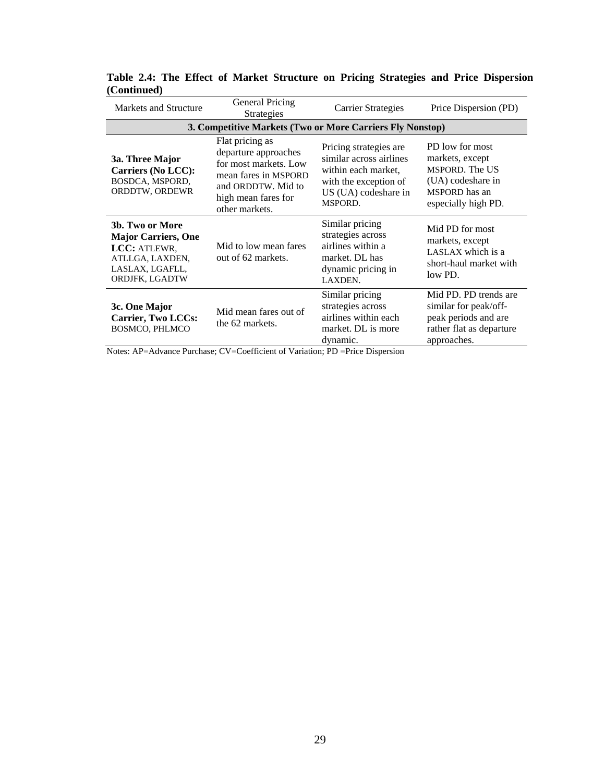| Markets and Structure                                                                                                 | <b>General Pricing</b><br><b>Strategies</b>                                                                                                             | <b>Carrier Strategies</b>                                                                                                            | Price Dispersion (PD)                                                                                             |  |  |  |  |  |  |  |
|-----------------------------------------------------------------------------------------------------------------------|---------------------------------------------------------------------------------------------------------------------------------------------------------|--------------------------------------------------------------------------------------------------------------------------------------|-------------------------------------------------------------------------------------------------------------------|--|--|--|--|--|--|--|
| 3. Competitive Markets (Two or More Carriers Fly Nonstop)                                                             |                                                                                                                                                         |                                                                                                                                      |                                                                                                                   |  |  |  |  |  |  |  |
| 3a. Three Major<br><b>Carriers (No LCC):</b><br>BOSDCA, MSPORD,<br>ORDDTW, ORDEWR                                     | Flat pricing as<br>departure approaches<br>for most markets. Low<br>mean fares in MSPORD<br>and ORDDTW. Mid to<br>high mean fares for<br>other markets. | Pricing strategies are<br>similar across airlines<br>within each market,<br>with the exception of<br>US (UA) codeshare in<br>MSPORD. | PD low for most<br>markets, except<br>MSPORD. The US<br>(UA) codeshare in<br>MSPORD has an<br>especially high PD. |  |  |  |  |  |  |  |
| 3b. Two or More<br><b>Major Carriers, One</b><br>LCC: ATLEWR,<br>ATLLGA, LAXDEN,<br>LASLAX, LGAFLL,<br>ORDJFK, LGADTW | Mid to low mean fares<br>out of 62 markets.                                                                                                             | Similar pricing<br>strategies across<br>airlines within a<br>market. DL has<br>dynamic pricing in<br>LAXDEN.                         | Mid PD for most<br>markets, except<br>LASLAX which is a<br>short-haul market with<br>low PD.                      |  |  |  |  |  |  |  |
| 3c. One Major<br><b>Carrier, Two LCCs:</b><br><b>BOSMCO, PHLMCO</b>                                                   | Mid mean fares out of<br>the 62 markets.                                                                                                                | Similar pricing<br>strategies across<br>airlines within each<br>market. DL is more<br>dynamic.                                       | Mid PD. PD trends are<br>similar for peak/off-<br>peak periods and are<br>rather flat as departure<br>approaches. |  |  |  |  |  |  |  |

**Table 2.4: The Effect of Market Structure on Pricing Strategies and Price Dispersion (Continued)** 

Notes: AP=Advance Purchase; CV=Coefficient of Variation; PD =Price Dispersion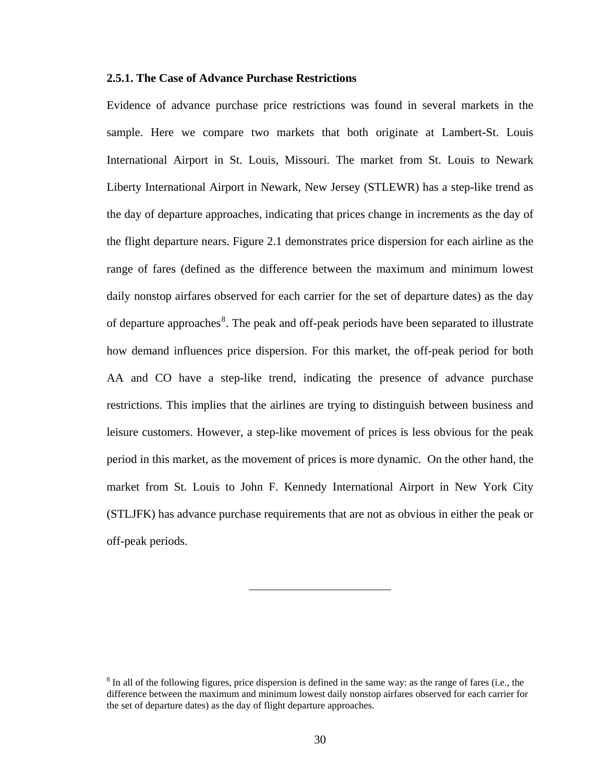## <span id="page-42-0"></span>**2.5.1. The Case of Advance Purchase Restrictions**

Evidence of advance purchase price restrictions was found in several markets in the sample. Here we compare two markets that both originate at Lambert-St. Louis International Airport in St. Louis, Missouri. The market from St. Louis to Newark Liberty International Airport in Newark, New Jersey (STLEWR) has a step-like trend as the day of departure approaches, indicating that prices change in increments as the day of the flight departure nears. Figure 2.1 demonstrates price dispersion for each airline as the range of fares (defined as the difference between the maximum and minimum lowest daily nonstop airfares observed for each carrier for the set of departure dates) as the day of departure approaches<sup>[8](#page-42-0)</sup>. The peak and off-peak periods have been separated to illustrate how demand influences price dispersion. For this market, the off-peak period for both AA and CO have a step-like trend, indicating the presence of advance purchase restrictions. This implies that the airlines are trying to distinguish between business and leisure customers. However, a step-like movement of prices is less obvious for the peak period in this market, as the movement of prices is more dynamic. On the other hand, the market from St. Louis to John F. Kennedy International Airport in New York City (STLJFK) has advance purchase requirements that are not as obvious in either the peak or off-peak periods.

 $8 \text{ In all of the following figures, price dispersion is defined in the same way: as the range of fares (i.e., the$ difference between the maximum and minimum lowest daily nonstop airfares observed for each carrier for the set of departure dates) as the day of flight departure approaches.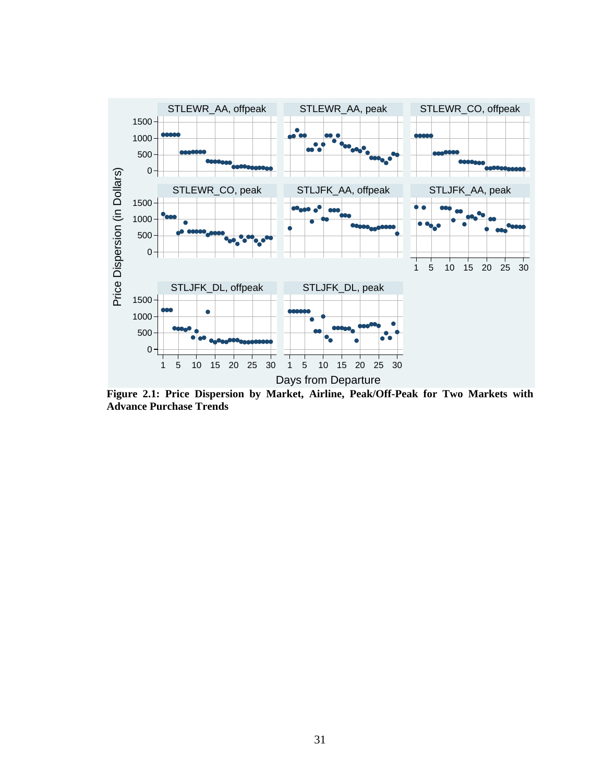

**Figure 2.1: Price Dispersion by Market, Airline, Peak/Off-Peak for Two Markets with Advance Purchase Trends**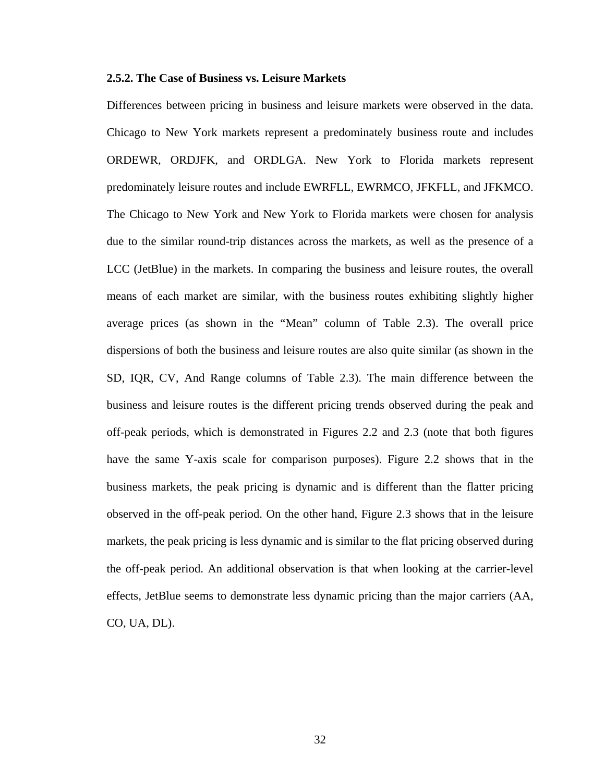## **2.5.2. The Case of Business vs. Leisure Markets**

Differences between pricing in business and leisure markets were observed in the data. Chicago to New York markets represent a predominately business route and includes ORDEWR, ORDJFK, and ORDLGA. New York to Florida markets represent predominately leisure routes and include EWRFLL, EWRMCO, JFKFLL, and JFKMCO. The Chicago to New York and New York to Florida markets were chosen for analysis due to the similar round-trip distances across the markets, as well as the presence of a LCC (JetBlue) in the markets. In comparing the business and leisure routes, the overall means of each market are similar, with the business routes exhibiting slightly higher average prices (as shown in the "Mean" column of Table 2.3). The overall price dispersions of both the business and leisure routes are also quite similar (as shown in the SD, IQR, CV, And Range columns of Table 2.3). The main difference between the business and leisure routes is the different pricing trends observed during the peak and off-peak periods, which is demonstrated in Figures 2.2 and 2.3 (note that both figures have the same Y-axis scale for comparison purposes). Figure 2.2 shows that in the business markets, the peak pricing is dynamic and is different than the flatter pricing observed in the off-peak period. On the other hand, Figure 2.3 shows that in the leisure markets, the peak pricing is less dynamic and is similar to the flat pricing observed during the off-peak period. An additional observation is that when looking at the carrier-level effects, JetBlue seems to demonstrate less dynamic pricing than the major carriers (AA, CO, UA, DL).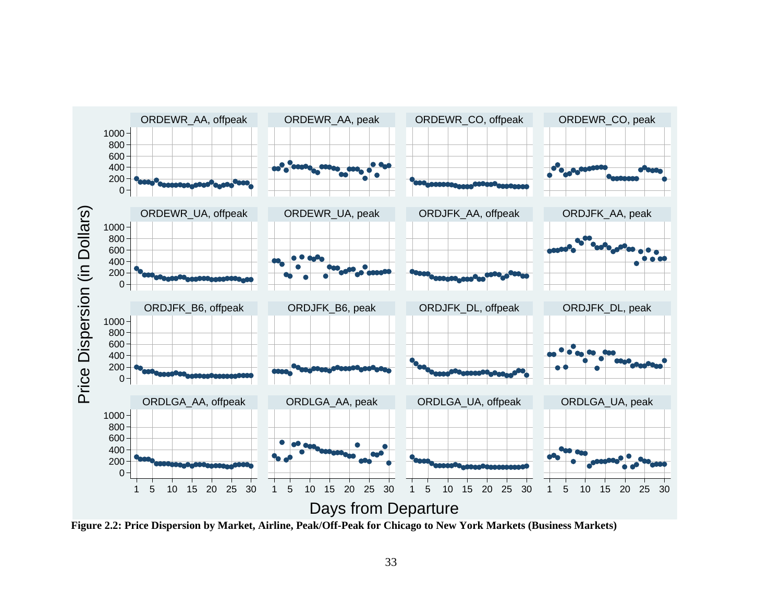

**Figure 2.2: Price Dispersion by Market, Airline, Peak/Off-Peak for Chicago to New York Markets (Business Markets)**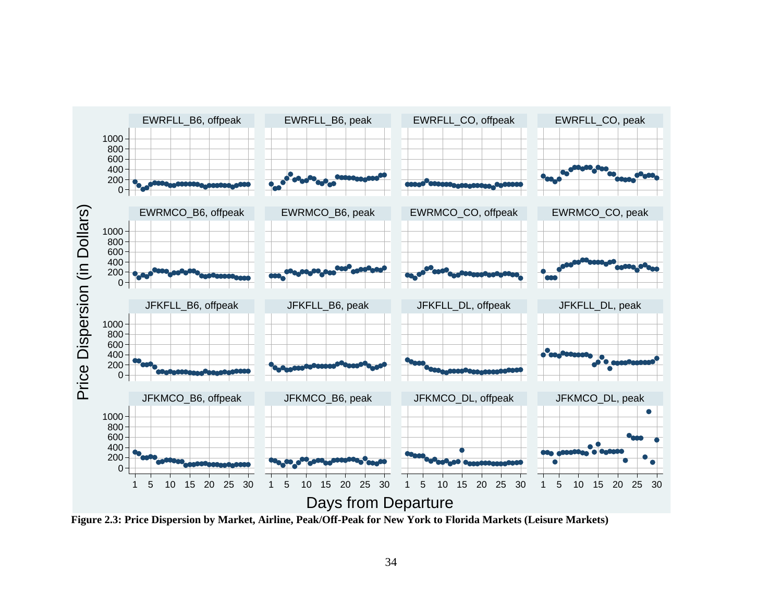

**Figure 2.3: Price Dispersion by Market, Airline, Peak/Off-Peak for New York to Florida Markets (Leisure Markets)**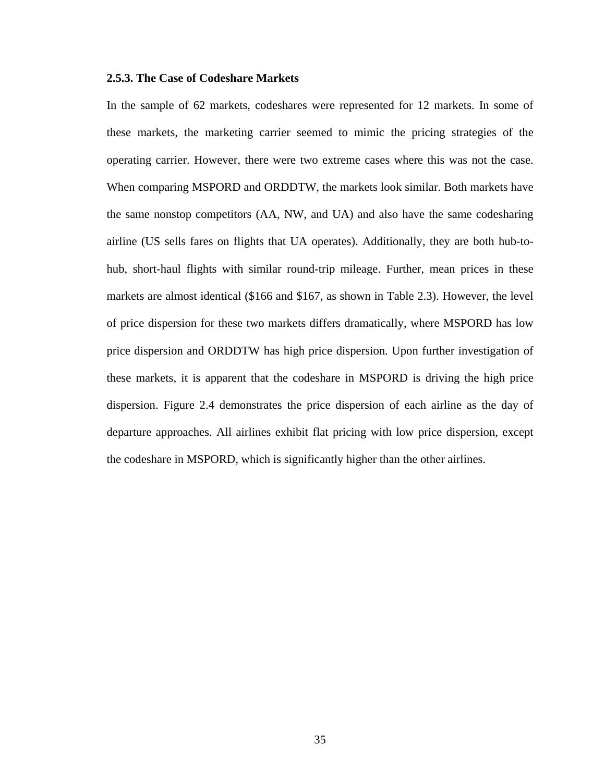## **2.5.3. The Case of Codeshare Markets**

In the sample of 62 markets, codeshares were represented for 12 markets. In some of these markets, the marketing carrier seemed to mimic the pricing strategies of the operating carrier. However, there were two extreme cases where this was not the case. When comparing MSPORD and ORDDTW, the markets look similar. Both markets have the same nonstop competitors (AA, NW, and UA) and also have the same codesharing airline (US sells fares on flights that UA operates). Additionally, they are both hub-tohub, short-haul flights with similar round-trip mileage. Further, mean prices in these markets are almost identical (\$166 and \$167, as shown in Table 2.3). However, the level of price dispersion for these two markets differs dramatically, where MSPORD has low price dispersion and ORDDTW has high price dispersion. Upon further investigation of these markets, it is apparent that the codeshare in MSPORD is driving the high price dispersion. Figure 2.4 demonstrates the price dispersion of each airline as the day of departure approaches. All airlines exhibit flat pricing with low price dispersion, except the codeshare in MSPORD, which is significantly higher than the other airlines.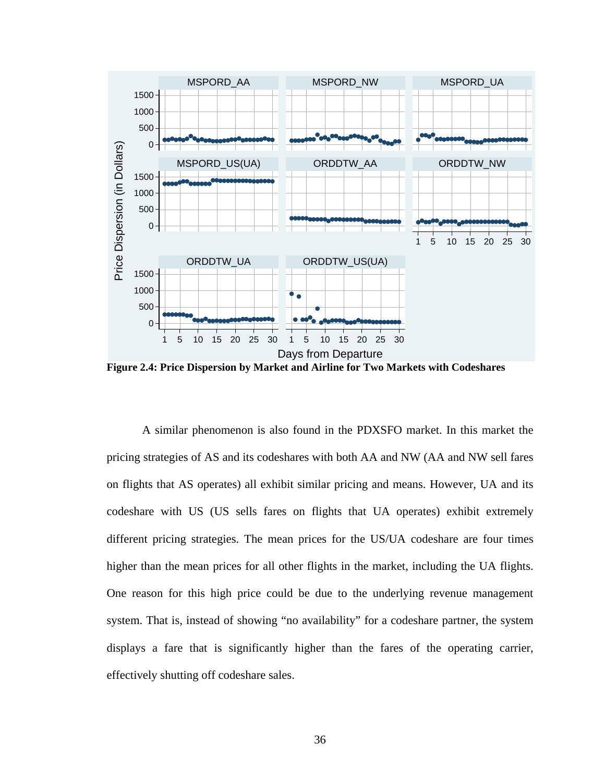

**Figure 2.4: Price Dispersion by Market and Airline for Two Markets with Codeshares** 

 A similar phenomenon is also found in the PDXSFO market. In this market the pricing strategies of AS and its codeshares with both AA and NW (AA and NW sell fares on flights that AS operates) all exhibit similar pricing and means. However, UA and its codeshare with US (US sells fares on flights that UA operates) exhibit extremely different pricing strategies. The mean prices for the US/UA codeshare are four times higher than the mean prices for all other flights in the market, including the UA flights. One reason for this high price could be due to the underlying revenue management system. That is, instead of showing "no availability" for a codeshare partner, the system displays a fare that is significantly higher than the fares of the operating carrier, effectively shutting off codeshare sales.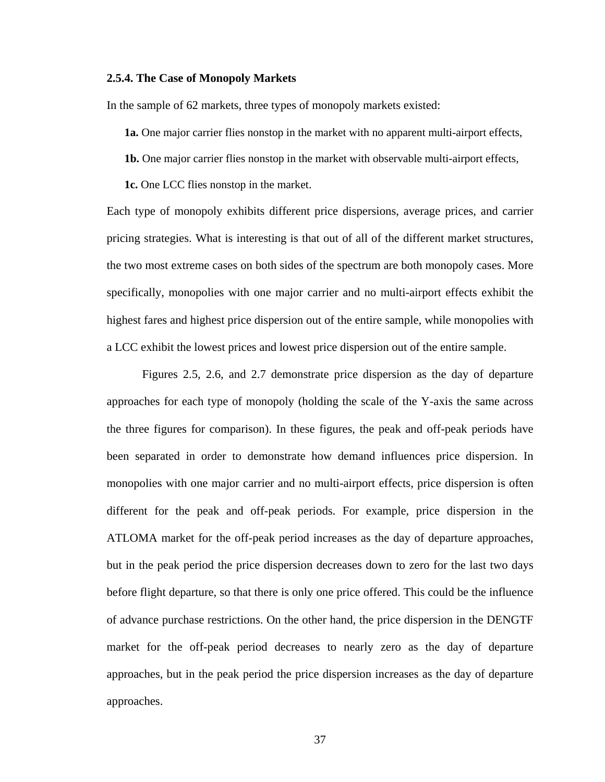#### **2.5.4. The Case of Monopoly Markets**

In the sample of 62 markets, three types of monopoly markets existed:

 **1a.** One major carrier flies nonstop in the market with no apparent multi-airport effects,

 **1b.** One major carrier flies nonstop in the market with observable multi-airport effects,

 **1c.** One LCC flies nonstop in the market.

Each type of monopoly exhibits different price dispersions, average prices, and carrier pricing strategies. What is interesting is that out of all of the different market structures, the two most extreme cases on both sides of the spectrum are both monopoly cases. More specifically, monopolies with one major carrier and no multi-airport effects exhibit the highest fares and highest price dispersion out of the entire sample, while monopolies with a LCC exhibit the lowest prices and lowest price dispersion out of the entire sample.

 Figures 2.5, 2.6, and 2.7 demonstrate price dispersion as the day of departure approaches for each type of monopoly (holding the scale of the Y-axis the same across the three figures for comparison). In these figures, the peak and off-peak periods have been separated in order to demonstrate how demand influences price dispersion. In monopolies with one major carrier and no multi-airport effects, price dispersion is often different for the peak and off-peak periods. For example, price dispersion in the ATLOMA market for the off-peak period increases as the day of departure approaches, but in the peak period the price dispersion decreases down to zero for the last two days before flight departure, so that there is only one price offered. This could be the influence of advance purchase restrictions. On the other hand, the price dispersion in the DENGTF market for the off-peak period decreases to nearly zero as the day of departure approaches, but in the peak period the price dispersion increases as the day of departure approaches.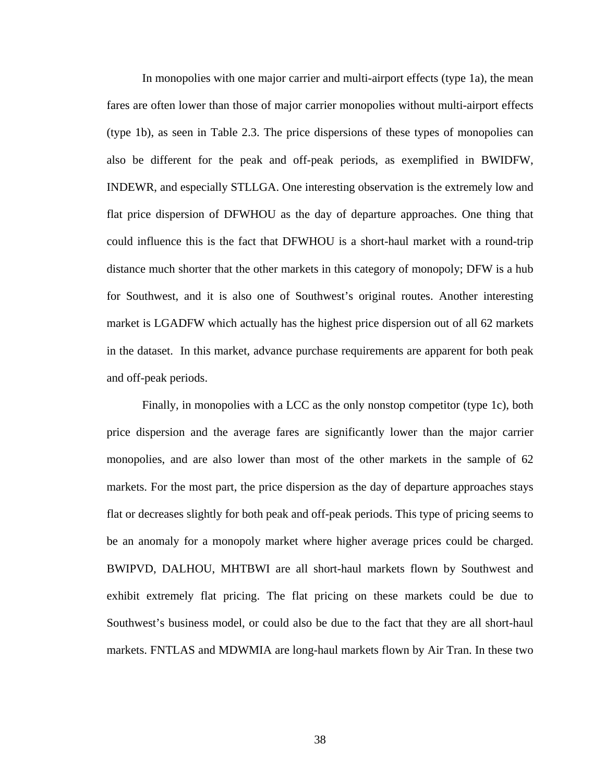In monopolies with one major carrier and multi-airport effects (type 1a), the mean fares are often lower than those of major carrier monopolies without multi-airport effects (type 1b), as seen in Table 2.3. The price dispersions of these types of monopolies can also be different for the peak and off-peak periods, as exemplified in BWIDFW, INDEWR, and especially STLLGA. One interesting observation is the extremely low and flat price dispersion of DFWHOU as the day of departure approaches. One thing that could influence this is the fact that DFWHOU is a short-haul market with a round-trip distance much shorter that the other markets in this category of monopoly; DFW is a hub for Southwest, and it is also one of Southwest's original routes. Another interesting market is LGADFW which actually has the highest price dispersion out of all 62 markets in the dataset. In this market, advance purchase requirements are apparent for both peak and off-peak periods.

 Finally, in monopolies with a LCC as the only nonstop competitor (type 1c), both price dispersion and the average fares are significantly lower than the major carrier monopolies, and are also lower than most of the other markets in the sample of 62 markets. For the most part, the price dispersion as the day of departure approaches stays flat or decreases slightly for both peak and off-peak periods. This type of pricing seems to be an anomaly for a monopoly market where higher average prices could be charged. BWIPVD, DALHOU, MHTBWI are all short-haul markets flown by Southwest and exhibit extremely flat pricing. The flat pricing on these markets could be due to Southwest's business model, or could also be due to the fact that they are all short-haul markets. FNTLAS and MDWMIA are long-haul markets flown by Air Tran. In these two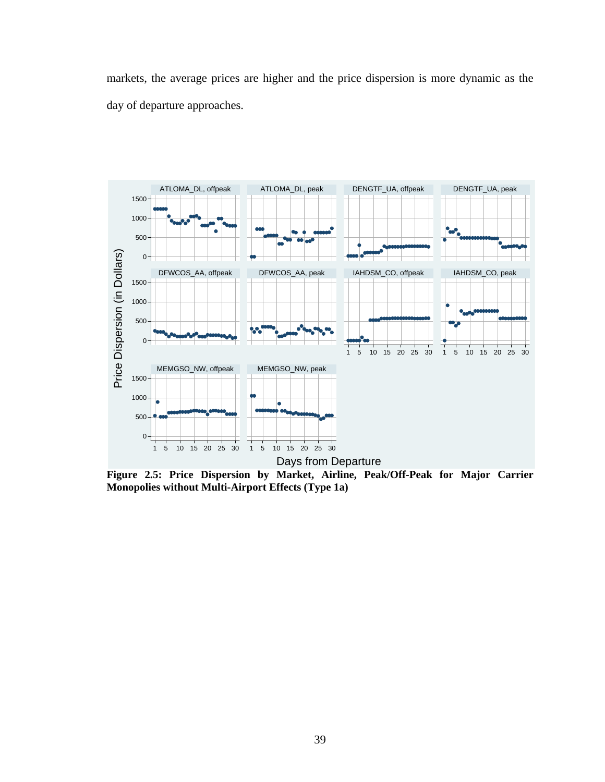markets, the average prices are higher and the price dispersion is more dynamic as the day of departure approaches.



**Figure 2.5: Price Dispersion by Market, Airline, Peak/Off-Peak for Major Carrier Monopolies without Multi-Airport Effects (Type 1a)**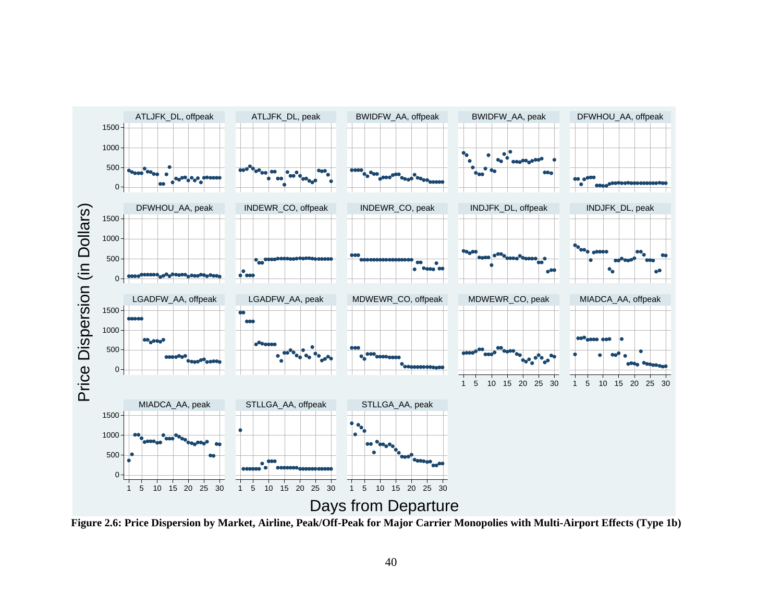

**Figure 2.6: Price Dispersion by Market, Airline, Peak/Off-Peak for Major Carrier Monopolies with Multi-Airport Effects (Type 1b)**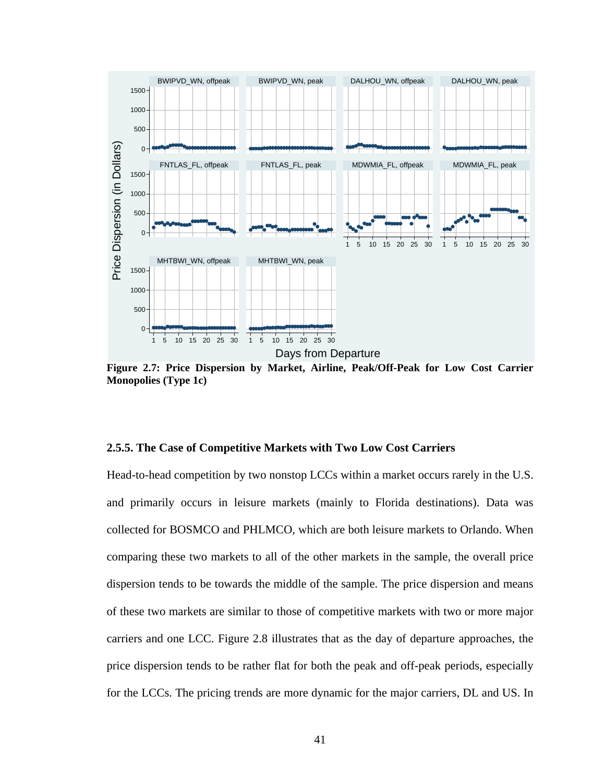

**Figure 2.7: Price Dispersion by Market, Airline, Peak/Off-Peak for Low Cost Carrier Monopolies (Type 1c)** 

## **2.5.5. The Case of Competitive Markets with Two Low Cost Carriers**

Head-to-head competition by two nonstop LCCs within a market occurs rarely in the U.S. and primarily occurs in leisure markets (mainly to Florida destinations). Data was collected for BOSMCO and PHLMCO, which are both leisure markets to Orlando. When comparing these two markets to all of the other markets in the sample, the overall price dispersion tends to be towards the middle of the sample. The price dispersion and means of these two markets are similar to those of competitive markets with two or more major carriers and one LCC. Figure 2.8 illustrates that as the day of departure approaches, the price dispersion tends to be rather flat for both the peak and off-peak periods, especially for the LCCs. The pricing trends are more dynamic for the major carriers, DL and US. In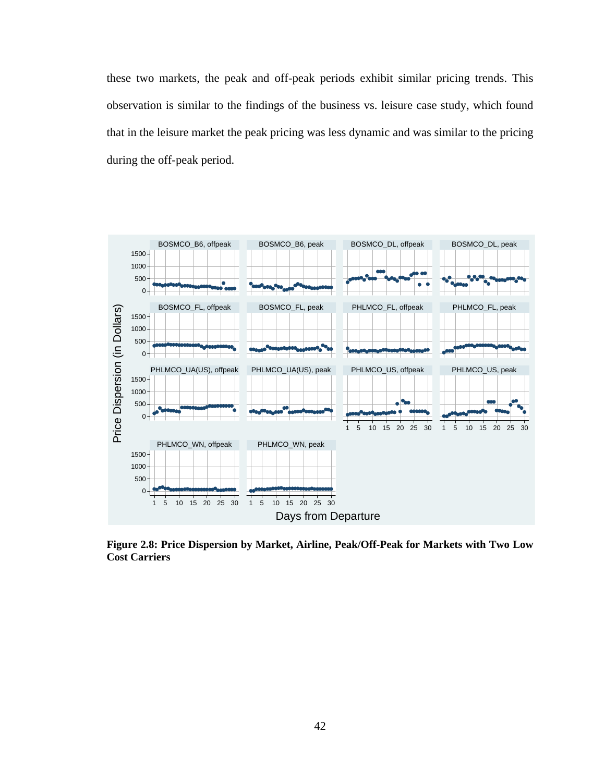these two markets, the peak and off-peak periods exhibit similar pricing trends. This observation is similar to the findings of the business vs. leisure case study, which found that in the leisure market the peak pricing was less dynamic and was similar to the pricing during the off-peak period.



**Figure 2.8: Price Dispersion by Market, Airline, Peak/Off-Peak for Markets with Two Low Cost Carriers**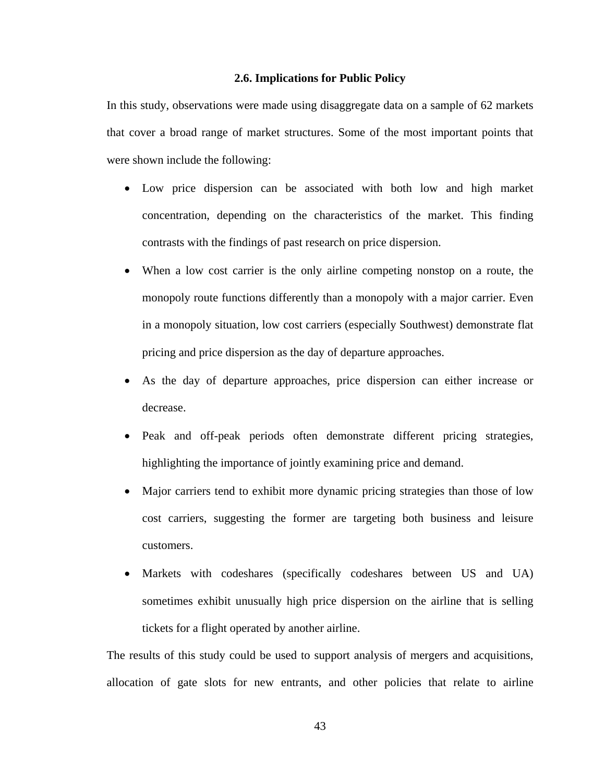## **2.6. Implications for Public Policy**

In this study, observations were made using disaggregate data on a sample of 62 markets that cover a broad range of market structures. Some of the most important points that were shown include the following:

- Low price dispersion can be associated with both low and high market concentration, depending on the characteristics of the market. This finding contrasts with the findings of past research on price dispersion.
- When a low cost carrier is the only airline competing nonstop on a route, the monopoly route functions differently than a monopoly with a major carrier. Even in a monopoly situation, low cost carriers (especially Southwest) demonstrate flat pricing and price dispersion as the day of departure approaches.
- As the day of departure approaches, price dispersion can either increase or decrease.
- Peak and off-peak periods often demonstrate different pricing strategies, highlighting the importance of jointly examining price and demand.
- Major carriers tend to exhibit more dynamic pricing strategies than those of low cost carriers, suggesting the former are targeting both business and leisure customers.
- Markets with codeshares (specifically codeshares between US and UA) sometimes exhibit unusually high price dispersion on the airline that is selling tickets for a flight operated by another airline.

The results of this study could be used to support analysis of mergers and acquisitions, allocation of gate slots for new entrants, and other policies that relate to airline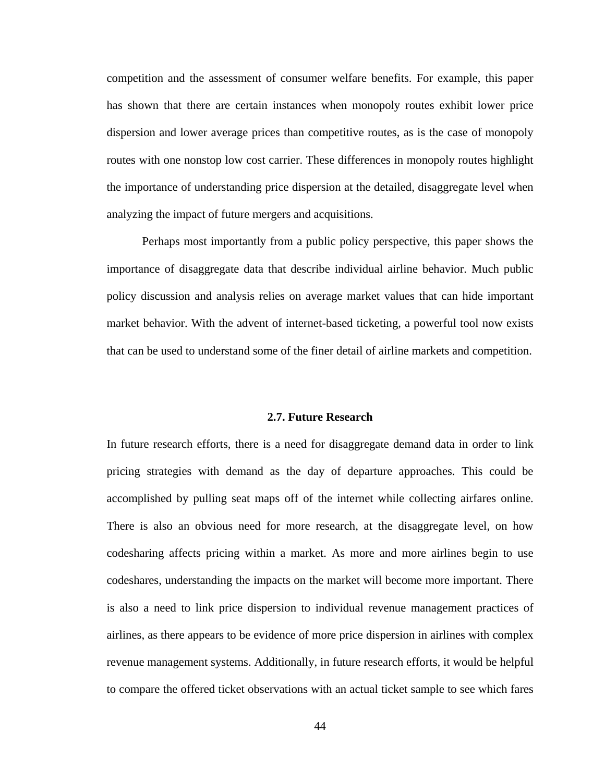competition and the assessment of consumer welfare benefits. For example, this paper has shown that there are certain instances when monopoly routes exhibit lower price dispersion and lower average prices than competitive routes, as is the case of monopoly routes with one nonstop low cost carrier. These differences in monopoly routes highlight the importance of understanding price dispersion at the detailed, disaggregate level when analyzing the impact of future mergers and acquisitions.

 Perhaps most importantly from a public policy perspective, this paper shows the importance of disaggregate data that describe individual airline behavior. Much public policy discussion and analysis relies on average market values that can hide important market behavior. With the advent of internet-based ticketing, a powerful tool now exists that can be used to understand some of the finer detail of airline markets and competition.

#### **2.7. Future Research**

In future research efforts, there is a need for disaggregate demand data in order to link pricing strategies with demand as the day of departure approaches. This could be accomplished by pulling seat maps off of the internet while collecting airfares online. There is also an obvious need for more research, at the disaggregate level, on how codesharing affects pricing within a market. As more and more airlines begin to use codeshares, understanding the impacts on the market will become more important. There is also a need to link price dispersion to individual revenue management practices of airlines, as there appears to be evidence of more price dispersion in airlines with complex revenue management systems. Additionally, in future research efforts, it would be helpful to compare the offered ticket observations with an actual ticket sample to see which fares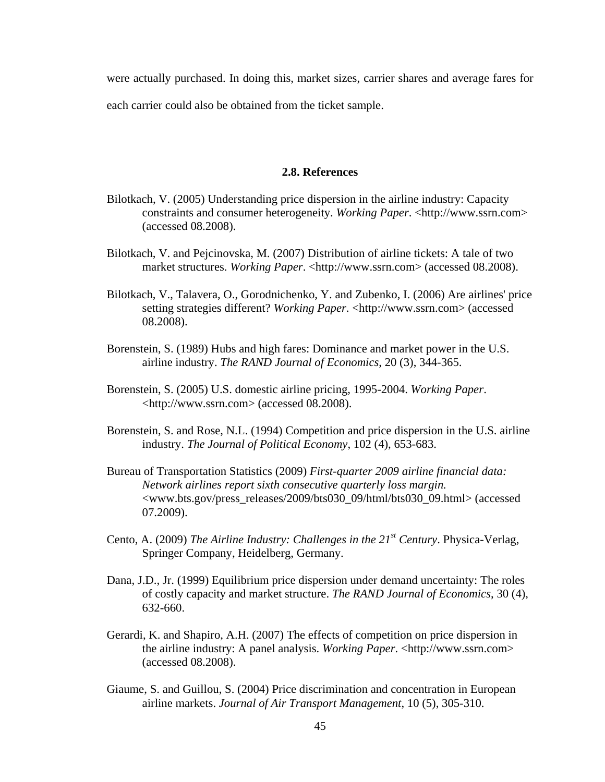were actually purchased. In doing this, market sizes, carrier shares and average fares for each carrier could also be obtained from the ticket sample.

## **2.8. References**

- Bilotkach, V. (2005) Understanding price dispersion in the airline industry: Capacity constraints and consumer heterogeneity. *Working Paper*. <http://www.ssrn.com> (accessed 08.2008).
- Bilotkach, V. and Pejcinovska, M. (2007) Distribution of airline tickets: A tale of two market structures. *Working Paper*. <http://www.ssrn.com> (accessed 08.2008).
- Bilotkach, V., Talavera, O., Gorodnichenko, Y. and Zubenko, I. (2006) Are airlines' price setting strategies different? *Working Paper*. <http://www.ssrn.com> (accessed 08.2008).
- Borenstein, S. (1989) Hubs and high fares: Dominance and market power in the U.S. airline industry. *The RAND Journal of Economics*, 20 (3), 344-365.
- Borenstein, S. (2005) U.S. domestic airline pricing, 1995-2004. *Working Paper*. <http://www.ssrn.com> (accessed 08.2008).
- Borenstein, S. and Rose, N.L. (1994) Competition and price dispersion in the U.S. airline industry. *The Journal of Political Economy*, 102 (4), 653-683.
- Bureau of Transportation Statistics (2009) *First-quarter 2009 airline financial data: Network airlines report sixth consecutive quarterly loss margin.* <[www.bts.gov/press\\_releases/2009/bts030\\_09/html/bts030\\_09.html](http://www.bts.gov/press_releases/2009/bts030_09/html/bts030_09.html)> (accessed 07.2009).
- Cento, A. (2009) *The Airline Industry: Challenges in the 21st Century*. Physica-Verlag, Springer Company, Heidelberg, Germany.
- Dana, J.D., Jr. (1999) Equilibrium price dispersion under demand uncertainty: The roles of costly capacity and market structure. *The RAND Journal of Economics*, 30 (4), 632-660.
- Gerardi, K. and Shapiro, A.H. (2007) The effects of competition on price dispersion in the airline industry: A panel analysis. *Working Paper*. <http://www.ssrn.com> (accessed 08.2008).
- Giaume, S. and Guillou, S. (2004) Price discrimination and concentration in European airline markets. *Journal of Air Transport Management*, 10 (5), 305-310.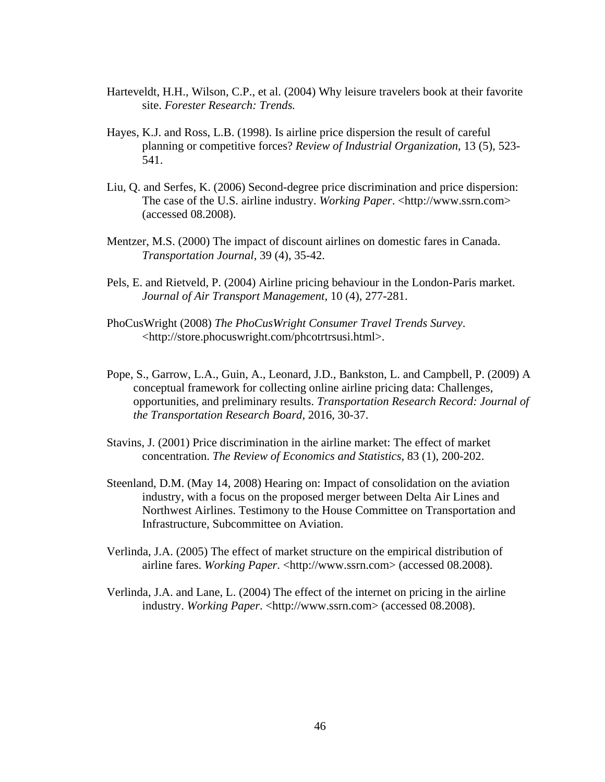- Harteveldt, H.H., Wilson, C.P., et al. (2004) Why leisure travelers book at their favorite site. *Forester Research: Trends.*
- Hayes, K.J. and Ross, L.B. (1998). Is airline price dispersion the result of careful planning or competitive forces? *Review of Industrial Organization*, 13 (5), 523- 541.
- Liu, Q. and Serfes, K. (2006) Second-degree price discrimination and price dispersion: The case of the U.S. airline industry. *Working Paper*. <http://www.ssrn.com> (accessed 08.2008).
- Mentzer, M.S. (2000) The impact of discount airlines on domestic fares in Canada. *Transportation Journal*, 39 (4), 35-42.
- Pels, E. and Rietveld, P. (2004) Airline pricing behaviour in the London-Paris market. *Journal of Air Transport Management*, 10 (4), 277-281.
- PhoCusWright (2008) *The PhoCusWright Consumer Travel Trends Survey*. <[http://store.phocuswright.com/phcotrtrsusi.html>](http://store.phocuswright.com/phcotrtrsusi.html).
- Pope, S., Garrow, L.A., Guin, A., Leonard, J.D., Bankston, L. and Campbell, P. (2009) A conceptual framework for collecting online airline pricing data: Challenges, opportunities, and preliminary results. *Transportation Research Record: Journal of the Transportation Research Board*, 2016, 30-37.
- Stavins, J. (2001) Price discrimination in the airline market: The effect of market concentration. *The Review of Economics and Statistics*, 83 (1), 200-202.
- Steenland, D.M. (May 14, 2008) Hearing on: Impact of consolidation on the aviation industry, with a focus on the proposed merger between Delta Air Lines and Northwest Airlines. Testimony to the House Committee on Transportation and Infrastructure, Subcommittee on Aviation.
- Verlinda, J.A. (2005) The effect of market structure on the empirical distribution of airline fares. *Working Paper*. <http://www.ssrn.com> (accessed 08.2008).
- Verlinda, J.A. and Lane, L. (2004) The effect of the internet on pricing in the airline industry. *Working Paper*. <http://www.ssrn.com> (accessed 08.2008).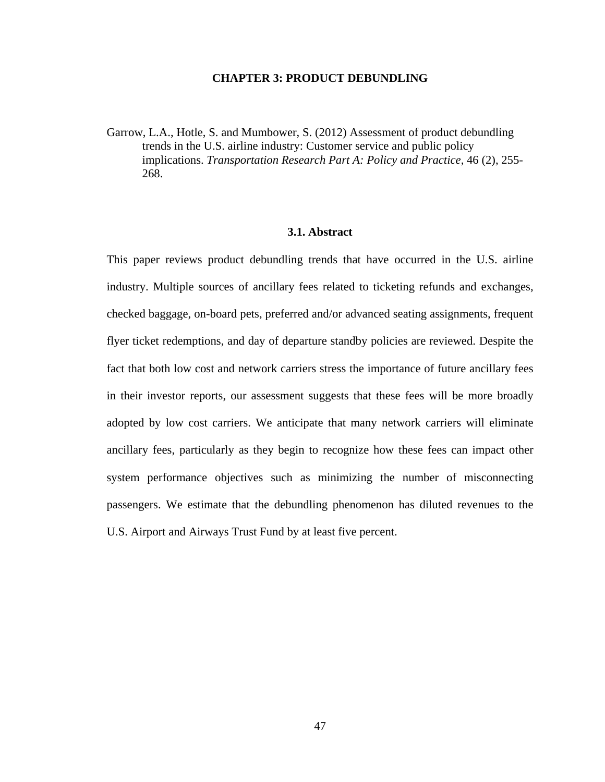### **CHAPTER 3: PRODUCT DEBUNDLING**

Garrow, L.A., Hotle, S. and Mumbower, S. (2012) Assessment of product debundling trends in the U.S. airline industry: Customer service and public policy implications. *Transportation Research Part A: Policy and Practice*, 46 (2), 255- 268.

## **3.1. Abstract**

This paper reviews product debundling trends that have occurred in the U.S. airline industry. Multiple sources of ancillary fees related to ticketing refunds and exchanges, checked baggage, on-board pets, preferred and/or advanced seating assignments, frequent flyer ticket redemptions, and day of departure standby policies are reviewed. Despite the fact that both low cost and network carriers stress the importance of future ancillary fees in their investor reports, our assessment suggests that these fees will be more broadly adopted by low cost carriers. We anticipate that many network carriers will eliminate ancillary fees, particularly as they begin to recognize how these fees can impact other system performance objectives such as minimizing the number of misconnecting passengers. We estimate that the debundling phenomenon has diluted revenues to the U.S. Airport and Airways Trust Fund by at least five percent.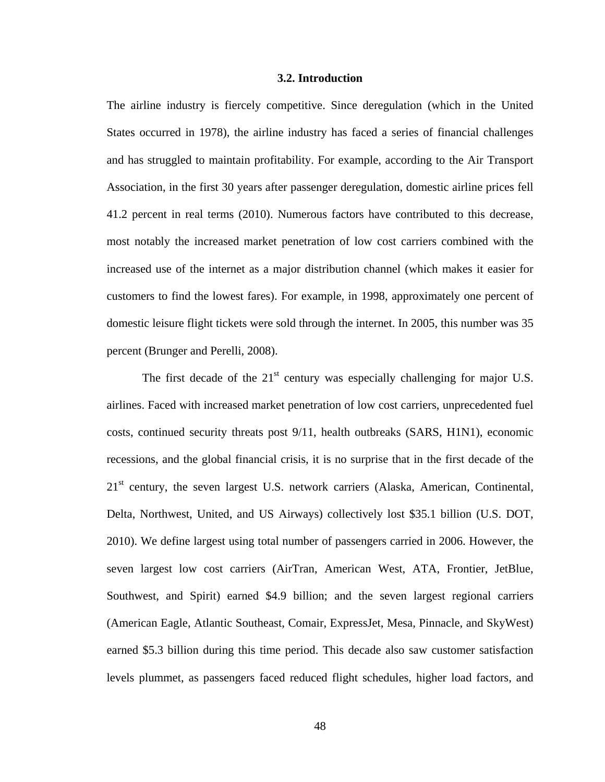#### **3.2. Introduction**

The airline industry is fiercely competitive. Since deregulation (which in the United States occurred in 1978), the airline industry has faced a series of financial challenges and has struggled to maintain profitability. For example, according to the Air Transport Association, in the first 30 years after passenger deregulation, domestic airline prices fell 41.2 percent in real terms (2010). Numerous factors have contributed to this decrease, most notably the increased market penetration of low cost carriers combined with the increased use of the internet as a major distribution channel (which makes it easier for customers to find the lowest fares). For example, in 1998, approximately one percent of domestic leisure flight tickets were sold through the internet. In 2005, this number was 35 percent (Brunger and Perelli, 2008).

The first decade of the  $21<sup>st</sup>$  century was especially challenging for major U.S. airlines. Faced with increased market penetration of low cost carriers, unprecedented fuel costs, continued security threats post 9/11, health outbreaks (SARS, H1N1), economic recessions, and the global financial crisis, it is no surprise that in the first decade of the 21<sup>st</sup> century, the seven largest U.S. network carriers (Alaska, American, Continental, Delta, Northwest, United, and US Airways) collectively lost \$35.1 billion (U.S. DOT, 2010). We define largest using total number of passengers carried in 2006. However, the seven largest low cost carriers (AirTran, American West, ATA, Frontier, JetBlue, Southwest, and Spirit) earned \$4.9 billion; and the seven largest regional carriers (American Eagle, Atlantic Southeast, Comair, ExpressJet, Mesa, Pinnacle, and SkyWest) earned \$5.3 billion during this time period. This decade also saw customer satisfaction levels plummet, as passengers faced reduced flight schedules, higher load factors, and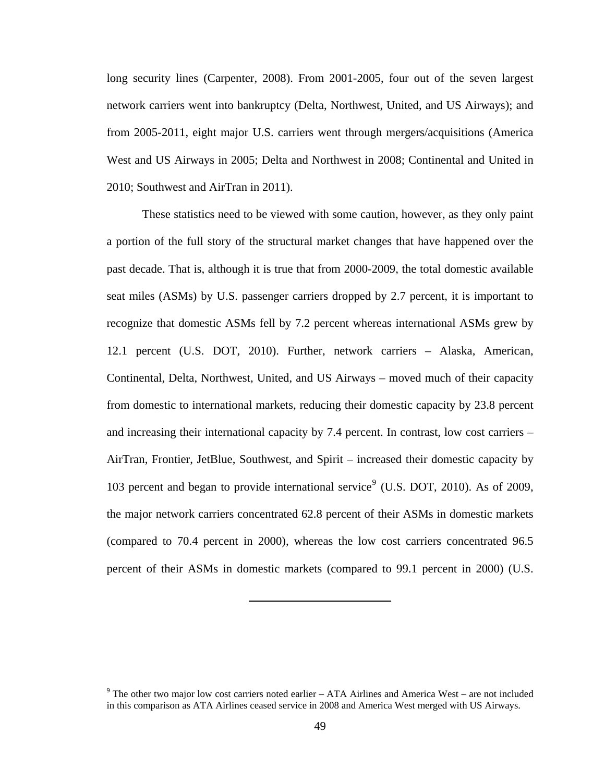<span id="page-61-0"></span>long security lines (Carpenter, 2008). From 2001-2005, four out of the seven largest network carriers went into bankruptcy (Delta, Northwest, United, and US Airways); and from 2005-2011, eight major U.S. carriers went through mergers/acquisitions (America West and US Airways in 2005; Delta and Northwest in 2008; Continental and United in 2010; Southwest and AirTran in 2011).

 These statistics need to be viewed with some caution, however, as they only paint a portion of the full story of the structural market changes that have happened over the past decade. That is, although it is true that from 2000-2009, the total domestic available seat miles (ASMs) by U.S. passenger carriers dropped by 2.7 percent, it is important to recognize that domestic ASMs fell by 7.2 percent whereas international ASMs grew by 12.1 percent (U.S. DOT, 2010). Further, network carriers – Alaska, American, Continental, Delta, Northwest, United, and US Airways – moved much of their capacity from domestic to international markets, reducing their domestic capacity by 23.8 percent and increasing their international capacity by 7.4 percent. In contrast, low cost carriers – AirTran, Frontier, JetBlue, Southwest, and Spirit – increased their domestic capacity by 103 percent and began to provide international service<sup>[9](#page-61-0)</sup> (U.S. DOT, 2010). As of 2009, the major network carriers concentrated 62.8 percent of their ASMs in domestic markets (compared to 70.4 percent in 2000), whereas the low cost carriers concentrated 96.5 percent of their ASMs in domestic markets (compared to 99.1 percent in 2000) (U.S.

 $9$  The other two major low cost carriers noted earlier – ATA Airlines and America West – are not included in this comparison as ATA Airlines ceased service in 2008 and America West merged with US Airways.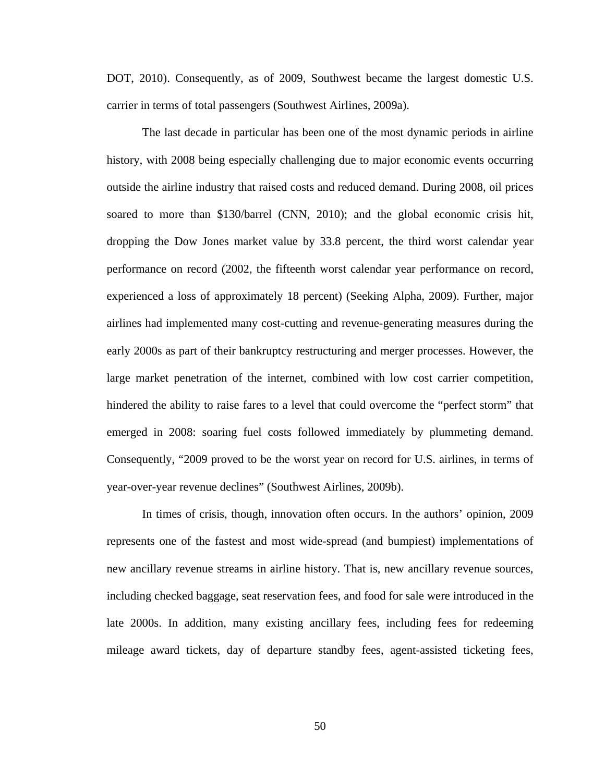DOT, 2010). Consequently, as of 2009, Southwest became the largest domestic U.S. carrier in terms of total passengers (Southwest Airlines, 2009a).

 The last decade in particular has been one of the most dynamic periods in airline history, with 2008 being especially challenging due to major economic events occurring outside the airline industry that raised costs and reduced demand. During 2008, oil prices soared to more than \$130/barrel (CNN, 2010); and the global economic crisis hit, dropping the Dow Jones market value by 33.8 percent, the third worst calendar year performance on record (2002, the fifteenth worst calendar year performance on record, experienced a loss of approximately 18 percent) (Seeking Alpha, 2009). Further, major airlines had implemented many cost-cutting and revenue-generating measures during the early 2000s as part of their bankruptcy restructuring and merger processes. However, the large market penetration of the internet, combined with low cost carrier competition, hindered the ability to raise fares to a level that could overcome the "perfect storm" that emerged in 2008: soaring fuel costs followed immediately by plummeting demand. Consequently, "2009 proved to be the worst year on record for U.S. airlines, in terms of year-over-year revenue declines" (Southwest Airlines, 2009b).

 In times of crisis, though, innovation often occurs. In the authors' opinion, 2009 represents one of the fastest and most wide-spread (and bumpiest) implementations of new ancillary revenue streams in airline history. That is, new ancillary revenue sources, including checked baggage, seat reservation fees, and food for sale were introduced in the late 2000s. In addition, many existing ancillary fees, including fees for redeeming mileage award tickets, day of departure standby fees, agent-assisted ticketing fees,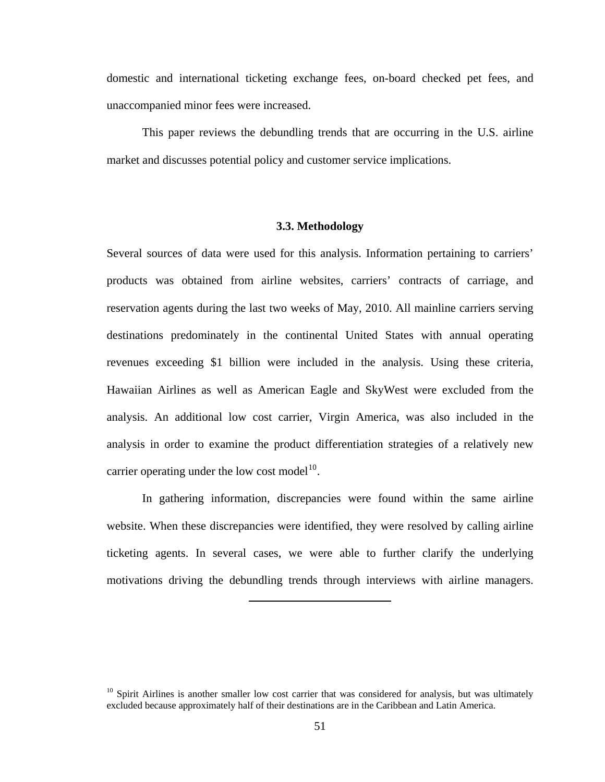<span id="page-63-0"></span>domestic and international ticketing exchange fees, on-board checked pet fees, and unaccompanied minor fees were increased.

 This paper reviews the debundling trends that are occurring in the U.S. airline market and discusses potential policy and customer service implications.

### **3.3. Methodology**

Several sources of data were used for this analysis. Information pertaining to carriers' products was obtained from airline websites, carriers' contracts of carriage, and reservation agents during the last two weeks of May, 2010. All mainline carriers serving destinations predominately in the continental United States with annual operating revenues exceeding \$1 billion were included in the analysis. Using these criteria, Hawaiian Airlines as well as American Eagle and SkyWest were excluded from the analysis. An additional low cost carrier, Virgin America, was also included in the analysis in order to examine the product differentiation strategies of a relatively new carrier operating under the low cost model $1^{10}$  $1^{10}$  $1^{10}$ .

 In gathering information, discrepancies were found within the same airline website. When these discrepancies were identified, they were resolved by calling airline ticketing agents. In several cases, we were able to further clarify the underlying motivations driving the debundling trends through interviews with airline managers.

<sup>&</sup>lt;sup>10</sup> Spirit Airlines is another smaller low cost carrier that was considered for analysis, but was ultimately excluded because approximately half of their destinations are in the Caribbean and Latin America.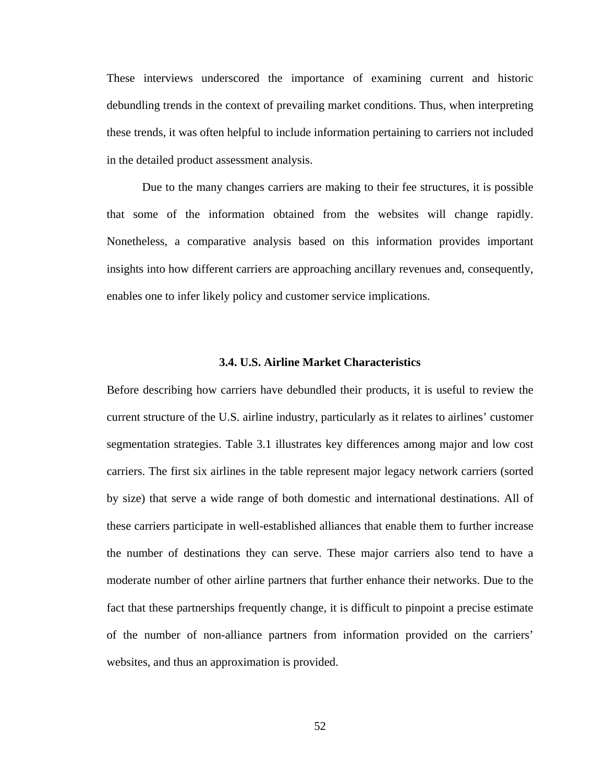These interviews underscored the importance of examining current and historic debundling trends in the context of prevailing market conditions. Thus, when interpreting these trends, it was often helpful to include information pertaining to carriers not included in the detailed product assessment analysis.

 Due to the many changes carriers are making to their fee structures, it is possible that some of the information obtained from the websites will change rapidly. Nonetheless, a comparative analysis based on this information provides important insights into how different carriers are approaching ancillary revenues and, consequently, enables one to infer likely policy and customer service implications.

#### **3.4. U.S. Airline Market Characteristics**

Before describing how carriers have debundled their products, it is useful to review the current structure of the U.S. airline industry, particularly as it relates to airlines' customer segmentation strategies. Table 3.1 illustrates key differences among major and low cost carriers. The first six airlines in the table represent major legacy network carriers (sorted by size) that serve a wide range of both domestic and international destinations. All of these carriers participate in well-established alliances that enable them to further increase the number of destinations they can serve. These major carriers also tend to have a moderate number of other airline partners that further enhance their networks. Due to the fact that these partnerships frequently change, it is difficult to pinpoint a precise estimate of the number of non-alliance partners from information provided on the carriers' websites, and thus an approximation is provided.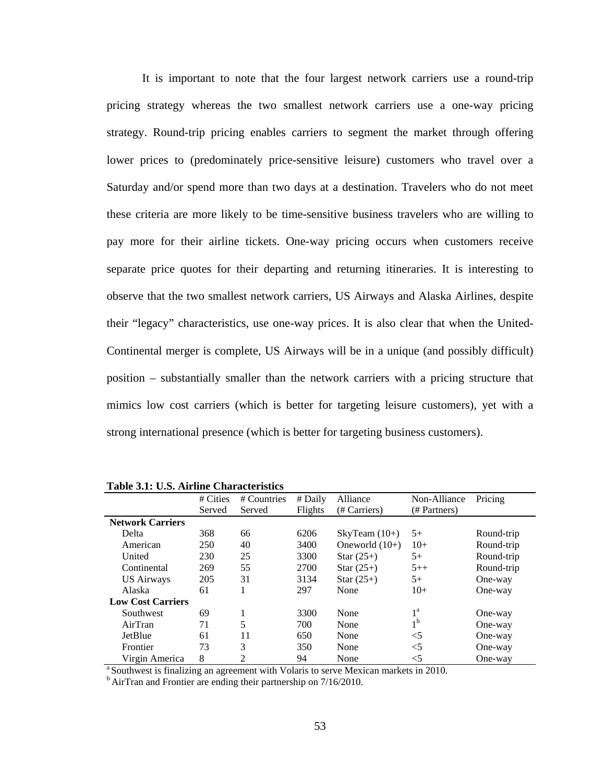It is important to note that the four largest network carriers use a round-trip pricing strategy whereas the two smallest network carriers use a one-way pricing strategy. Round-trip pricing enables carriers to segment the market through offering lower prices to (predominately price-sensitive leisure) customers who travel over a Saturday and/or spend more than two days at a destination. Travelers who do not meet these criteria are more likely to be time-sensitive business travelers who are willing to pay more for their airline tickets. One-way pricing occurs when customers receive separate price quotes for their departing and returning itineraries. It is interesting to observe that the two smallest network carriers, US Airways and Alaska Airlines, despite their "legacy" characteristics, use one-way prices. It is also clear that when the United-Continental merger is complete, US Airways will be in a unique (and possibly difficult) position – substantially smaller than the network carriers with a pricing structure that mimics low cost carriers (which is better for targeting leisure customers), yet with a strong international presence (which is better for targeting business customers).

|                          | # Cities | # Countries | # Daily | Alliance         | Non-Alliance     | Pricing    |
|--------------------------|----------|-------------|---------|------------------|------------------|------------|
|                          | Served   | Served      | Flights | (# Carriers)     | (# Partners)     |            |
| <b>Network Carriers</b>  |          |             |         |                  |                  |            |
| Delta                    | 368      | 66          | 6206    | SkyTeam $(10+)$  | $5+$             | Round-trip |
| American                 | 250      | 40          | 3400    | Oneworld $(10+)$ | $10+$            | Round-trip |
| United                   | 230      | 25          | 3300    | Star $(25+)$     | $5+$             | Round-trip |
| Continental              | 269      | 55          | 2700    | Star $(25+)$     | $5++$            | Round-trip |
| <b>US Airways</b>        | 205      | 31          | 3134    | Star $(25+)$     | $5+$             | One-way    |
| Alaska                   | 61       |             | 297     | None             | $10+$            | One-way    |
| <b>Low Cost Carriers</b> |          |             |         |                  |                  |            |
| Southwest                | 69       | 1           | 3300    | None             | $1^{\mathrm{a}}$ | One-way    |
| AirTran                  | 71       | 5           | 700     | None             | 1 <sup>b</sup>   | One-way    |
| JetBlue                  | 61       | 11          | 650     | None             | $<$ 5            | One-way    |
| Frontier                 | 73       | 3           | 350     | None             | $<$ 5            | One-way    |
| Virgin America           | 8        | 2           | 94      | None             | $<$ 5            | One-way    |

**Table 3.1: U.S. Airline Characteristics** 

<sup>a</sup> Southwest is finalizing an agreement with Volaris to serve Mexican markets in 2010.<br><sup>b</sup> AirTran and Frontier are ending their partnership on  $7/16/2010$ .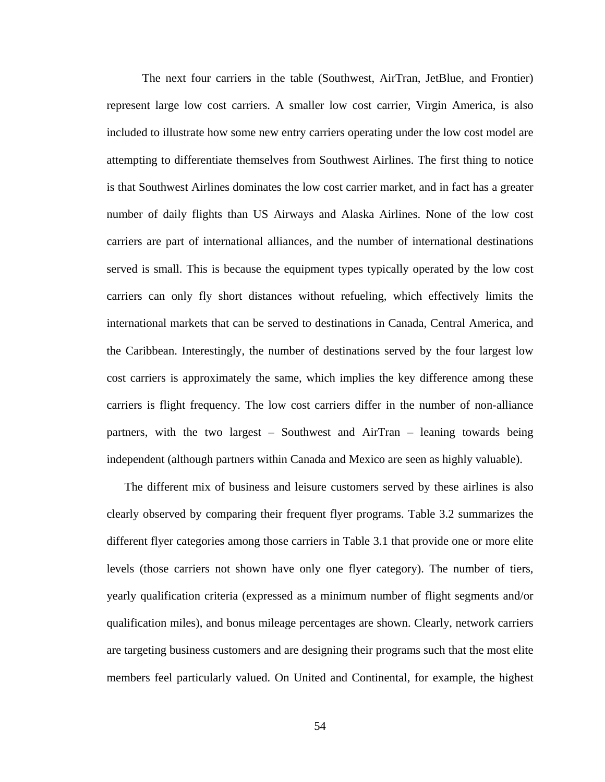The next four carriers in the table (Southwest, AirTran, JetBlue, and Frontier) represent large low cost carriers. A smaller low cost carrier, Virgin America, is also included to illustrate how some new entry carriers operating under the low cost model are attempting to differentiate themselves from Southwest Airlines. The first thing to notice is that Southwest Airlines dominates the low cost carrier market, and in fact has a greater number of daily flights than US Airways and Alaska Airlines. None of the low cost carriers are part of international alliances, and the number of international destinations served is small. This is because the equipment types typically operated by the low cost carriers can only fly short distances without refueling, which effectively limits the international markets that can be served to destinations in Canada, Central America, and the Caribbean. Interestingly, the number of destinations served by the four largest low cost carriers is approximately the same, which implies the key difference among these carriers is flight frequency. The low cost carriers differ in the number of non-alliance partners, with the two largest – Southwest and AirTran – leaning towards being independent (although partners within Canada and Mexico are seen as highly valuable).

The different mix of business and leisure customers served by these airlines is also clearly observed by comparing their frequent flyer programs. Table 3.2 summarizes the different flyer categories among those carriers in Table 3.1 that provide one or more elite levels (those carriers not shown have only one flyer category). The number of tiers, yearly qualification criteria (expressed as a minimum number of flight segments and/or qualification miles), and bonus mileage percentages are shown. Clearly, network carriers are targeting business customers and are designing their programs such that the most elite members feel particularly valued. On United and Continental, for example, the highest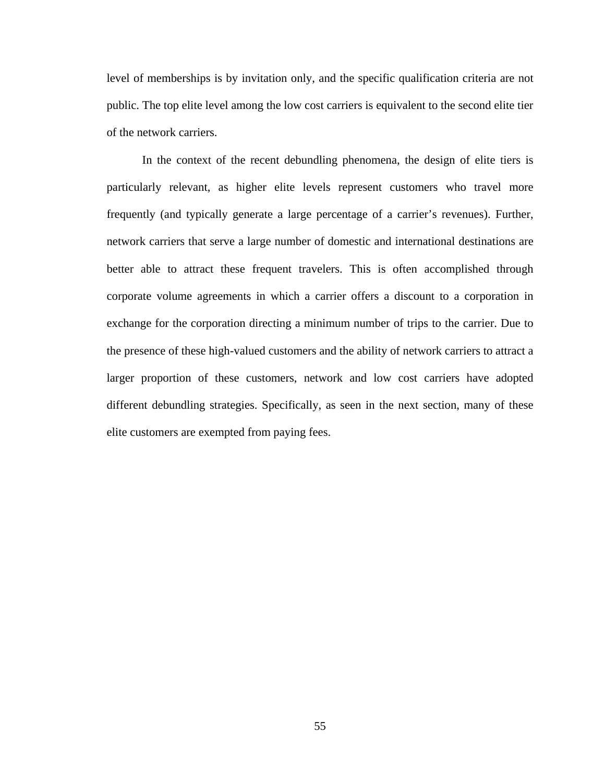level of memberships is by invitation only, and the specific qualification criteria are not public. The top elite level among the low cost carriers is equivalent to the second elite tier of the network carriers.

 In the context of the recent debundling phenomena, the design of elite tiers is particularly relevant, as higher elite levels represent customers who travel more frequently (and typically generate a large percentage of a carrier's revenues). Further, network carriers that serve a large number of domestic and international destinations are better able to attract these frequent travelers. This is often accomplished through corporate volume agreements in which a carrier offers a discount to a corporation in exchange for the corporation directing a minimum number of trips to the carrier. Due to the presence of these high-valued customers and the ability of network carriers to attract a larger proportion of these customers, network and low cost carriers have adopted different debundling strategies. Specifically, as seen in the next section, many of these elite customers are exempted from paying fees.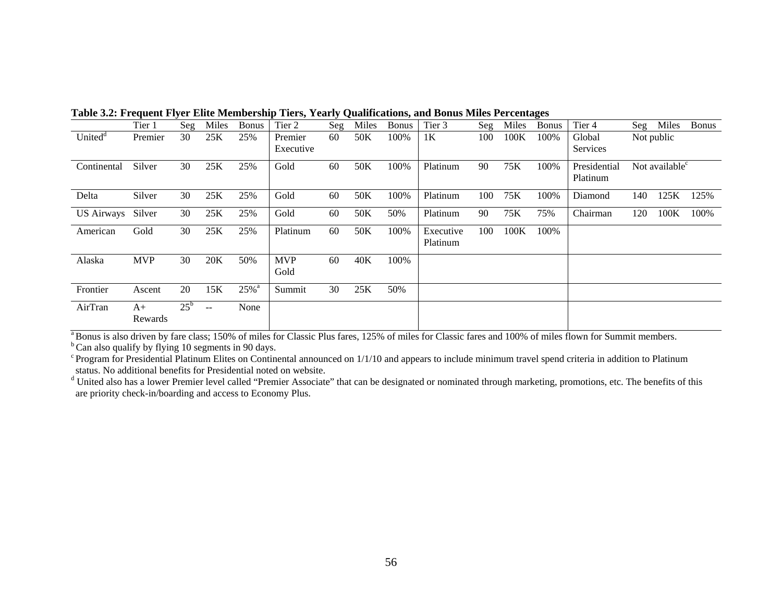|                     | Tier 1     | Seg          | Miles         | <b>Bonus</b>       | Tier 2     | Seg | Miles | <b>Bonus</b> | Tier 3         | Seg | Miles | <b>Bonus</b> | Tier 4       | Seg | Miles                      | <b>Bonus</b> |
|---------------------|------------|--------------|---------------|--------------------|------------|-----|-------|--------------|----------------|-----|-------|--------------|--------------|-----|----------------------------|--------------|
| United <sup>d</sup> | Premier    | 30           | 25K           | 25%                | Premier    | 60  | 50K   | 100%         | 1 <sub>K</sub> | 100 | 100K  | 100%         | Global       |     | Not public                 |              |
|                     |            |              |               |                    | Executive  |     |       |              |                |     |       |              | Services     |     |                            |              |
| Continental         | Silver     | 30           | 25K           | 25%                | Gold       | 60  | 50K   | 100%         | Platinum       | 90  | 75K   | 100%         | Presidential |     | Not available <sup>c</sup> |              |
|                     |            |              |               |                    |            |     |       |              |                |     |       |              | Platinum     |     |                            |              |
| Delta               | Silver     | 30           | 25K           | 25%                | Gold       | 60  | 50K   | 100%         | Platinum       | 100 | 75K   | 100%         | Diamond      | 140 | 125K                       | 125%         |
| <b>US Airways</b>   | Silver     | 30           | 25K           | 25%                | Gold       | 60  | 50K   | 50%          | Platinum       | 90  | 75K   | 75%          | Chairman     | 120 | 100K                       | 100%         |
| American            | Gold       | 30           | 25K           | 25%                | Platinum   | 60  | 50K   | 100%         | Executive      | 100 | 100K  | 100%         |              |     |                            |              |
|                     |            |              |               |                    |            |     |       |              | Platinum       |     |       |              |              |     |                            |              |
| Alaska              | <b>MVP</b> | 30           | 20K           | 50%                | <b>MVP</b> | 60  | 40K   | 100%         |                |     |       |              |              |     |                            |              |
|                     |            |              |               |                    | Gold       |     |       |              |                |     |       |              |              |     |                            |              |
| Frontier            | Ascent     | 20           | 15K           | $25%$ <sup>a</sup> | Summit     | 30  | 25K   | 50%          |                |     |       |              |              |     |                            |              |
| AirTran             | $A+$       | $25^{\rm b}$ | $\sim$ $\sim$ | None               |            |     |       |              |                |     |       |              |              |     |                            |              |
|                     | Rewards    |              |               |                    |            |     |       |              |                |     |       |              |              |     |                            |              |

**Table 3.2: Frequent Flyer Elite Membership Tiers, Yearly Qualifications, and Bonus Miles Percentages** 

<sup>a</sup> Bonus is also driven by fare class; 150% of miles for Classic Plus fares, 125% of miles for Classic fares and 100% of miles flown for Summit members.

 $b^b$  Can also qualify by flying 10 segments in 90 days.

 $\rm^c$  Program for Presidential Platinum Elites on Continental announced on 1/1/10 and appears to include minimum travel spend criteria in addition to Platinum status. No additional benefits for Presidential noted on website.

<sup>d</sup> United also has a lower Premier level called "Premier Associate" that can be designated or nominated through marketing, promotions, etc. The benefits of this are priority check-in/boarding and access to Economy Plus.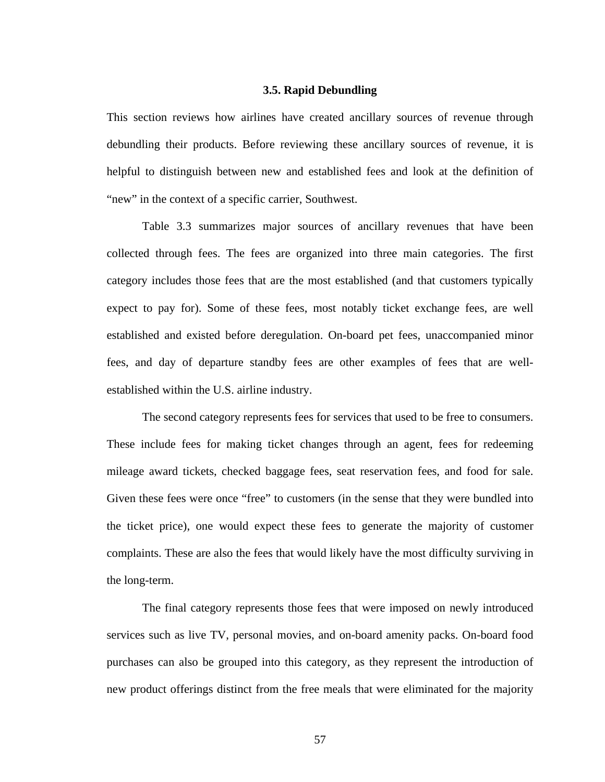### **3.5. Rapid Debundling**

This section reviews how airlines have created ancillary sources of revenue through debundling their products. Before reviewing these ancillary sources of revenue, it is helpful to distinguish between new and established fees and look at the definition of "new" in the context of a specific carrier, Southwest.

 Table 3.3 summarizes major sources of ancillary revenues that have been collected through fees. The fees are organized into three main categories. The first category includes those fees that are the most established (and that customers typically expect to pay for). Some of these fees, most notably ticket exchange fees, are well established and existed before deregulation. On-board pet fees, unaccompanied minor fees, and day of departure standby fees are other examples of fees that are wellestablished within the U.S. airline industry.

 The second category represents fees for services that used to be free to consumers. These include fees for making ticket changes through an agent, fees for redeeming mileage award tickets, checked baggage fees, seat reservation fees, and food for sale. Given these fees were once "free" to customers (in the sense that they were bundled into the ticket price), one would expect these fees to generate the majority of customer complaints. These are also the fees that would likely have the most difficulty surviving in the long-term.

 The final category represents those fees that were imposed on newly introduced services such as live TV, personal movies, and on-board amenity packs. On-board food purchases can also be grouped into this category, as they represent the introduction of new product offerings distinct from the free meals that were eliminated for the majority

57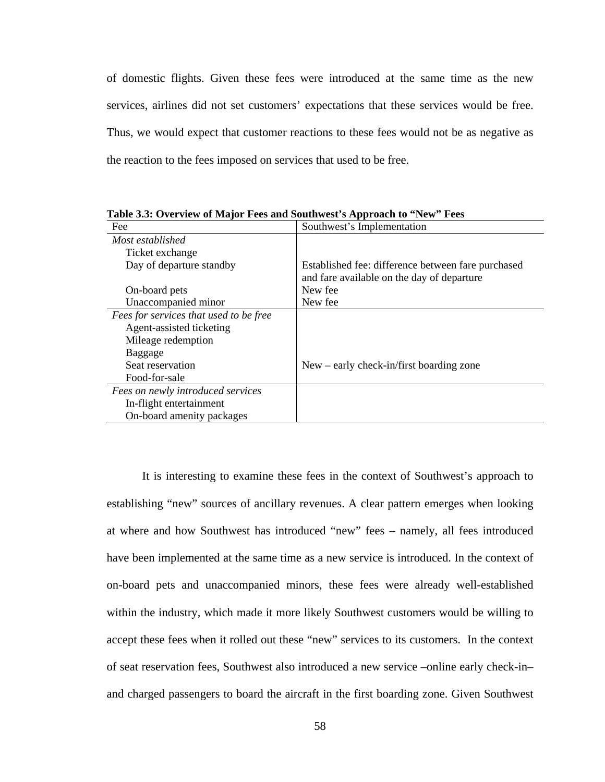of domestic flights. Given these fees were introduced at the same time as the new services, airlines did not set customers' expectations that these services would be free. Thus, we would expect that customer reactions to these fees would not be as negative as the reaction to the fees imposed on services that used to be free.

| Fee                                    | Southwest's Implementation                                                                       |
|----------------------------------------|--------------------------------------------------------------------------------------------------|
| Most established                       |                                                                                                  |
| Ticket exchange                        |                                                                                                  |
| Day of departure standby               | Established fee: difference between fare purchased<br>and fare available on the day of departure |
| On-board pets                          | New fee                                                                                          |
| Unaccompanied minor                    | New fee                                                                                          |
| Fees for services that used to be free |                                                                                                  |
| Agent-assisted ticketing               |                                                                                                  |
| Mileage redemption                     |                                                                                                  |
| Baggage                                |                                                                                                  |
| Seat reservation                       | $New - early check-in/first boarding zone$                                                       |
| Food-for-sale                          |                                                                                                  |
| Fees on newly introduced services      |                                                                                                  |
| In-flight entertainment                |                                                                                                  |
| On-board amenity packages              |                                                                                                  |

**Table 3.3: Overview of Major Fees and Southwest's Approach to "New" Fees** 

 It is interesting to examine these fees in the context of Southwest's approach to establishing "new" sources of ancillary revenues. A clear pattern emerges when looking at where and how Southwest has introduced "new" fees – namely, all fees introduced have been implemented at the same time as a new service is introduced. In the context of on-board pets and unaccompanied minors, these fees were already well-established within the industry, which made it more likely Southwest customers would be willing to accept these fees when it rolled out these "new" services to its customers. In the context of seat reservation fees, Southwest also introduced a new service –online early check-in– and charged passengers to board the aircraft in the first boarding zone. Given Southwest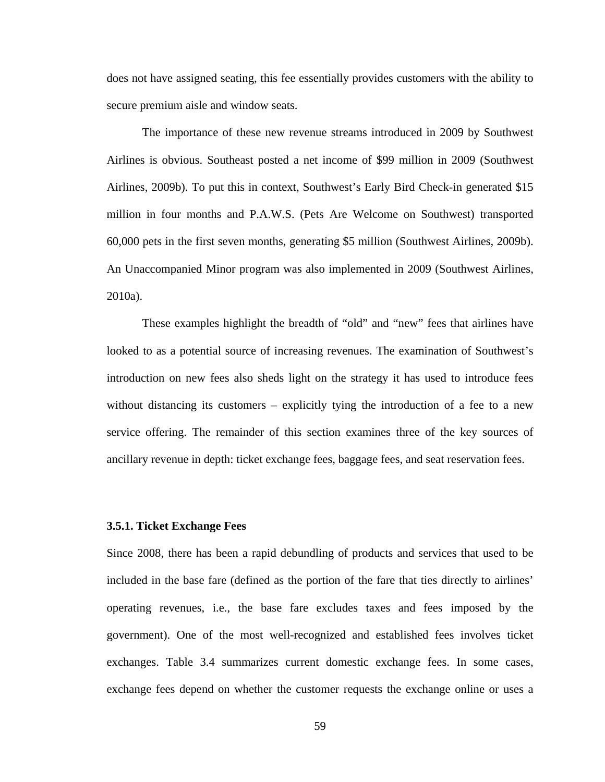does not have assigned seating, this fee essentially provides customers with the ability to secure premium aisle and window seats.

 The importance of these new revenue streams introduced in 2009 by Southwest Airlines is obvious. Southeast posted a net income of \$99 million in 2009 (Southwest Airlines, 2009b). To put this in context, Southwest's Early Bird Check-in generated \$15 million in four months and P.A.W.S. (Pets Are Welcome on Southwest) transported 60,000 pets in the first seven months, generating \$5 million (Southwest Airlines, 2009b). An Unaccompanied Minor program was also implemented in 2009 (Southwest Airlines, 2010a).

 These examples highlight the breadth of "old" and "new" fees that airlines have looked to as a potential source of increasing revenues. The examination of Southwest's introduction on new fees also sheds light on the strategy it has used to introduce fees without distancing its customers – explicitly tying the introduction of a fee to a new service offering. The remainder of this section examines three of the key sources of ancillary revenue in depth: ticket exchange fees, baggage fees, and seat reservation fees.

# **3.5.1. Ticket Exchange Fees**

Since 2008, there has been a rapid debundling of products and services that used to be included in the base fare (defined as the portion of the fare that ties directly to airlines' operating revenues, i.e., the base fare excludes taxes and fees imposed by the government). One of the most well-recognized and established fees involves ticket exchanges. Table 3.4 summarizes current domestic exchange fees. In some cases, exchange fees depend on whether the customer requests the exchange online or uses a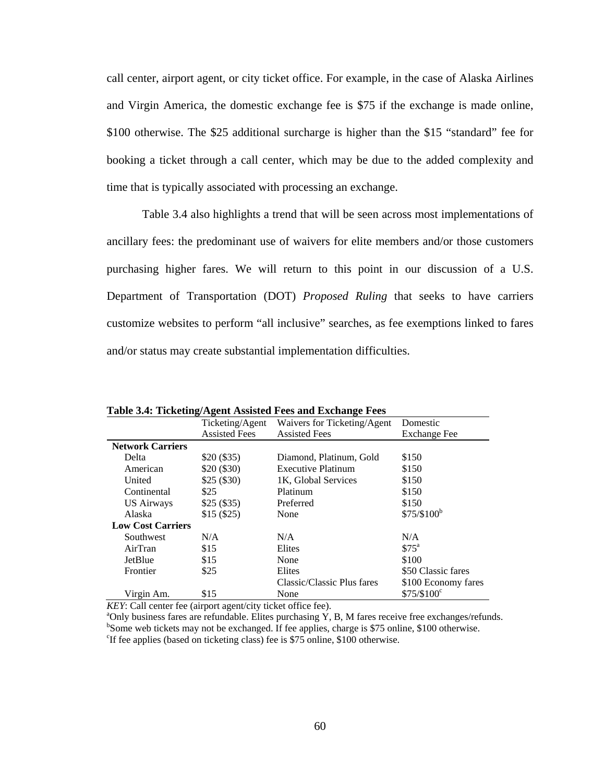call center, airport agent, or city ticket office. For example, in the case of Alaska Airlines and Virgin America, the domestic exchange fee is \$75 if the exchange is made online, \$100 otherwise. The \$25 additional surcharge is higher than the \$15 "standard" fee for booking a ticket through a call center, which may be due to the added complexity and time that is typically associated with processing an exchange.

Table 3.4 also highlights a trend that will be seen across most implementations of ancillary fees: the predominant use of waivers for elite members and/or those customers purchasing higher fares. We will return to this point in our discussion of a U.S. Department of Transportation (DOT) *Proposed Ruling* that seeks to have carriers customize websites to perform "all inclusive" searches, as fee exemptions linked to fares and/or status may create substantial implementation difficulties.

|                          | Ticketing/Agent      | Waivers for Ticketing/Agent | Domestic                |
|--------------------------|----------------------|-----------------------------|-------------------------|
|                          | <b>Assisted Fees</b> | <b>Assisted Fees</b>        | <b>Exchange Fee</b>     |
| <b>Network Carriers</b>  |                      |                             |                         |
| Delta                    | \$20(\$35)           | Diamond, Platinum, Gold     | \$150                   |
| American                 | \$20(\$30)           | <b>Executive Platinum</b>   | \$150                   |
| United                   | \$25(\$30)           | 1K, Global Services         | \$150                   |
| Continental              | \$25                 | Platinum                    | \$150                   |
| <b>US Airways</b>        | \$25(\$35)           | Preferred                   | \$150                   |
| Alaska                   | \$15(\$25)           | None                        | \$75/\$100 <sup>b</sup> |
| <b>Low Cost Carriers</b> |                      |                             |                         |
| <b>Southwest</b>         | N/A                  | N/A                         | N/A                     |
| AirTran                  | \$15                 | Elites                      | \$75 <sup>a</sup>       |
| JetBlue                  | \$15                 | None                        | \$100                   |
| Frontier                 | \$25                 | Elites                      | \$50 Classic fares      |
|                          |                      | Classic/Classic Plus fares  | \$100 Economy fares     |
| Virgin Am.               | \$15                 | None                        | $$75/$100^{\circ}$      |

**Table 3.4: Ticketing/Agent Assisted Fees and Exchange Fees** 

*KEY*: Call center fee (airport agent/city ticket office fee).

 $\alpha$ <sup>o</sup>Only business fares are refundable. Elites purchasing Y, B, M fares receive free exchanges/refunds.  $b$ Some web tickets may not be exchanged. If fee applies, charge is \$75 online, \$100 otherwise. <sup>c</sup>If fee applies (based on ticketing class) fee is \$75 online, \$100 otherwise.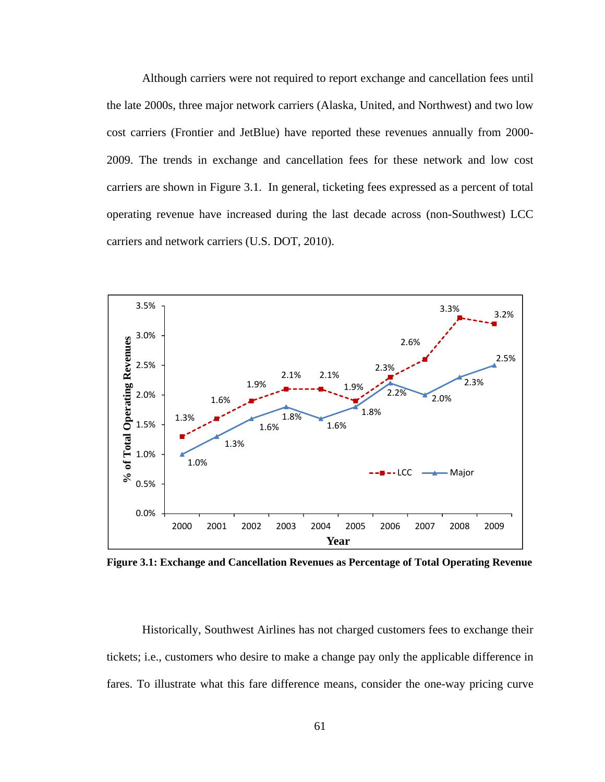Although carriers were not required to report exchange and cancellation fees until the late 2000s, three major network carriers (Alaska, United, and Northwest) and two low cost carriers (Frontier and JetBlue) have reported these revenues annually from 2000- 2009. The trends in exchange and cancellation fees for these network and low cost carriers are shown in Figure 3.1. In general, ticketing fees expressed as a percent of total operating revenue have increased during the last decade across (non-Southwest) LCC carriers and network carriers (U.S. DOT, 2010).



**Figure 3.1: Exchange and Cancellation Revenues as Percentage of Total Operating Revenue** 

Historically, Southwest Airlines has not charged customers fees to exchange their tickets; i.e., customers who desire to make a change pay only the applicable difference in fares. To illustrate what this fare difference means, consider the one-way pricing curve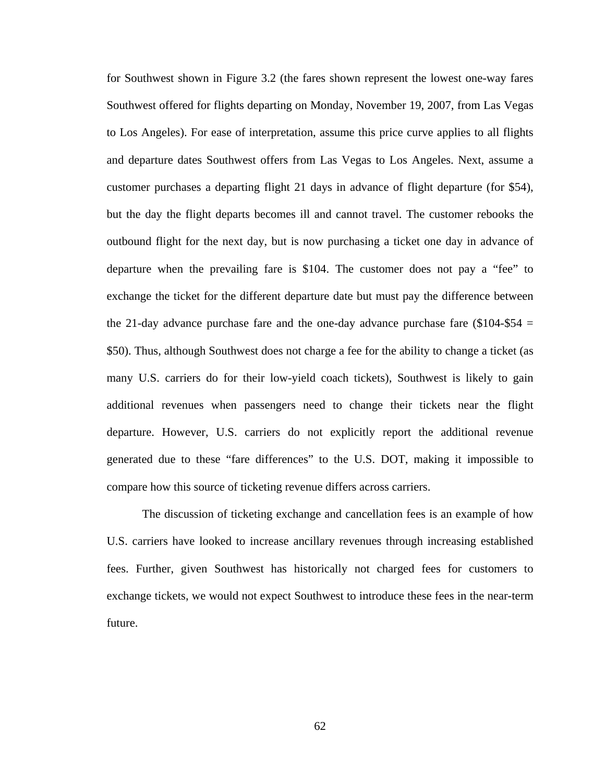for Southwest shown in Figure 3.2 (the fares shown represent the lowest one-way fares Southwest offered for flights departing on Monday, November 19, 2007, from Las Vegas to Los Angeles). For ease of interpretation, assume this price curve applies to all flights and departure dates Southwest offers from Las Vegas to Los Angeles. Next, assume a customer purchases a departing flight 21 days in advance of flight departure (for \$54), but the day the flight departs becomes ill and cannot travel. The customer rebooks the outbound flight for the next day, but is now purchasing a ticket one day in advance of departure when the prevailing fare is \$104. The customer does not pay a "fee" to exchange the ticket for the different departure date but must pay the difference between the 21-day advance purchase fare and the one-day advance purchase fare  $(\$104-\$54 =$ \$50). Thus, although Southwest does not charge a fee for the ability to change a ticket (as many U.S. carriers do for their low-yield coach tickets), Southwest is likely to gain additional revenues when passengers need to change their tickets near the flight departure. However, U.S. carriers do not explicitly report the additional revenue generated due to these "fare differences" to the U.S. DOT, making it impossible to compare how this source of ticketing revenue differs across carriers.

The discussion of ticketing exchange and cancellation fees is an example of how U.S. carriers have looked to increase ancillary revenues through increasing established fees. Further, given Southwest has historically not charged fees for customers to exchange tickets, we would not expect Southwest to introduce these fees in the near-term future.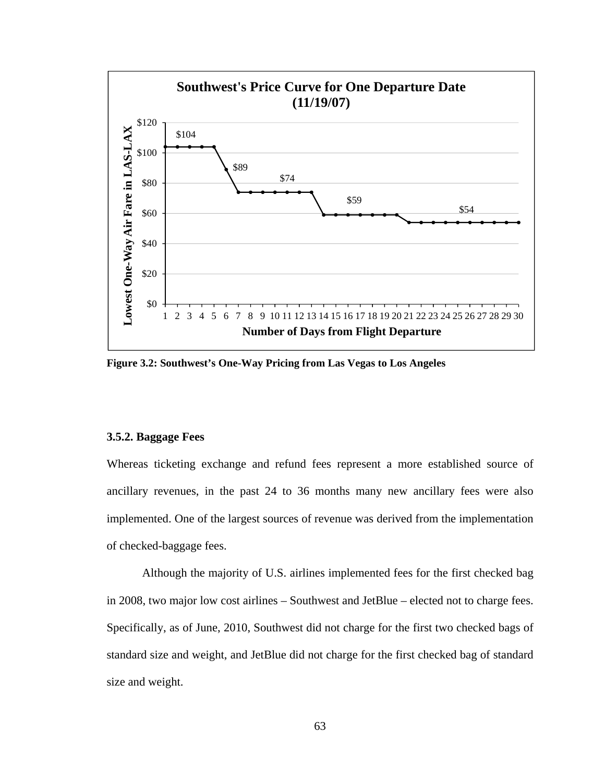

**Figure 3.2: Southwest's One-Way Pricing from Las Vegas to Los Angeles**

## **3.5.2. Baggage Fees**

Whereas ticketing exchange and refund fees represent a more established source of ancillary revenues, in the past 24 to 36 months many new ancillary fees were also implemented. One of the largest sources of revenue was derived from the implementation of checked-baggage fees.

 Although the majority of U.S. airlines implemented fees for the first checked bag in 2008, two major low cost airlines – Southwest and JetBlue – elected not to charge fees. Specifically, as of June, 2010, Southwest did not charge for the first two checked bags of standard size and weight, and JetBlue did not charge for the first checked bag of standard size and weight.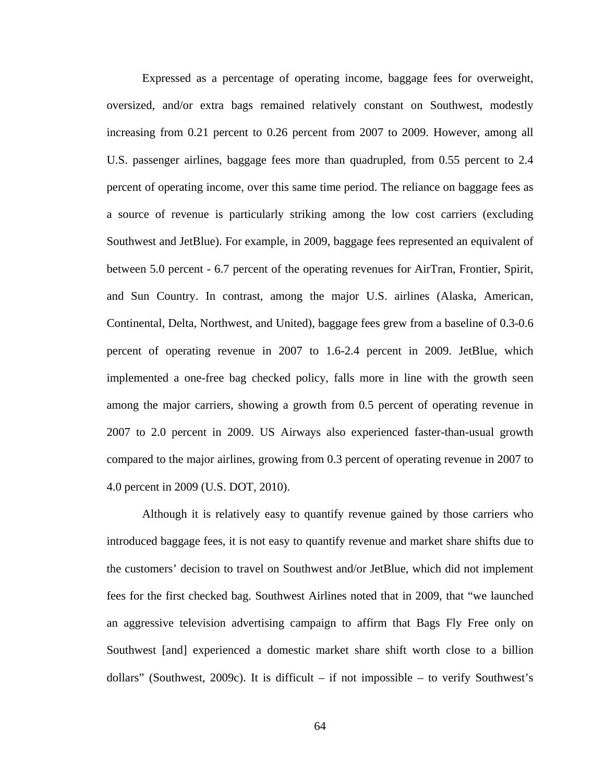Expressed as a percentage of operating income, baggage fees for overweight, oversized, and/or extra bags remained relatively constant on Southwest, modestly increasing from 0.21 percent to 0.26 percent from 2007 to 2009. However, among all U.S. passenger airlines, baggage fees more than quadrupled, from 0.55 percent to 2.4 percent of operating income, over this same time period. The reliance on baggage fees as a source of revenue is particularly striking among the low cost carriers (excluding Southwest and JetBlue). For example, in 2009, baggage fees represented an equivalent of between 5.0 percent - 6.7 percent of the operating revenues for AirTran, Frontier, Spirit, and Sun Country. In contrast, among the major U.S. airlines (Alaska, American, Continental, Delta, Northwest, and United), baggage fees grew from a baseline of 0.3-0.6 percent of operating revenue in 2007 to 1.6-2.4 percent in 2009. JetBlue, which implemented a one-free bag checked policy, falls more in line with the growth seen among the major carriers, showing a growth from 0.5 percent of operating revenue in 2007 to 2.0 percent in 2009. US Airways also experienced faster-than-usual growth compared to the major airlines, growing from 0.3 percent of operating revenue in 2007 to 4.0 percent in 2009 (U.S. DOT, 2010).

 Although it is relatively easy to quantify revenue gained by those carriers who introduced baggage fees, it is not easy to quantify revenue and market share shifts due to the customers' decision to travel on Southwest and/or JetBlue, which did not implement fees for the first checked bag. Southwest Airlines noted that in 2009, that "we launched an aggressive television advertising campaign to affirm that Bags Fly Free only on Southwest [and] experienced a domestic market share shift worth close to a billion dollars" (Southwest, 2009c). It is difficult – if not impossible – to verify Southwest's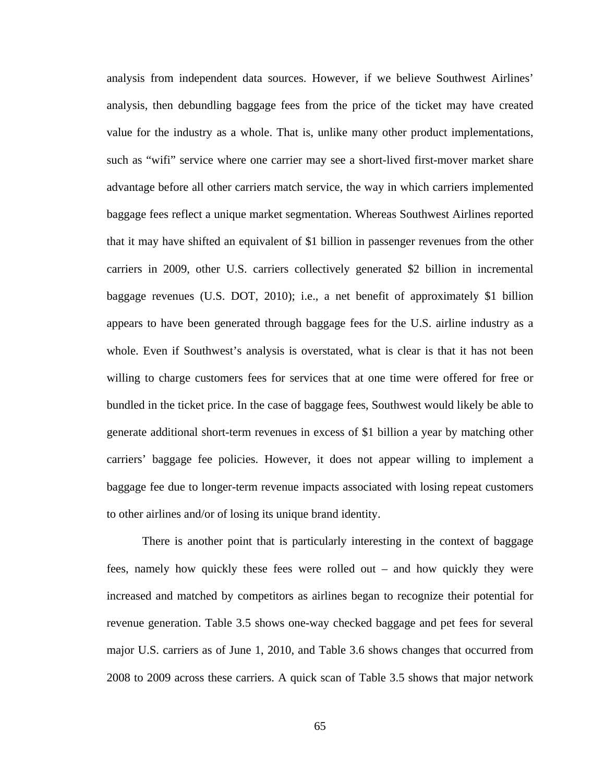analysis from independent data sources. However, if we believe Southwest Airlines' analysis, then debundling baggage fees from the price of the ticket may have created value for the industry as a whole. That is, unlike many other product implementations, such as "wifi" service where one carrier may see a short-lived first-mover market share advantage before all other carriers match service, the way in which carriers implemented baggage fees reflect a unique market segmentation. Whereas Southwest Airlines reported that it may have shifted an equivalent of \$1 billion in passenger revenues from the other carriers in 2009, other U.S. carriers collectively generated \$2 billion in incremental baggage revenues (U.S. DOT, 2010); i.e., a net benefit of approximately \$1 billion appears to have been generated through baggage fees for the U.S. airline industry as a whole. Even if Southwest's analysis is overstated, what is clear is that it has not been willing to charge customers fees for services that at one time were offered for free or bundled in the ticket price. In the case of baggage fees, Southwest would likely be able to generate additional short-term revenues in excess of \$1 billion a year by matching other carriers' baggage fee policies. However, it does not appear willing to implement a baggage fee due to longer-term revenue impacts associated with losing repeat customers to other airlines and/or of losing its unique brand identity.

 There is another point that is particularly interesting in the context of baggage fees, namely how quickly these fees were rolled out – and how quickly they were increased and matched by competitors as airlines began to recognize their potential for revenue generation. Table 3.5 shows one-way checked baggage and pet fees for several major U.S. carriers as of June 1, 2010, and Table 3.6 shows changes that occurred from 2008 to 2009 across these carriers. A quick scan of Table 3.5 shows that major network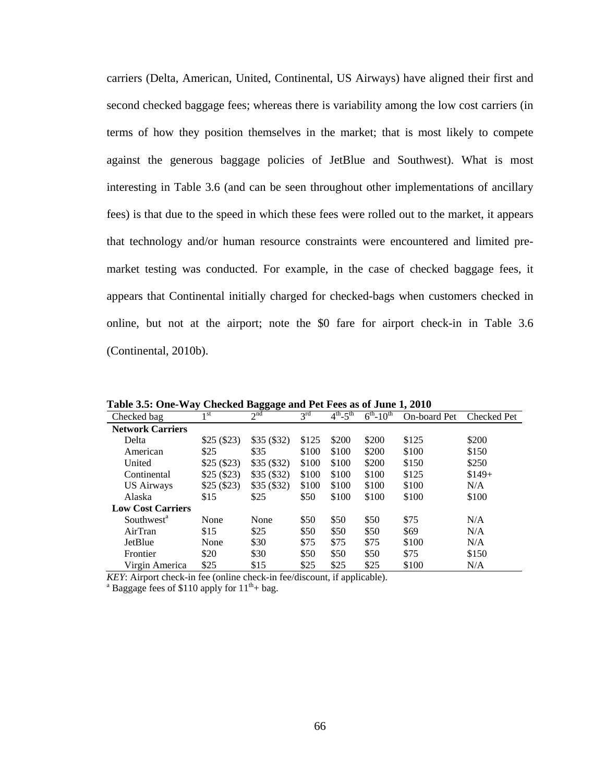carriers (Delta, American, United, Continental, US Airways) have aligned their first and second checked baggage fees; whereas there is variability among the low cost carriers (in terms of how they position themselves in the market; that is most likely to compete against the generous baggage policies of JetBlue and Southwest). What is most interesting in Table 3.6 (and can be seen throughout other implementations of ancillary fees) is that due to the speed in which these fees were rolled out to the market, it appears that technology and/or human resource constraints were encountered and limited premarket testing was conducted. For example, in the case of checked baggage fees, it appears that Continental initially charged for checked-bags when customers checked in online, but not at the airport; note the \$0 fare for airport check-in in Table 3.6 (Continental, 2010b).

| Table 5.5. One-11 ay Cheeked Daggage and I et Pees as 01 June 1, 2010 |            |                 |                 |                                   |                    |              |             |
|-----------------------------------------------------------------------|------------|-----------------|-----------------|-----------------------------------|--------------------|--------------|-------------|
| Checked bag                                                           | 1 st       | 2 <sup>nd</sup> | $3^{\text{rd}}$ | $4^{\text{th}}$ - $5^{\text{th}}$ | $6^{th} - 10^{th}$ | On-board Pet | Checked Pet |
| <b>Network Carriers</b>                                               |            |                 |                 |                                   |                    |              |             |
| Delta                                                                 | \$25(\$23) | \$35(\$32)      | \$125           | \$200                             | \$200              | \$125        | \$200       |
| American                                                              | \$25       | \$35            | \$100           | \$100                             | \$200              | \$100        | \$150       |
| United                                                                | \$25(\$23) | \$35(\$32)      | \$100           | \$100                             | \$200              | \$150        | \$250       |
| Continental                                                           | \$25(\$23) | \$35(\$32)      | \$100           | \$100                             | \$100              | \$125        | $$149+$     |
| <b>US Airways</b>                                                     | \$25(\$23) | \$35(\$32)      | \$100           | \$100                             | \$100              | \$100        | N/A         |
| Alaska                                                                | \$15       | \$25            | \$50            | \$100                             | \$100              | \$100        | \$100       |
| <b>Low Cost Carriers</b>                                              |            |                 |                 |                                   |                    |              |             |
| Southwest <sup>a</sup>                                                | None       | None            | \$50            | \$50                              | \$50               | \$75         | N/A         |
| AirTran                                                               | \$15       | \$25            | \$50            | \$50                              | \$50               | \$69         | N/A         |
| JetBlue                                                               | None       | \$30            | \$75            | \$75                              | \$75               | \$100        | N/A         |
| Frontier                                                              | \$20       | \$30            | \$50            | \$50                              | \$50               | \$75         | \$150       |
| Virgin America                                                        | \$25       | \$15            | \$25            | \$25                              | \$25               | \$100        | N/A         |

**Table 3.5: One-Way Checked Baggage and Pet Fees as of June 1, 2010** 

 $\overline{KEY}$ : Airport check-in fee (online check-in fee/discount, if applicable).

<sup>a</sup> Baggage fees of \$110 apply for  $11^{th}$ + bag.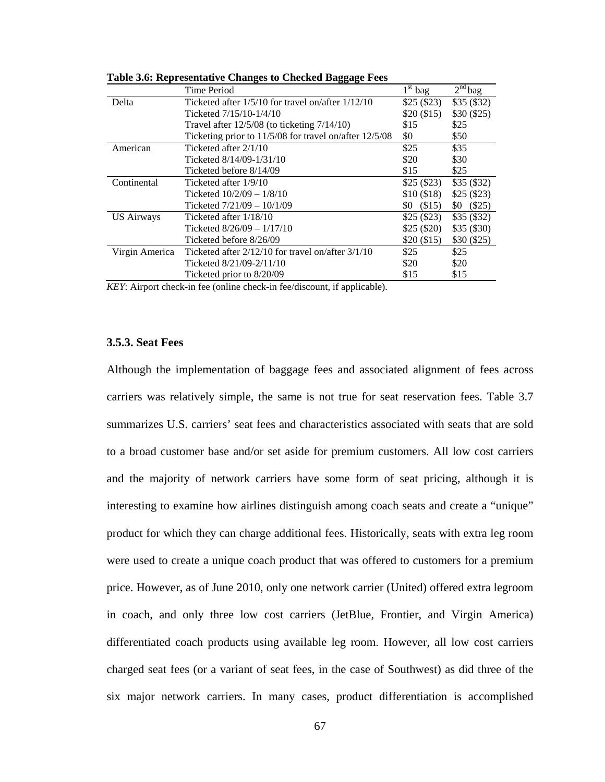|                   | Time Period                                            | $1st$ bag        | $2nd$ bag    |
|-------------------|--------------------------------------------------------|------------------|--------------|
| Delta             | Ticketed after $1/5/10$ for travel on/after $1/12/10$  | \$25(\$23)       | \$35(\$32)   |
|                   | Ticketed 7/15/10-1/4/10                                | \$20(\$15)       | \$30(\$25)   |
|                   | Travel after $12/5/08$ (to ticketing $7/14/10$ )       | \$15             | \$25         |
|                   | Ticketing prior to 11/5/08 for travel on/after 12/5/08 | \$0              | \$50         |
| American          | Ticketed after 2/1/10                                  | \$25             | \$35         |
|                   | Ticketed 8/14/09-1/31/10                               | \$20             | \$30         |
|                   | Ticketed before 8/14/09                                | \$15             | \$25         |
| Continental       | Ticketed after 1/9/10                                  | \$25(\$23)       | \$35(\$32)   |
|                   | Ticketed $10/2/09 - 1/8/10$                            | \$10(\$18)       | \$25(\$23)   |
|                   | Ticketed $7/21/09 - 10/1/09$                           | $$0 \quad ($15)$ | (S25)<br>\$0 |
| <b>US Airways</b> | Ticketed after 1/18/10                                 | \$25(\$23)       | \$35(\$32)   |
|                   | Ticketed $8/26/09 - 1/17/10$                           | \$25(\$20)       | \$35(\$30)   |
|                   | Ticketed before 8/26/09                                | \$20(\$15)       | \$30(\$25)   |
| Virgin America    | Ticketed after $2/12/10$ for travel on/after $3/1/10$  | \$25             | \$25         |
|                   | Ticketed 8/21/09-2/11/10                               | \$20             | \$20         |
|                   | Ticketed prior to 8/20/09                              | \$15             | \$15         |

**Table 3.6: Representative Changes to Checked Baggage Fees** 

*KEY*: Airport check-in fee (online check-in fee/discount, if applicable).

# **3.5.3. Seat Fees**

Although the implementation of baggage fees and associated alignment of fees across carriers was relatively simple, the same is not true for seat reservation fees. Table 3.7 summarizes U.S. carriers' seat fees and characteristics associated with seats that are sold to a broad customer base and/or set aside for premium customers. All low cost carriers and the majority of network carriers have some form of seat pricing, although it is interesting to examine how airlines distinguish among coach seats and create a "unique" product for which they can charge additional fees. Historically, seats with extra leg room were used to create a unique coach product that was offered to customers for a premium price. However, as of June 2010, only one network carrier (United) offered extra legroom in coach, and only three low cost carriers (JetBlue, Frontier, and Virgin America) differentiated coach products using available leg room. However, all low cost carriers charged seat fees (or a variant of seat fees, in the case of Southwest) as did three of the six major network carriers. In many cases, product differentiation is accomplished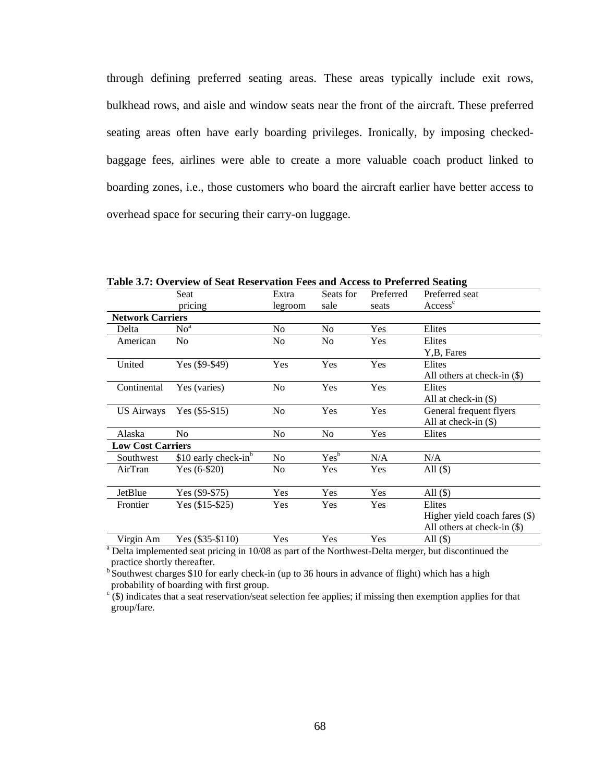through defining preferred seating areas. These areas typically include exit rows, bulkhead rows, and aisle and window seats near the front of the aircraft. These preferred seating areas often have early boarding privileges. Ironically, by imposing checkedbaggage fees, airlines were able to create a more valuable coach product linked to boarding zones, i.e., those customers who board the aircraft earlier have better access to overhead space for securing their carry-on luggage.

|                          | Seat                     | Extra          | Seats for            | Preferred  | Preferred seat<br>Access <sup>c</sup> |
|--------------------------|--------------------------|----------------|----------------------|------------|---------------------------------------|
|                          | pricing                  | legroom        | sale                 | seats      |                                       |
| <b>Network Carriers</b>  |                          |                |                      |            |                                       |
| Delta                    | No <sup>a</sup>          | N <sub>0</sub> | N <sub>0</sub>       | <b>Yes</b> | Elites                                |
| American                 | N <sub>o</sub>           | N <sub>0</sub> | N <sub>0</sub>       | Yes        | Elites                                |
|                          |                          |                |                      |            | Y, B, Fares                           |
| United                   | Yes (\$9-\$49)           | Yes            | Yes                  | Yes        | Elites                                |
|                          |                          |                |                      |            | All others at check-in $(\$)$         |
| Continental              | Yes (varies)             | N <sub>o</sub> | Yes                  | Yes        | Elites                                |
|                          |                          |                |                      |            | All at check-in $(\$)$                |
| <b>US Airways</b>        | Yes $(\$5 - \$15)$       | No             | Yes                  | Yes        | General frequent flyers               |
|                          |                          |                |                      |            | All at check-in $(\$)$                |
| Alaska                   | N <sub>o</sub>           | N <sub>o</sub> | N <sub>o</sub>       | Yes        | Elites                                |
| <b>Low Cost Carriers</b> |                          |                |                      |            |                                       |
| Southwest                | \$10 early check- $in^b$ | N <sub>o</sub> | $Yes^{\overline{b}}$ | N/A        | N/A                                   |
| AirTran                  | Yes $(6-$20)$            | No             | Yes                  | Yes        | All $(\$)$                            |
|                          |                          |                |                      |            |                                       |
| JetBlue                  | Yes $(\$9-\$75)$         | Yes            | Yes                  | Yes        | All $(S)$                             |
| Frontier                 | Yes $(\$15 - \$25)$      | <b>Yes</b>     | Yes                  | <b>Yes</b> | Elites                                |
|                          |                          |                |                      |            | Higher yield coach fares (\$)         |
|                          |                          |                |                      |            | All others at check-in (\$)           |
| Virgin Am                | Yes (\$35-\$110)         | Yes            | Yes                  | Yes        | All $(S)$                             |

**Table 3.7: Overview of Seat Reservation Fees and Access to Preferred Seating**

Virgin Am Yes (\$35-\$110) Yes Yes Yes All (\$)<br>
<sup>a</sup> Delta implemented seat pricing in 10/08 as part of the Northwest-Delta merger, but discontinued the practice shortly thereafter.

b Southwest charges \$10 for early check-in (up to 36 hours in advance of flight) which has a high probability of boarding with first group.

 $c^{\tilde{c}}(\hat{s})$  indicates that a seat reservation/seat selection fee applies; if missing then exemption applies for that group/fare.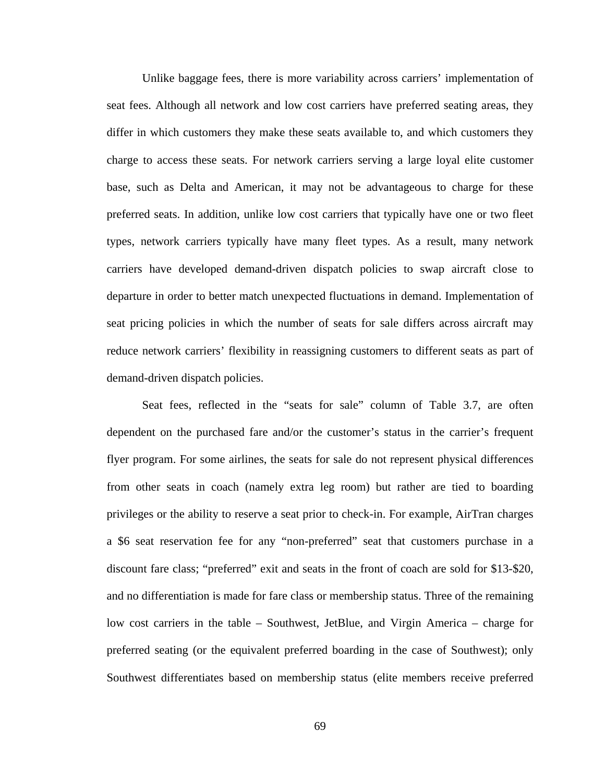Unlike baggage fees, there is more variability across carriers' implementation of seat fees. Although all network and low cost carriers have preferred seating areas, they differ in which customers they make these seats available to, and which customers they charge to access these seats. For network carriers serving a large loyal elite customer base, such as Delta and American, it may not be advantageous to charge for these preferred seats. In addition, unlike low cost carriers that typically have one or two fleet types, network carriers typically have many fleet types. As a result, many network carriers have developed demand-driven dispatch policies to swap aircraft close to departure in order to better match unexpected fluctuations in demand. Implementation of seat pricing policies in which the number of seats for sale differs across aircraft may reduce network carriers' flexibility in reassigning customers to different seats as part of demand-driven dispatch policies.

 Seat fees, reflected in the "seats for sale" column of Table 3.7, are often dependent on the purchased fare and/or the customer's status in the carrier's frequent flyer program. For some airlines, the seats for sale do not represent physical differences from other seats in coach (namely extra leg room) but rather are tied to boarding privileges or the ability to reserve a seat prior to check-in. For example, AirTran charges a \$6 seat reservation fee for any "non-preferred" seat that customers purchase in a discount fare class; "preferred" exit and seats in the front of coach are sold for \$13-\$20, and no differentiation is made for fare class or membership status. Three of the remaining low cost carriers in the table – Southwest, JetBlue, and Virgin America – charge for preferred seating (or the equivalent preferred boarding in the case of Southwest); only Southwest differentiates based on membership status (elite members receive preferred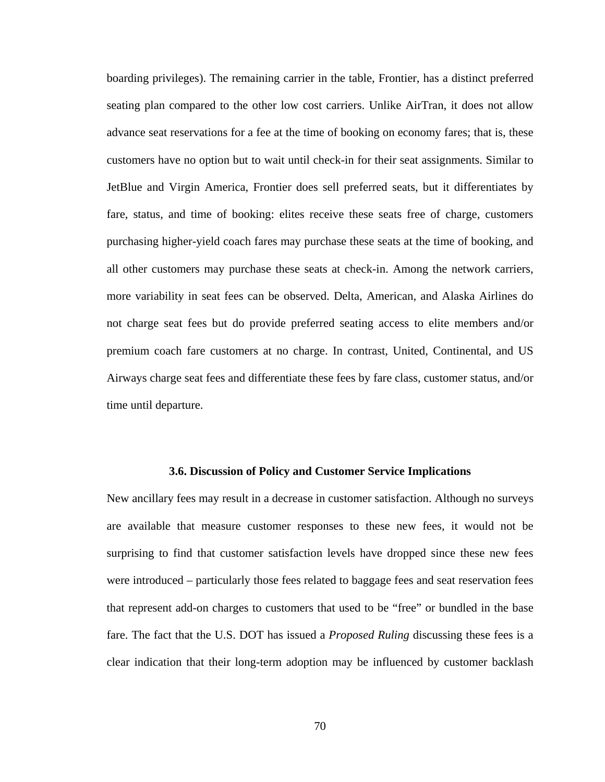boarding privileges). The remaining carrier in the table, Frontier, has a distinct preferred seating plan compared to the other low cost carriers. Unlike AirTran, it does not allow advance seat reservations for a fee at the time of booking on economy fares; that is, these customers have no option but to wait until check-in for their seat assignments. Similar to JetBlue and Virgin America, Frontier does sell preferred seats, but it differentiates by fare, status, and time of booking: elites receive these seats free of charge, customers purchasing higher-yield coach fares may purchase these seats at the time of booking, and all other customers may purchase these seats at check-in. Among the network carriers, more variability in seat fees can be observed. Delta, American, and Alaska Airlines do not charge seat fees but do provide preferred seating access to elite members and/or premium coach fare customers at no charge. In contrast, United, Continental, and US Airways charge seat fees and differentiate these fees by fare class, customer status, and/or time until departure.

### **3.6. Discussion of Policy and Customer Service Implications**

New ancillary fees may result in a decrease in customer satisfaction. Although no surveys are available that measure customer responses to these new fees, it would not be surprising to find that customer satisfaction levels have dropped since these new fees were introduced – particularly those fees related to baggage fees and seat reservation fees that represent add-on charges to customers that used to be "free" or bundled in the base fare. The fact that the U.S. DOT has issued a *Proposed Ruling* discussing these fees is a clear indication that their long-term adoption may be influenced by customer backlash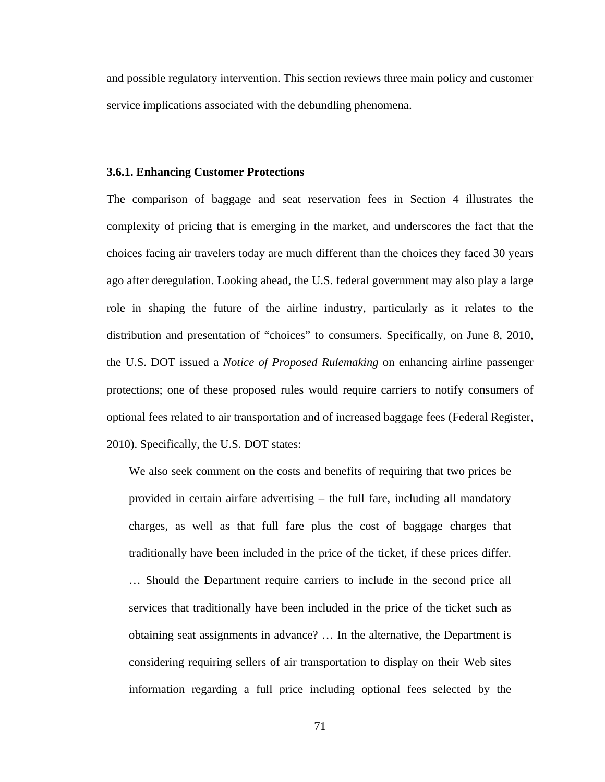and possible regulatory intervention. This section reviews three main policy and customer service implications associated with the debundling phenomena.

### **3.6.1. Enhancing Customer Protections**

The comparison of baggage and seat reservation fees in Section 4 illustrates the complexity of pricing that is emerging in the market, and underscores the fact that the choices facing air travelers today are much different than the choices they faced 30 years ago after deregulation. Looking ahead, the U.S. federal government may also play a large role in shaping the future of the airline industry, particularly as it relates to the distribution and presentation of "choices" to consumers. Specifically, on June 8, 2010, the U.S. DOT issued a *Notice of Proposed Rulemaking* on enhancing airline passenger protections; one of these proposed rules would require carriers to notify consumers of optional fees related to air transportation and of increased baggage fees (Federal Register, 2010). Specifically, the U.S. DOT states:

We also seek comment on the costs and benefits of requiring that two prices be provided in certain airfare advertising – the full fare, including all mandatory charges, as well as that full fare plus the cost of baggage charges that traditionally have been included in the price of the ticket, if these prices differ. … Should the Department require carriers to include in the second price all services that traditionally have been included in the price of the ticket such as obtaining seat assignments in advance? … In the alternative, the Department is considering requiring sellers of air transportation to display on their Web sites information regarding a full price including optional fees selected by the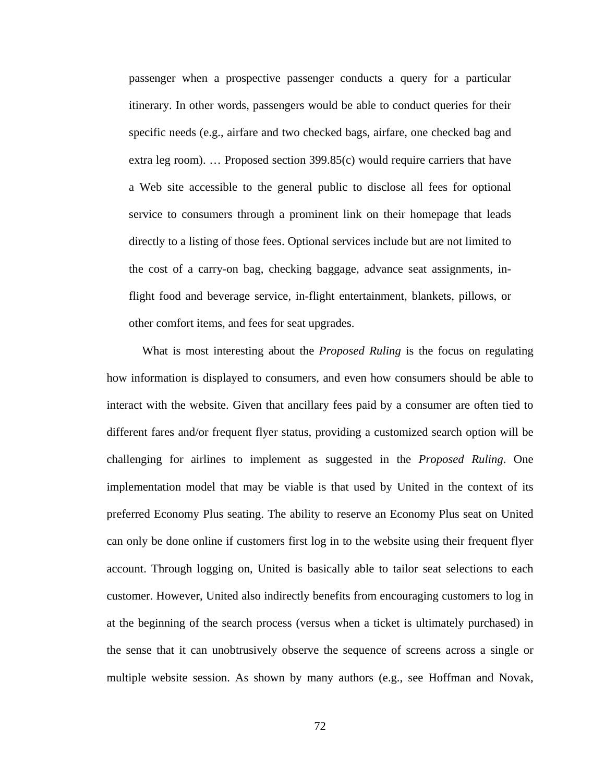passenger when a prospective passenger conducts a query for a particular itinerary. In other words, passengers would be able to conduct queries for their specific needs (e.g., airfare and two checked bags, airfare, one checked bag and extra leg room). … Proposed section 399.85(c) would require carriers that have a Web site accessible to the general public to disclose all fees for optional service to consumers through a prominent link on their homepage that leads directly to a listing of those fees. Optional services include but are not limited to the cost of a carry-on bag, checking baggage, advance seat assignments, inflight food and beverage service, in-flight entertainment, blankets, pillows, or other comfort items, and fees for seat upgrades.

 What is most interesting about the *Proposed Ruling* is the focus on regulating how information is displayed to consumers, and even how consumers should be able to interact with the website. Given that ancillary fees paid by a consumer are often tied to different fares and/or frequent flyer status, providing a customized search option will be challenging for airlines to implement as suggested in the *Proposed Ruling*. One implementation model that may be viable is that used by United in the context of its preferred Economy Plus seating. The ability to reserve an Economy Plus seat on United can only be done online if customers first log in to the website using their frequent flyer account. Through logging on, United is basically able to tailor seat selections to each customer. However, United also indirectly benefits from encouraging customers to log in at the beginning of the search process (versus when a ticket is ultimately purchased) in the sense that it can unobtrusively observe the sequence of screens across a single or multiple website session. As shown by many authors (e.g., see Hoffman and Novak,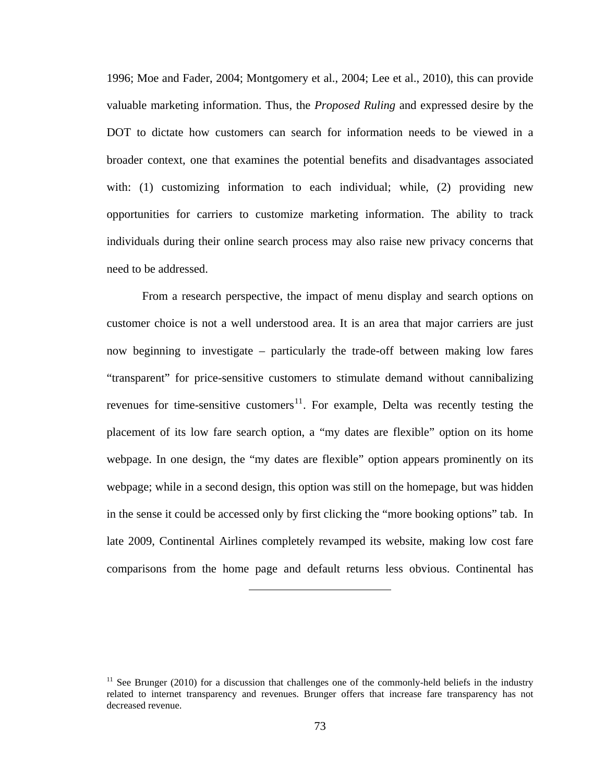<span id="page-85-0"></span>1996; Moe and Fader, 2004; Montgomery et al., 2004; Lee et al., 2010), this can provide valuable marketing information. Thus, the *Proposed Ruling* and expressed desire by the DOT to dictate how customers can search for information needs to be viewed in a broader context, one that examines the potential benefits and disadvantages associated with: (1) customizing information to each individual; while, (2) providing new opportunities for carriers to customize marketing information. The ability to track individuals during their online search process may also raise new privacy concerns that need to be addressed.

 From a research perspective, the impact of menu display and search options on customer choice is not a well understood area. It is an area that major carriers are just now beginning to investigate – particularly the trade-off between making low fares "transparent" for price-sensitive customers to stimulate demand without cannibalizing revenues for time-sensitive customers<sup>[11](#page-85-0)</sup>. For example, Delta was recently testing the placement of its low fare search option, a "my dates are flexible" option on its home webpage. In one design, the "my dates are flexible" option appears prominently on its webpage; while in a second design, this option was still on the homepage, but was hidden in the sense it could be accessed only by first clicking the "more booking options" tab. In late 2009, Continental Airlines completely revamped its website, making low cost fare comparisons from the home page and default returns less obvious. Continental has

 $11$  See Brunger (2010) for a discussion that challenges one of the commonly-held beliefs in the industry related to internet transparency and revenues. Brunger offers that increase fare transparency has not decreased revenue.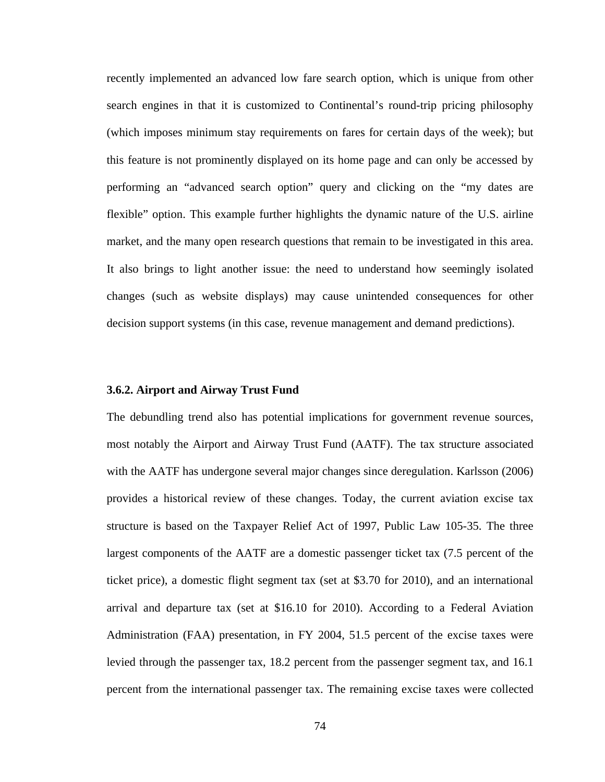recently implemented an advanced low fare search option, which is unique from other search engines in that it is customized to Continental's round-trip pricing philosophy (which imposes minimum stay requirements on fares for certain days of the week); but this feature is not prominently displayed on its home page and can only be accessed by performing an "advanced search option" query and clicking on the "my dates are flexible" option. This example further highlights the dynamic nature of the U.S. airline market, and the many open research questions that remain to be investigated in this area. It also brings to light another issue: the need to understand how seemingly isolated changes (such as website displays) may cause unintended consequences for other decision support systems (in this case, revenue management and demand predictions).

## **3.6.2. Airport and Airway Trust Fund**

The debundling trend also has potential implications for government revenue sources, most notably the Airport and Airway Trust Fund (AATF). The tax structure associated with the AATF has undergone several major changes since deregulation. Karlsson (2006) provides a historical review of these changes. Today, the current aviation excise tax structure is based on the Taxpayer Relief Act of 1997, Public Law 105-35. The three largest components of the AATF are a domestic passenger ticket tax (7.5 percent of the ticket price), a domestic flight segment tax (set at \$3.70 for 2010), and an international arrival and departure tax (set at \$16.10 for 2010). According to a Federal Aviation Administration (FAA) presentation, in FY 2004, 51.5 percent of the excise taxes were levied through the passenger tax, 18.2 percent from the passenger segment tax, and 16.1 percent from the international passenger tax. The remaining excise taxes were collected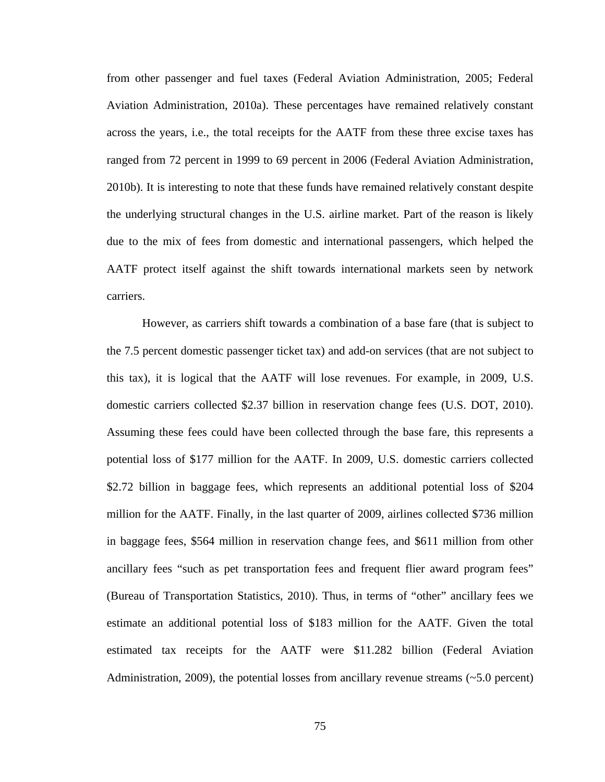from other passenger and fuel taxes (Federal Aviation Administration, 2005; Federal Aviation Administration, 2010a). These percentages have remained relatively constant across the years, i.e., the total receipts for the AATF from these three excise taxes has ranged from 72 percent in 1999 to 69 percent in 2006 (Federal Aviation Administration, 2010b). It is interesting to note that these funds have remained relatively constant despite the underlying structural changes in the U.S. airline market. Part of the reason is likely due to the mix of fees from domestic and international passengers, which helped the AATF protect itself against the shift towards international markets seen by network carriers.

 However, as carriers shift towards a combination of a base fare (that is subject to the 7.5 percent domestic passenger ticket tax) and add-on services (that are not subject to this tax), it is logical that the AATF will lose revenues. For example, in 2009, U.S. domestic carriers collected \$2.37 billion in reservation change fees (U.S. DOT, 2010). Assuming these fees could have been collected through the base fare, this represents a potential loss of \$177 million for the AATF. In 2009, U.S. domestic carriers collected \$2.72 billion in baggage fees, which represents an additional potential loss of \$204 million for the AATF. Finally, in the last quarter of 2009, airlines collected \$736 million in baggage fees, \$564 million in reservation change fees, and \$611 million from other ancillary fees "such as pet transportation fees and frequent flier award program fees" (Bureau of Transportation Statistics, 2010). Thus, in terms of "other" ancillary fees we estimate an additional potential loss of \$183 million for the AATF. Given the total estimated tax receipts for the AATF were \$11.282 billion (Federal Aviation Administration, 2009), the potential losses from ancillary revenue streams  $(-5.0 \text{ percent})$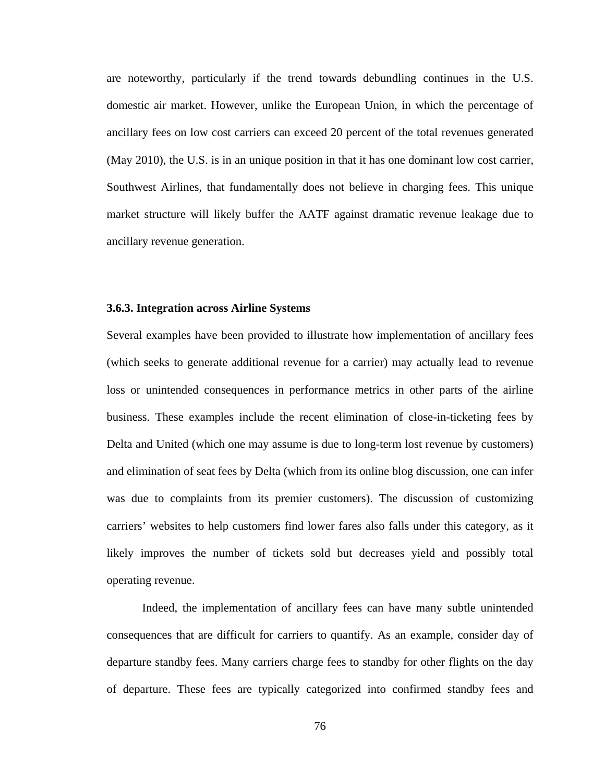are noteworthy, particularly if the trend towards debundling continues in the U.S. domestic air market. However, unlike the European Union, in which the percentage of ancillary fees on low cost carriers can exceed 20 percent of the total revenues generated (May 2010), the U.S. is in an unique position in that it has one dominant low cost carrier, Southwest Airlines, that fundamentally does not believe in charging fees. This unique market structure will likely buffer the AATF against dramatic revenue leakage due to ancillary revenue generation.

### **3.6.3. Integration across Airline Systems**

Several examples have been provided to illustrate how implementation of ancillary fees (which seeks to generate additional revenue for a carrier) may actually lead to revenue loss or unintended consequences in performance metrics in other parts of the airline business. These examples include the recent elimination of close-in-ticketing fees by Delta and United (which one may assume is due to long-term lost revenue by customers) and elimination of seat fees by Delta (which from its online blog discussion, one can infer was due to complaints from its premier customers). The discussion of customizing carriers' websites to help customers find lower fares also falls under this category, as it likely improves the number of tickets sold but decreases yield and possibly total operating revenue.

 Indeed, the implementation of ancillary fees can have many subtle unintended consequences that are difficult for carriers to quantify. As an example, consider day of departure standby fees. Many carriers charge fees to standby for other flights on the day of departure. These fees are typically categorized into confirmed standby fees and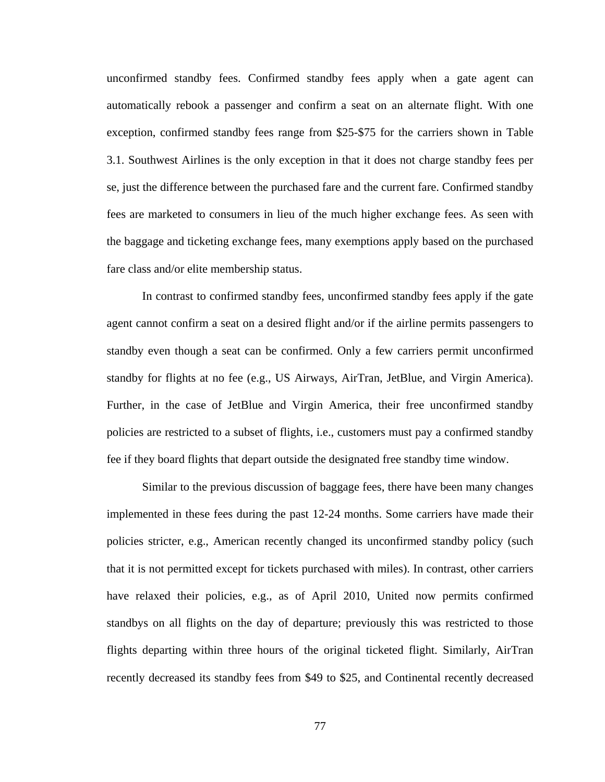unconfirmed standby fees. Confirmed standby fees apply when a gate agent can automatically rebook a passenger and confirm a seat on an alternate flight. With one exception, confirmed standby fees range from \$25-\$75 for the carriers shown in Table 3.1. Southwest Airlines is the only exception in that it does not charge standby fees per se, just the difference between the purchased fare and the current fare. Confirmed standby fees are marketed to consumers in lieu of the much higher exchange fees. As seen with the baggage and ticketing exchange fees, many exemptions apply based on the purchased fare class and/or elite membership status.

 In contrast to confirmed standby fees, unconfirmed standby fees apply if the gate agent cannot confirm a seat on a desired flight and/or if the airline permits passengers to standby even though a seat can be confirmed. Only a few carriers permit unconfirmed standby for flights at no fee (e.g., US Airways, AirTran, JetBlue, and Virgin America). Further, in the case of JetBlue and Virgin America, their free unconfirmed standby policies are restricted to a subset of flights, i.e., customers must pay a confirmed standby fee if they board flights that depart outside the designated free standby time window.

 Similar to the previous discussion of baggage fees, there have been many changes implemented in these fees during the past 12-24 months. Some carriers have made their policies stricter, e.g., American recently changed its unconfirmed standby policy (such that it is not permitted except for tickets purchased with miles). In contrast, other carriers have relaxed their policies, e.g., as of April 2010, United now permits confirmed standbys on all flights on the day of departure; previously this was restricted to those flights departing within three hours of the original ticketed flight. Similarly, AirTran recently decreased its standby fees from \$49 to \$25, and Continental recently decreased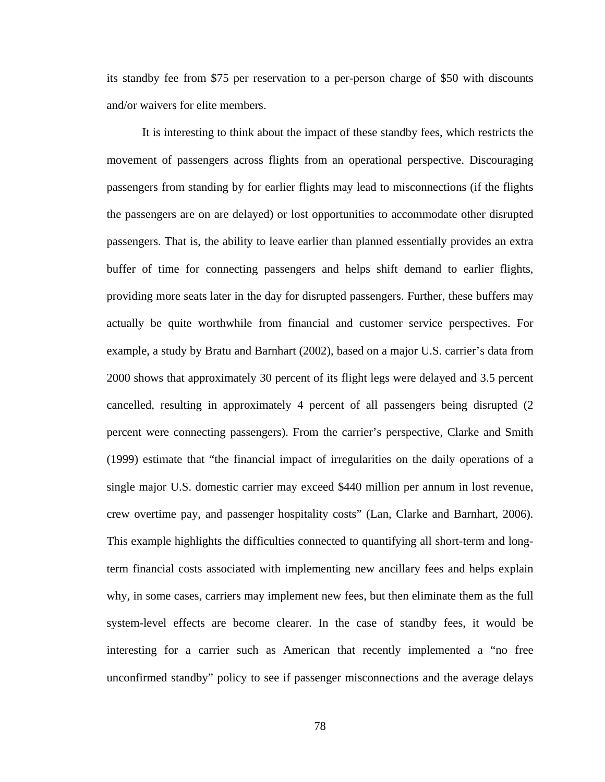its standby fee from \$75 per reservation to a per-person charge of \$50 with discounts and/or waivers for elite members.

 It is interesting to think about the impact of these standby fees, which restricts the movement of passengers across flights from an operational perspective. Discouraging passengers from standing by for earlier flights may lead to misconnections (if the flights the passengers are on are delayed) or lost opportunities to accommodate other disrupted passengers. That is, the ability to leave earlier than planned essentially provides an extra buffer of time for connecting passengers and helps shift demand to earlier flights, providing more seats later in the day for disrupted passengers. Further, these buffers may actually be quite worthwhile from financial and customer service perspectives. For example, a study by Bratu and Barnhart (2002), based on a major U.S. carrier's data from 2000 shows that approximately 30 percent of its flight legs were delayed and 3.5 percent cancelled, resulting in approximately 4 percent of all passengers being disrupted (2 percent were connecting passengers). From the carrier's perspective, Clarke and Smith (1999) estimate that "the financial impact of irregularities on the daily operations of a single major U.S. domestic carrier may exceed \$440 million per annum in lost revenue, crew overtime pay, and passenger hospitality costs" (Lan, Clarke and Barnhart, 2006). This example highlights the difficulties connected to quantifying all short-term and longterm financial costs associated with implementing new ancillary fees and helps explain why, in some cases, carriers may implement new fees, but then eliminate them as the full system-level effects are become clearer. In the case of standby fees, it would be interesting for a carrier such as American that recently implemented a "no free unconfirmed standby" policy to see if passenger misconnections and the average delays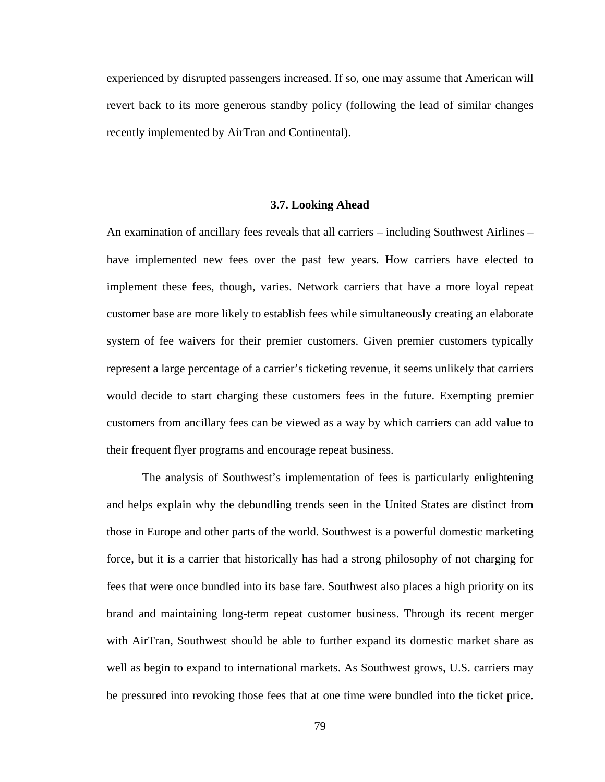experienced by disrupted passengers increased. If so, one may assume that American will revert back to its more generous standby policy (following the lead of similar changes recently implemented by AirTran and Continental).

#### **3.7. Looking Ahead**

An examination of ancillary fees reveals that all carriers – including Southwest Airlines – have implemented new fees over the past few years. How carriers have elected to implement these fees, though, varies. Network carriers that have a more loyal repeat customer base are more likely to establish fees while simultaneously creating an elaborate system of fee waivers for their premier customers. Given premier customers typically represent a large percentage of a carrier's ticketing revenue, it seems unlikely that carriers would decide to start charging these customers fees in the future. Exempting premier customers from ancillary fees can be viewed as a way by which carriers can add value to their frequent flyer programs and encourage repeat business.

 The analysis of Southwest's implementation of fees is particularly enlightening and helps explain why the debundling trends seen in the United States are distinct from those in Europe and other parts of the world. Southwest is a powerful domestic marketing force, but it is a carrier that historically has had a strong philosophy of not charging for fees that were once bundled into its base fare. Southwest also places a high priority on its brand and maintaining long-term repeat customer business. Through its recent merger with AirTran, Southwest should be able to further expand its domestic market share as well as begin to expand to international markets. As Southwest grows, U.S. carriers may be pressured into revoking those fees that at one time were bundled into the ticket price.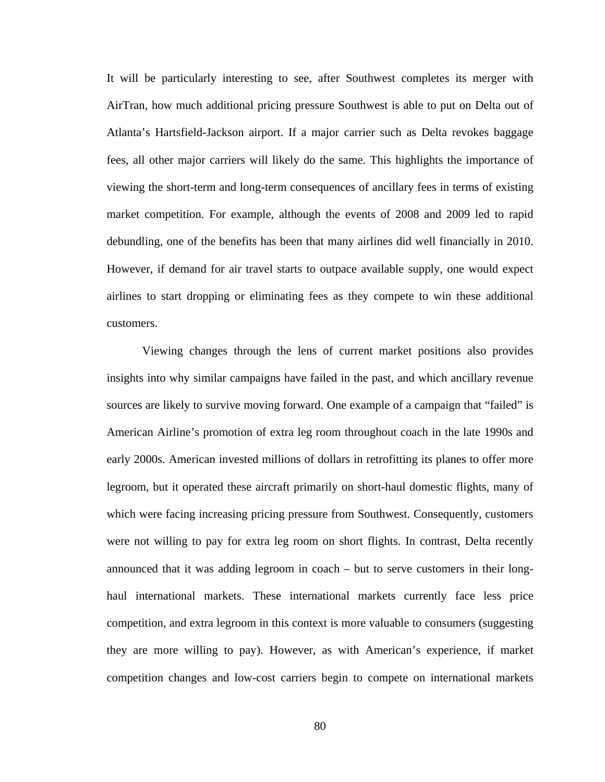It will be particularly interesting to see, after Southwest completes its merger with AirTran, how much additional pricing pressure Southwest is able to put on Delta out of Atlanta's Hartsfield-Jackson airport. If a major carrier such as Delta revokes baggage fees, all other major carriers will likely do the same. This highlights the importance of viewing the short-term and long-term consequences of ancillary fees in terms of existing market competition. For example, although the events of 2008 and 2009 led to rapid debundling, one of the benefits has been that many airlines did well financially in 2010. However, if demand for air travel starts to outpace available supply, one would expect airlines to start dropping or eliminating fees as they compete to win these additional customers.

 Viewing changes through the lens of current market positions also provides insights into why similar campaigns have failed in the past, and which ancillary revenue sources are likely to survive moving forward. One example of a campaign that "failed" is American Airline's promotion of extra leg room throughout coach in the late 1990s and early 2000s. American invested millions of dollars in retrofitting its planes to offer more legroom, but it operated these aircraft primarily on short-haul domestic flights, many of which were facing increasing pricing pressure from Southwest. Consequently, customers were not willing to pay for extra leg room on short flights. In contrast, Delta recently announced that it was adding legroom in coach – but to serve customers in their longhaul international markets. These international markets currently face less price competition, and extra legroom in this context is more valuable to consumers (suggesting they are more willing to pay). However, as with American's experience, if market competition changes and low-cost carriers begin to compete on international markets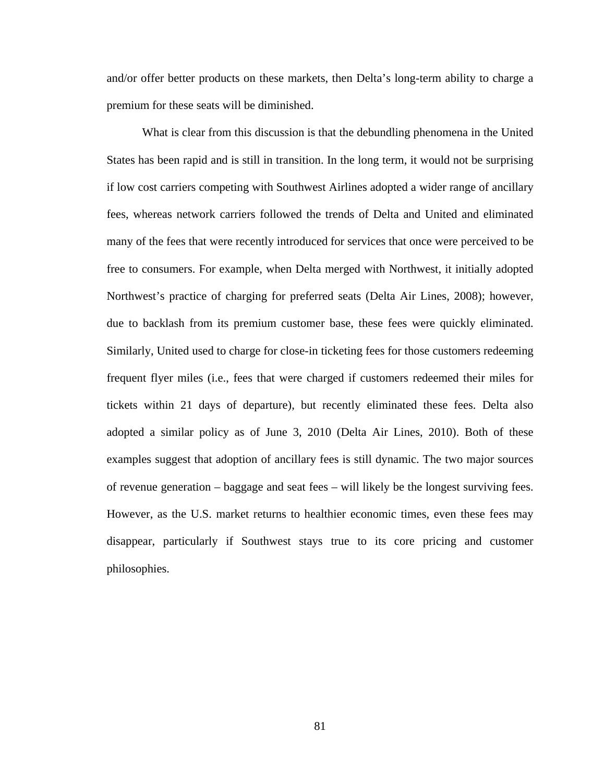and/or offer better products on these markets, then Delta's long-term ability to charge a premium for these seats will be diminished.

 What is clear from this discussion is that the debundling phenomena in the United States has been rapid and is still in transition. In the long term, it would not be surprising if low cost carriers competing with Southwest Airlines adopted a wider range of ancillary fees, whereas network carriers followed the trends of Delta and United and eliminated many of the fees that were recently introduced for services that once were perceived to be free to consumers. For example, when Delta merged with Northwest, it initially adopted Northwest's practice of charging for preferred seats (Delta Air Lines, 2008); however, due to backlash from its premium customer base, these fees were quickly eliminated. Similarly, United used to charge for close-in ticketing fees for those customers redeeming frequent flyer miles (i.e., fees that were charged if customers redeemed their miles for tickets within 21 days of departure), but recently eliminated these fees. Delta also adopted a similar policy as of June 3, 2010 (Delta Air Lines, 2010). Both of these examples suggest that adoption of ancillary fees is still dynamic. The two major sources of revenue generation – baggage and seat fees – will likely be the longest surviving fees. However, as the U.S. market returns to healthier economic times, even these fees may disappear, particularly if Southwest stays true to its core pricing and customer philosophies.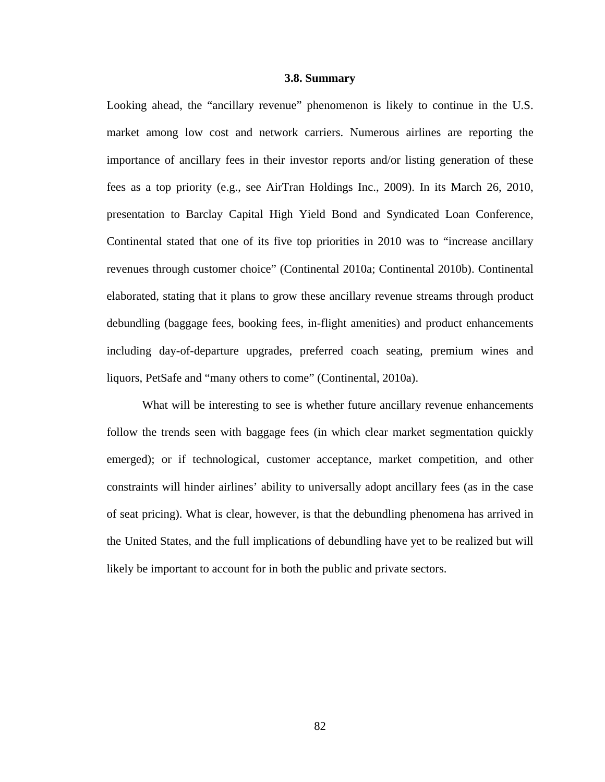#### **3.8. Summary**

Looking ahead, the "ancillary revenue" phenomenon is likely to continue in the U.S. market among low cost and network carriers. Numerous airlines are reporting the importance of ancillary fees in their investor reports and/or listing generation of these fees as a top priority (e.g., see AirTran Holdings Inc., 2009). In its March 26, 2010, presentation to Barclay Capital High Yield Bond and Syndicated Loan Conference, Continental stated that one of its five top priorities in 2010 was to "increase ancillary revenues through customer choice" (Continental 2010a; Continental 2010b). Continental elaborated, stating that it plans to grow these ancillary revenue streams through product debundling (baggage fees, booking fees, in-flight amenities) and product enhancements including day-of-departure upgrades, preferred coach seating, premium wines and liquors, PetSafe and "many others to come" (Continental, 2010a).

What will be interesting to see is whether future ancillary revenue enhancements follow the trends seen with baggage fees (in which clear market segmentation quickly emerged); or if technological, customer acceptance, market competition, and other constraints will hinder airlines' ability to universally adopt ancillary fees (as in the case of seat pricing). What is clear, however, is that the debundling phenomena has arrived in the United States, and the full implications of debundling have yet to be realized but will likely be important to account for in both the public and private sectors.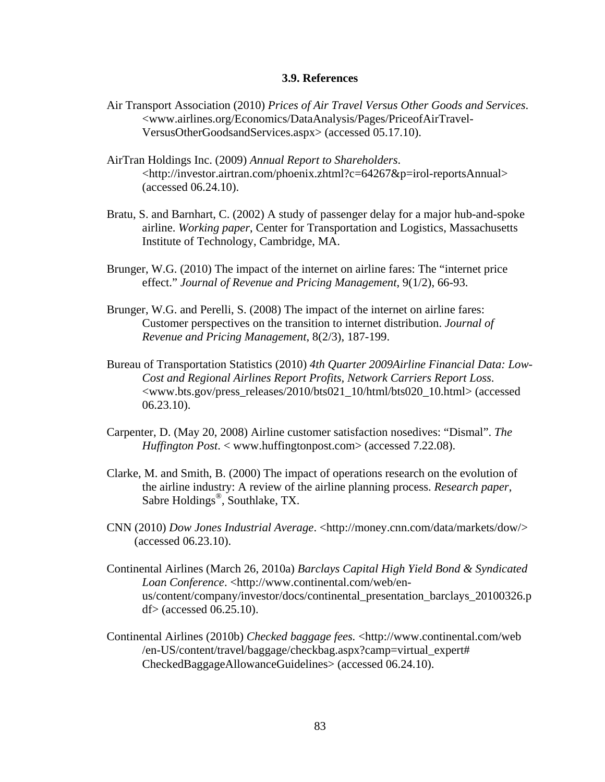## **3.9. References**

- Air Transport Association (2010) *Prices of Air Travel Versus Other Goods and Services*. <www.airlines.org/Economics/DataAnalysis/Pages/PriceofAirTravel-VersusOtherGoodsandServices.aspx> (accessed 05.17.10).
- AirTran Holdings Inc. (2009) *Annual Report to Shareholders*. <http://investor.airtran.com/phoenix.zhtml?c=64267&p=irol-reportsAnnual> (accessed 06.24.10).
- Bratu, S. and Barnhart, C. (2002) A study of passenger delay for a major hub-and-spoke airline. *Working paper*, Center for Transportation and Logistics, Massachusetts Institute of Technology, Cambridge, MA.
- Brunger, W.G. (2010) The impact of the internet on airline fares: The "internet price effect." *Journal of Revenue and Pricing Management*, 9(1/2), 66-93.
- Brunger, W.G. and Perelli, S. (2008) The impact of the internet on airline fares: Customer perspectives on the transition to internet distribution. *Journal of Revenue and Pricing Management*, 8(2/3), 187-199.
- Bureau of Transportation Statistics (2010) *4th Quarter 2009Airline Financial Data: Low-Cost and Regional Airlines Report Profits, Network Carriers Report Loss*. <www.bts.gov/press\_releases/2010/bts021\_10/html/bts020\_10.html> (accessed 06.23.10).
- Carpenter, D. (May 20, 2008) Airline customer satisfaction nosedives: "Dismal". *The Huffington Post*. < [www.huffingtonpost.com>](http://www.huffingtonpost.com/) (accessed 7.22.08).
- Clarke, M. and Smith, B. (2000) The impact of operations research on the evolution of the airline industry: A review of the airline planning process. *Research paper*, Sabre Holdings®, Southlake, TX.
- CNN (2010) *Dow Jones Industrial Average*. <http://money.cnn.com/data/markets/dow/> (accessed 06.23.10).
- Continental Airlines (March 26, 2010a) *Barclays Capital High Yield Bond & Syndicated Loan Conference*. <http://www.continental.com/web/enus/content/company/investor/docs/continental\_presentation\_barclays\_20100326.p df> (accessed 06.25.10).
- Continental Airlines (2010b) *Checked baggage fees.* <http://www.continental.com/web /en-US/content/travel/baggage/checkbag.aspx?camp=virtual\_expert# CheckedBaggageAllowanceGuidelines> (accessed 06.24.10).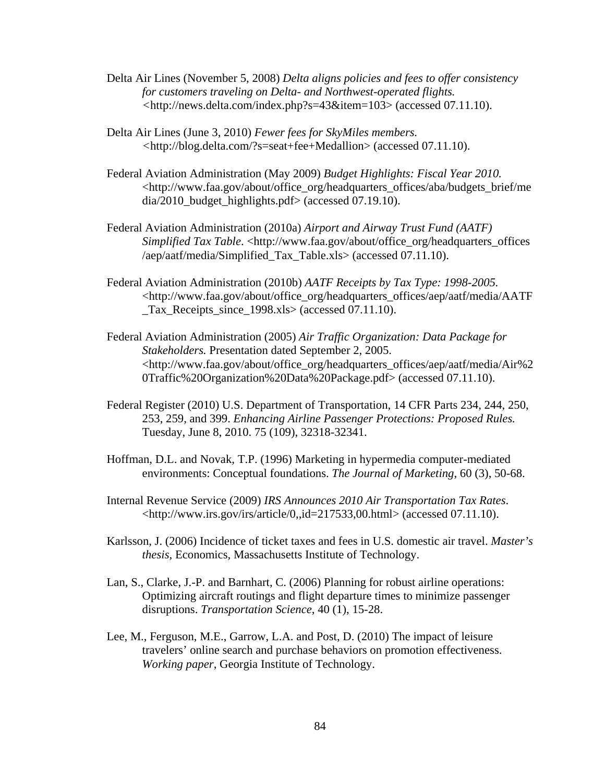- Delta Air Lines (November 5, 2008) *Delta aligns policies and fees to offer consistency for customers traveling on Delta- and Northwest-operated flights. <*[http://news.delta.com/index.php?s=43&item=103>](http://news.delta.com/index.php?s=43&item=103) (accessed 07.11.10).
- Delta Air Lines (June 3, 2010) *Fewer fees for SkyMiles members. <*http://blog.delta.com/?s=seat+fee+Medallion> (accessed 07.11.10).
- Federal Aviation Administration (May 2009) *Budget Highlights: Fiscal Year 2010.* <http://www.faa.gov/about/office\_org/headquarters\_offices/aba/budgets\_brief/me dia/2010\_budget\_highlights.pdf> (accessed 07.19.10).
- Federal Aviation Administration (2010a) *Airport and Airway Trust Fund (AATF) Simplified Tax Table*. <http://www.faa.gov/about/office\_org/headquarters\_offices /aep/aatf/media/Simplified\_Tax\_Table.xls> (accessed 07.11.10).
- Federal Aviation Administration (2010b) *AATF Receipts by Tax Type: 1998-2005.* <http://www.faa.gov/about/office\_org/headquarters\_offices/aep/aatf/media/AATF \_Tax\_Receipts\_since\_1998.xls> (accessed 07.11.10).
- Federal Aviation Administration (2005) *Air Traffic Organization: Data Package for Stakeholders.* Presentation dated September 2, 2005. <http://www.faa.gov/about/office\_org/headquarters\_offices/aep/aatf/media/Air%2 0Traffic%20Organization%20Data%20Package.pdf> (accessed 07.11.10).
- Federal Register (2010) U.S. Department of Transportation, 14 CFR Parts 234, 244, 250, 253, 259, and 399. *Enhancing Airline Passenger Protections: Proposed Rules.*  Tuesday, June 8, 2010. 75 (109), 32318-32341.
- Hoffman, D.L. and Novak, T.P. (1996) Marketing in hypermedia computer-mediated environments: Conceptual foundations. *The Journal of Marketing*, 60 (3), 50-68.
- Internal Revenue Service (2009) *IRS Announces 2010 Air Transportation Tax Rates*. <http://www.irs.gov/irs/article/0,,id=217533,00.html> (accessed 07.11.10).
- Karlsson, J. (2006) Incidence of ticket taxes and fees in U.S. domestic air travel. *Master's thesis*, Economics, Massachusetts Institute of Technology.
- Lan, S., Clarke, J.-P. and Barnhart, C. (2006) Planning for robust airline operations: Optimizing aircraft routings and flight departure times to minimize passenger disruptions. *Transportation Science*, 40 (1), 15-28.
- Lee, M., Ferguson, M.E., Garrow, L.A. and Post, D. (2010) The impact of leisure travelers' online search and purchase behaviors on promotion effectiveness. *Working paper*, Georgia Institute of Technology.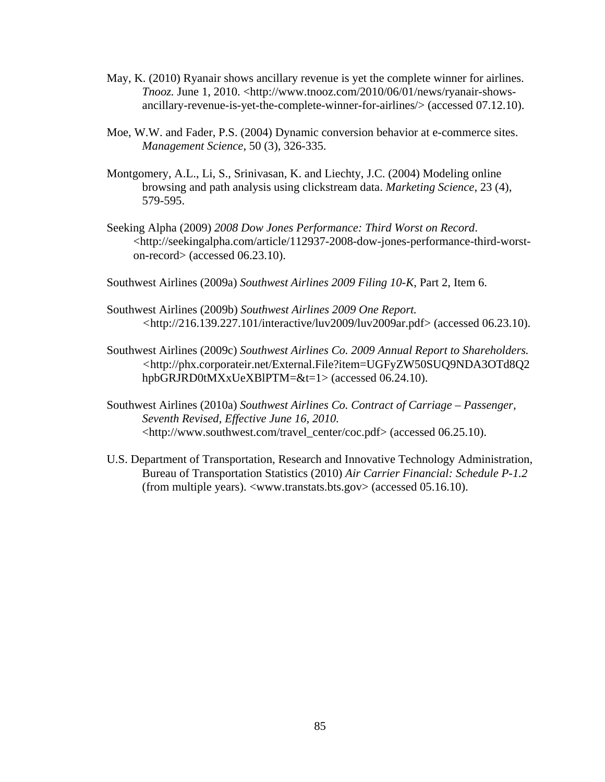- May, K. (2010) Ryanair shows ancillary revenue is yet the complete winner for airlines. *Tnooz.* June 1, 2010. <http://www.tnooz.com/2010/06/01/news/ryanair-showsancillary-revenue-is-yet-the-complete-winner-for-airlines/> (accessed 07.12.10).
- Moe, W.W. and Fader, P.S. (2004) Dynamic conversion behavior at e-commerce sites. *Management Science*, 50 (3), 326-335.
- Montgomery, A.L., Li, S., Srinivasan, K. and Liechty, J.C. (2004) Modeling online browsing and path analysis using clickstream data. *Marketing Science*, 23 (4), 579-595.
- Seeking Alpha (2009) *2008 Dow Jones Performance: Third Worst on Record*. <http://seekingalpha.com/article/112937-2008-dow-jones-performance-third-worston-record> (accessed 06.23.10).
- Southwest Airlines (2009a) *Southwest Airlines 2009 Filing 10-K*, Part 2, Item 6.
- Southwest Airlines (2009b) *Southwest Airlines 2009 One Report. <*http://216.139.227.101/interactive/luv2009/luv2009ar.pdf> (accessed 06.23.10).
- Southwest Airlines (2009c) *Southwest Airlines Co. 2009 Annual Report to Shareholders. <*http://phx.corporateir.net/External.File?item=UGFyZW50SUQ9NDA3OTd8Q2 hpbGRJRD0tMXxUeXBlPTM=&t=1> (accessed 06.24.10).
- Southwest Airlines (2010a) *Southwest Airlines Co. Contract of Carriage Passenger, Seventh Revised, Effective June 16, 2010.*  <http://www.southwest.com/travel\_center/coc.pdf> (accessed 06.25.10).
- U.S. Department of Transportation, Research and Innovative Technology Administration, Bureau of Transportation Statistics (2010) *Air Carrier Financial: Schedule P-1.2* (from multiple years). <www.transtats.bts.gov> (accessed 05.16.10).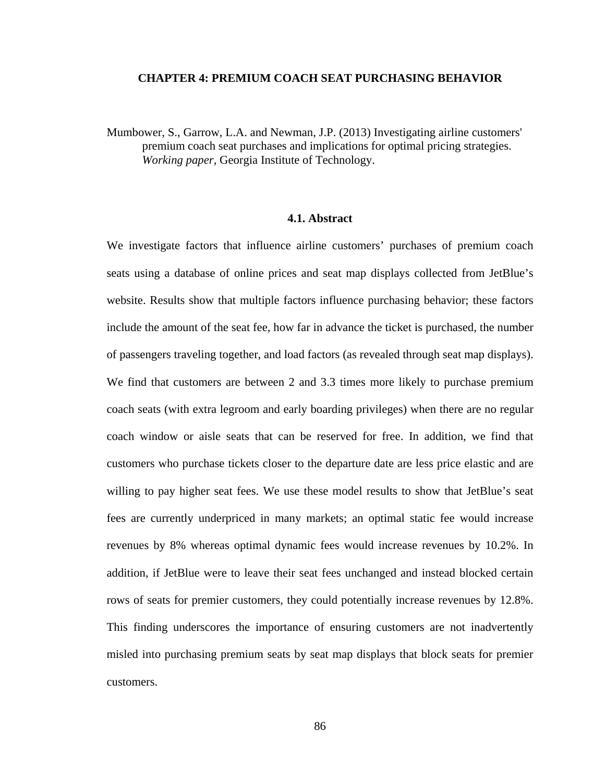### **CHAPTER 4: PREMIUM COACH SEAT PURCHASING BEHAVIOR**

Mumbower, S., Garrow, L.A. and Newman, J.P. (2013) Investigating airline customers' premium coach seat purchases and implications for optimal pricing strategies. *Working paper*, Georgia Institute of Technology.

# **4.1. Abstract**

We investigate factors that influence airline customers' purchases of premium coach seats using a database of online prices and seat map displays collected from JetBlue's website. Results show that multiple factors influence purchasing behavior; these factors include the amount of the seat fee, how far in advance the ticket is purchased, the number of passengers traveling together, and load factors (as revealed through seat map displays). We find that customers are between 2 and 3.3 times more likely to purchase premium coach seats (with extra legroom and early boarding privileges) when there are no regular coach window or aisle seats that can be reserved for free. In addition, we find that customers who purchase tickets closer to the departure date are less price elastic and are willing to pay higher seat fees. We use these model results to show that JetBlue's seat fees are currently underpriced in many markets; an optimal static fee would increase revenues by 8% whereas optimal dynamic fees would increase revenues by 10.2%. In addition, if JetBlue were to leave their seat fees unchanged and instead blocked certain rows of seats for premier customers, they could potentially increase revenues by 12.8%. This finding underscores the importance of ensuring customers are not inadvertently misled into purchasing premium seats by seat map displays that block seats for premier customers.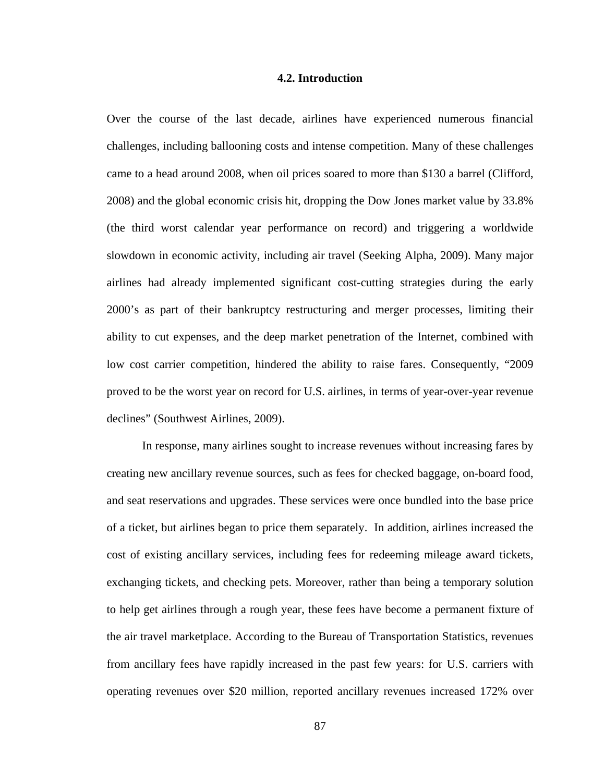### **4.2. Introduction**

Over the course of the last decade, airlines have experienced numerous financial challenges, including ballooning costs and intense competition. Many of these challenges came to a head around 2008, when oil prices soared to more than \$130 a barrel (Clifford, 2008) and the global economic crisis hit, dropping the Dow Jones market value by 33.8% (the third worst calendar year performance on record) and triggering a worldwide slowdown in economic activity, including air travel (Seeking Alpha, 2009). Many major airlines had already implemented significant cost-cutting strategies during the early 2000's as part of their bankruptcy restructuring and merger processes, limiting their ability to cut expenses, and the deep market penetration of the Internet, combined with low cost carrier competition, hindered the ability to raise fares. Consequently, "2009 proved to be the worst year on record for U.S. airlines, in terms of year-over-year revenue declines" (Southwest Airlines, 2009).

 In response, many airlines sought to increase revenues without increasing fares by creating new ancillary revenue sources, such as fees for checked baggage, on-board food, and seat reservations and upgrades. These services were once bundled into the base price of a ticket, but airlines began to price them separately. In addition, airlines increased the cost of existing ancillary services, including fees for redeeming mileage award tickets, exchanging tickets, and checking pets. Moreover, rather than being a temporary solution to help get airlines through a rough year, these fees have become a permanent fixture of the air travel marketplace. According to the Bureau of Transportation Statistics, revenues from ancillary fees have rapidly increased in the past few years: for U.S. carriers with operating revenues over \$20 million, reported ancillary revenues increased 172% over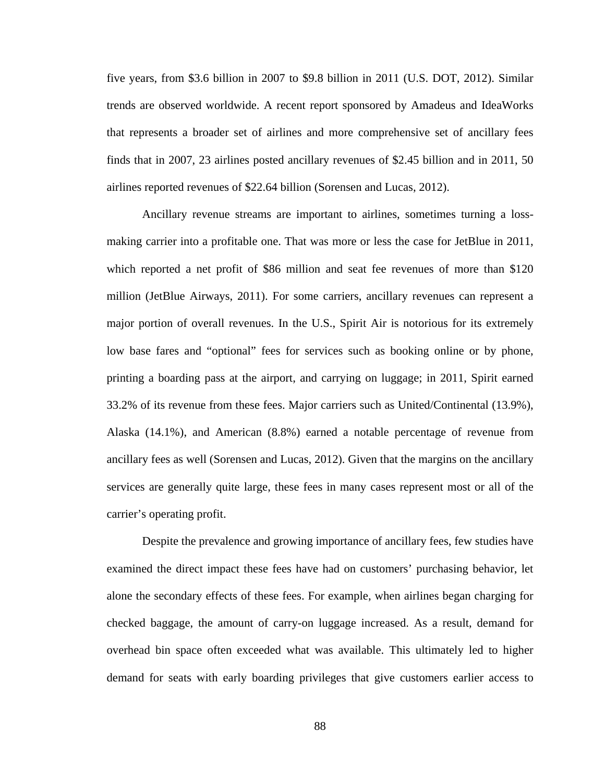five years, from \$3.6 billion in 2007 to \$9.8 billion in 2011 (U.S. DOT, 2012). Similar trends are observed worldwide. A recent report sponsored by Amadeus and IdeaWorks that represents a broader set of airlines and more comprehensive set of ancillary fees finds that in 2007, 23 airlines posted ancillary revenues of \$2.45 billion and in 2011, 50 airlines reported revenues of \$22.64 billion (Sorensen and Lucas, 2012).

 Ancillary revenue streams are important to airlines, sometimes turning a lossmaking carrier into a profitable one. That was more or less the case for JetBlue in 2011, which reported a net profit of \$86 million and seat fee revenues of more than \$120 million (JetBlue Airways, 2011). For some carriers, ancillary revenues can represent a major portion of overall revenues. In the U.S., Spirit Air is notorious for its extremely low base fares and "optional" fees for services such as booking online or by phone, printing a boarding pass at the airport, and carrying on luggage; in 2011, Spirit earned 33.2% of its revenue from these fees. Major carriers such as United/Continental (13.9%), Alaska (14.1%), and American (8.8%) earned a notable percentage of revenue from ancillary fees as well (Sorensen and Lucas, 2012). Given that the margins on the ancillary services are generally quite large, these fees in many cases represent most or all of the carrier's operating profit.

 Despite the prevalence and growing importance of ancillary fees, few studies have examined the direct impact these fees have had on customers' purchasing behavior, let alone the secondary effects of these fees. For example, when airlines began charging for checked baggage, the amount of carry-on luggage increased. As a result, demand for overhead bin space often exceeded what was available. This ultimately led to higher demand for seats with early boarding privileges that give customers earlier access to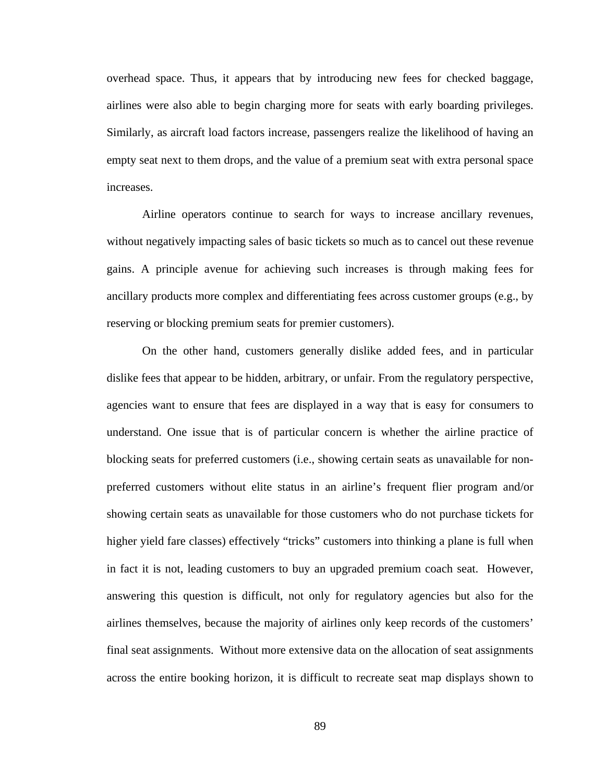overhead space. Thus, it appears that by introducing new fees for checked baggage, airlines were also able to begin charging more for seats with early boarding privileges. Similarly, as aircraft load factors increase, passengers realize the likelihood of having an empty seat next to them drops, and the value of a premium seat with extra personal space increases.

 Airline operators continue to search for ways to increase ancillary revenues, without negatively impacting sales of basic tickets so much as to cancel out these revenue gains. A principle avenue for achieving such increases is through making fees for ancillary products more complex and differentiating fees across customer groups (e.g., by reserving or blocking premium seats for premier customers).

 On the other hand, customers generally dislike added fees, and in particular dislike fees that appear to be hidden, arbitrary, or unfair. From the regulatory perspective, agencies want to ensure that fees are displayed in a way that is easy for consumers to understand. One issue that is of particular concern is whether the airline practice of blocking seats for preferred customers (i.e., showing certain seats as unavailable for nonpreferred customers without elite status in an airline's frequent flier program and/or showing certain seats as unavailable for those customers who do not purchase tickets for higher yield fare classes) effectively "tricks" customers into thinking a plane is full when in fact it is not, leading customers to buy an upgraded premium coach seat. However, answering this question is difficult, not only for regulatory agencies but also for the airlines themselves, because the majority of airlines only keep records of the customers' final seat assignments. Without more extensive data on the allocation of seat assignments across the entire booking horizon, it is difficult to recreate seat map displays shown to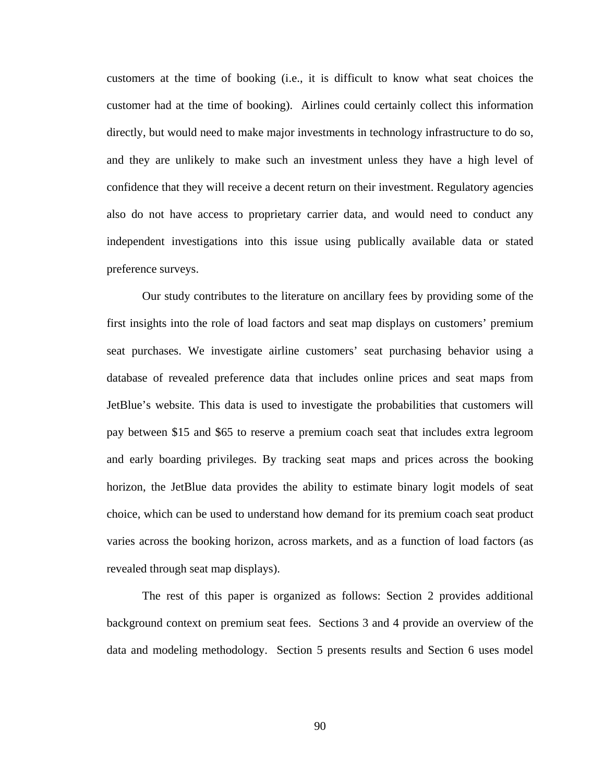customers at the time of booking (i.e., it is difficult to know what seat choices the customer had at the time of booking). Airlines could certainly collect this information directly, but would need to make major investments in technology infrastructure to do so, and they are unlikely to make such an investment unless they have a high level of confidence that they will receive a decent return on their investment. Regulatory agencies also do not have access to proprietary carrier data, and would need to conduct any independent investigations into this issue using publically available data or stated preference surveys.

 Our study contributes to the literature on ancillary fees by providing some of the first insights into the role of load factors and seat map displays on customers' premium seat purchases. We investigate airline customers' seat purchasing behavior using a database of revealed preference data that includes online prices and seat maps from JetBlue's website. This data is used to investigate the probabilities that customers will pay between \$15 and \$65 to reserve a premium coach seat that includes extra legroom and early boarding privileges. By tracking seat maps and prices across the booking horizon, the JetBlue data provides the ability to estimate binary logit models of seat choice, which can be used to understand how demand for its premium coach seat product varies across the booking horizon, across markets, and as a function of load factors (as revealed through seat map displays).

 The rest of this paper is organized as follows: Section 2 provides additional background context on premium seat fees. Sections 3 and 4 provide an overview of the data and modeling methodology. Section 5 presents results and Section 6 uses model

90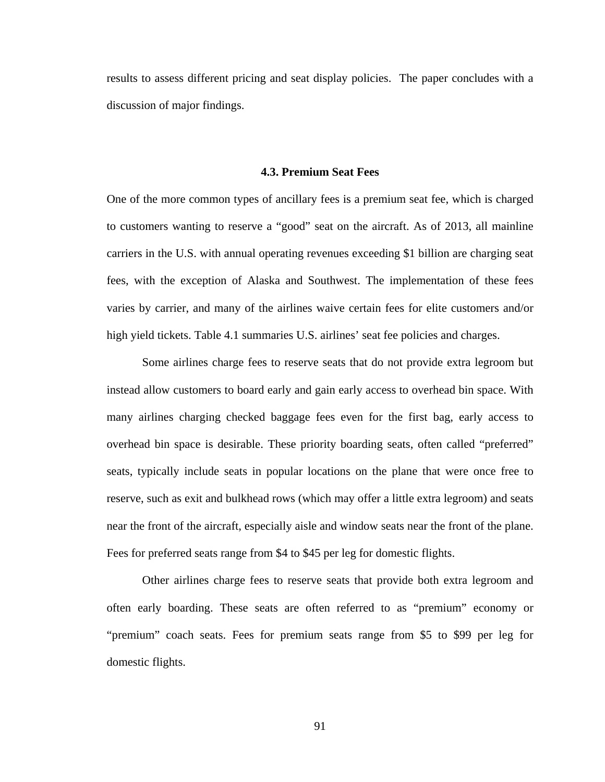results to assess different pricing and seat display policies. The paper concludes with a discussion of major findings.

### **4.3. Premium Seat Fees**

One of the more common types of ancillary fees is a premium seat fee, which is charged to customers wanting to reserve a "good" seat on the aircraft. As of 2013, all mainline carriers in the U.S. with annual operating revenues exceeding \$1 billion are charging seat fees, with the exception of Alaska and Southwest. The implementation of these fees varies by carrier, and many of the airlines waive certain fees for elite customers and/or high yield tickets. Table 4.1 summaries U.S. airlines' seat fee policies and charges.

 Some airlines charge fees to reserve seats that do not provide extra legroom but instead allow customers to board early and gain early access to overhead bin space. With many airlines charging checked baggage fees even for the first bag, early access to overhead bin space is desirable. These priority boarding seats, often called "preferred" seats, typically include seats in popular locations on the plane that were once free to reserve, such as exit and bulkhead rows (which may offer a little extra legroom) and seats near the front of the aircraft, especially aisle and window seats near the front of the plane. Fees for preferred seats range from \$4 to \$45 per leg for domestic flights.

 Other airlines charge fees to reserve seats that provide both extra legroom and often early boarding. These seats are often referred to as "premium" economy or "premium" coach seats. Fees for premium seats range from \$5 to \$99 per leg for domestic flights.

91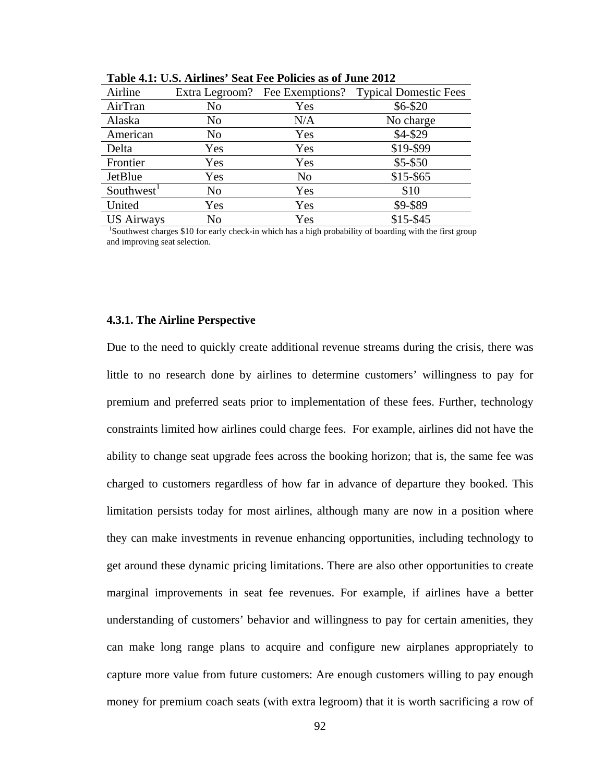| Airline                                                                                                 |     | Extra Legroom? Fee Exemptions? | <b>Typical Domestic Fees</b> |  |  |
|---------------------------------------------------------------------------------------------------------|-----|--------------------------------|------------------------------|--|--|
| AirTran                                                                                                 | No  | Yes                            | \$6-\$20                     |  |  |
| Alaska                                                                                                  | No  | N/A                            | No charge                    |  |  |
| American                                                                                                | No  | Yes                            | \$4-\$29                     |  |  |
| Delta                                                                                                   | Yes | Yes                            | \$19-\$99                    |  |  |
| Frontier                                                                                                | Yes | Yes                            | $$5 - $50$                   |  |  |
| JetBlue                                                                                                 | Yes | N <sub>0</sub>                 | $$15 - $65$                  |  |  |
| Southwest <sup>1</sup>                                                                                  | No  | Yes                            | \$10                         |  |  |
| United                                                                                                  | Yes | Yes                            | \$9-\$89                     |  |  |
| <b>US Airways</b>                                                                                       | No  | Yes                            | $$15 - $45$                  |  |  |
| Southwest charges \$10 for early check-in which has a high probability of boarding with the first group |     |                                |                              |  |  |

**Table 4.1: U.S. Airlines' Seat Fee Policies as of June 2012** 

and improving seat selection.

## **4.3.1. The Airline Perspective**

Due to the need to quickly create additional revenue streams during the crisis, there was little to no research done by airlines to determine customers' willingness to pay for premium and preferred seats prior to implementation of these fees. Further, technology constraints limited how airlines could charge fees. For example, airlines did not have the ability to change seat upgrade fees across the booking horizon; that is, the same fee was charged to customers regardless of how far in advance of departure they booked. This limitation persists today for most airlines, although many are now in a position where they can make investments in revenue enhancing opportunities, including technology to get around these dynamic pricing limitations. There are also other opportunities to create marginal improvements in seat fee revenues. For example, if airlines have a better understanding of customers' behavior and willingness to pay for certain amenities, they can make long range plans to acquire and configure new airplanes appropriately to capture more value from future customers: Are enough customers willing to pay enough money for premium coach seats (with extra legroom) that it is worth sacrificing a row of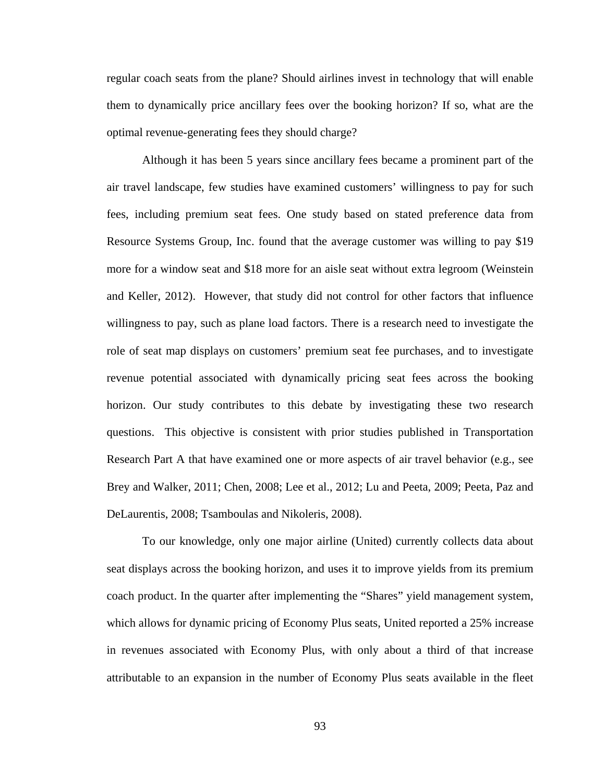regular coach seats from the plane? Should airlines invest in technology that will enable them to dynamically price ancillary fees over the booking horizon? If so, what are the optimal revenue-generating fees they should charge?

 Although it has been 5 years since ancillary fees became a prominent part of the air travel landscape, few studies have examined customers' willingness to pay for such fees, including premium seat fees. One study based on stated preference data from Resource Systems Group, Inc. found that the average customer was willing to pay \$19 more for a window seat and \$18 more for an aisle seat without extra legroom (Weinstein and Keller, 2012). However, that study did not control for other factors that influence willingness to pay, such as plane load factors. There is a research need to investigate the role of seat map displays on customers' premium seat fee purchases, and to investigate revenue potential associated with dynamically pricing seat fees across the booking horizon. Our study contributes to this debate by investigating these two research questions. This objective is consistent with prior studies published in Transportation Research Part A that have examined one or more aspects of air travel behavior (e.g., see Brey and Walker, 2011; Chen, 2008; Lee et al., 2012; Lu and Peeta, 2009; Peeta, Paz and DeLaurentis, 2008; Tsamboulas and Nikoleris, 2008).

 To our knowledge, only one major airline (United) currently collects data about seat displays across the booking horizon, and uses it to improve yields from its premium coach product. In the quarter after implementing the "Shares" yield management system, which allows for dynamic pricing of Economy Plus seats, United reported a 25% increase in revenues associated with Economy Plus, with only about a third of that increase attributable to an expansion in the number of Economy Plus seats available in the fleet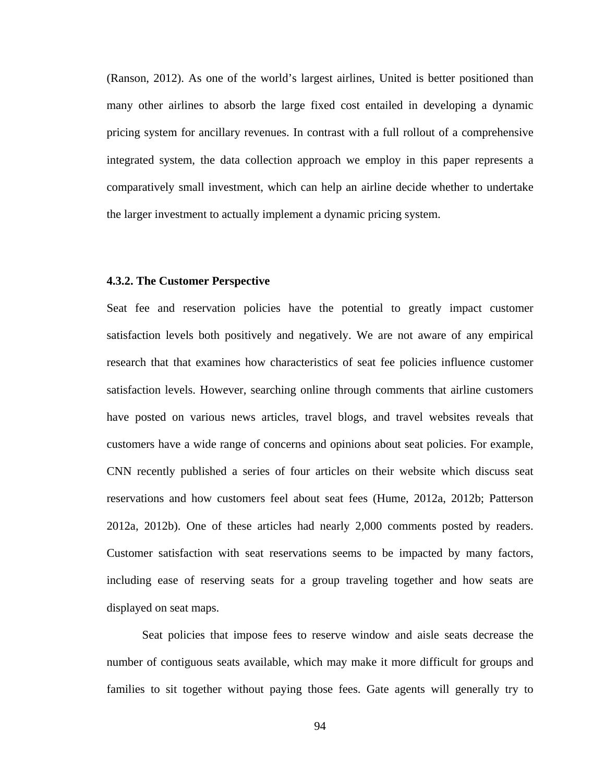(Ranson, 2012). As one of the world's largest airlines, United is better positioned than many other airlines to absorb the large fixed cost entailed in developing a dynamic pricing system for ancillary revenues. In contrast with a full rollout of a comprehensive integrated system, the data collection approach we employ in this paper represents a comparatively small investment, which can help an airline decide whether to undertake the larger investment to actually implement a dynamic pricing system.

### **4.3.2. The Customer Perspective**

Seat fee and reservation policies have the potential to greatly impact customer satisfaction levels both positively and negatively. We are not aware of any empirical research that that examines how characteristics of seat fee policies influence customer satisfaction levels. However, searching online through comments that airline customers have posted on various news articles, travel blogs, and travel websites reveals that customers have a wide range of concerns and opinions about seat policies. For example, CNN recently published a series of four articles on their website which discuss seat reservations and how customers feel about seat fees (Hume, 2012a, 2012b; Patterson 2012a, 2012b). One of these articles had nearly 2,000 comments posted by readers. Customer satisfaction with seat reservations seems to be impacted by many factors, including ease of reserving seats for a group traveling together and how seats are displayed on seat maps.

 Seat policies that impose fees to reserve window and aisle seats decrease the number of contiguous seats available, which may make it more difficult for groups and families to sit together without paying those fees. Gate agents will generally try to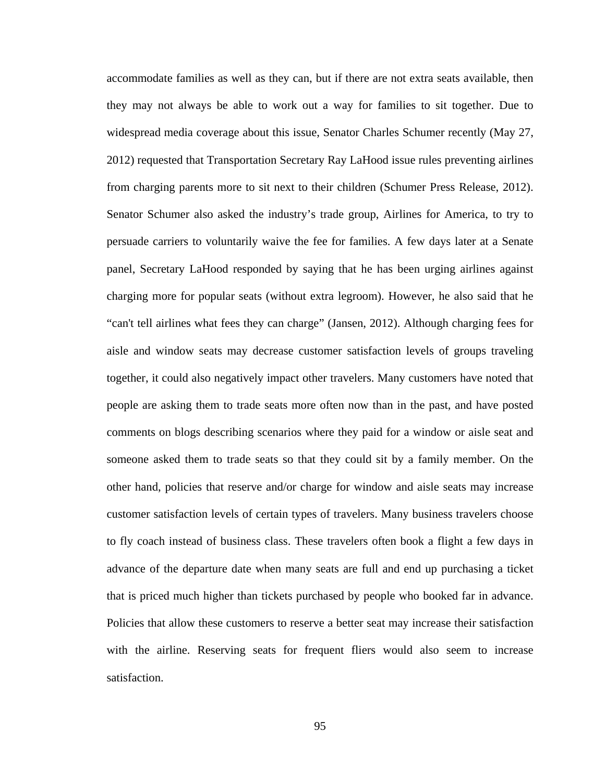accommodate families as well as they can, but if there are not extra seats available, then they may not always be able to work out a way for families to sit together. Due to widespread media coverage about this issue, Senator Charles Schumer recently (May 27, 2012) requested that Transportation Secretary Ray LaHood issue rules preventing airlines from charging parents more to sit next to their children (Schumer Press Release, 2012). Senator Schumer also asked the industry's trade group, Airlines for America, to try to persuade carriers to voluntarily waive the fee for families. A few days later at a Senate panel, Secretary LaHood responded by saying that he has been urging airlines against charging more for popular seats (without extra legroom). However, he also said that he "can't tell airlines what fees they can charge" (Jansen, 2012). Although charging fees for aisle and window seats may decrease customer satisfaction levels of groups traveling together, it could also negatively impact other travelers. Many customers have noted that people are asking them to trade seats more often now than in the past, and have posted comments on blogs describing scenarios where they paid for a window or aisle seat and someone asked them to trade seats so that they could sit by a family member. On the other hand, policies that reserve and/or charge for window and aisle seats may increase customer satisfaction levels of certain types of travelers. Many business travelers choose to fly coach instead of business class. These travelers often book a flight a few days in advance of the departure date when many seats are full and end up purchasing a ticket that is priced much higher than tickets purchased by people who booked far in advance. Policies that allow these customers to reserve a better seat may increase their satisfaction with the airline. Reserving seats for frequent fliers would also seem to increase satisfaction.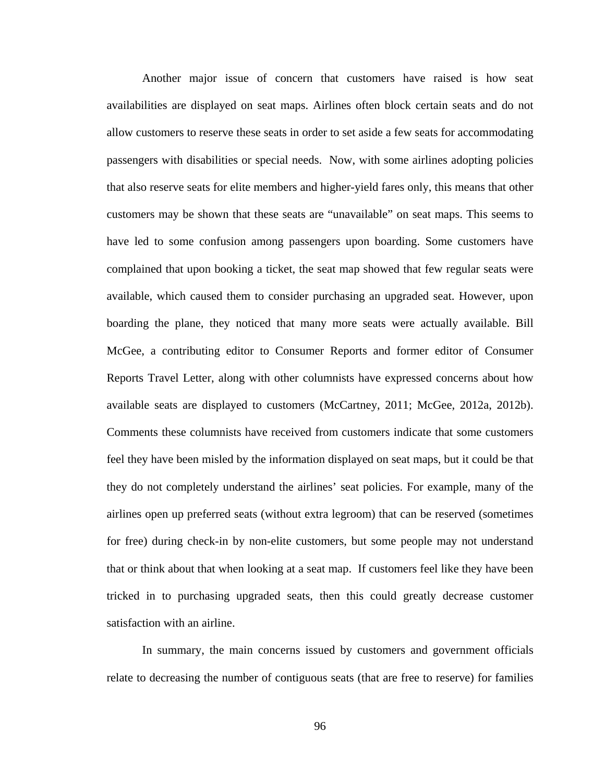Another major issue of concern that customers have raised is how seat availabilities are displayed on seat maps. Airlines often block certain seats and do not allow customers to reserve these seats in order to set aside a few seats for accommodating passengers with disabilities or special needs. Now, with some airlines adopting policies that also reserve seats for elite members and higher-yield fares only, this means that other customers may be shown that these seats are "unavailable" on seat maps. This seems to have led to some confusion among passengers upon boarding. Some customers have complained that upon booking a ticket, the seat map showed that few regular seats were available, which caused them to consider purchasing an upgraded seat. However, upon boarding the plane, they noticed that many more seats were actually available. Bill McGee, a contributing editor to Consumer Reports and former editor of Consumer Reports Travel Letter, along with other columnists have expressed concerns about how available seats are displayed to customers (McCartney, 2011; McGee, 2012a, 2012b). Comments these columnists have received from customers indicate that some customers feel they have been misled by the information displayed on seat maps, but it could be that they do not completely understand the airlines' seat policies. For example, many of the airlines open up preferred seats (without extra legroom) that can be reserved (sometimes for free) during check-in by non-elite customers, but some people may not understand that or think about that when looking at a seat map. If customers feel like they have been tricked in to purchasing upgraded seats, then this could greatly decrease customer satisfaction with an airline.

 In summary, the main concerns issued by customers and government officials relate to decreasing the number of contiguous seats (that are free to reserve) for families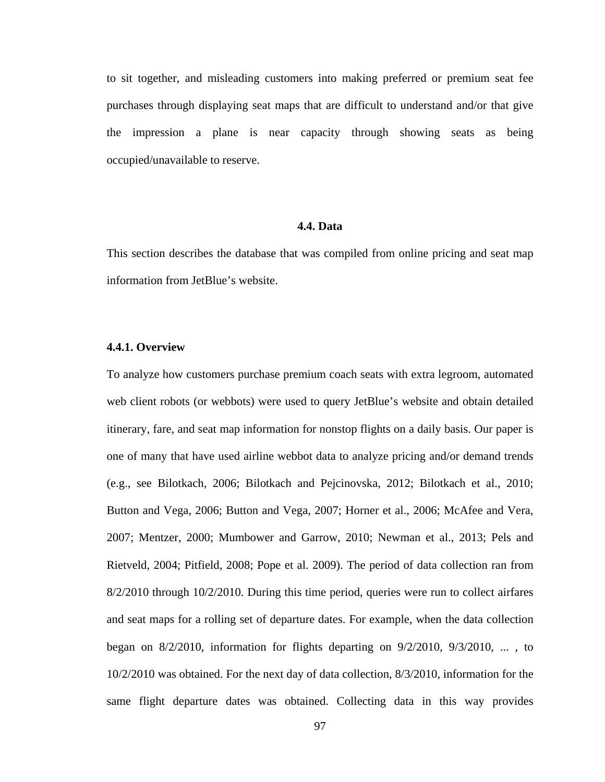to sit together, and misleading customers into making preferred or premium seat fee purchases through displaying seat maps that are difficult to understand and/or that give the impression a plane is near capacity through showing seats as being occupied/unavailable to reserve.

#### **4.4. Data**

This section describes the database that was compiled from online pricing and seat map information from JetBlue's website.

## **4.4.1. Overview**

To analyze how customers purchase premium coach seats with extra legroom, automated web client robots (or webbots) were used to query JetBlue's website and obtain detailed itinerary, fare, and seat map information for nonstop flights on a daily basis. Our paper is one of many that have used airline webbot data to analyze pricing and/or demand trends (e.g., see Bilotkach, 2006; Bilotkach and Pejcinovska, 2012; Bilotkach et al., 2010; Button and Vega, 2006; Button and Vega, 2007; Horner et al., 2006; McAfee and Vera, 2007; Mentzer, 2000; Mumbower and Garrow, 2010; Newman et al., 2013; Pels and Rietveld, 2004; Pitfield, 2008; Pope et al. 2009). The period of data collection ran from 8/2/2010 through 10/2/2010. During this time period, queries were run to collect airfares and seat maps for a rolling set of departure dates. For example, when the data collection began on  $8/2/2010$ , information for flights departing on  $9/2/2010$ ,  $9/3/2010$ , ..., to 10/2/2010 was obtained. For the next day of data collection, 8/3/2010, information for the same flight departure dates was obtained. Collecting data in this way provides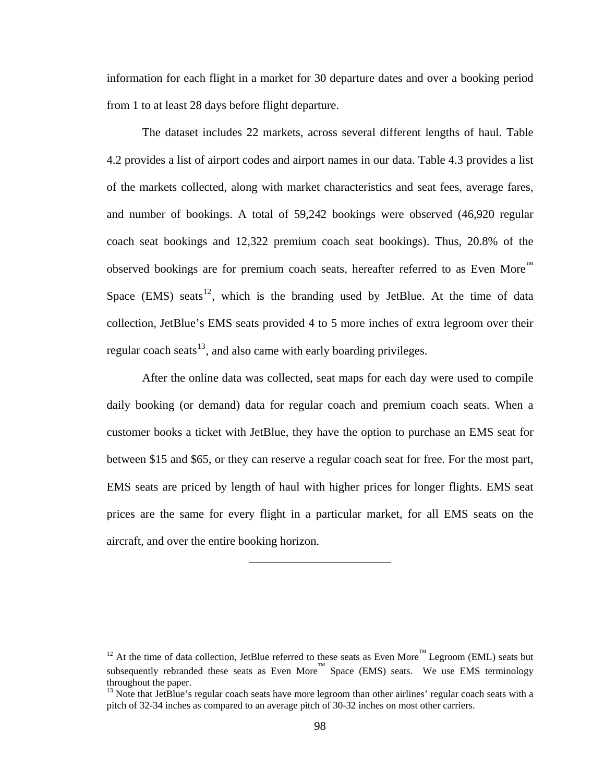<span id="page-110-0"></span>information for each flight in a market for 30 departure dates and over a booking period from 1 to at least 28 days before flight departure.

 The dataset includes 22 markets, across several different lengths of haul. Table 4.2 provides a list of airport codes and airport names in our data. Table 4.3 provides a list of the markets collected, along with market characteristics and seat fees, average fares, and number of bookings. A total of 59,242 bookings were observed (46,920 regular coach seat bookings and 12,322 premium coach seat bookings). Thus, 20.8% of the observed bookings are for premium coach seats, hereafter referred to as Even More<sup>™</sup> Space (EMS) seats<sup>[12](#page-110-0)</sup>, which is the branding used by JetBlue. At the time of data collection, JetBlue's EMS seats provided 4 to 5 more inches of extra legroom over their regular coach seats<sup>[13](#page-110-0)</sup>, and also came with early boarding privileges.

 After the online data was collected, seat maps for each day were used to compile daily booking (or demand) data for regular coach and premium coach seats. When a customer books a ticket with JetBlue, they have the option to purchase an EMS seat for between \$15 and \$65, or they can reserve a regular coach seat for free. For the most part, EMS seats are priced by length of haul with higher prices for longer flights. EMS seat prices are the same for every flight in a particular market, for all EMS seats on the aircraft, and over the entire booking horizon.

<sup>&</sup>lt;sup>12</sup> At the time of data collection, JetBlue referred to these seats as Even More<sup>™</sup> Legroom (EML) seats but subsequently rebranded these seats as Even More<sup>™</sup> Space (EMS) seats. We use EMS terminology throughout the paper.

<sup>&</sup>lt;sup>13</sup> Note that JetBlue's regular coach seats have more legroom than other airlines' regular coach seats with a pitch of 32-34 inches as compared to an average pitch of 30-32 inches on most other carriers.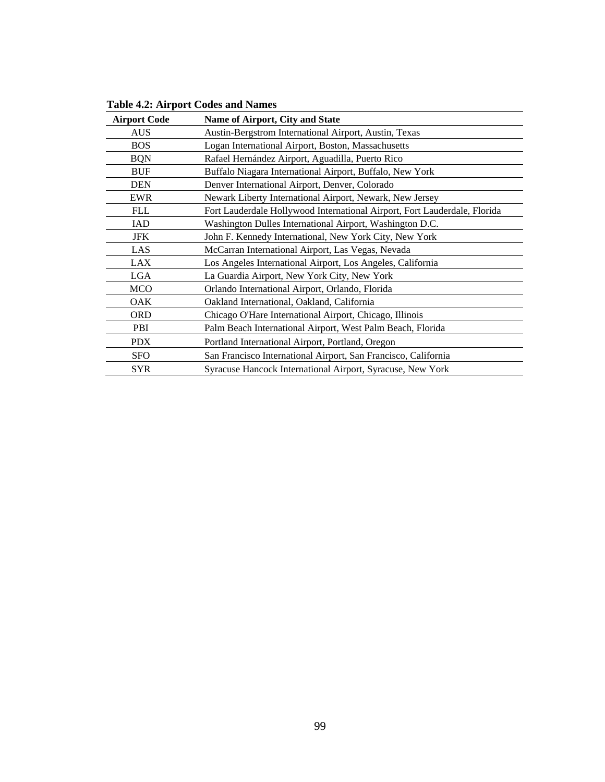| <b>Airport Code</b> | <b>Name of Airport, City and State</b>                                    |
|---------------------|---------------------------------------------------------------------------|
| <b>AUS</b>          | Austin-Bergstrom International Airport, Austin, Texas                     |
| <b>BOS</b>          | Logan International Airport, Boston, Massachusetts                        |
| <b>BQN</b>          | Rafael Hernández Airport, Aguadilla, Puerto Rico                          |
| <b>BUF</b>          | Buffalo Niagara International Airport, Buffalo, New York                  |
| <b>DEN</b>          | Denver International Airport, Denver, Colorado                            |
| EWR                 | Newark Liberty International Airport, Newark, New Jersey                  |
| <b>FLL</b>          | Fort Lauderdale Hollywood International Airport, Fort Lauderdale, Florida |
| <b>IAD</b>          | Washington Dulles International Airport, Washington D.C.                  |
| <b>JFK</b>          | John F. Kennedy International, New York City, New York                    |
| LAS                 | McCarran International Airport, Las Vegas, Nevada                         |
| LAX                 | Los Angeles International Airport, Los Angeles, California                |
| <b>LGA</b>          | La Guardia Airport, New York City, New York                               |
| <b>MCO</b>          | Orlando International Airport, Orlando, Florida                           |
| <b>OAK</b>          | Oakland International, Oakland, California                                |
| <b>ORD</b>          | Chicago O'Hare International Airport, Chicago, Illinois                   |
| PBI                 | Palm Beach International Airport, West Palm Beach, Florida                |
| <b>PDX</b>          | Portland International Airport, Portland, Oregon                          |
| <b>SFO</b>          | San Francisco International Airport, San Francisco, California            |
| <b>SYR</b>          | Syracuse Hancock International Airport, Syracuse, New York                |

**Table 4.2: Airport Codes and Names**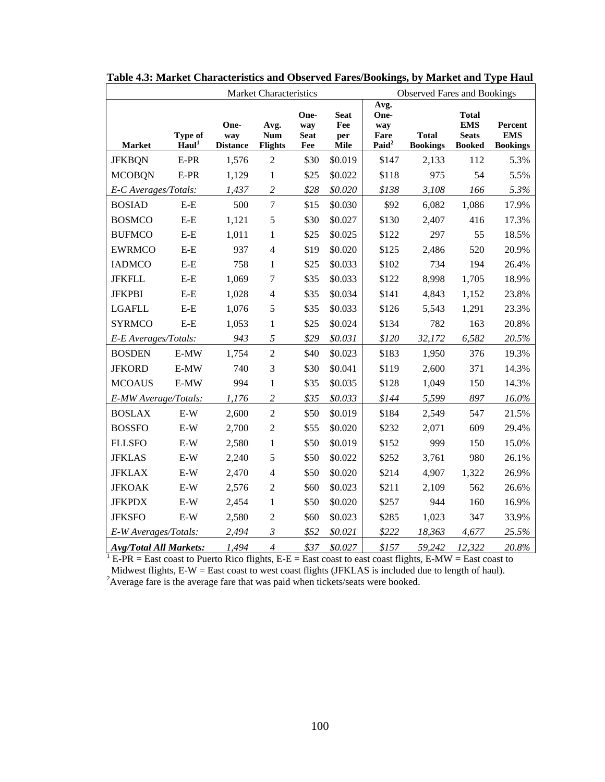|                               |                              |                                | <b>Market Characteristics</b>        |                                   | <b>Observed Fares and Bookings</b> |                                                  |                                 |                                                             |                                          |
|-------------------------------|------------------------------|--------------------------------|--------------------------------------|-----------------------------------|------------------------------------|--------------------------------------------------|---------------------------------|-------------------------------------------------------------|------------------------------------------|
| <b>Market</b>                 | Type of<br>Haul <sup>1</sup> | One-<br>way<br><b>Distance</b> | Avg.<br><b>Num</b><br><b>Flights</b> | One-<br>way<br><b>Seat</b><br>Fee | Seat<br>Fee<br>per<br>Mile         | Avg.<br>One-<br>way<br>Fare<br>Paid <sup>2</sup> | <b>Total</b><br><b>Bookings</b> | <b>Total</b><br><b>EMS</b><br><b>Seats</b><br><b>Booked</b> | Percent<br><b>EMS</b><br><b>Bookings</b> |
| <b>JFKBQN</b>                 | $E-PR$                       | 1,576                          | $\overline{2}$                       | \$30                              | \$0.019                            | \$147                                            | 2,133                           | 112                                                         | 5.3%                                     |
| <b>MCOBQN</b>                 | E-PR                         | 1,129                          | $\mathbf{1}$                         | \$25                              | \$0.022                            | \$118                                            | 975                             | 54                                                          | 5.5%                                     |
| E-C Averages/Totals:          |                              | 1,437                          | $\overline{c}$                       | \$28                              | \$0.020                            | \$138                                            | 3,108                           | 166                                                         | 5.3%                                     |
| <b>BOSIAD</b>                 | $E-E$                        | 500                            | $\overline{7}$                       | \$15                              | \$0.030                            | \$92                                             | 6,082                           | 1,086                                                       | 17.9%                                    |
| <b>BOSMCO</b>                 | $E-E$                        | 1,121                          | 5                                    | \$30                              | \$0.027                            | \$130                                            | 2,407                           | 416                                                         | 17.3%                                    |
| <b>BUFMCO</b>                 | $E-E$                        | 1,011                          | $\mathbf{1}$                         | \$25                              | \$0.025                            | \$122                                            | 297                             | 55                                                          | 18.5%                                    |
| <b>EWRMCO</b>                 | $E-E$                        | 937                            | $\overline{4}$                       | \$19                              | \$0.020                            | \$125                                            | 2,486                           | 520                                                         | 20.9%                                    |
| <b>IADMCO</b>                 | $E-E$                        | 758                            | $\mathbf{1}$                         | \$25                              | \$0.033                            | \$102                                            | 734                             | 194                                                         | 26.4%                                    |
| <b>JFKFLL</b>                 | $E-E$                        | 1,069                          | 7                                    | \$35                              | \$0.033                            | \$122                                            | 8,998                           | 1,705                                                       | 18.9%                                    |
| <b>JFKPBI</b>                 | $E-E$                        | 1,028                          | $\overline{4}$                       | \$35                              | \$0.034                            | \$141                                            | 4,843                           | 1,152                                                       | 23.8%                                    |
| <b>LGAFLL</b>                 | $E-E$                        | 1,076                          | 5                                    | \$35                              | \$0.033                            | \$126                                            | 5,543                           | 1,291                                                       | 23.3%                                    |
| <b>SYRMCO</b>                 | $E-E$                        | 1,053                          | 1                                    | \$25                              | \$0.024                            | \$134                                            | 782                             | 163                                                         | 20.8%                                    |
| E-E Averages/Totals:          |                              | 943                            | 5                                    | \$29                              | \$0.031                            | \$120                                            | 32,172                          | 6,582                                                       | 20.5%                                    |
| <b>BOSDEN</b>                 | E-MW                         | 1,754                          | $\overline{2}$                       | \$40                              | \$0.023                            | \$183                                            | 1,950                           | 376                                                         | 19.3%                                    |
| <b>JFKORD</b>                 | $E-MW$                       | 740                            | 3                                    | \$30                              | \$0.041                            | \$119                                            | 2,600                           | 371                                                         | 14.3%                                    |
| <b>MCOAUS</b>                 | E-MW                         | 994                            | $\mathbf{1}$                         | \$35                              | \$0.035                            | \$128                                            | 1,049                           | 150                                                         | 14.3%                                    |
| E-MW Average/Totals:          |                              | 1,176                          | $\overline{c}$                       | \$35                              | \$0.033                            | \$144                                            | 5,599                           | 897                                                         | 16.0%                                    |
| <b>BOSLAX</b>                 | $E-W$                        | 2,600                          | $\overline{2}$                       | \$50                              | \$0.019                            | \$184                                            | 2,549                           | 547                                                         | 21.5%                                    |
| <b>BOSSFO</b>                 | $E-W$                        | 2,700                          | $\overline{2}$                       | \$55                              | \$0.020                            | \$232                                            | 2,071                           | 609                                                         | 29.4%                                    |
| <b>FLLSFO</b>                 | $E-W$                        | 2,580                          | $\mathbf{1}$                         | \$50                              | \$0.019                            | \$152                                            | 999                             | 150                                                         | 15.0%                                    |
| <b>JFKLAS</b>                 | $E-W$                        | 2,240                          | 5                                    | \$50                              | \$0.022                            | \$252                                            | 3,761                           | 980                                                         | 26.1%                                    |
| <b>JFKLAX</b>                 | $E-W$                        | 2,470                          | $\overline{4}$                       | \$50                              | \$0.020                            | \$214                                            | 4,907                           | 1,322                                                       | 26.9%                                    |
| <b>JFKOAK</b>                 | $E-W$                        | 2,576                          | $\overline{2}$                       | \$60                              | \$0.023                            | \$211                                            | 2,109                           | 562                                                         | 26.6%                                    |
| <b>JFKPDX</b>                 | $E-W$                        | 2,454                          | $\mathbf{1}$                         | \$50                              | \$0.020                            | \$257                                            | 944                             | 160                                                         | 16.9%                                    |
| <b>JFKSFO</b>                 | $E-W$                        | 2,580                          | $\overline{2}$                       | \$60                              | \$0.023                            | \$285                                            | 1,023                           | 347                                                         | 33.9%                                    |
| E-W Averages/Totals:          |                              | 2,494                          | $\mathfrak{Z}$                       | \$52                              | \$0.021                            | \$222                                            | 18,363                          | 4,677                                                       | 25.5%                                    |
| <b>Avg/Total All Markets:</b> |                              | 1,494                          | $\overline{4}$                       | \$37                              | \$0.027                            | \$157                                            | 59.242                          | 12.322                                                      | 20.8%                                    |

**Table 4.3: Market Characteristics and Observed Fares/Bookings, by Market and Type Haul** 

*Avg/Total All Markets: 1,494 4 \$37 \$0.027 | \$157 59,242 12,322 20.8%* <sup>1</sup> E-PR = East coast to Puerto Rico flights, E-E = East coast to east coast flights, E-MW = East coast to Midwest flights, E-W = East coast to west coast flights (JFKLAS is included due to length of haul). <sup>2</sup>Average fare is the average fare that was paid when tickets/seats were booked.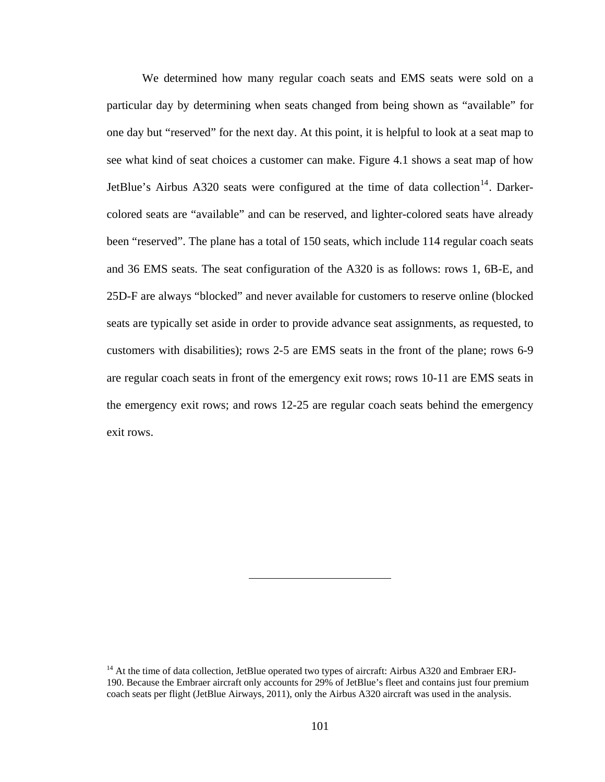<span id="page-113-0"></span> We determined how many regular coach seats and EMS seats were sold on a particular day by determining when seats changed from being shown as "available" for one day but "reserved" for the next day. At this point, it is helpful to look at a seat map to see what kind of seat choices a customer can make. Figure 4.1 shows a seat map of how JetBlue's Airbus A320 seats were configured at the time of data collection<sup>[14](#page-113-0)</sup>. Darkercolored seats are "available" and can be reserved, and lighter-colored seats have already been "reserved". The plane has a total of 150 seats, which include 114 regular coach seats and 36 EMS seats. The seat configuration of the A320 is as follows: rows 1, 6B-E, and 25D-F are always "blocked" and never available for customers to reserve online (blocked seats are typically set aside in order to provide advance seat assignments, as requested, to customers with disabilities); rows 2-5 are EMS seats in the front of the plane; rows 6-9 are regular coach seats in front of the emergency exit rows; rows 10-11 are EMS seats in the emergency exit rows; and rows 12-25 are regular coach seats behind the emergency exit rows.

<sup>&</sup>lt;sup>14</sup> At the time of data collection, JetBlue operated two types of aircraft: Airbus A320 and Embraer ERJ-190. Because the Embraer aircraft only accounts for 29% of JetBlue's fleet and contains just four premium coach seats per flight (JetBlue Airways, 2011), only the Airbus A320 aircraft was used in the analysis.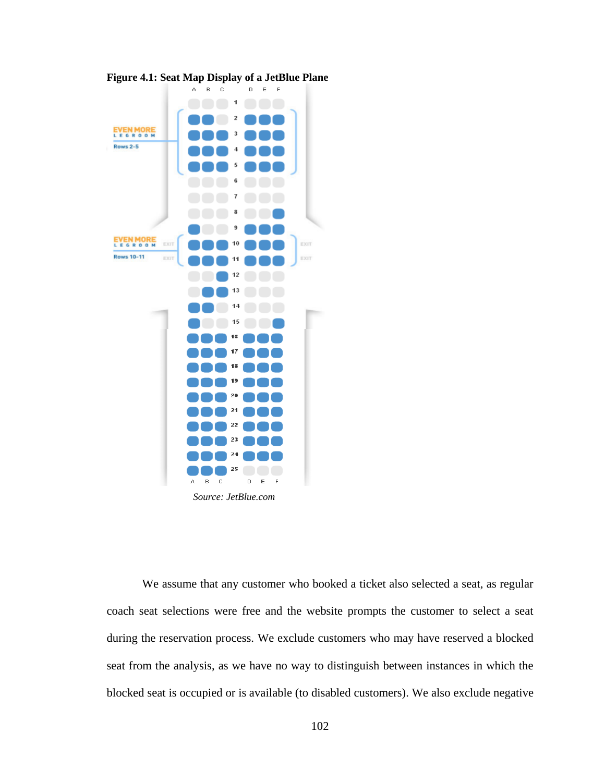

**Figure 4.1: Seat Map Display of a JetBlue Plane** 

 *Source: JetBlue.com* 

 We assume that any customer who booked a ticket also selected a seat, as regular coach seat selections were free and the website prompts the customer to select a seat during the reservation process. We exclude customers who may have reserved a blocked seat from the analysis, as we have no way to distinguish between instances in which the blocked seat is occupied or is available (to disabled customers). We also exclude negative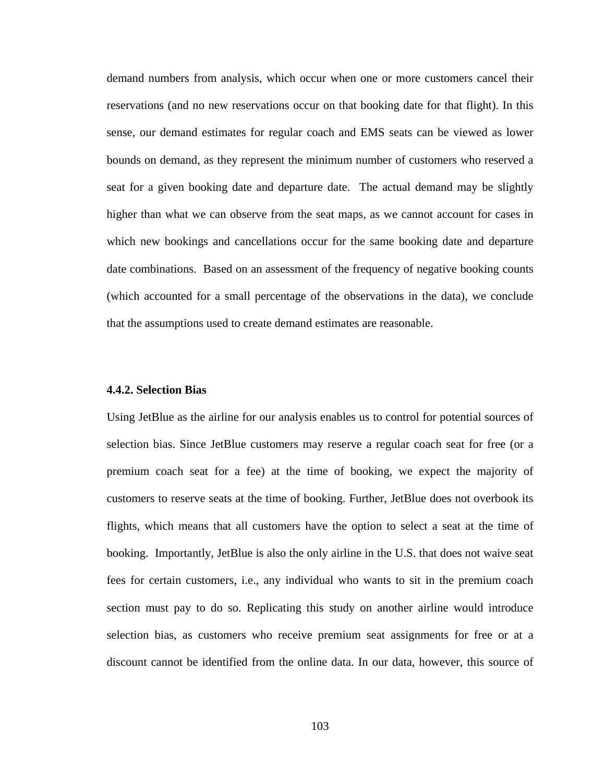demand numbers from analysis, which occur when one or more customers cancel their reservations (and no new reservations occur on that booking date for that flight). In this sense, our demand estimates for regular coach and EMS seats can be viewed as lower bounds on demand, as they represent the minimum number of customers who reserved a seat for a given booking date and departure date. The actual demand may be slightly higher than what we can observe from the seat maps, as we cannot account for cases in which new bookings and cancellations occur for the same booking date and departure date combinations. Based on an assessment of the frequency of negative booking counts (which accounted for a small percentage of the observations in the data), we conclude that the assumptions used to create demand estimates are reasonable.

#### **4.4.2. Selection Bias**

Using JetBlue as the airline for our analysis enables us to control for potential sources of selection bias. Since JetBlue customers may reserve a regular coach seat for free (or a premium coach seat for a fee) at the time of booking, we expect the majority of customers to reserve seats at the time of booking. Further, JetBlue does not overbook its flights, which means that all customers have the option to select a seat at the time of booking. Importantly, JetBlue is also the only airline in the U.S. that does not waive seat fees for certain customers, i.e., any individual who wants to sit in the premium coach section must pay to do so. Replicating this study on another airline would introduce selection bias, as customers who receive premium seat assignments for free or at a discount cannot be identified from the online data. In our data, however, this source of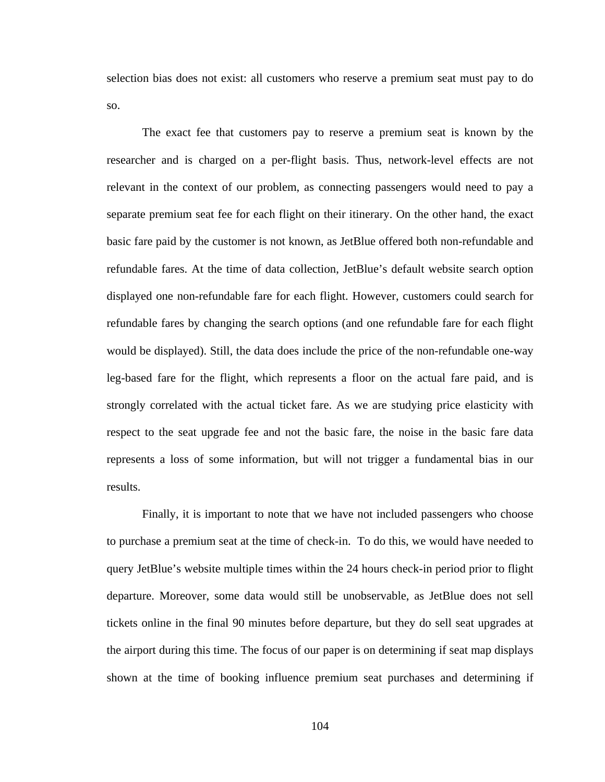selection bias does not exist: all customers who reserve a premium seat must pay to do so.

 The exact fee that customers pay to reserve a premium seat is known by the researcher and is charged on a per-flight basis. Thus, network-level effects are not relevant in the context of our problem, as connecting passengers would need to pay a separate premium seat fee for each flight on their itinerary. On the other hand, the exact basic fare paid by the customer is not known, as JetBlue offered both non-refundable and refundable fares. At the time of data collection, JetBlue's default website search option displayed one non-refundable fare for each flight. However, customers could search for refundable fares by changing the search options (and one refundable fare for each flight would be displayed). Still, the data does include the price of the non-refundable one-way leg-based fare for the flight, which represents a floor on the actual fare paid, and is strongly correlated with the actual ticket fare. As we are studying price elasticity with respect to the seat upgrade fee and not the basic fare, the noise in the basic fare data represents a loss of some information, but will not trigger a fundamental bias in our results.

 Finally, it is important to note that we have not included passengers who choose to purchase a premium seat at the time of check-in. To do this, we would have needed to query JetBlue's website multiple times within the 24 hours check-in period prior to flight departure. Moreover, some data would still be unobservable, as JetBlue does not sell tickets online in the final 90 minutes before departure, but they do sell seat upgrades at the airport during this time. The focus of our paper is on determining if seat map displays shown at the time of booking influence premium seat purchases and determining if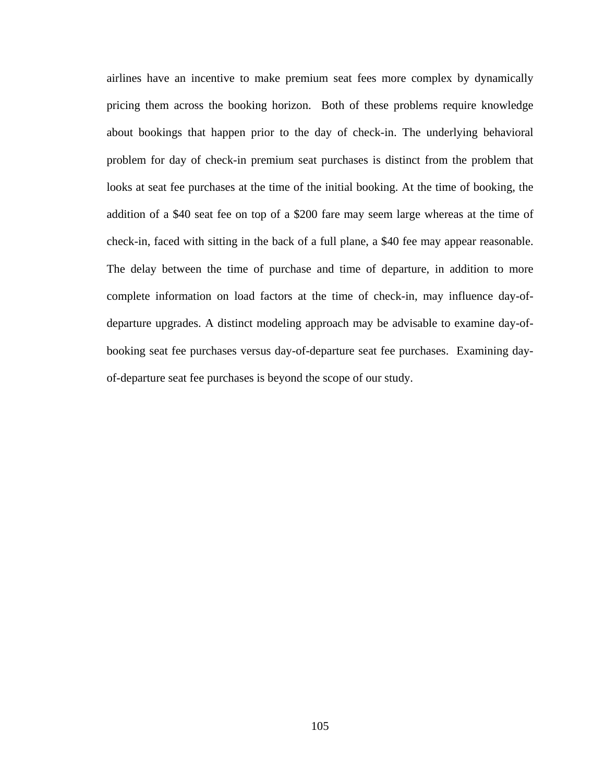airlines have an incentive to make premium seat fees more complex by dynamically pricing them across the booking horizon. Both of these problems require knowledge about bookings that happen prior to the day of check-in. The underlying behavioral problem for day of check-in premium seat purchases is distinct from the problem that looks at seat fee purchases at the time of the initial booking. At the time of booking, the addition of a \$40 seat fee on top of a \$200 fare may seem large whereas at the time of check-in, faced with sitting in the back of a full plane, a \$40 fee may appear reasonable. The delay between the time of purchase and time of departure, in addition to more complete information on load factors at the time of check-in, may influence day-ofdeparture upgrades. A distinct modeling approach may be advisable to examine day-ofbooking seat fee purchases versus day-of-departure seat fee purchases. Examining dayof-departure seat fee purchases is beyond the scope of our study.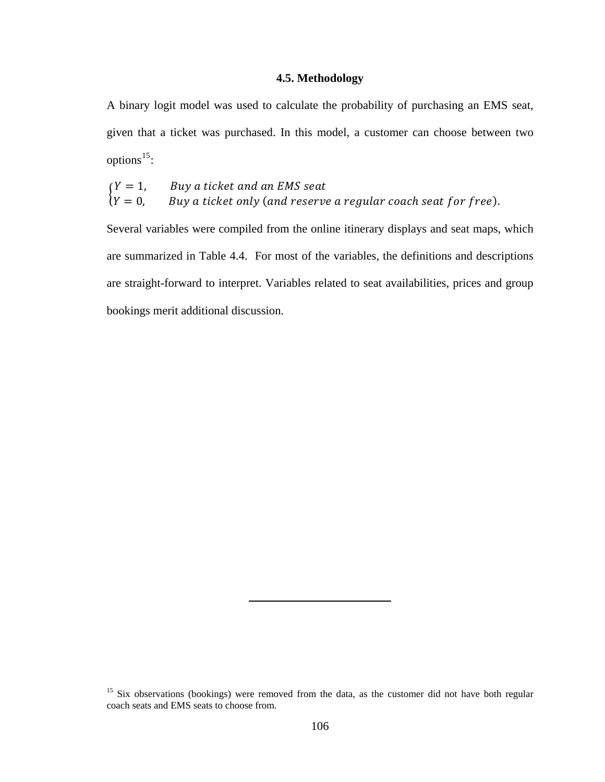# **4.5. Methodology**

<span id="page-118-0"></span>A binary logit model was used to calculate the probability of purchasing an EMS seat, given that a ticket was purchased. In this model, a customer can choose between two options<sup>15</sup>:

$$
\begin{cases}\nY = 1, & \text{Buy a ticket and an EMS seat} \\
Y = 0, & \text{Buy a ticket only (and reserve a regular coach seat for free)}.\n\end{cases}
$$

Several variables were compiled from the online itinerary displays and seat maps, which are summarized in Table 4.4. For most of the variables, the definitions and descriptions are straight-forward to interpret. Variables related to seat availabilities, prices and group bookings merit additional discussion.

<sup>&</sup>lt;sup>15</sup> Six observations (bookings) were removed from the data, as the customer did not have both regular coach seats and EMS seats to choose from.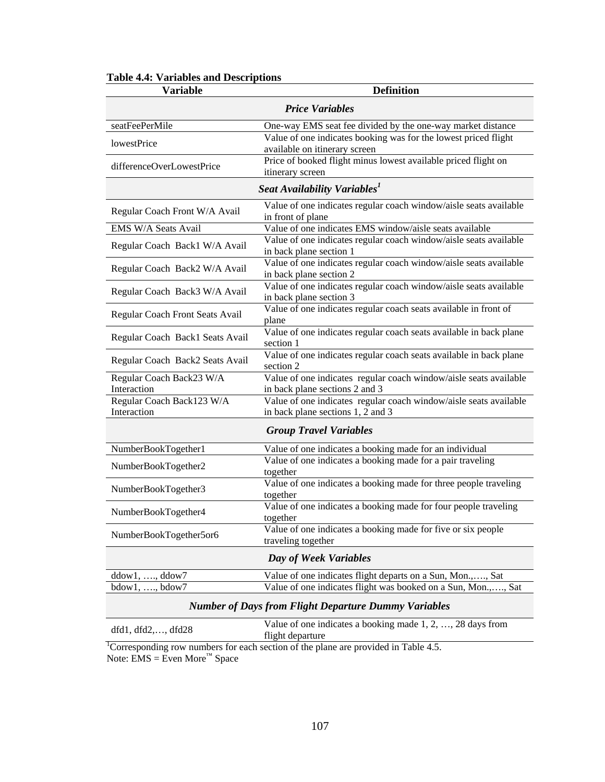| <b>Variable</b>                                             | <b>Definition</b>                                                                                   |  |  |  |  |  |
|-------------------------------------------------------------|-----------------------------------------------------------------------------------------------------|--|--|--|--|--|
|                                                             | <b>Price Variables</b>                                                                              |  |  |  |  |  |
| seatFeePerMile                                              | One-way EMS seat fee divided by the one-way market distance                                         |  |  |  |  |  |
| lowestPrice                                                 | Value of one indicates booking was for the lowest priced flight<br>available on itinerary screen    |  |  |  |  |  |
| differenceOverLowestPrice                                   | Price of booked flight minus lowest available priced flight on<br>itinerary screen                  |  |  |  |  |  |
|                                                             | Seat Availability Variables <sup>1</sup>                                                            |  |  |  |  |  |
| Regular Coach Front W/A Avail                               | Value of one indicates regular coach window/aisle seats available<br>in front of plane              |  |  |  |  |  |
| EMS W/A Seats Avail                                         | Value of one indicates EMS window/aisle seats available                                             |  |  |  |  |  |
| Regular Coach Back1 W/A Avail                               | Value of one indicates regular coach window/aisle seats available<br>in back plane section 1        |  |  |  |  |  |
| Regular Coach Back2 W/A Avail                               | Value of one indicates regular coach window/aisle seats available<br>in back plane section 2        |  |  |  |  |  |
| Regular Coach Back3 W/A Avail                               | Value of one indicates regular coach window/aisle seats available<br>in back plane section 3        |  |  |  |  |  |
| Regular Coach Front Seats Avail                             | Value of one indicates regular coach seats available in front of<br>plane                           |  |  |  |  |  |
| Regular Coach Back1 Seats Avail                             | Value of one indicates regular coach seats available in back plane<br>section 1                     |  |  |  |  |  |
| Regular Coach Back2 Seats Avail                             | Value of one indicates regular coach seats available in back plane<br>section 2                     |  |  |  |  |  |
| Regular Coach Back23 W/A<br>Interaction                     | Value of one indicates regular coach window/aisle seats available<br>in back plane sections 2 and 3 |  |  |  |  |  |
| Regular Coach Back123 W/A                                   | Value of one indicates regular coach window/aisle seats available                                   |  |  |  |  |  |
| Interaction                                                 | in back plane sections 1, 2 and 3                                                                   |  |  |  |  |  |
|                                                             | <b>Group Travel Variables</b>                                                                       |  |  |  |  |  |
| NumberBookTogether1                                         | Value of one indicates a booking made for an individual                                             |  |  |  |  |  |
| NumberBookTogether2                                         | Value of one indicates a booking made for a pair traveling<br>together                              |  |  |  |  |  |
| NumberBookTogether3                                         | Value of one indicates a booking made for three people traveling<br>together                        |  |  |  |  |  |
| NumberBookTogether4                                         | Value of one indicates a booking made for four people traveling<br>together                         |  |  |  |  |  |
| NumberBookTogether5or6                                      | Value of one indicates a booking made for five or six people<br>traveling together                  |  |  |  |  |  |
|                                                             | Day of Week Variables                                                                               |  |  |  |  |  |
| $ddow1, \ldots, ddow7$                                      | Value of one indicates flight departs on a Sun, Mon.,, Sat                                          |  |  |  |  |  |
| $bdow1, \ldots, bdow7$                                      | Value of one indicates flight was booked on a Sun, Mon.,, Sat                                       |  |  |  |  |  |
| <b>Number of Days from Flight Departure Dummy Variables</b> |                                                                                                     |  |  |  |  |  |

# **Table 4.4: Variables and Descriptions**

dfd1, dfd2,..., dfd28 Value of one indicates a booking made 1, 2, ..., 28 days from flight departure flight departure<br><sup>1</sup>Corresponding row numbers for each section of the plane are provided in Table 4.5.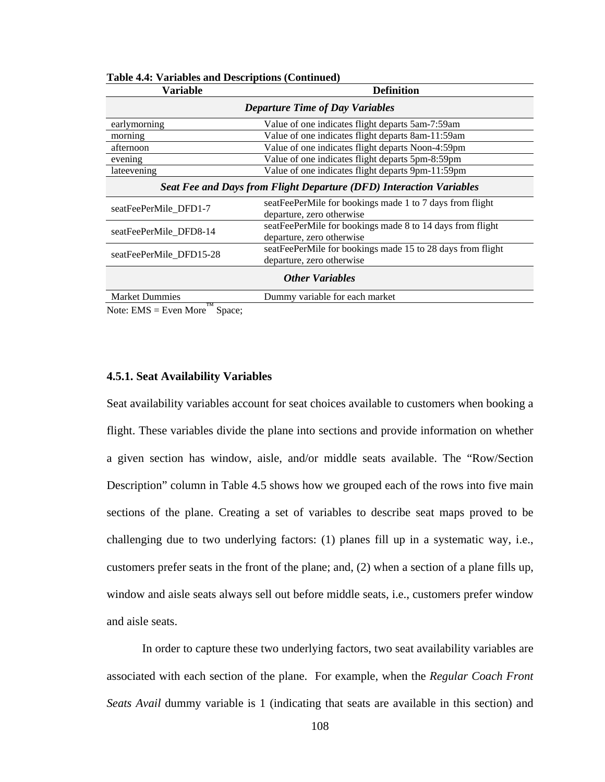| <b>Variable</b>                                                     | <b>Definition</b>                                                                       |  |  |  |  |  |  |  |
|---------------------------------------------------------------------|-----------------------------------------------------------------------------------------|--|--|--|--|--|--|--|
| <b>Departure Time of Day Variables</b>                              |                                                                                         |  |  |  |  |  |  |  |
| earlymorning                                                        | Value of one indicates flight departs 5am-7:59am                                        |  |  |  |  |  |  |  |
| morning                                                             | Value of one indicates flight departs 8am-11:59am                                       |  |  |  |  |  |  |  |
| afternoon                                                           | Value of one indicates flight departs Noon-4:59pm                                       |  |  |  |  |  |  |  |
| evening                                                             | Value of one indicates flight departs 5pm-8:59pm                                        |  |  |  |  |  |  |  |
| lateevening                                                         | Value of one indicates flight departs 9pm-11:59pm                                       |  |  |  |  |  |  |  |
| Seat Fee and Days from Flight Departure (DFD) Interaction Variables |                                                                                         |  |  |  |  |  |  |  |
| seatFeePerMile_DFD1-7                                               | seatFeePerMile for bookings made 1 to 7 days from flight<br>departure, zero otherwise   |  |  |  |  |  |  |  |
| seatFeePerMile DFD8-14                                              | seatFeePerMile for bookings made 8 to 14 days from flight<br>departure, zero otherwise  |  |  |  |  |  |  |  |
| seatFeePerMile DFD15-28                                             | seatFeePerMile for bookings made 15 to 28 days from flight<br>departure, zero otherwise |  |  |  |  |  |  |  |
|                                                                     | <b>Other Variables</b>                                                                  |  |  |  |  |  |  |  |
| <b>Market Dummies</b><br>TM                                         | Dummy variable for each market                                                          |  |  |  |  |  |  |  |

**Table 4.4: Variables and Descriptions (Continued)** 

Note:  $EMS = Even More$ <sup>""</sup> Space;

#### **4.5.1. Seat Availability Variables**

Seat availability variables account for seat choices available to customers when booking a flight. These variables divide the plane into sections and provide information on whether a given section has window, aisle, and/or middle seats available. The "Row/Section Description" column in Table 4.5 shows how we grouped each of the rows into five main sections of the plane. Creating a set of variables to describe seat maps proved to be challenging due to two underlying factors: (1) planes fill up in a systematic way, i.e., customers prefer seats in the front of the plane; and, (2) when a section of a plane fills up, window and aisle seats always sell out before middle seats, i.e., customers prefer window and aisle seats.

 In order to capture these two underlying factors, two seat availability variables are associated with each section of the plane. For example, when the *Regular Coach Front Seats Avail* dummy variable is 1 (indicating that seats are available in this section) and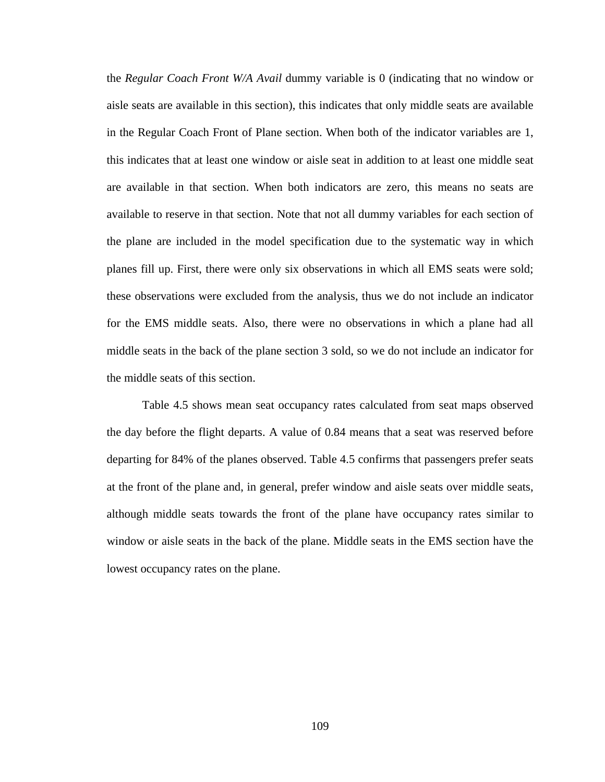the *Regular Coach Front W/A Avail* dummy variable is 0 (indicating that no window or aisle seats are available in this section), this indicates that only middle seats are available in the Regular Coach Front of Plane section. When both of the indicator variables are 1, this indicates that at least one window or aisle seat in addition to at least one middle seat are available in that section. When both indicators are zero, this means no seats are available to reserve in that section. Note that not all dummy variables for each section of the plane are included in the model specification due to the systematic way in which planes fill up. First, there were only six observations in which all EMS seats were sold; these observations were excluded from the analysis, thus we do not include an indicator for the EMS middle seats. Also, there were no observations in which a plane had all middle seats in the back of the plane section 3 sold, so we do not include an indicator for the middle seats of this section.

 Table 4.5 shows mean seat occupancy rates calculated from seat maps observed the day before the flight departs. A value of 0.84 means that a seat was reserved before departing for 84% of the planes observed. Table 4.5 confirms that passengers prefer seats at the front of the plane and, in general, prefer window and aisle seats over middle seats, although middle seats towards the front of the plane have occupancy rates similar to window or aisle seats in the back of the plane. Middle seats in the EMS section have the lowest occupancy rates on the plane.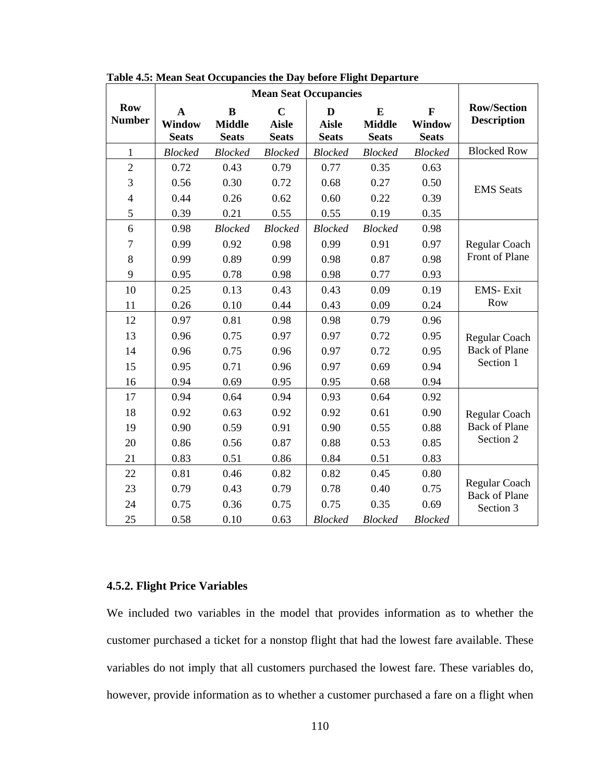|                             | <b>Mean Seat Occupancies</b>                 |                                           |                                                |                                   |                                           |                                        |                                          |  |  |  |
|-----------------------------|----------------------------------------------|-------------------------------------------|------------------------------------------------|-----------------------------------|-------------------------------------------|----------------------------------------|------------------------------------------|--|--|--|
| <b>Row</b><br><b>Number</b> | $\mathbf A$<br><b>Window</b><br><b>Seats</b> | $\bf{B}$<br><b>Middle</b><br><b>Seats</b> | $\overline{C}$<br><b>Aisle</b><br><b>Seats</b> | D<br><b>Aisle</b><br><b>Seats</b> | $\bf{E}$<br><b>Middle</b><br><b>Seats</b> | $\mathbf{F}$<br>Window<br><b>Seats</b> | <b>Row/Section</b><br><b>Description</b> |  |  |  |
| $\mathbf{1}$                | <b>Blocked</b>                               | <b>Blocked</b>                            | <b>Blocked</b>                                 | <b>Blocked</b>                    | <b>Blocked</b>                            | <b>Blocked</b>                         | <b>Blocked Row</b>                       |  |  |  |
| $\overline{2}$              | 0.72                                         | 0.43                                      | 0.79                                           | 0.77                              | 0.35                                      | 0.63                                   |                                          |  |  |  |
| 3                           | 0.56                                         | 0.30                                      | 0.72                                           | 0.68                              | 0.27                                      | 0.50                                   | <b>EMS</b> Seats                         |  |  |  |
| $\overline{4}$              | 0.44                                         | 0.26                                      | 0.62                                           | 0.60                              | 0.22                                      | 0.39                                   |                                          |  |  |  |
| 5                           | 0.39                                         | 0.21                                      | 0.55                                           | 0.55                              | 0.19                                      | 0.35                                   |                                          |  |  |  |
| 6                           | 0.98                                         | <b>Blocked</b>                            | <b>Blocked</b>                                 | <b>Blocked</b>                    | <b>Blocked</b>                            | 0.98                                   |                                          |  |  |  |
| $\boldsymbol{7}$            | 0.99                                         | 0.92                                      | 0.98                                           | 0.99                              | 0.91                                      | 0.97                                   | Regular Coach                            |  |  |  |
| $8\,$                       | 0.99                                         | 0.89                                      | 0.99                                           | 0.98                              | 0.87                                      | 0.98                                   | Front of Plane                           |  |  |  |
| 9                           | 0.95                                         | 0.78                                      | 0.98                                           | 0.98                              | 0.77                                      | 0.93                                   |                                          |  |  |  |
| 10                          | 0.25                                         | 0.13                                      | 0.43                                           | 0.43                              | 0.09                                      | 0.19                                   | <b>EMS-Exit</b>                          |  |  |  |
| 11                          | 0.26                                         | 0.10                                      | 0.44                                           | 0.43                              | 0.09                                      | 0.24                                   | Row                                      |  |  |  |
| 12                          | 0.97                                         | 0.81                                      | 0.98                                           | 0.98                              | 0.79                                      | 0.96                                   |                                          |  |  |  |
| 13                          | 0.96                                         | 0.75                                      | 0.97                                           | 0.97                              | 0.72                                      | 0.95                                   | Regular Coach                            |  |  |  |
| 14                          | 0.96                                         | 0.75                                      | 0.96                                           | 0.97                              | 0.72                                      | 0.95                                   | <b>Back of Plane</b>                     |  |  |  |
| 15                          | 0.95                                         | 0.71                                      | 0.96                                           | 0.97                              | 0.69                                      | 0.94                                   | Section 1                                |  |  |  |
| 16                          | 0.94                                         | 0.69                                      | 0.95                                           | 0.95                              | 0.68                                      | 0.94                                   |                                          |  |  |  |
| 17                          | 0.94                                         | 0.64                                      | 0.94                                           | 0.93                              | 0.64                                      | 0.92                                   |                                          |  |  |  |
| 18                          | 0.92                                         | 0.63                                      | 0.92                                           | 0.92                              | 0.61                                      | 0.90                                   | Regular Coach                            |  |  |  |
| 19                          | 0.90                                         | 0.59                                      | 0.91                                           | 0.90                              | 0.55                                      | 0.88                                   | <b>Back of Plane</b>                     |  |  |  |
| 20                          | 0.86                                         | 0.56                                      | 0.87                                           | 0.88                              | 0.53                                      | 0.85                                   | Section 2                                |  |  |  |
| 21                          | 0.83                                         | 0.51                                      | 0.86                                           | 0.84                              | 0.51                                      | 0.83                                   |                                          |  |  |  |
| 22                          | 0.81                                         | 0.46                                      | 0.82                                           | 0.82                              | 0.45                                      | 0.80                                   |                                          |  |  |  |
| 23                          | 0.79                                         | 0.43                                      | 0.79                                           | 0.78                              | 0.40                                      | 0.75                                   | Regular Coach<br><b>Back of Plane</b>    |  |  |  |
| 24                          | 0.75                                         | 0.36                                      | 0.75                                           | 0.75                              | 0.35                                      | 0.69                                   | Section 3                                |  |  |  |
| 25                          | 0.58                                         | 0.10                                      | 0.63                                           | <b>Blocked</b>                    | <b>Blocked</b>                            | <b>Blocked</b>                         |                                          |  |  |  |

**Table 4.5: Mean Seat Occupancies the Day before Flight Departure** 

## **4.5.2. Flight Price Variables**

We included two variables in the model that provides information as to whether the customer purchased a ticket for a nonstop flight that had the lowest fare available. These variables do not imply that all customers purchased the lowest fare. These variables do, however, provide information as to whether a customer purchased a fare on a flight when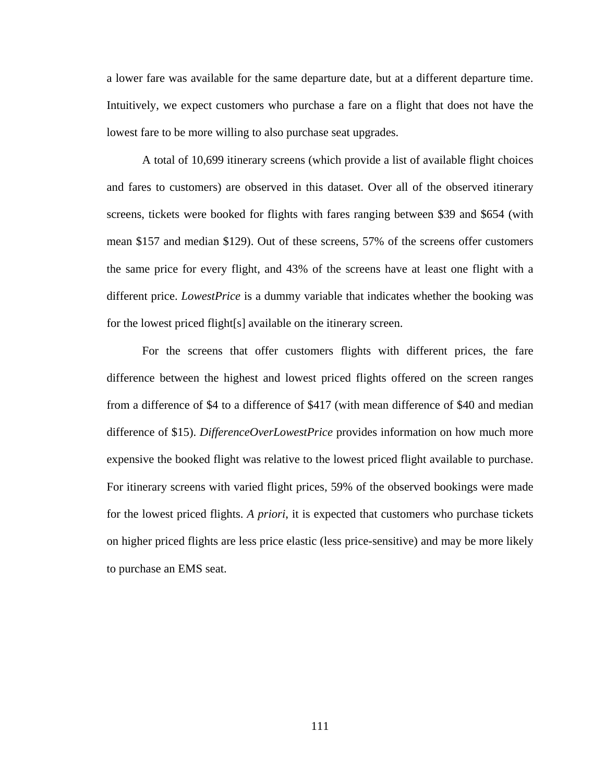a lower fare was available for the same departure date, but at a different departure time. Intuitively, we expect customers who purchase a fare on a flight that does not have the lowest fare to be more willing to also purchase seat upgrades.

 A total of 10,699 itinerary screens (which provide a list of available flight choices and fares to customers) are observed in this dataset. Over all of the observed itinerary screens, tickets were booked for flights with fares ranging between \$39 and \$654 (with mean \$157 and median \$129). Out of these screens, 57% of the screens offer customers the same price for every flight, and 43% of the screens have at least one flight with a different price. *LowestPrice* is a dummy variable that indicates whether the booking was for the lowest priced flight[s] available on the itinerary screen.

 For the screens that offer customers flights with different prices, the fare difference between the highest and lowest priced flights offered on the screen ranges from a difference of \$4 to a difference of \$417 (with mean difference of \$40 and median difference of \$15). *DifferenceOverLowestPrice* provides information on how much more expensive the booked flight was relative to the lowest priced flight available to purchase. For itinerary screens with varied flight prices, 59% of the observed bookings were made for the lowest priced flights. *A priori*, it is expected that customers who purchase tickets on higher priced flights are less price elastic (less price-sensitive) and may be more likely to purchase an EMS seat.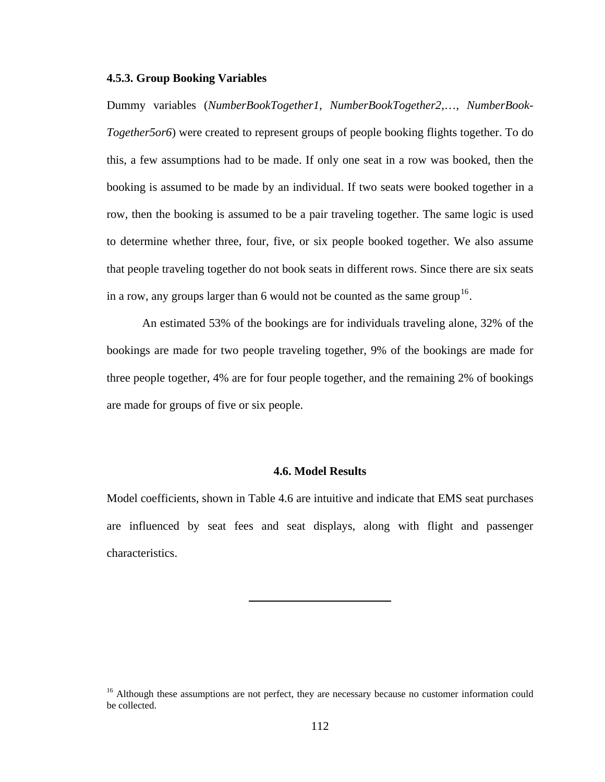## <span id="page-124-0"></span>**4.5.3. Group Booking Variables**

Dummy variables (*NumberBookTogether1*, *NumberBookTogether2*,…, *NumberBook-Together5or6*) were created to represent groups of people booking flights together. To do this, a few assumptions had to be made. If only one seat in a row was booked, then the booking is assumed to be made by an individual. If two seats were booked together in a row, then the booking is assumed to be a pair traveling together. The same logic is used to determine whether three, four, five, or six people booked together. We also assume that people traveling together do not book seats in different rows. Since there are six seats in a row, any groups larger than 6 would not be counted as the same group  $16$ .

 An estimated 53% of the bookings are for individuals traveling alone, 32% of the bookings are made for two people traveling together, 9% of the bookings are made for three people together, 4% are for four people together, and the remaining 2% of bookings are made for groups of five or six people.

## **4.6. Model Results**

Model coefficients, shown in Table 4.6 are intuitive and indicate that EMS seat purchases are influenced by seat fees and seat displays, along with flight and passenger characteristics.

<sup>&</sup>lt;sup>16</sup> Although these assumptions are not perfect, they are necessary because no customer information could be collected.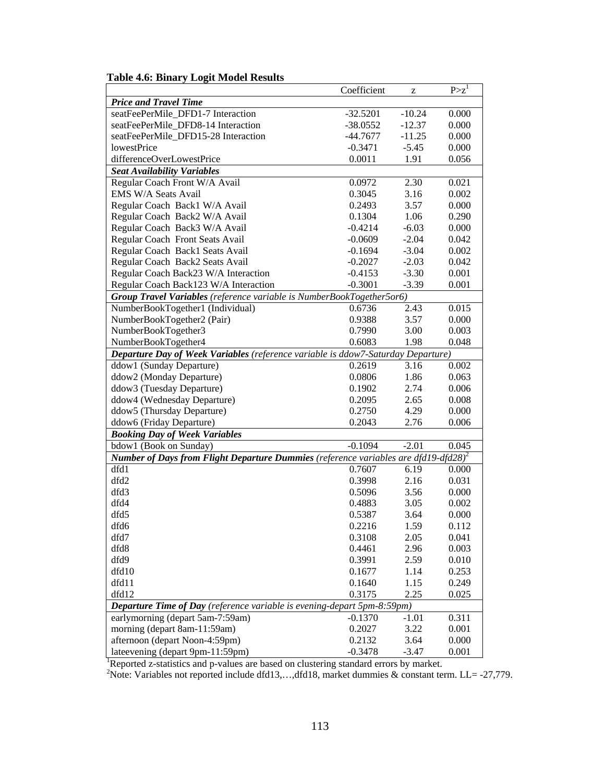|                                                                                                        | Coefficient | z        | $P > z^1$ |
|--------------------------------------------------------------------------------------------------------|-------------|----------|-----------|
| <b>Price and Travel Time</b>                                                                           |             |          |           |
| seatFeePerMile_DFD1-7 Interaction                                                                      | $-32.5201$  | $-10.24$ | 0.000     |
| seatFeePerMile_DFD8-14 Interaction                                                                     | $-38.0552$  | $-12.37$ | 0.000     |
| seatFeePerMile DFD15-28 Interaction                                                                    | -44.7677    | $-11.25$ | 0.000     |
| <b>lowestPrice</b>                                                                                     | $-0.3471$   | $-5.45$  | 0.000     |
| differenceOverLowestPrice                                                                              | 0.0011      | 1.91     | 0.056     |
| <b>Seat Availability Variables</b>                                                                     |             |          |           |
| Regular Coach Front W/A Avail                                                                          | 0.0972      | 2.30     | 0.021     |
| EMS W/A Seats Avail                                                                                    | 0.3045      | 3.16     | 0.002     |
| Regular Coach Back1 W/A Avail                                                                          | 0.2493      | 3.57     | 0.000     |
| Regular Coach Back2 W/A Avail                                                                          | 0.1304      | 1.06     | 0.290     |
| Regular Coach Back3 W/A Avail                                                                          | $-0.4214$   | $-6.03$  | 0.000     |
| Regular Coach Front Seats Avail                                                                        | $-0.0609$   | $-2.04$  | 0.042     |
| Regular Coach Back1 Seats Avail                                                                        | $-0.1694$   | $-3.04$  | 0.002     |
| Regular Coach Back2 Seats Avail                                                                        | $-0.2027$   | $-2.03$  | 0.042     |
| Regular Coach Back23 W/A Interaction                                                                   | $-0.4153$   | $-3.30$  | 0.001     |
| Regular Coach Back123 W/A Interaction                                                                  | $-0.3001$   | $-3.39$  | 0.001     |
| Group Travel Variables (reference variable is NumberBookTogether5or6)                                  |             |          |           |
| NumberBookTogether1 (Individual)                                                                       | 0.6736      | 2.43     | 0.015     |
| NumberBookTogether2 (Pair)                                                                             | 0.9388      | 3.57     | 0.000     |
| NumberBookTogether3                                                                                    | 0.7990      | 3.00     | 0.003     |
| NumberBookTogether4                                                                                    | 0.6083      | 1.98     | 0.048     |
| Departure Day of Week Variables (reference variable is ddow7-Saturday Departure)                       |             |          |           |
| ddow1 (Sunday Departure)                                                                               | 0.2619      | 3.16     | 0.002     |
| ddow2 (Monday Departure)                                                                               | 0.0806      | 1.86     | 0.063     |
| ddow3 (Tuesday Departure)                                                                              | 0.1902      | 2.74     | 0.006     |
| ddow4 (Wednesday Departure)                                                                            | 0.2095      | 2.65     | 0.008     |
| ddow5 (Thursday Departure)                                                                             | 0.2750      | 4.29     | 0.000     |
| ddow6 (Friday Departure)                                                                               | 0.2043      | 2.76     | 0.006     |
| <b>Booking Day of Week Variables</b>                                                                   |             |          |           |
| bdow1 (Book on Sunday)                                                                                 | $-0.1094$   | $-2.01$  | 0.045     |
| <b>Number of Days from Flight Departure Dummies</b> (reference variables are dfd19-dfd28) <sup>2</sup> |             |          |           |
| dfd1                                                                                                   | 0.7607      | 6.19     | 0.000     |
| dfd2                                                                                                   | 0.3998      | 2.16     | 0.031     |
| dfd3                                                                                                   | 0.5096      | 3.56     | 0.000     |
| dfd4                                                                                                   | 0.4883      | 3.05     | 0.002     |
| dfd5                                                                                                   | 0.5387      | 3.64     | 0.000     |
| dfd6                                                                                                   | 0.2216      | 1.59     | 0.112     |
| dfd7                                                                                                   | 0.3108      | 2.05     | 0.041     |
| dfd8                                                                                                   | 0.4461      | 2.96     | 0.003     |
| dfd9                                                                                                   | 0.3991      | 2.59     | 0.010     |
| dfd10                                                                                                  | 0.1677      | 1.14     | 0.253     |
| dfd11                                                                                                  | 0.1640      | 1.15     | 0.249     |
| dfd12                                                                                                  | 0.3175      | 2.25     | 0.025     |
| <b>Departure Time of Day</b> (reference variable is evening-depart 5pm-8:59pm)                         |             |          |           |
| earlymorning (depart 5am-7:59am)                                                                       | $-0.1370$   | $-1.01$  | 0.311     |
| morning (depart 8am-11:59am)                                                                           | 0.2027      | 3.22     | 0.001     |
| afternoon (depart Noon-4:59pm)                                                                         | 0.2132      | 3.64     | 0.000     |
| lateevening (depart 9pm-11:59pm)                                                                       | $-0.3478$   | $-3.47$  | 0.001     |

# **Table 4.6: Binary Logit Model Results**

late evening (depart 9pm-11:59pm)  $-0.3478 -3.47 0.001$ <br>
Reported z-statistics and p-values are based on clustering standard errors by market.<br>
Porte: Variables not reported include dfd13,...,dfd18, market dummies & consta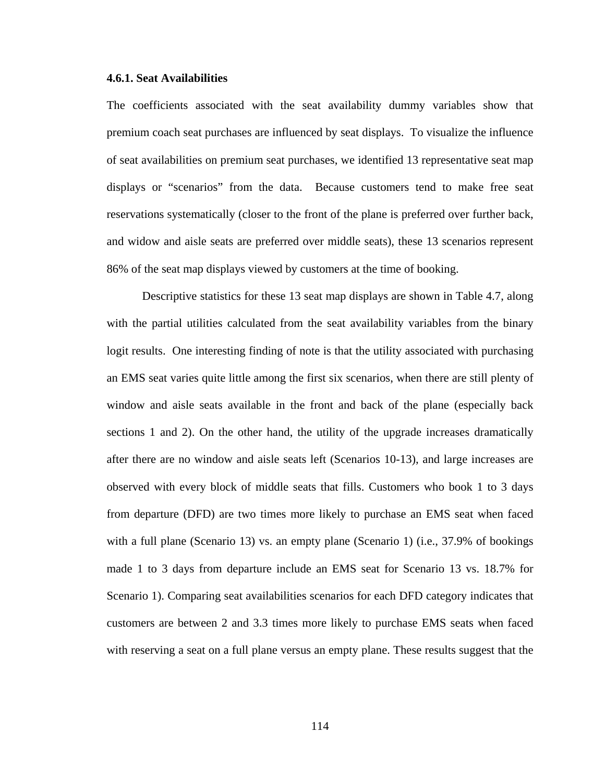#### **4.6.1. Seat Availabilities**

The coefficients associated with the seat availability dummy variables show that premium coach seat purchases are influenced by seat displays. To visualize the influence of seat availabilities on premium seat purchases, we identified 13 representative seat map displays or "scenarios" from the data. Because customers tend to make free seat reservations systematically (closer to the front of the plane is preferred over further back, and widow and aisle seats are preferred over middle seats), these 13 scenarios represent 86% of the seat map displays viewed by customers at the time of booking.

 Descriptive statistics for these 13 seat map displays are shown in Table 4.7, along with the partial utilities calculated from the seat availability variables from the binary logit results. One interesting finding of note is that the utility associated with purchasing an EMS seat varies quite little among the first six scenarios, when there are still plenty of window and aisle seats available in the front and back of the plane (especially back sections 1 and 2). On the other hand, the utility of the upgrade increases dramatically after there are no window and aisle seats left (Scenarios 10-13), and large increases are observed with every block of middle seats that fills. Customers who book 1 to 3 days from departure (DFD) are two times more likely to purchase an EMS seat when faced with a full plane (Scenario 13) vs. an empty plane (Scenario 1) (i.e., 37.9% of bookings made 1 to 3 days from departure include an EMS seat for Scenario 13 vs. 18.7% for Scenario 1). Comparing seat availabilities scenarios for each DFD category indicates that customers are between 2 and 3.3 times more likely to purchase EMS seats when faced with reserving a seat on a full plane versus an empty plane. These results suggest that the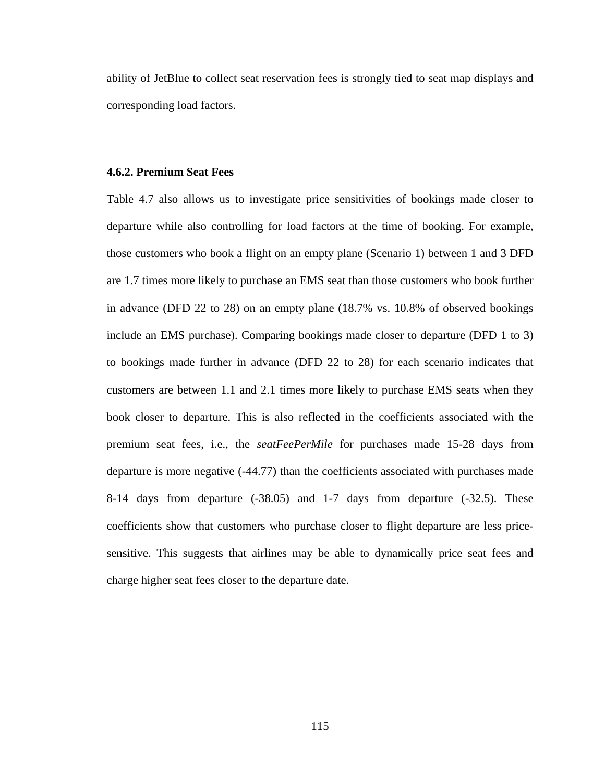ability of JetBlue to collect seat reservation fees is strongly tied to seat map displays and corresponding load factors.

## **4.6.2. Premium Seat Fees**

Table 4.7 also allows us to investigate price sensitivities of bookings made closer to departure while also controlling for load factors at the time of booking. For example, those customers who book a flight on an empty plane (Scenario 1) between 1 and 3 DFD are 1.7 times more likely to purchase an EMS seat than those customers who book further in advance (DFD 22 to 28) on an empty plane (18.7% vs. 10.8% of observed bookings include an EMS purchase). Comparing bookings made closer to departure (DFD 1 to 3) to bookings made further in advance (DFD 22 to 28) for each scenario indicates that customers are between 1.1 and 2.1 times more likely to purchase EMS seats when they book closer to departure. This is also reflected in the coefficients associated with the premium seat fees, i.e., the *seatFeePerMile* for purchases made 15-28 days from departure is more negative (-44.77) than the coefficients associated with purchases made 8-14 days from departure (-38.05) and 1-7 days from departure (-32.5). These coefficients show that customers who purchase closer to flight departure are less pricesensitive. This suggests that airlines may be able to dynamically price seat fees and charge higher seat fees closer to the departure date.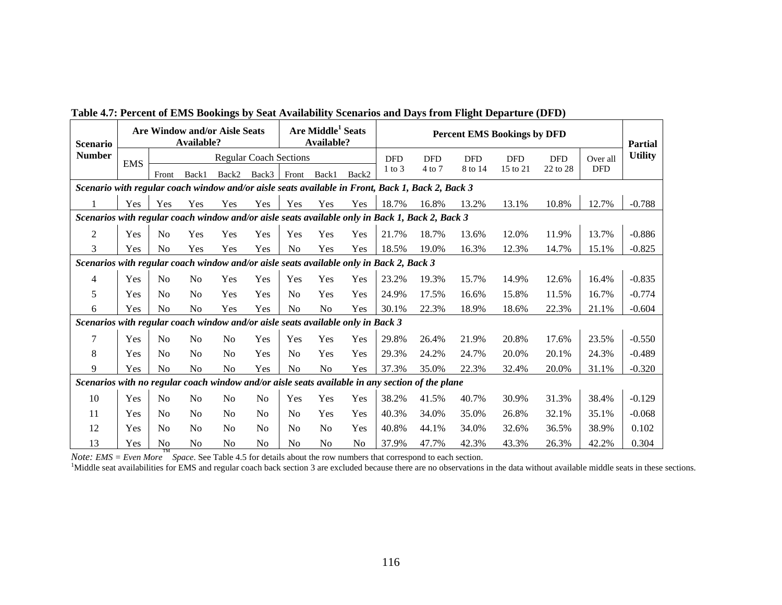| <b>Scenario</b>                                                                                  | Are Middle <sup>1</sup> Seats<br><b>Are Window and/or Aisle Seats</b><br>Available?<br>Available? |                |                |                |                               |                | <b>Percent EMS Bookings by DFD</b> |                |            |            |            | <b>Partial</b> |            |            |                |
|--------------------------------------------------------------------------------------------------|---------------------------------------------------------------------------------------------------|----------------|----------------|----------------|-------------------------------|----------------|------------------------------------|----------------|------------|------------|------------|----------------|------------|------------|----------------|
| <b>Number</b>                                                                                    | <b>EMS</b>                                                                                        |                |                |                | <b>Regular Coach Sections</b> |                |                                    |                | <b>DFD</b> | <b>DFD</b> | <b>DFD</b> | <b>DFD</b>     | <b>DFD</b> | Over all   | <b>Utility</b> |
|                                                                                                  |                                                                                                   | Front          | Back1          | Back2          | Back3                         | Front          | Back1                              | Back2          | $1$ to $3$ | $4$ to $7$ | 8 to 14    | 15 to 21       | 22 to 28   | <b>DFD</b> |                |
| Scenario with regular coach window and/or aisle seats available in Front, Back 1, Back 2, Back 3 |                                                                                                   |                |                |                |                               |                |                                    |                |            |            |            |                |            |            |                |
|                                                                                                  | Yes                                                                                               | Yes            | Yes            | Yes            | Yes                           | Yes            | Yes                                | Yes            | 18.7%      | 16.8%      | 13.2%      | 13.1%          | 10.8%      | 12.7%      | $-0.788$       |
| Scenarios with regular coach window and/or aisle seats available only in Back 1, Back 2, Back 3  |                                                                                                   |                |                |                |                               |                |                                    |                |            |            |            |                |            |            |                |
| $\overline{2}$                                                                                   | Yes                                                                                               | N <sub>0</sub> | Yes            | Yes            | Yes                           | Yes            | Yes                                | Yes            | 21.7%      | 18.7%      | 13.6%      | 12.0%          | 11.9%      | 13.7%      | $-0.886$       |
| 3                                                                                                | Yes                                                                                               | N <sub>0</sub> | Yes            | Yes            | Yes                           | N <sub>0</sub> | Yes                                | Yes            | 18.5%      | 19.0%      | 16.3%      | 12.3%          | 14.7%      | 15.1%      | $-0.825$       |
| Scenarios with regular coach window and/or aisle seats available only in Back 2, Back 3          |                                                                                                   |                |                |                |                               |                |                                    |                |            |            |            |                |            |            |                |
| 4                                                                                                | Yes                                                                                               | N <sub>0</sub> | No             | Yes            | Yes                           | Yes            | Yes                                | Yes            | 23.2%      | 19.3%      | 15.7%      | 14.9%          | 12.6%      | 16.4%      | $-0.835$       |
| 5                                                                                                | Yes                                                                                               | N <sub>0</sub> | N <sub>0</sub> | Yes            | Yes                           | N <sub>0</sub> | Yes                                | Yes            | 24.9%      | 17.5%      | 16.6%      | 15.8%          | 11.5%      | 16.7%      | $-0.774$       |
| 6                                                                                                | Yes                                                                                               | N <sub>o</sub> | N <sub>o</sub> | Yes            | Yes                           | N <sub>0</sub> | N <sub>0</sub>                     | Yes            | 30.1%      | 22.3%      | 18.9%      | 18.6%          | 22.3%      | 21.1%      | $-0.604$       |
| Scenarios with regular coach window and/or aisle seats available only in Back 3                  |                                                                                                   |                |                |                |                               |                |                                    |                |            |            |            |                |            |            |                |
| $\tau$                                                                                           | Yes                                                                                               | N <sub>0</sub> | No             | N <sub>o</sub> | Yes                           | Yes            | Yes                                | Yes            | 29.8%      | 26.4%      | 21.9%      | 20.8%          | 17.6%      | 23.5%      | $-0.550$       |
| 8                                                                                                | Yes                                                                                               | N <sub>0</sub> | N <sub>0</sub> | N <sub>0</sub> | Yes                           | N <sub>0</sub> | Yes                                | Yes            | 29.3%      | 24.2%      | 24.7%      | 20.0%          | 20.1%      | 24.3%      | $-0.489$       |
| 9                                                                                                | Yes                                                                                               | N <sub>0</sub> | No             | No             | Yes                           | N <sub>0</sub> | No                                 | Yes            | 37.3%      | 35.0%      | 22.3%      | 32.4%          | 20.0%      | 31.1%      | $-0.320$       |
| Scenarios with no regular coach window and/or aisle seats available in any section of the plane  |                                                                                                   |                |                |                |                               |                |                                    |                |            |            |            |                |            |            |                |
| 10                                                                                               | Yes                                                                                               | N <sub>0</sub> | No             | N <sub>0</sub> | N <sub>0</sub>                | Yes            | Yes                                | Yes            | 38.2%      | 41.5%      | 40.7%      | 30.9%          | 31.3%      | 38.4%      | $-0.129$       |
| 11                                                                                               | Yes                                                                                               | N <sub>o</sub> | N <sub>0</sub> | No             | N <sub>0</sub>                | N <sub>o</sub> | Yes                                | Yes            | 40.3%      | 34.0%      | 35.0%      | 26.8%          | 32.1%      | 35.1%      | $-0.068$       |
| 12                                                                                               | Yes                                                                                               | N <sub>o</sub> | N <sub>0</sub> | N <sub>0</sub> | N <sub>0</sub>                | N <sub>0</sub> | N <sub>0</sub>                     | Yes            | 40.8%      | 44.1%      | 34.0%      | 32.6%          | 36.5%      | 38.9%      | 0.102          |
| 13                                                                                               | Yes                                                                                               | N <sub>0</sub> | N <sub>0</sub> | N <sub>0</sub> | N <sub>0</sub>                | N <sub>0</sub> | N <sub>0</sub>                     | N <sub>0</sub> | 37.9%      | 47.7%      | 42.3%      | 43.3%          | 26.3%      | 42.2%      | 0.304          |

**Table 4.7: Percent of EMS Bookings by Seat Availability Scenarios and Days from Flight Departure (DFD)** 

*Note: EMS = Even More* <sup>™</sup> *Space*. See Table 4.5 for details about the row numbers that correspond to each section.

<sup>1</sup>Middle seat availabilities for EMS and regular coach back section 3 are excluded because there are no observations in the data without available middle seats in these sections.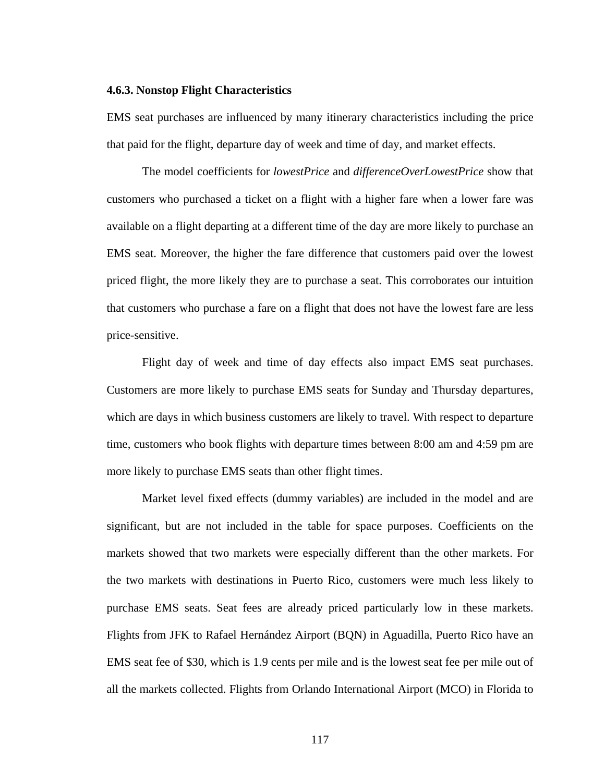#### **4.6.3. Nonstop Flight Characteristics**

EMS seat purchases are influenced by many itinerary characteristics including the price that paid for the flight, departure day of week and time of day, and market effects.

 The model coefficients for *lowestPrice* and *differenceOverLowestPrice* show that customers who purchased a ticket on a flight with a higher fare when a lower fare was available on a flight departing at a different time of the day are more likely to purchase an EMS seat. Moreover, the higher the fare difference that customers paid over the lowest priced flight, the more likely they are to purchase a seat. This corroborates our intuition that customers who purchase a fare on a flight that does not have the lowest fare are less price-sensitive.

 Flight day of week and time of day effects also impact EMS seat purchases. Customers are more likely to purchase EMS seats for Sunday and Thursday departures, which are days in which business customers are likely to travel. With respect to departure time, customers who book flights with departure times between 8:00 am and 4:59 pm are more likely to purchase EMS seats than other flight times.

 Market level fixed effects (dummy variables) are included in the model and are significant, but are not included in the table for space purposes. Coefficients on the markets showed that two markets were especially different than the other markets. For the two markets with destinations in Puerto Rico, customers were much less likely to purchase EMS seats. Seat fees are already priced particularly low in these markets. Flights from JFK to Rafael Hernández Airport (BQN) in Aguadilla, Puerto Rico have an EMS seat fee of \$30, which is 1.9 cents per mile and is the lowest seat fee per mile out of all the markets collected. Flights from Orlando International Airport (MCO) in Florida to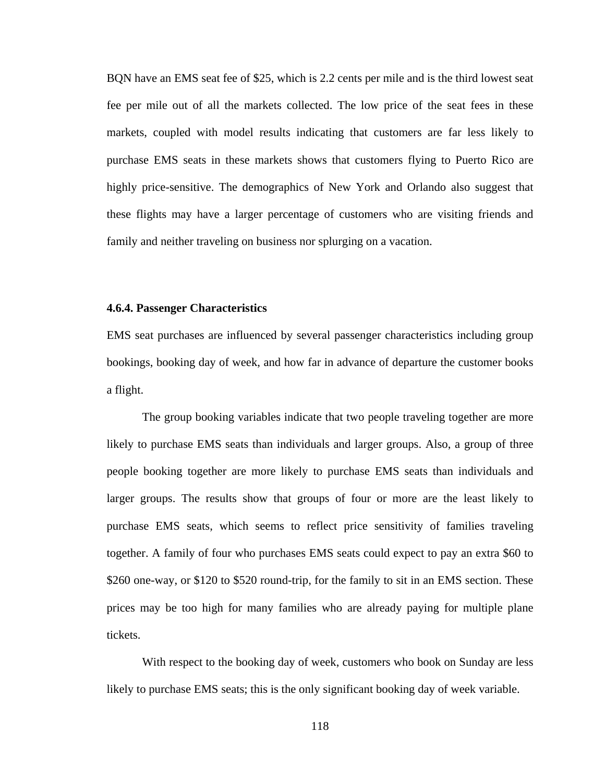BQN have an EMS seat fee of \$25, which is 2.2 cents per mile and is the third lowest seat fee per mile out of all the markets collected. The low price of the seat fees in these markets, coupled with model results indicating that customers are far less likely to purchase EMS seats in these markets shows that customers flying to Puerto Rico are highly price-sensitive. The demographics of New York and Orlando also suggest that these flights may have a larger percentage of customers who are visiting friends and family and neither traveling on business nor splurging on a vacation.

#### **4.6.4. Passenger Characteristics**

EMS seat purchases are influenced by several passenger characteristics including group bookings, booking day of week, and how far in advance of departure the customer books a flight.

 The group booking variables indicate that two people traveling together are more likely to purchase EMS seats than individuals and larger groups. Also, a group of three people booking together are more likely to purchase EMS seats than individuals and larger groups. The results show that groups of four or more are the least likely to purchase EMS seats, which seems to reflect price sensitivity of families traveling together. A family of four who purchases EMS seats could expect to pay an extra \$60 to \$260 one-way, or \$120 to \$520 round-trip, for the family to sit in an EMS section. These prices may be too high for many families who are already paying for multiple plane tickets.

 With respect to the booking day of week, customers who book on Sunday are less likely to purchase EMS seats; this is the only significant booking day of week variable.

118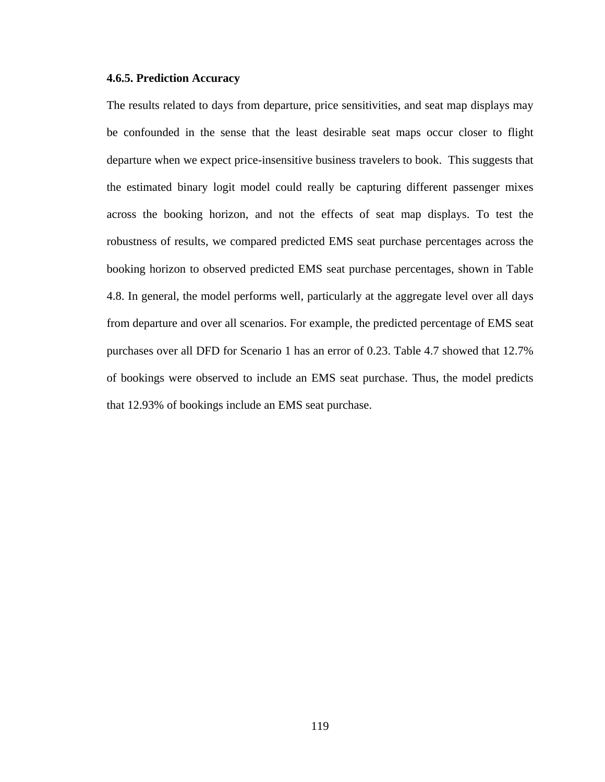## **4.6.5. Prediction Accuracy**

The results related to days from departure, price sensitivities, and seat map displays may be confounded in the sense that the least desirable seat maps occur closer to flight departure when we expect price-insensitive business travelers to book. This suggests that the estimated binary logit model could really be capturing different passenger mixes across the booking horizon, and not the effects of seat map displays. To test the robustness of results, we compared predicted EMS seat purchase percentages across the booking horizon to observed predicted EMS seat purchase percentages, shown in Table 4.8. In general, the model performs well, particularly at the aggregate level over all days from departure and over all scenarios. For example, the predicted percentage of EMS seat purchases over all DFD for Scenario 1 has an error of 0.23. Table 4.7 showed that 12.7% of bookings were observed to include an EMS seat purchase. Thus, the model predicts that 12.93% of bookings include an EMS seat purchase.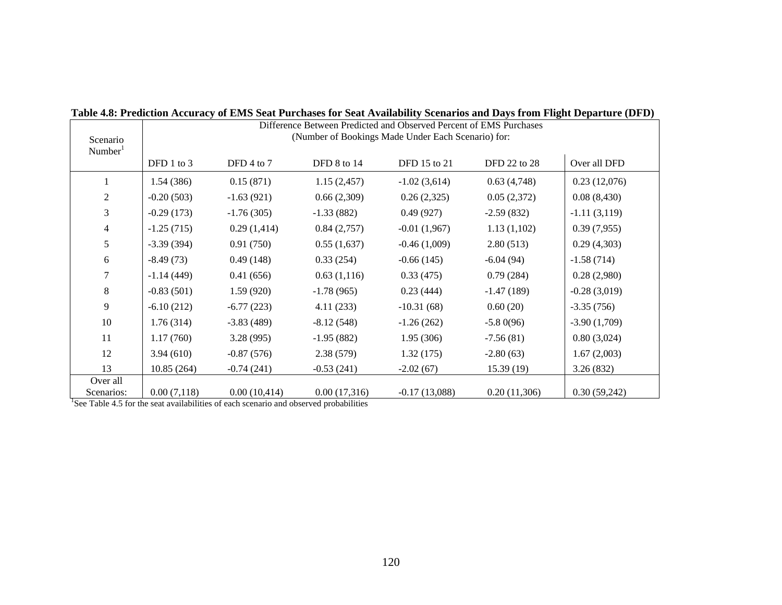| Scenario<br>Number <sup>1</sup> | Difference Between Predicted and Observed Percent of EMS Purchases<br>(Number of Bookings Made Under Each Scenario) for: |              |              |                 |              |                |  |  |  |
|---------------------------------|--------------------------------------------------------------------------------------------------------------------------|--------------|--------------|-----------------|--------------|----------------|--|--|--|
|                                 | DFD 1 to 3                                                                                                               | DFD 4 to $7$ | DFD 8 to 14  | DFD 15 to 21    | DFD 22 to 28 | Over all DFD   |  |  |  |
|                                 | 1.54(386)                                                                                                                | 0.15(871)    | 1.15(2,457)  | $-1.02(3,614)$  | 0.63(4,748)  | 0.23(12,076)   |  |  |  |
| $\overline{2}$                  | $-0.20(503)$                                                                                                             | $-1.63(921)$ | 0.66(2,309)  | 0.26(2,325)     | 0.05(2,372)  | 0.08(8,430)    |  |  |  |
| 3                               | $-0.29(173)$                                                                                                             | $-1.76(305)$ | $-1.33(882)$ | 0.49(927)       | $-2.59(832)$ | $-1.11(3,119)$ |  |  |  |
| $\overline{4}$                  | $-1.25(715)$                                                                                                             | 0.29(1,414)  | 0.84(2,757)  | $-0.01(1,967)$  | 1.13(1,102)  | 0.39(7,955)    |  |  |  |
| 5                               | $-3.39(394)$                                                                                                             | 0.91(750)    | 0.55(1,637)  | $-0.46(1,009)$  | 2.80(513)    | 0.29(4,303)    |  |  |  |
| 6                               | $-8.49(73)$                                                                                                              | 0.49(148)    | 0.33(254)    | $-0.66(145)$    | $-6.04(94)$  | $-1.58(714)$   |  |  |  |
|                                 | $-1.14(449)$                                                                                                             | 0.41(656)    | 0.63(1,116)  | 0.33(475)       | 0.79(284)    | 0.28(2,980)    |  |  |  |
| 8                               | $-0.83(501)$                                                                                                             | 1.59(920)    | $-1.78(965)$ | 0.23(444)       | $-1.47(189)$ | $-0.28(3,019)$ |  |  |  |
| 9                               | $-6.10(212)$                                                                                                             | $-6.77(223)$ | 4.11(233)    | $-10.31(68)$    | 0.60(20)     | $-3.35(756)$   |  |  |  |
| 10                              | 1.76(314)                                                                                                                | $-3.83(489)$ | $-8.12(548)$ | $-1.26(262)$    | $-5.80(96)$  | $-3.90(1,709)$ |  |  |  |
| 11                              | 1.17(760)                                                                                                                | 3.28(995)    | $-1.95(882)$ | 1.95(306)       | $-7.56(81)$  | 0.80(3,024)    |  |  |  |
| 12                              | 3.94(610)                                                                                                                | $-0.87(576)$ | 2.38(579)    | 1.32(175)       | $-2.80(63)$  | 1.67(2,003)    |  |  |  |
| 13                              | 10.85(264)                                                                                                               | $-0.74(241)$ | $-0.53(241)$ | $-2.02(67)$     | 15.39(19)    | 3.26(832)      |  |  |  |
| Over all<br>Scenarios:          | 0.00(7,118)                                                                                                              | 0.00(10,414) | 0.00(17,316) | $-0.17(13,088)$ | 0.20(11,306) | 0.30(59,242)   |  |  |  |

**Table 4.8: Prediction Accuracy of EMS Seat Purchases for Seat Availability Scenarios and Days from Flight Departure (DFD)** 

<sup>1</sup>See Table 4.5 for the seat availabilities of each scenario and observed probabilities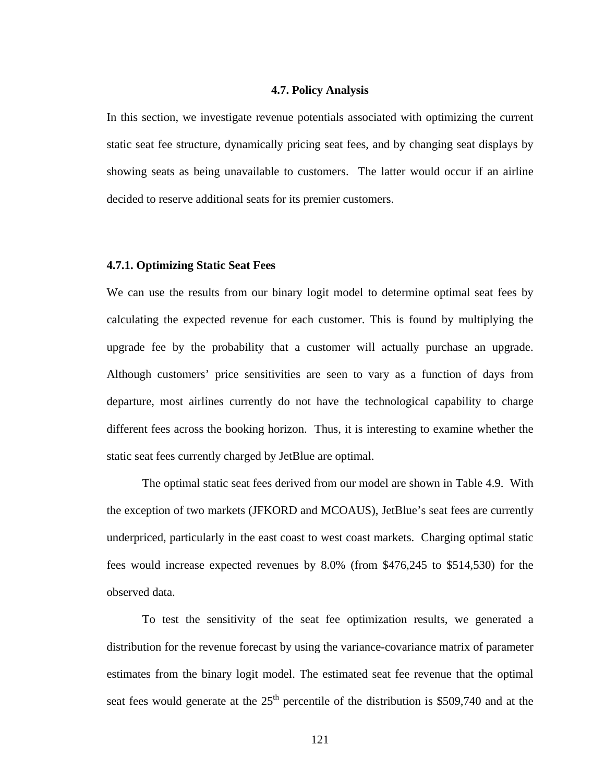#### **4.7. Policy Analysis**

In this section, we investigate revenue potentials associated with optimizing the current static seat fee structure, dynamically pricing seat fees, and by changing seat displays by showing seats as being unavailable to customers. The latter would occur if an airline decided to reserve additional seats for its premier customers.

## **4.7.1. Optimizing Static Seat Fees**

We can use the results from our binary logit model to determine optimal seat fees by calculating the expected revenue for each customer. This is found by multiplying the upgrade fee by the probability that a customer will actually purchase an upgrade. Although customers' price sensitivities are seen to vary as a function of days from departure, most airlines currently do not have the technological capability to charge different fees across the booking horizon. Thus, it is interesting to examine whether the static seat fees currently charged by JetBlue are optimal.

 The optimal static seat fees derived from our model are shown in Table 4.9. With the exception of two markets (JFKORD and MCOAUS), JetBlue's seat fees are currently underpriced, particularly in the east coast to west coast markets. Charging optimal static fees would increase expected revenues by 8.0% (from \$476,245 to \$514,530) for the observed data.

 To test the sensitivity of the seat fee optimization results, we generated a distribution for the revenue forecast by using the variance-covariance matrix of parameter estimates from the binary logit model. The estimated seat fee revenue that the optimal seat fees would generate at the  $25<sup>th</sup>$  percentile of the distribution is \$509,740 and at the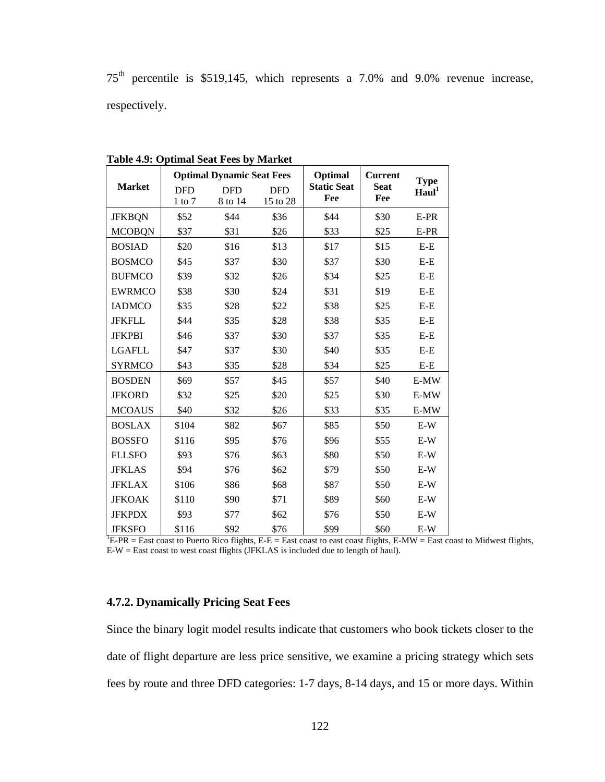75th percentile is \$519,145, which represents a 7.0% and 9.0% revenue increase, respectively.

|               |            | <b>Optimal Dynamic Seat Fees</b> |            | Optimal            | <b>Current</b> | <b>Type</b>       |
|---------------|------------|----------------------------------|------------|--------------------|----------------|-------------------|
| <b>Market</b> | <b>DFD</b> | <b>DFD</b>                       | <b>DFD</b> | <b>Static Seat</b> | <b>Seat</b>    | Haul <sup>1</sup> |
|               | $1$ to $7$ | 8 to 14                          | 15 to 28   | Fee                | Fee            |                   |
| <b>JFKBQN</b> | \$52       | \$44                             | \$36       | \$44               | \$30           | E-PR              |
| <b>MCOBQN</b> | \$37       | \$31                             | \$26       | \$33               | \$25           | E-PR              |
| <b>BOSIAD</b> | \$20       | \$16                             | \$13       | \$17               | \$15           | $E-E$             |
| <b>BOSMCO</b> | \$45       | \$37                             | \$30       | \$37               | \$30           | $E-E$             |
| <b>BUFMCO</b> | \$39       | \$32                             | \$26       | \$34               | \$25           | $E-E$             |
| <b>EWRMCO</b> | \$38       | \$30                             | \$24       | \$31               | \$19           | $E-E$             |
| <b>IADMCO</b> | \$35       | \$28                             | \$22       | \$38               | \$25           | $E-E$             |
| <b>JFKFLL</b> | \$44       | \$35                             | \$28       | \$38               | \$35           | $E-E$             |
| <b>JFKPBI</b> | \$46       | \$37                             | \$30       | \$37               | \$35           | $E-E$             |
| <b>LGAFLL</b> | \$47       | \$37                             | \$30       | \$40               | \$35           | $E-E$             |
| <b>SYRMCO</b> | \$43       | \$35                             | \$28       | \$34               | \$25           | $E-E$             |
| <b>BOSDEN</b> | \$69       | \$57                             | \$45       | \$57               | \$40           | E-MW              |
| <b>JFKORD</b> | \$32       | \$25                             | \$20       | \$25               | \$30           | E-MW              |
| <b>MCOAUS</b> | \$40       | \$32                             | \$26       | \$33               | \$35           | E-MW              |
| <b>BOSLAX</b> | \$104      | \$82                             | \$67       | \$85               | \$50           | $E-W$             |
| <b>BOSSFO</b> | \$116      | \$95                             | \$76       | \$96               | \$55           | $E-W$             |
| <b>FLLSFO</b> | \$93       | \$76                             | \$63       | \$80               | \$50           | $E-W$             |
| <b>JFKLAS</b> | \$94       | \$76                             | \$62       | \$79               | \$50           | $E-W$             |
| <b>JFKLAX</b> | \$106      | \$86                             | \$68       | \$87               | \$50           | $E-W$             |
| <b>JFKOAK</b> | \$110      | \$90                             | \$71       | \$89               | \$60           | $E-W$             |
| <b>JFKPDX</b> | \$93       | \$77                             | \$62       | \$76               | \$50           | $E-W$             |
| <b>JFKSFO</b> | \$116      | \$92                             | \$76       | \$99               | \$60           | $E-W$             |

**Table 4.9: Optimal Seat Fees by Market** 

JFKSFO  $\frac{$12.16}{$16}$   $\frac{$92 \quad $76 \quad $99 \quad $60 \quad E-W$}$ <br><sup>1</sup>E-PR = East coast to Puerto Rico flights, E-E = East coast to east coast flights, E-MW = East coast to Midwest flights, E-W = East coast to west coast flights (JFKLAS is included due to length of haul).

# **4.7.2. Dynamically Pricing Seat Fees**

Since the binary logit model results indicate that customers who book tickets closer to the date of flight departure are less price sensitive, we examine a pricing strategy which sets fees by route and three DFD categories: 1-7 days, 8-14 days, and 15 or more days. Within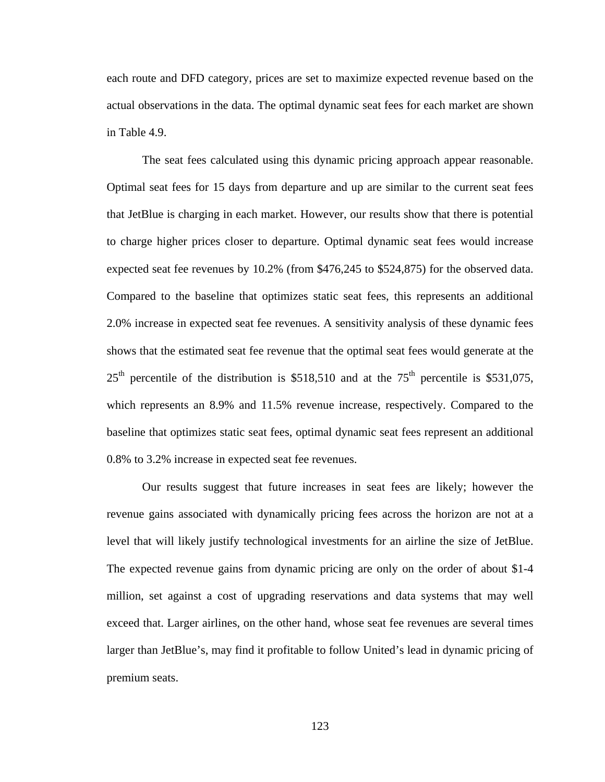each route and DFD category, prices are set to maximize expected revenue based on the actual observations in the data. The optimal dynamic seat fees for each market are shown in Table 4.9.

 The seat fees calculated using this dynamic pricing approach appear reasonable. Optimal seat fees for 15 days from departure and up are similar to the current seat fees that JetBlue is charging in each market. However, our results show that there is potential to charge higher prices closer to departure. Optimal dynamic seat fees would increase expected seat fee revenues by 10.2% (from \$476,245 to \$524,875) for the observed data. Compared to the baseline that optimizes static seat fees, this represents an additional 2.0% increase in expected seat fee revenues. A sensitivity analysis of these dynamic fees shows that the estimated seat fee revenue that the optimal seat fees would generate at the  $25<sup>th</sup>$  percentile of the distribution is \$518,510 and at the 75<sup>th</sup> percentile is \$531,075, which represents an 8.9% and 11.5% revenue increase, respectively. Compared to the baseline that optimizes static seat fees, optimal dynamic seat fees represent an additional 0.8% to 3.2% increase in expected seat fee revenues.

 Our results suggest that future increases in seat fees are likely; however the revenue gains associated with dynamically pricing fees across the horizon are not at a level that will likely justify technological investments for an airline the size of JetBlue. The expected revenue gains from dynamic pricing are only on the order of about \$1-4 million, set against a cost of upgrading reservations and data systems that may well exceed that. Larger airlines, on the other hand, whose seat fee revenues are several times larger than JetBlue's, may find it profitable to follow United's lead in dynamic pricing of premium seats.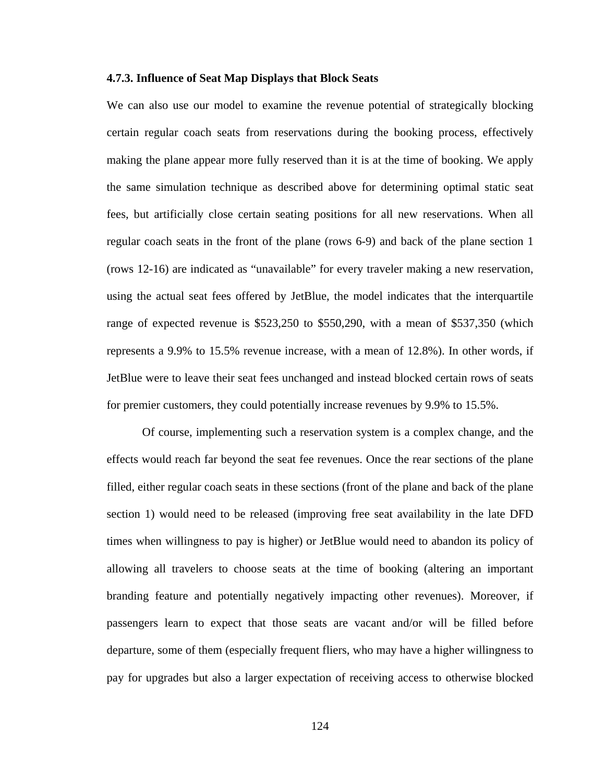#### **4.7.3. Influence of Seat Map Displays that Block Seats**

We can also use our model to examine the revenue potential of strategically blocking certain regular coach seats from reservations during the booking process, effectively making the plane appear more fully reserved than it is at the time of booking. We apply the same simulation technique as described above for determining optimal static seat fees, but artificially close certain seating positions for all new reservations. When all regular coach seats in the front of the plane (rows 6-9) and back of the plane section 1 (rows 12-16) are indicated as "unavailable" for every traveler making a new reservation, using the actual seat fees offered by JetBlue, the model indicates that the interquartile range of expected revenue is \$523,250 to \$550,290, with a mean of \$537,350 (which represents a 9.9% to 15.5% revenue increase, with a mean of 12.8%). In other words, if JetBlue were to leave their seat fees unchanged and instead blocked certain rows of seats for premier customers, they could potentially increase revenues by 9.9% to 15.5%.

 Of course, implementing such a reservation system is a complex change, and the effects would reach far beyond the seat fee revenues. Once the rear sections of the plane filled, either regular coach seats in these sections (front of the plane and back of the plane section 1) would need to be released (improving free seat availability in the late DFD times when willingness to pay is higher) or JetBlue would need to abandon its policy of allowing all travelers to choose seats at the time of booking (altering an important branding feature and potentially negatively impacting other revenues). Moreover, if passengers learn to expect that those seats are vacant and/or will be filled before departure, some of them (especially frequent fliers, who may have a higher willingness to pay for upgrades but also a larger expectation of receiving access to otherwise blocked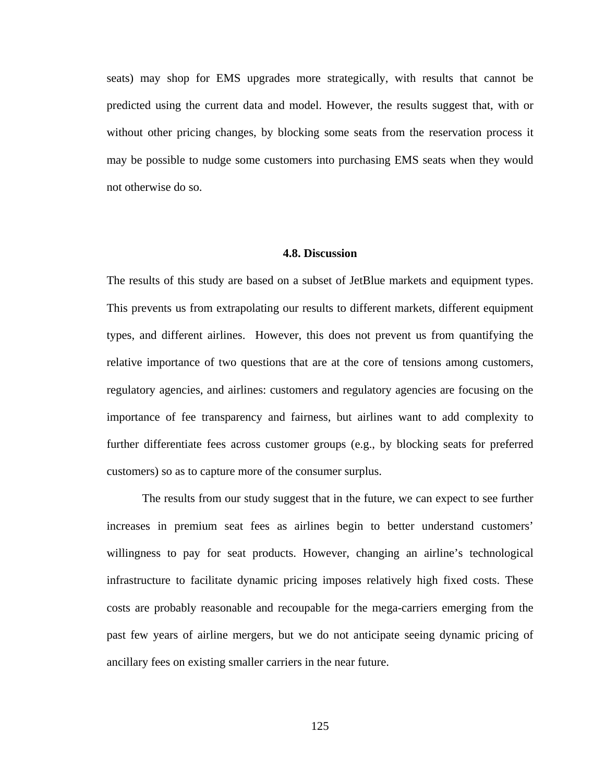seats) may shop for EMS upgrades more strategically, with results that cannot be predicted using the current data and model. However, the results suggest that, with or without other pricing changes, by blocking some seats from the reservation process it may be possible to nudge some customers into purchasing EMS seats when they would not otherwise do so.

#### **4.8. Discussion**

The results of this study are based on a subset of JetBlue markets and equipment types. This prevents us from extrapolating our results to different markets, different equipment types, and different airlines. However, this does not prevent us from quantifying the relative importance of two questions that are at the core of tensions among customers, regulatory agencies, and airlines: customers and regulatory agencies are focusing on the importance of fee transparency and fairness, but airlines want to add complexity to further differentiate fees across customer groups (e.g., by blocking seats for preferred customers) so as to capture more of the consumer surplus.

 The results from our study suggest that in the future, we can expect to see further increases in premium seat fees as airlines begin to better understand customers' willingness to pay for seat products. However, changing an airline's technological infrastructure to facilitate dynamic pricing imposes relatively high fixed costs. These costs are probably reasonable and recoupable for the mega-carriers emerging from the past few years of airline mergers, but we do not anticipate seeing dynamic pricing of ancillary fees on existing smaller carriers in the near future.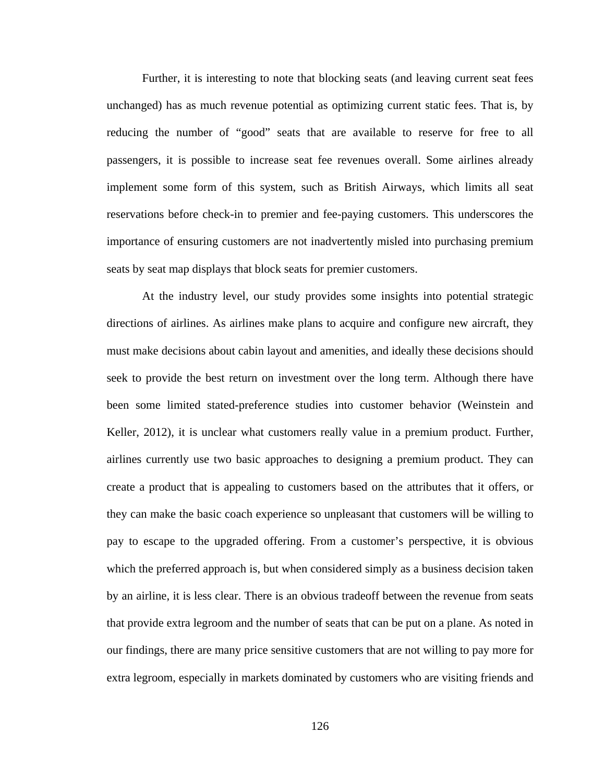Further, it is interesting to note that blocking seats (and leaving current seat fees unchanged) has as much revenue potential as optimizing current static fees. That is, by reducing the number of "good" seats that are available to reserve for free to all passengers, it is possible to increase seat fee revenues overall. Some airlines already implement some form of this system, such as British Airways, which limits all seat reservations before check-in to premier and fee-paying customers. This underscores the importance of ensuring customers are not inadvertently misled into purchasing premium seats by seat map displays that block seats for premier customers.

 At the industry level, our study provides some insights into potential strategic directions of airlines. As airlines make plans to acquire and configure new aircraft, they must make decisions about cabin layout and amenities, and ideally these decisions should seek to provide the best return on investment over the long term. Although there have been some limited stated-preference studies into customer behavior (Weinstein and Keller, 2012), it is unclear what customers really value in a premium product. Further, airlines currently use two basic approaches to designing a premium product. They can create a product that is appealing to customers based on the attributes that it offers, or they can make the basic coach experience so unpleasant that customers will be willing to pay to escape to the upgraded offering. From a customer's perspective, it is obvious which the preferred approach is, but when considered simply as a business decision taken by an airline, it is less clear. There is an obvious tradeoff between the revenue from seats that provide extra legroom and the number of seats that can be put on a plane. As noted in our findings, there are many price sensitive customers that are not willing to pay more for extra legroom, especially in markets dominated by customers who are visiting friends and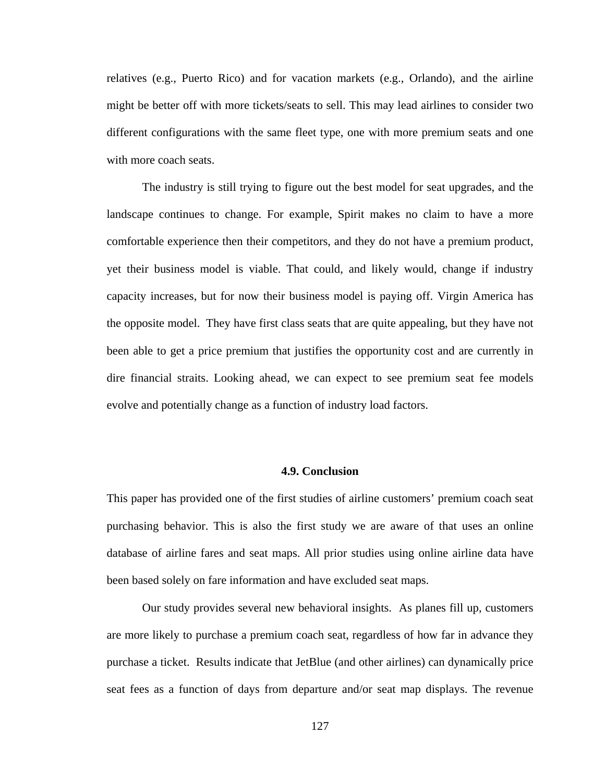relatives (e.g., Puerto Rico) and for vacation markets (e.g., Orlando), and the airline might be better off with more tickets/seats to sell. This may lead airlines to consider two different configurations with the same fleet type, one with more premium seats and one with more coach seats.

 The industry is still trying to figure out the best model for seat upgrades, and the landscape continues to change. For example, Spirit makes no claim to have a more comfortable experience then their competitors, and they do not have a premium product, yet their business model is viable. That could, and likely would, change if industry capacity increases, but for now their business model is paying off. Virgin America has the opposite model. They have first class seats that are quite appealing, but they have not been able to get a price premium that justifies the opportunity cost and are currently in dire financial straits. Looking ahead, we can expect to see premium seat fee models evolve and potentially change as a function of industry load factors.

### **4.9. Conclusion**

This paper has provided one of the first studies of airline customers' premium coach seat purchasing behavior. This is also the first study we are aware of that uses an online database of airline fares and seat maps. All prior studies using online airline data have been based solely on fare information and have excluded seat maps.

 Our study provides several new behavioral insights. As planes fill up, customers are more likely to purchase a premium coach seat, regardless of how far in advance they purchase a ticket. Results indicate that JetBlue (and other airlines) can dynamically price seat fees as a function of days from departure and/or seat map displays. The revenue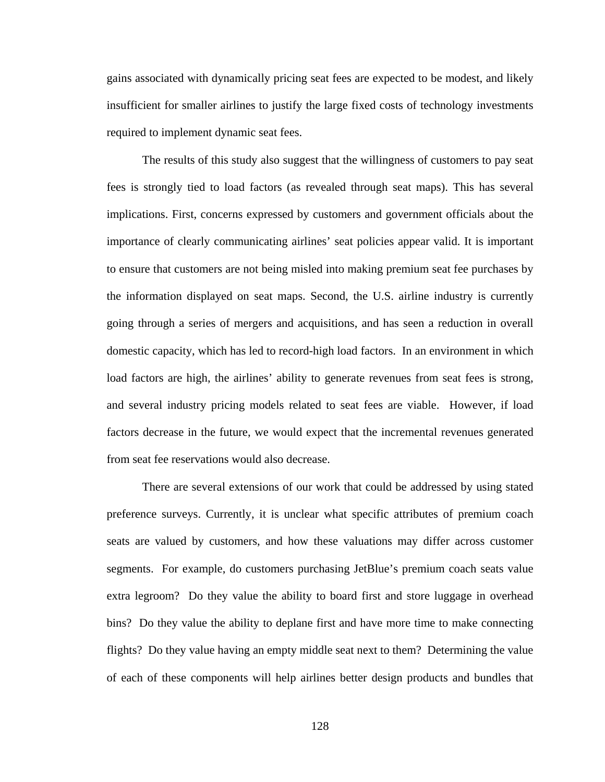gains associated with dynamically pricing seat fees are expected to be modest, and likely insufficient for smaller airlines to justify the large fixed costs of technology investments required to implement dynamic seat fees.

 The results of this study also suggest that the willingness of customers to pay seat fees is strongly tied to load factors (as revealed through seat maps). This has several implications. First, concerns expressed by customers and government officials about the importance of clearly communicating airlines' seat policies appear valid. It is important to ensure that customers are not being misled into making premium seat fee purchases by the information displayed on seat maps. Second, the U.S. airline industry is currently going through a series of mergers and acquisitions, and has seen a reduction in overall domestic capacity, which has led to record-high load factors. In an environment in which load factors are high, the airlines' ability to generate revenues from seat fees is strong, and several industry pricing models related to seat fees are viable. However, if load factors decrease in the future, we would expect that the incremental revenues generated from seat fee reservations would also decrease.

 There are several extensions of our work that could be addressed by using stated preference surveys. Currently, it is unclear what specific attributes of premium coach seats are valued by customers, and how these valuations may differ across customer segments. For example, do customers purchasing JetBlue's premium coach seats value extra legroom? Do they value the ability to board first and store luggage in overhead bins? Do they value the ability to deplane first and have more time to make connecting flights? Do they value having an empty middle seat next to them? Determining the value of each of these components will help airlines better design products and bundles that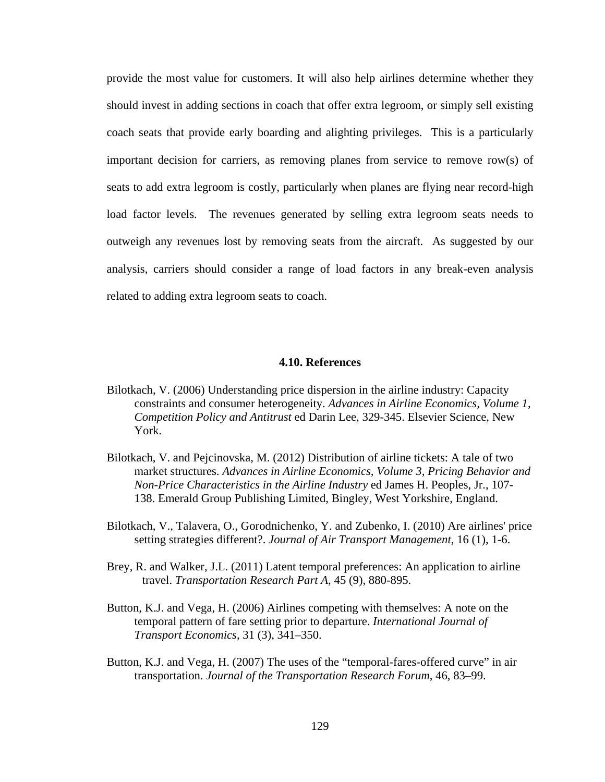provide the most value for customers. It will also help airlines determine whether they should invest in adding sections in coach that offer extra legroom, or simply sell existing coach seats that provide early boarding and alighting privileges. This is a particularly important decision for carriers, as removing planes from service to remove row(s) of seats to add extra legroom is costly, particularly when planes are flying near record-high load factor levels. The revenues generated by selling extra legroom seats needs to outweigh any revenues lost by removing seats from the aircraft. As suggested by our analysis, carriers should consider a range of load factors in any break-even analysis related to adding extra legroom seats to coach.

#### **4.10. References**

- Bilotkach, V. (2006) Understanding price dispersion in the airline industry: Capacity constraints and consumer heterogeneity. *Advances in Airline Economics, Volume 1, Competition Policy and Antitrust* ed Darin Lee, 329-345. Elsevier Science, New York.
- Bilotkach, V. and Pejcinovska, M. (2012) Distribution of airline tickets: A tale of two market structures. *Advances in Airline Economics, Volume 3, Pricing Behavior and Non-Price Characteristics in the Airline Industry* ed James H. Peoples, Jr., 107- 138. Emerald Group Publishing Limited, Bingley, West Yorkshire, England.
- Bilotkach, V., Talavera, O., Gorodnichenko, Y. and Zubenko, I. (2010) Are airlines' price setting strategies different?. *Journal of Air Transport Management*, 16 (1), 1-6.
- Brey, R. and Walker, J.L. (2011) Latent temporal preferences: An application to airline travel. *Transportation Research Part A,* 45 (9), 880-895.
- Button, K.J. and Vega, H. (2006) Airlines competing with themselves: A note on the temporal pattern of fare setting prior to departure. *International Journal of Transport Economics*, 31 (3), 341–350.
- Button, K.J. and Vega, H. (2007) The uses of the "temporal-fares-offered curve" in air transportation. *Journal of the Transportation Research Forum*, 46, 83–99.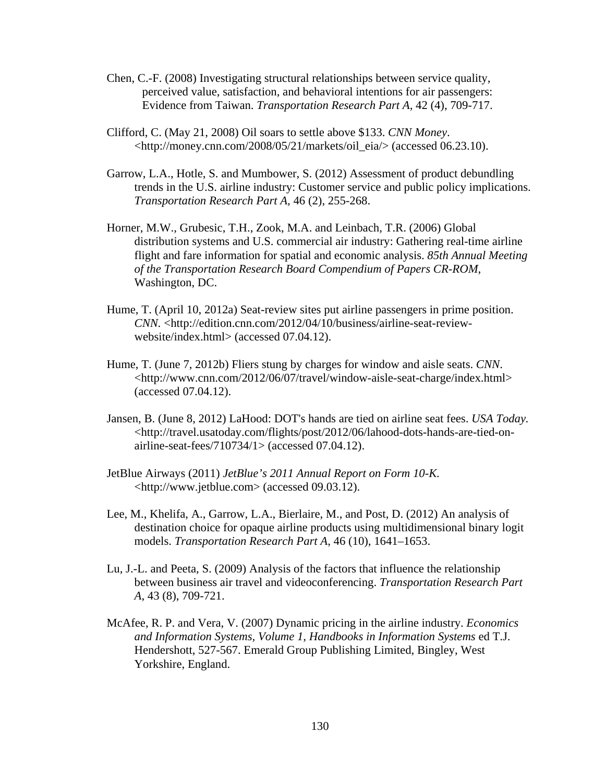- Chen, C.-F. (2008) Investigating structural relationships between service quality, perceived value, satisfaction, and behavioral intentions for air passengers: Evidence from Taiwan. *Transportation Research Part A,* 42 (4), 709-717.
- Clifford, C. (May 21, 2008) Oil soars to settle above \$133. *CNN Money*. <[http://money.cnn.com/2008/05/21/markets/oil\\_eia/>](http://money.cnn.com/2008/05/21/markets/oil_eia/) (accessed 06.23.10).
- Garrow, L.A., Hotle, S. and Mumbower, S. (2012) Assessment of product debundling trends in the U.S. airline industry: Customer service and public policy implications. *Transportation Research Part A,* 46 (2), 255-268.
- Horner, M.W., Grubesic, T.H., Zook, M.A. and Leinbach, T.R. (2006) Global distribution systems and U.S. commercial air industry: Gathering real-time airline flight and fare information for spatial and economic analysis. *85th Annual Meeting of the Transportation Research Board Compendium of Papers CR-ROM*, Washington, DC.
- Hume, T. (April 10, 2012a) Seat-review sites put airline passengers in prime position. *CNN.* <http://edition.cnn.com/2012/04/10/business/airline-seat-reviewwebsite/index.html> (accessed 07.04.12).
- Hume, T. (June 7, 2012b) Fliers stung by charges for window and aisle seats. *CNN*. <http://www.cnn.com/2012/06/07/travel/window-aisle-seat-charge/index.html> (accessed 07.04.12).
- Jansen, B. (June 8, 2012) LaHood: DOT's hands are tied on airline seat fees. *USA Today.* <http://travel.usatoday.com/flights/post/2012/06/lahood-dots-hands-are-tied-onairline-seat-fees/710734/1> (accessed 07.04.12).
- JetBlue Airways (2011) *JetBlue's 2011 Annual Report on Form 10-K.* <http://www.jetblue.com> (accessed 09.03.12).
- Lee, M., Khelifa, A., Garrow, L.A., Bierlaire, M., and Post, D. (2012) An analysis of destination choice for opaque airline products using multidimensional binary logit models. *Transportation Research Part A*, 46 (10), 1641–1653.
- Lu, J.-L. and Peeta, S. (2009) Analysis of the factors that influence the relationship between business air travel and videoconferencing. *Transportation Research Part A*, 43 (8), 709-721.
- McAfee, R. P. and Vera, V. (2007) Dynamic pricing in the airline industry. *Economics and Information Systems, Volume 1, Handbooks in Information Systems* ed T.J. Hendershott, 527-567. Emerald Group Publishing Limited, Bingley, West Yorkshire, England.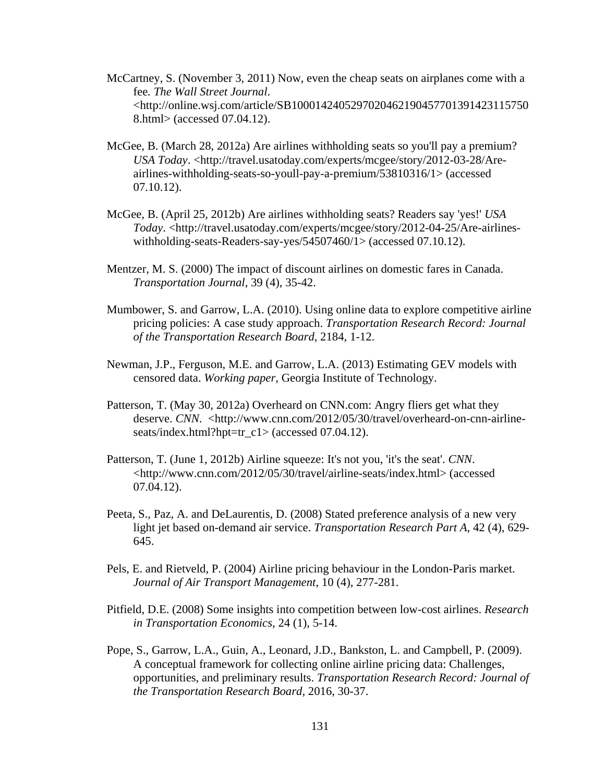- McCartney, S. (November 3, 2011) Now, even the cheap seats on airplanes come with a fee*. The Wall Street Journal*. <http://online.wsj.com/article/SB1000142405297020462190457701391423115750 8.html> (accessed 07.04.12).
- McGee, B. (March 28, 2012a) Are airlines withholding seats so you'll pay a premium? *USA Today*. <http://travel.usatoday.com/experts/mcgee/story/2012-03-28/Areairlines-withholding-seats-so-youll-pay-a-premium/53810316/1> (accessed 07.10.12).
- McGee, B. (April 25, 2012b) Are airlines withholding seats? Readers say 'yes!' *USA Today*. <http://travel.usatoday.com/experts/mcgee/story/2012-04-25/Are-airlineswithholding-seats-Readers-say-yes/54507460/1> (accessed 07.10.12).
- Mentzer, M. S. (2000) The impact of discount airlines on domestic fares in Canada. *Transportation Journal*, 39 (4), 35-42.
- Mumbower, S. and Garrow, L.A. (2010). Using online data to explore competitive airline pricing policies: A case study approach. *Transportation Research Record: Journal of the Transportation Research Board*, 2184, 1-12.
- Newman, J.P., Ferguson, M.E. and Garrow, L.A. (2013) Estimating GEV models with censored data. *Working paper*, Georgia Institute of Technology.
- Patterson, T. (May 30, 2012a) Overheard on CNN.com: Angry fliers get what they deserve. *CNN*. <http://www.cnn.com/2012/05/30/travel/overheard-on-cnn-airlineseats/index.html?hpt=tr\_c1> (accessed 07.04.12).
- Patterson, T. (June 1, 2012b) Airline squeeze: It's not you, 'it's the seat'. *CNN*. <http://www.cnn.com/2012/05/30/travel/airline-seats/index.html> (accessed 07.04.12).
- Peeta, S., Paz, A. and DeLaurentis, D. (2008) Stated preference analysis of a new very light jet based on-demand air service. *Transportation Research Part A*, 42 (4), 629- 645.
- Pels, E. and Rietveld, P. (2004) Airline pricing behaviour in the London-Paris market. *Journal of Air Transport Management*, 10 (4), 277-281.
- Pitfield, D.E. (2008) Some insights into competition between low-cost airlines. *Research in Transportation Economics*, 24 (1), 5-14.
- Pope, S., Garrow, L.A., Guin, A., Leonard, J.D., Bankston, L. and Campbell, P. (2009). A conceptual framework for collecting online airline pricing data: Challenges, opportunities, and preliminary results. *Transportation Research Record: Journal of the Transportation Research Board*, 2016, 30-37.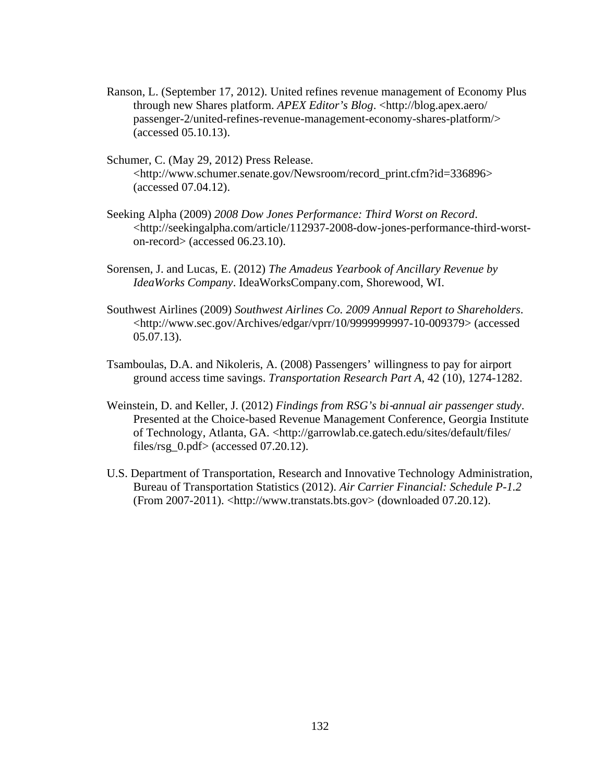- Ranson, L. (September 17, 2012). United refines revenue management of Economy Plus through new Shares platform. *APEX Editor's Blog*. <[http://blog.apex.aero/](http://blog.apex.aero/%20passenger-2/united-refines-revenue-management-economy-shares-platform/)  [passenger-2/united-refines-revenue-management-economy-shares-platform/](http://blog.apex.aero/%20passenger-2/united-refines-revenue-management-economy-shares-platform/)> (accessed 05.10.13).
- Schumer, C. (May 29, 2012) Press Release. <http://www.schumer.senate.gov/Newsroom/record\_print.cfm?id=336896> (accessed 07.04.12).
- Seeking Alpha (2009) *2008 Dow Jones Performance: Third Worst on Record*. <http://seekingalpha.com/article/112937-2008-dow-jones-performance-third-worston-record> (accessed 06.23.10).
- Sorensen, J. and Lucas, E. (2012) *The Amadeus Yearbook of Ancillary Revenue by IdeaWorks Company*. IdeaWorksCompany.com, Shorewood, WI.
- Southwest Airlines (2009) *Southwest Airlines Co. 2009 Annual Report to Shareholders*. <http://www.sec.gov/Archives/edgar/vprr/10/9999999997-10-009379> (accessed 05.07.13).
- Tsamboulas, D.A. and Nikoleris, A. (2008) Passengers' willingness to pay for airport ground access time savings. *Transportation Research Part A*, 42 (10), 1274-1282.
- Weinstein, D. and Keller, J. (2012) *Findings from RSG's bi*‐*annual air passenger study*. Presented at the Choice-based Revenue Management Conference, Georgia Institute of Technology, Atlanta, GA. <http://garrowlab.ce.gatech.edu/sites/default/files/ files/rsg  $0.$ pdf $>$  (accessed 07.20.12).
- U.S. Department of Transportation, Research and Innovative Technology Administration, Bureau of Transportation Statistics (2012). *Air Carrier Financial: Schedule P-1.2* (From 2007-2011). <http://www.transtats.bts.gov> (downloaded 07.20.12).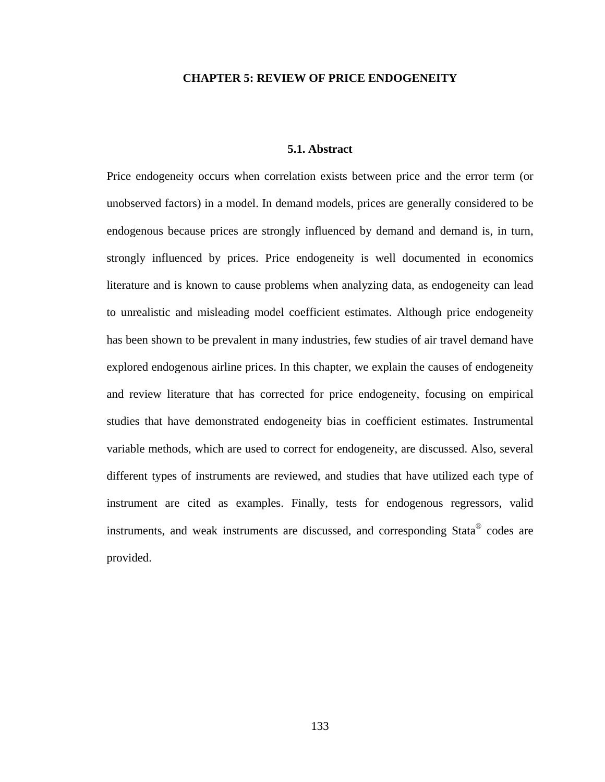## **CHAPTER 5: REVIEW OF PRICE ENDOGENEITY**

# **5.1. Abstract**

Price endogeneity occurs when correlation exists between price and the error term (or unobserved factors) in a model. In demand models, prices are generally considered to be endogenous because prices are strongly influenced by demand and demand is, in turn, strongly influenced by prices. Price endogeneity is well documented in economics literature and is known to cause problems when analyzing data, as endogeneity can lead to unrealistic and misleading model coefficient estimates. Although price endogeneity has been shown to be prevalent in many industries, few studies of air travel demand have explored endogenous airline prices. In this chapter, we explain the causes of endogeneity and review literature that has corrected for price endogeneity, focusing on empirical studies that have demonstrated endogeneity bias in coefficient estimates. Instrumental variable methods, which are used to correct for endogeneity, are discussed. Also, several different types of instruments are reviewed, and studies that have utilized each type of instrument are cited as examples. Finally, tests for endogenous regressors, valid instruments, and weak instruments are discussed, and corresponding Stata® codes are provided.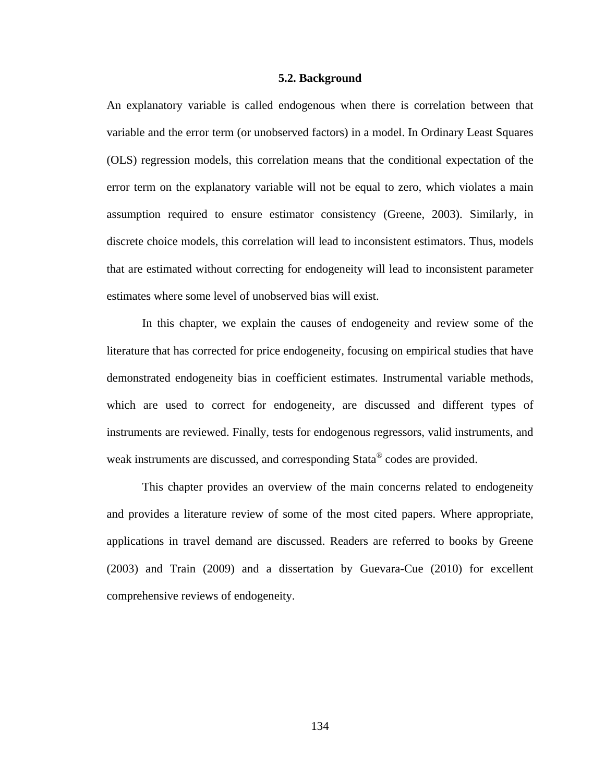## **5.2. Background**

An explanatory variable is called endogenous when there is correlation between that variable and the error term (or unobserved factors) in a model. In Ordinary Least Squares (OLS) regression models, this correlation means that the conditional expectation of the error term on the explanatory variable will not be equal to zero, which violates a main assumption required to ensure estimator consistency (Greene, 2003). Similarly, in discrete choice models, this correlation will lead to inconsistent estimators. Thus, models that are estimated without correcting for endogeneity will lead to inconsistent parameter estimates where some level of unobserved bias will exist.

 In this chapter, we explain the causes of endogeneity and review some of the literature that has corrected for price endogeneity, focusing on empirical studies that have demonstrated endogeneity bias in coefficient estimates. Instrumental variable methods, which are used to correct for endogeneity, are discussed and different types of instruments are reviewed. Finally, tests for endogenous regressors, valid instruments, and weak instruments are discussed, and corresponding Stata<sup>®</sup> codes are provided.

 This chapter provides an overview of the main concerns related to endogeneity and provides a literature review of some of the most cited papers. Where appropriate, applications in travel demand are discussed. Readers are referred to books by Greene (2003) and Train (2009) and a dissertation by Guevara-Cue (2010) for excellent comprehensive reviews of endogeneity.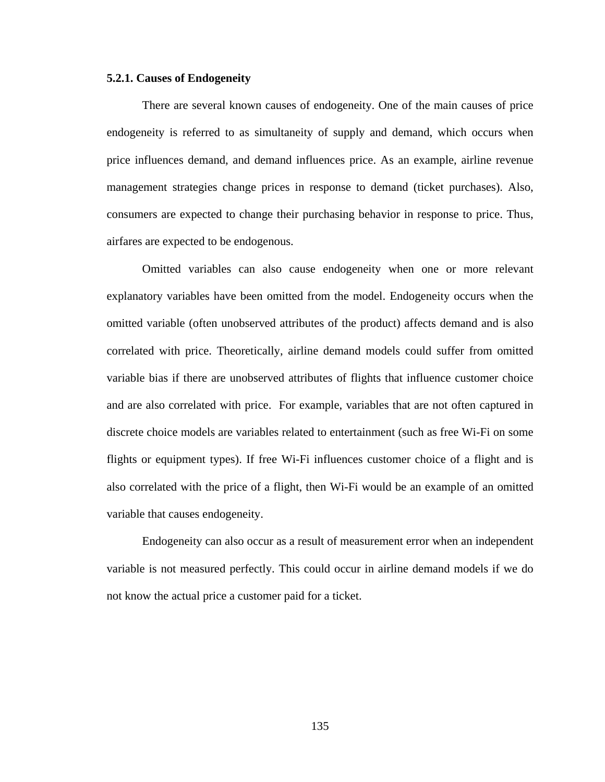#### **5.2.1. Causes of Endogeneity**

 There are several known causes of endogeneity. One of the main causes of price endogeneity is referred to as simultaneity of supply and demand, which occurs when price influences demand, and demand influences price. As an example, airline revenue management strategies change prices in response to demand (ticket purchases). Also, consumers are expected to change their purchasing behavior in response to price. Thus, airfares are expected to be endogenous.

 Omitted variables can also cause endogeneity when one or more relevant explanatory variables have been omitted from the model. Endogeneity occurs when the omitted variable (often unobserved attributes of the product) affects demand and is also correlated with price. Theoretically, airline demand models could suffer from omitted variable bias if there are unobserved attributes of flights that influence customer choice and are also correlated with price. For example, variables that are not often captured in discrete choice models are variables related to entertainment (such as free Wi-Fi on some flights or equipment types). If free Wi-Fi influences customer choice of a flight and is also correlated with the price of a flight, then Wi-Fi would be an example of an omitted variable that causes endogeneity.

 Endogeneity can also occur as a result of measurement error when an independent variable is not measured perfectly. This could occur in airline demand models if we do not know the actual price a customer paid for a ticket.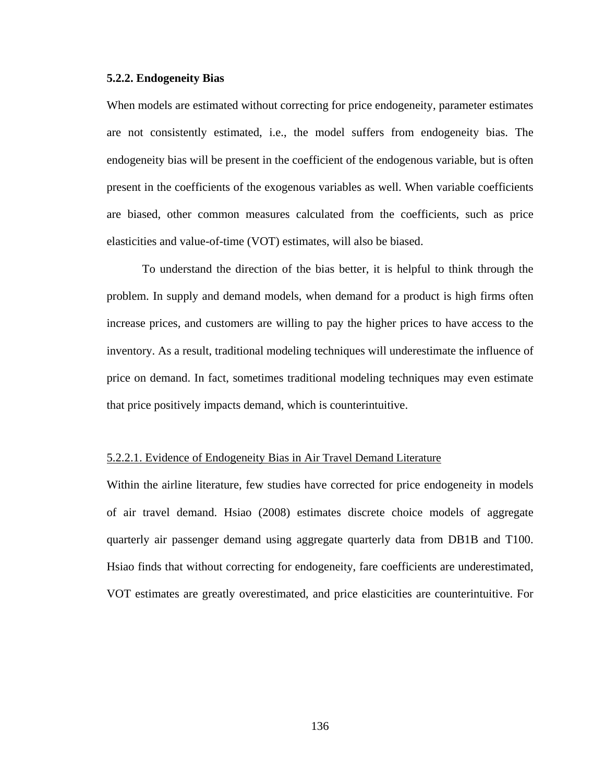## **5.2.2. Endogeneity Bias**

When models are estimated without correcting for price endogeneity, parameter estimates are not consistently estimated, i.e., the model suffers from endogeneity bias. The endogeneity bias will be present in the coefficient of the endogenous variable, but is often present in the coefficients of the exogenous variables as well. When variable coefficients are biased, other common measures calculated from the coefficients, such as price elasticities and value-of-time (VOT) estimates, will also be biased.

 To understand the direction of the bias better, it is helpful to think through the problem. In supply and demand models, when demand for a product is high firms often increase prices, and customers are willing to pay the higher prices to have access to the inventory. As a result, traditional modeling techniques will underestimate the influence of price on demand. In fact, sometimes traditional modeling techniques may even estimate that price positively impacts demand, which is counterintuitive.

## 5.2.2.1. Evidence of Endogeneity Bias in Air Travel Demand Literature

Within the airline literature, few studies have corrected for price endogeneity in models of air travel demand. Hsiao (2008) estimates discrete choice models of aggregate quarterly air passenger demand using aggregate quarterly data from DB1B and T100. Hsiao finds that without correcting for endogeneity, fare coefficients are underestimated, VOT estimates are greatly overestimated, and price elasticities are counterintuitive. For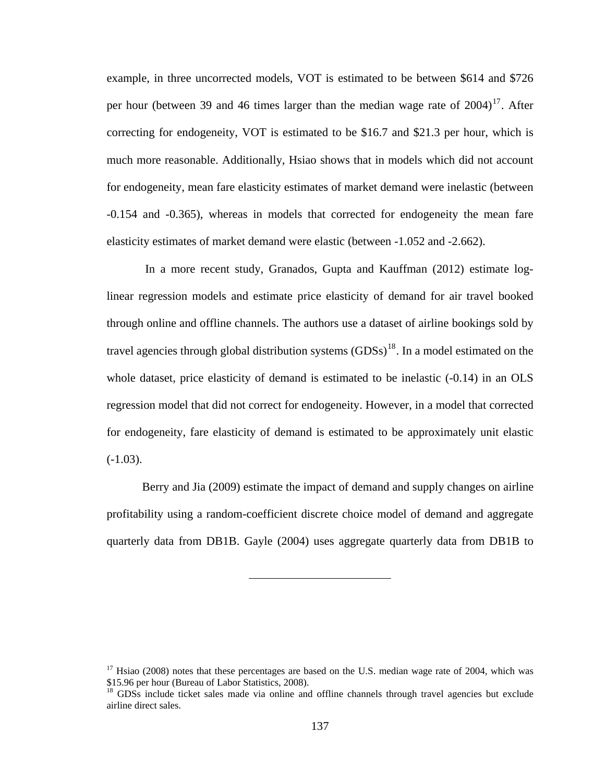<span id="page-149-0"></span>example, in three uncorrected models, VOT is estimated to be between \$614 and \$726 per hour (between 39 and 46 times larger than the median wage rate of  $2004$ <sup>[17](#page-149-0)</sup>. After correcting for endogeneity, VOT is estimated to be \$16.7 and \$21.3 per hour, which is much more reasonable. Additionally, Hsiao shows that in models which did not account for endogeneity, mean fare elasticity estimates of market demand were inelastic (between -0.154 and -0.365), whereas in models that corrected for endogeneity the mean fare elasticity estimates of market demand were elastic (between -1.052 and -2.662).

 In a more recent study, Granados, Gupta and Kauffman (2012) estimate loglinear regression models and estimate price elasticity of demand for air travel booked through online and offline channels. The authors use a dataset of airline bookings sold by travel agencies through global distribution systems  $(GDSs)^{18}$  $(GDSs)^{18}$  $(GDSs)^{18}$ . In a model estimated on the whole dataset, price elasticity of demand is estimated to be inelastic  $(-0.14)$  in an OLS regression model that did not correct for endogeneity. However, in a model that corrected for endogeneity, fare elasticity of demand is estimated to be approximately unit elastic  $(-1.03)$ .

 Berry and Jia (2009) estimate the impact of demand and supply changes on airline profitability using a random-coefficient discrete choice model of demand and aggregate quarterly data from DB1B. Gayle (2004) uses aggregate quarterly data from DB1B to

 $17$  Hsiao (2008) notes that these percentages are based on the U.S. median wage rate of 2004, which was \$15.96 per hour (Bureau of Labor Statistics, 2008).

<sup>&</sup>lt;sup>18</sup> GDSs include ticket sales made via online and offline channels through travel agencies but exclude airline direct sales.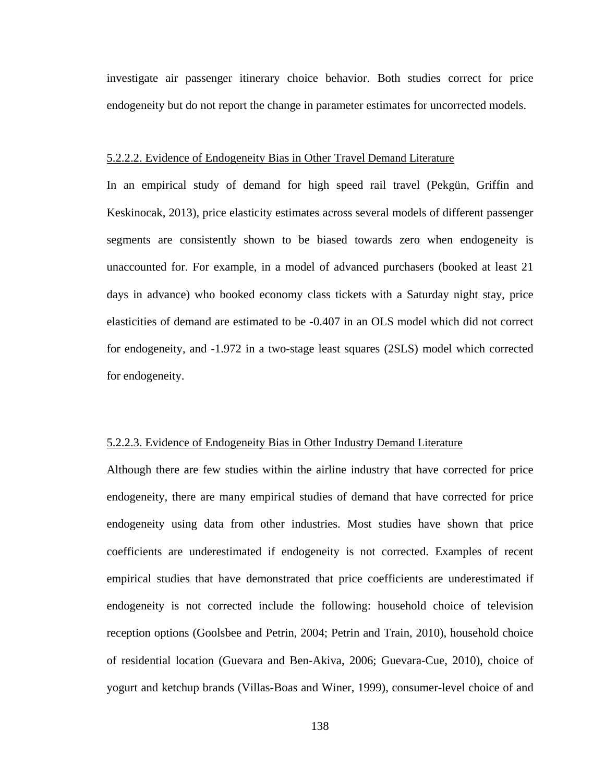investigate air passenger itinerary choice behavior. Both studies correct for price endogeneity but do not report the change in parameter estimates for uncorrected models.

## 5.2.2.2. Evidence of Endogeneity Bias in Other Travel Demand Literature

In an empirical study of demand for high speed rail travel (Pekgün, Griffin and Keskinocak, 2013), price elasticity estimates across several models of different passenger segments are consistently shown to be biased towards zero when endogeneity is unaccounted for. For example, in a model of advanced purchasers (booked at least 21 days in advance) who booked economy class tickets with a Saturday night stay, price elasticities of demand are estimated to be -0.407 in an OLS model which did not correct for endogeneity, and -1.972 in a two-stage least squares (2SLS) model which corrected for endogeneity.

## 5.2.2.3. Evidence of Endogeneity Bias in Other Industry Demand Literature

Although there are few studies within the airline industry that have corrected for price endogeneity, there are many empirical studies of demand that have corrected for price endogeneity using data from other industries. Most studies have shown that price coefficients are underestimated if endogeneity is not corrected. Examples of recent empirical studies that have demonstrated that price coefficients are underestimated if endogeneity is not corrected include the following: household choice of television reception options (Goolsbee and Petrin, 2004; Petrin and Train, 2010), household choice of residential location (Guevara and Ben-Akiva, 2006; Guevara-Cue, 2010), choice of yogurt and ketchup brands (Villas-Boas and Winer, 1999), consumer-level choice of and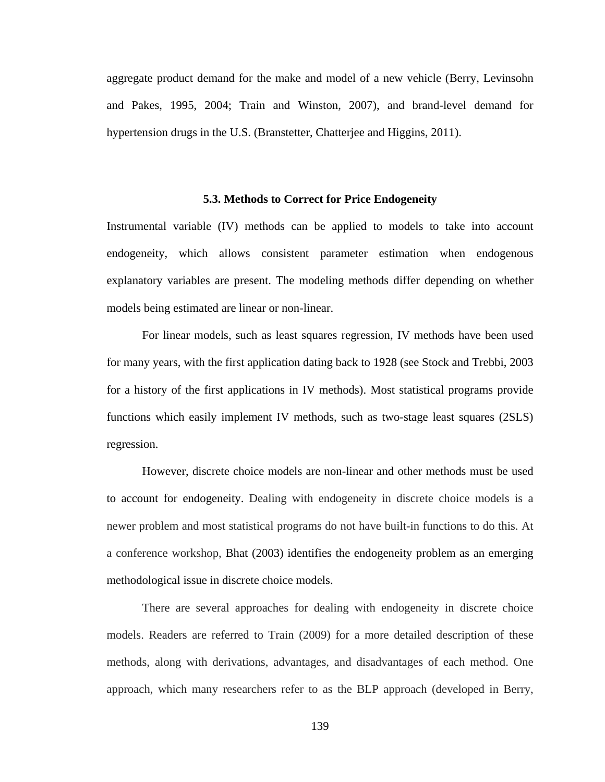aggregate product demand for the make and model of a new vehicle (Berry, Levinsohn and Pakes, 1995, 2004; Train and Winston, 2007), and brand-level demand for hypertension drugs in the U.S. (Branstetter, Chatterjee and Higgins, 2011).

#### **5.3. Methods to Correct for Price Endogeneity**

Instrumental variable (IV) methods can be applied to models to take into account endogeneity, which allows consistent parameter estimation when endogenous explanatory variables are present. The modeling methods differ depending on whether models being estimated are linear or non-linear.

 For linear models, such as least squares regression, IV methods have been used for many years, with the first application dating back to 1928 (see Stock and Trebbi, 2003 for a history of the first applications in IV methods). Most statistical programs provide functions which easily implement IV methods, such as two-stage least squares (2SLS) regression.

 However, discrete choice models are non-linear and other methods must be used to account for endogeneity. Dealing with endogeneity in discrete choice models is a newer problem and most statistical programs do not have built-in functions to do this. At a conference workshop, Bhat (2003) identifies the endogeneity problem as an emerging methodological issue in discrete choice models.

 There are several approaches for dealing with endogeneity in discrete choice models. Readers are referred to Train (2009) for a more detailed description of these methods, along with derivations, advantages, and disadvantages of each method. One approach, which many researchers refer to as the BLP approach (developed in Berry,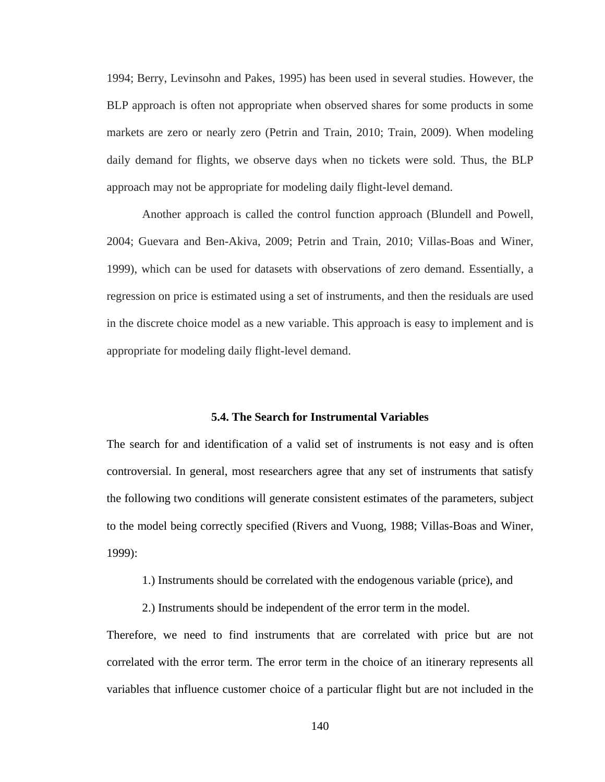1994; Berry, Levinsohn and Pakes, 1995) has been used in several studies. However, the BLP approach is often not appropriate when observed shares for some products in some markets are zero or nearly zero (Petrin and Train, 2010; Train, 2009). When modeling daily demand for flights, we observe days when no tickets were sold. Thus, the BLP approach may not be appropriate for modeling daily flight-level demand.

 Another approach is called the control function approach (Blundell and Powell, 2004; Guevara and Ben-Akiva, 2009; Petrin and Train, 2010; Villas-Boas and Winer, 1999), which can be used for datasets with observations of zero demand. Essentially, a regression on price is estimated using a set of instruments, and then the residuals are used in the discrete choice model as a new variable. This approach is easy to implement and is appropriate for modeling daily flight-level demand.

#### **5.4. The Search for Instrumental Variables**

The search for and identification of a valid set of instruments is not easy and is often controversial. In general, most researchers agree that any set of instruments that satisfy the following two conditions will generate consistent estimates of the parameters, subject to the model being correctly specified (Rivers and Vuong, 1988; Villas-Boas and Winer, 1999):

1.) Instruments should be correlated with the endogenous variable (price), and

2.) Instruments should be independent of the error term in the model.

Therefore, we need to find instruments that are correlated with price but are not correlated with the error term. The error term in the choice of an itinerary represents all variables that influence customer choice of a particular flight but are not included in the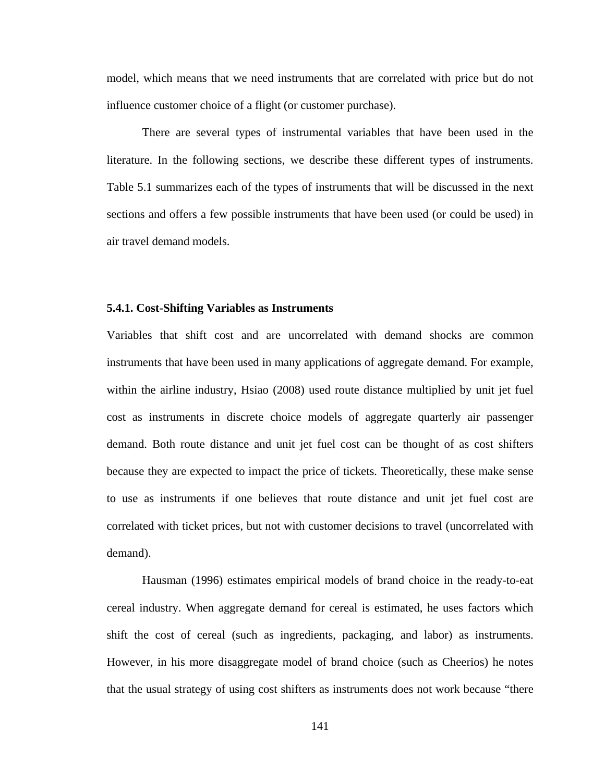model, which means that we need instruments that are correlated with price but do not influence customer choice of a flight (or customer purchase).

 There are several types of instrumental variables that have been used in the literature. In the following sections, we describe these different types of instruments. Table 5.1 summarizes each of the types of instruments that will be discussed in the next sections and offers a few possible instruments that have been used (or could be used) in air travel demand models.

#### **5.4.1. Cost-Shifting Variables as Instruments**

Variables that shift cost and are uncorrelated with demand shocks are common instruments that have been used in many applications of aggregate demand. For example, within the airline industry, Hsiao (2008) used route distance multiplied by unit jet fuel cost as instruments in discrete choice models of aggregate quarterly air passenger demand. Both route distance and unit jet fuel cost can be thought of as cost shifters because they are expected to impact the price of tickets. Theoretically, these make sense to use as instruments if one believes that route distance and unit jet fuel cost are correlated with ticket prices, but not with customer decisions to travel (uncorrelated with demand).

 Hausman (1996) estimates empirical models of brand choice in the ready-to-eat cereal industry. When aggregate demand for cereal is estimated, he uses factors which shift the cost of cereal (such as ingredients, packaging, and labor) as instruments. However, in his more disaggregate model of brand choice (such as Cheerios) he notes that the usual strategy of using cost shifters as instruments does not work because "there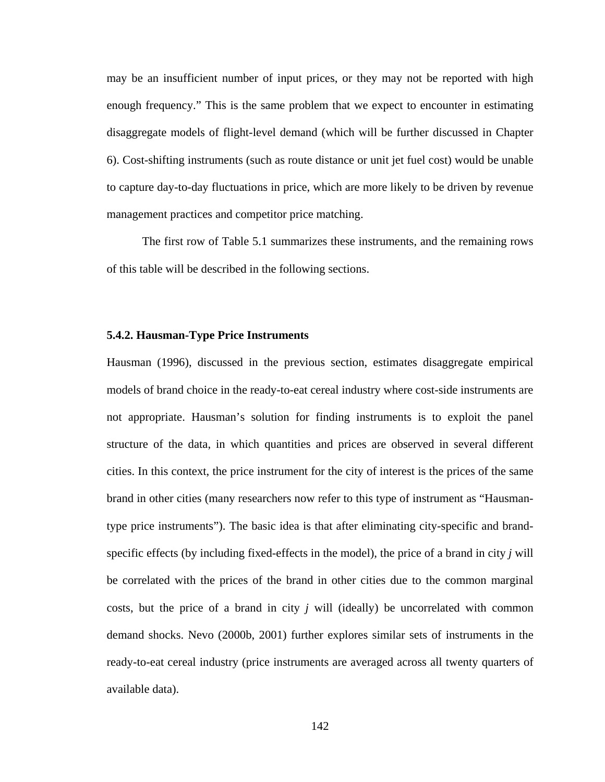may be an insufficient number of input prices, or they may not be reported with high enough frequency." This is the same problem that we expect to encounter in estimating disaggregate models of flight-level demand (which will be further discussed in Chapter 6). Cost-shifting instruments (such as route distance or unit jet fuel cost) would be unable to capture day-to-day fluctuations in price, which are more likely to be driven by revenue management practices and competitor price matching.

 The first row of Table 5.1 summarizes these instruments, and the remaining rows of this table will be described in the following sections.

#### **5.4.2. Hausman-Type Price Instruments**

Hausman (1996), discussed in the previous section, estimates disaggregate empirical models of brand choice in the ready-to-eat cereal industry where cost-side instruments are not appropriate. Hausman's solution for finding instruments is to exploit the panel structure of the data, in which quantities and prices are observed in several different cities. In this context, the price instrument for the city of interest is the prices of the same brand in other cities (many researchers now refer to this type of instrument as "Hausmantype price instruments"). The basic idea is that after eliminating city-specific and brandspecific effects (by including fixed-effects in the model), the price of a brand in city *j* will be correlated with the prices of the brand in other cities due to the common marginal costs, but the price of a brand in city *j* will (ideally) be uncorrelated with common demand shocks. Nevo (2000b, 2001) further explores similar sets of instruments in the ready-to-eat cereal industry (price instruments are averaged across all twenty quarters of available data).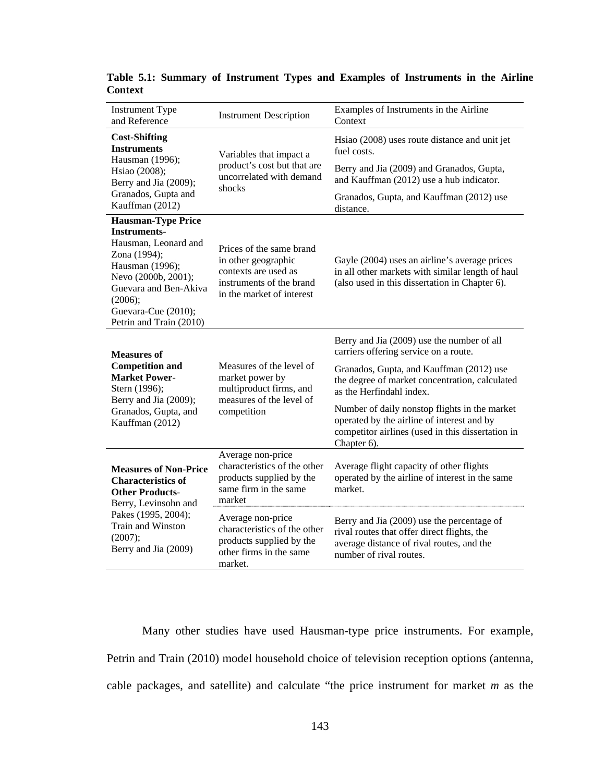| <b>Instrument Type</b><br>and Reference                                                                                                                                                                                  | <b>Instrument Description</b>                                                                                                    | Examples of Instruments in the Airline<br>Context                                                                                                                 |  |  |
|--------------------------------------------------------------------------------------------------------------------------------------------------------------------------------------------------------------------------|----------------------------------------------------------------------------------------------------------------------------------|-------------------------------------------------------------------------------------------------------------------------------------------------------------------|--|--|
| <b>Cost-Shifting</b><br><b>Instruments</b>                                                                                                                                                                               | Variables that impact a<br>product's cost but that are<br>uncorrelated with demand<br>shocks                                     | Hsiao (2008) uses route distance and unit jet<br>fuel costs.                                                                                                      |  |  |
| Hausman (1996);<br>Hsiao (2008);<br>Berry and Jia (2009);                                                                                                                                                                |                                                                                                                                  | Berry and Jia (2009) and Granados, Gupta,<br>and Kauffman (2012) use a hub indicator.                                                                             |  |  |
| Granados, Gupta and<br>Kauffman (2012)                                                                                                                                                                                   |                                                                                                                                  | Granados, Gupta, and Kauffman (2012) use<br>distance.                                                                                                             |  |  |
| <b>Hausman-Type Price</b><br><b>Instruments-</b><br>Hausman, Leonard and<br>Zona (1994);<br>Hausman (1996);<br>Nevo (2000b, 2001);<br>Guevara and Ben-Akiva<br>(2006);<br>Guevara-Cue (2010);<br>Petrin and Train (2010) | Prices of the same brand<br>in other geographic<br>contexts are used as<br>instruments of the brand<br>in the market of interest | Gayle (2004) uses an airline's average prices<br>in all other markets with similar length of haul<br>(also used in this dissertation in Chapter 6).               |  |  |
| <b>Measures of</b>                                                                                                                                                                                                       |                                                                                                                                  | Berry and Jia (2009) use the number of all<br>carriers offering service on a route.                                                                               |  |  |
| <b>Competition and</b><br><b>Market Power-</b><br>Stern (1996);<br>Berry and Jia (2009);<br>Granados, Gupta, and<br>Kauffman (2012)                                                                                      | Measures of the level of<br>market power by<br>multiproduct firms, and<br>measures of the level of<br>competition                | Granados, Gupta, and Kauffman (2012) use<br>the degree of market concentration, calculated<br>as the Herfindahl index.                                            |  |  |
|                                                                                                                                                                                                                          |                                                                                                                                  | Number of daily nonstop flights in the market<br>operated by the airline of interest and by<br>competitor airlines (used in this dissertation in<br>Chapter 6).   |  |  |
| <b>Measures of Non-Price</b><br><b>Characteristics of</b><br><b>Other Products-</b><br>Berry, Levinsohn and<br>Pakes (1995, 2004);<br>Train and Winston<br>(2007);<br>Berry and Jia (2009)                               | Average non-price<br>characteristics of the other<br>products supplied by the<br>same firm in the same<br>market                 | Average flight capacity of other flights<br>operated by the airline of interest in the same<br>market.                                                            |  |  |
|                                                                                                                                                                                                                          | Average non-price<br>characteristics of the other<br>products supplied by the<br>other firms in the same<br>market.              | Berry and Jia (2009) use the percentage of<br>rival routes that offer direct flights, the<br>average distance of rival routes, and the<br>number of rival routes. |  |  |

**Table 5.1: Summary of Instrument Types and Examples of Instruments in the Airline Context** 

 Many other studies have used Hausman-type price instruments. For example, Petrin and Train (2010) model household choice of television reception options (antenna, cable packages, and satellite) and calculate "the price instrument for market *m* as the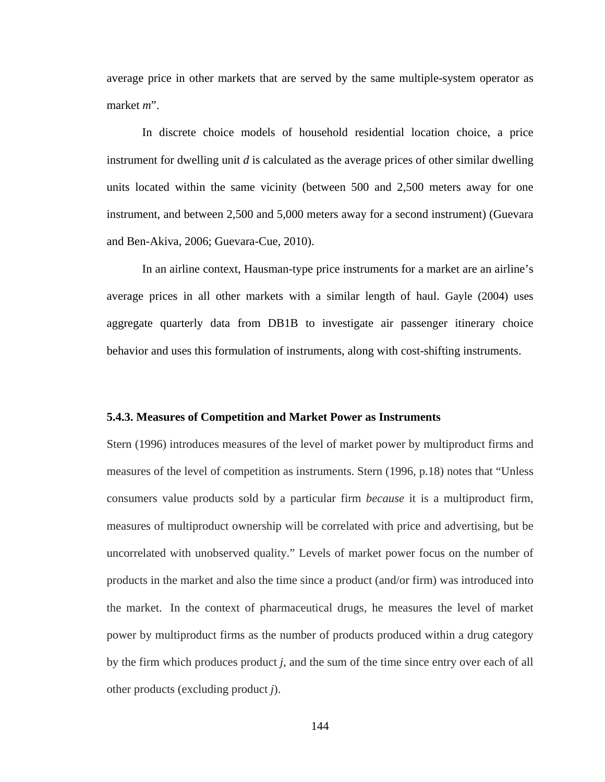average price in other markets that are served by the same multiple-system operator as market *m*".

 In discrete choice models of household residential location choice, a price instrument for dwelling unit *d* is calculated as the average prices of other similar dwelling units located within the same vicinity (between 500 and 2,500 meters away for one instrument, and between 2,500 and 5,000 meters away for a second instrument) (Guevara and Ben-Akiva, 2006; Guevara-Cue, 2010).

 In an airline context, Hausman-type price instruments for a market are an airline's average prices in all other markets with a similar length of haul. Gayle (2004) uses aggregate quarterly data from DB1B to investigate air passenger itinerary choice behavior and uses this formulation of instruments, along with cost-shifting instruments.

#### **5.4.3. Measures of Competition and Market Power as Instruments**

Stern (1996) introduces measures of the level of market power by multiproduct firms and measures of the level of competition as instruments. Stern (1996, p.18) notes that "Unless consumers value products sold by a particular firm *because* it is a multiproduct firm, measures of multiproduct ownership will be correlated with price and advertising, but be uncorrelated with unobserved quality." Levels of market power focus on the number of products in the market and also the time since a product (and/or firm) was introduced into the market. In the context of pharmaceutical drugs, he measures the level of market power by multiproduct firms as the number of products produced within a drug category by the firm which produces product *j*, and the sum of the time since entry over each of all other products (excluding product *j*).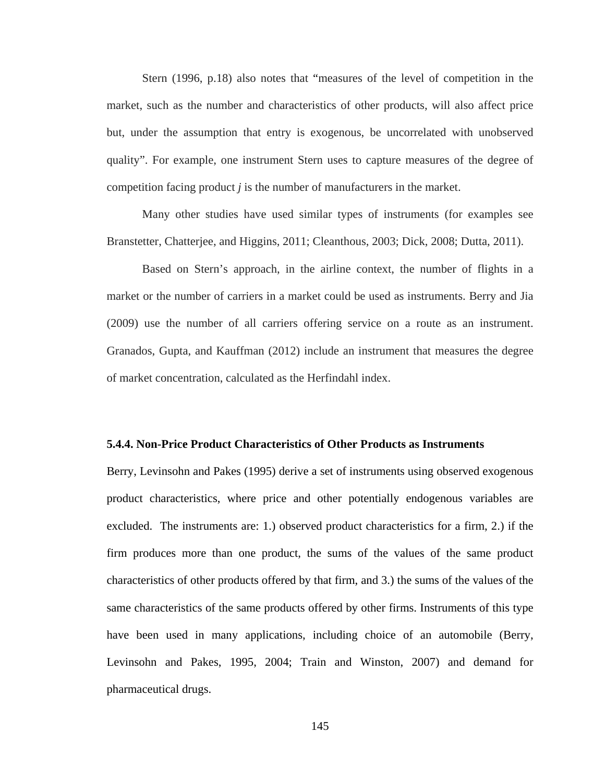Stern (1996, p.18) also notes that "measures of the level of competition in the market, such as the number and characteristics of other products, will also affect price but, under the assumption that entry is exogenous, be uncorrelated with unobserved quality". For example, one instrument Stern uses to capture measures of the degree of competition facing product *j* is the number of manufacturers in the market.

 Many other studies have used similar types of instruments (for examples see Branstetter, Chatterjee, and Higgins, 2011; Cleanthous, 2003; Dick, 2008; Dutta, 2011).

 Based on Stern's approach, in the airline context, the number of flights in a market or the number of carriers in a market could be used as instruments. Berry and Jia (2009) use the number of all carriers offering service on a route as an instrument. Granados, Gupta, and Kauffman (2012) include an instrument that measures the degree of market concentration, calculated as the Herfindahl index.

#### **5.4.4. Non-Price Product Characteristics of Other Products as Instruments**

Berry, Levinsohn and Pakes (1995) derive a set of instruments using observed exogenous product characteristics, where price and other potentially endogenous variables are excluded. The instruments are: 1.) observed product characteristics for a firm, 2.) if the firm produces more than one product, the sums of the values of the same product characteristics of other products offered by that firm, and 3.) the sums of the values of the same characteristics of the same products offered by other firms. Instruments of this type have been used in many applications, including choice of an automobile (Berry, Levinsohn and Pakes, 1995, 2004; Train and Winston, 2007) and demand for pharmaceutical drugs.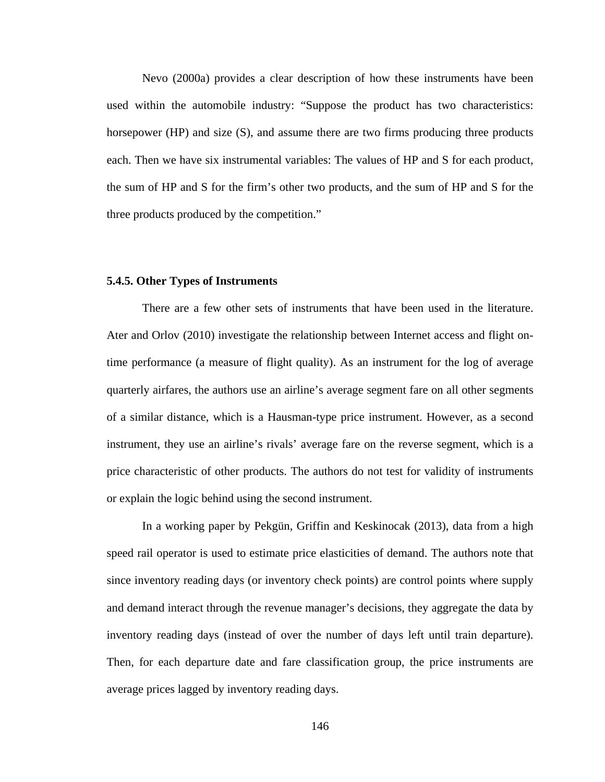Nevo (2000a) provides a clear description of how these instruments have been used within the automobile industry: "Suppose the product has two characteristics: horsepower (HP) and size (S), and assume there are two firms producing three products each. Then we have six instrumental variables: The values of HP and S for each product, the sum of HP and S for the firm's other two products, and the sum of HP and S for the three products produced by the competition."

#### **5.4.5. Other Types of Instruments**

 There are a few other sets of instruments that have been used in the literature. Ater and Orlov (2010) investigate the relationship between Internet access and flight ontime performance (a measure of flight quality). As an instrument for the log of average quarterly airfares, the authors use an airline's average segment fare on all other segments of a similar distance, which is a Hausman-type price instrument. However, as a second instrument, they use an airline's rivals' average fare on the reverse segment, which is a price characteristic of other products. The authors do not test for validity of instruments or explain the logic behind using the second instrument.

 In a working paper by Pekgün, Griffin and Keskinocak (2013), data from a high speed rail operator is used to estimate price elasticities of demand. The authors note that since inventory reading days (or inventory check points) are control points where supply and demand interact through the revenue manager's decisions, they aggregate the data by inventory reading days (instead of over the number of days left until train departure). Then, for each departure date and fare classification group, the price instruments are average prices lagged by inventory reading days.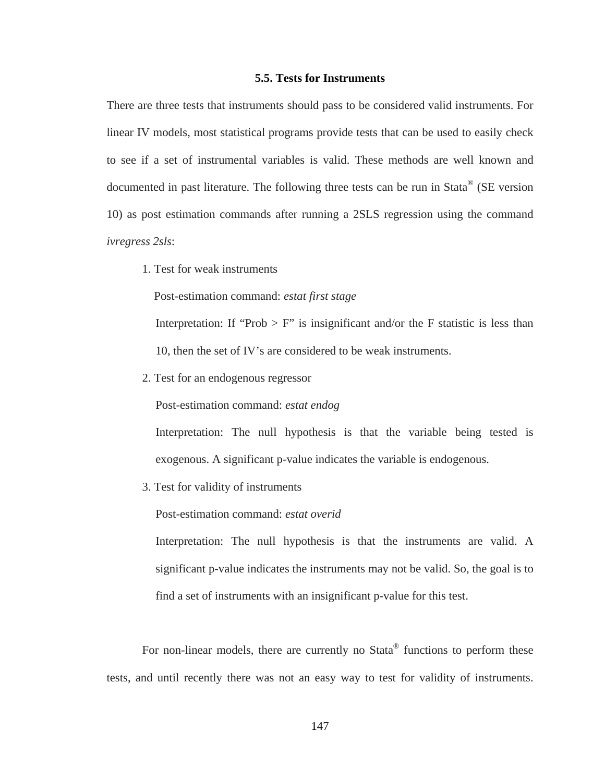## **5.5. Tests for Instruments**

There are three tests that instruments should pass to be considered valid instruments. For linear IV models, most statistical programs provide tests that can be used to easily check to see if a set of instrumental variables is valid. These methods are well known and documented in past literature. The following three tests can be run in Stata® (SE version 10) as post estimation commands after running a 2SLS regression using the command *ivregress 2sls*:

1. Test for weak instruments

Post-estimation command: *estat first stage*

Interpretation: If "Prob  $>$  F" is insignificant and/or the F statistic is less than 10, then the set of IV's are considered to be weak instruments.

2. Test for an endogenous regressor

Post-estimation command: *estat endog*

 Interpretation: The null hypothesis is that the variable being tested is exogenous. A significant p-value indicates the variable is endogenous.

3. Test for validity of instruments

Post-estimation command: *estat overid*

 Interpretation: The null hypothesis is that the instruments are valid. A significant p-value indicates the instruments may not be valid. So, the goal is to find a set of instruments with an insignificant p-value for this test.

For non-linear models, there are currently no Stata<sup>®</sup> functions to perform these tests, and until recently there was not an easy way to test for validity of instruments.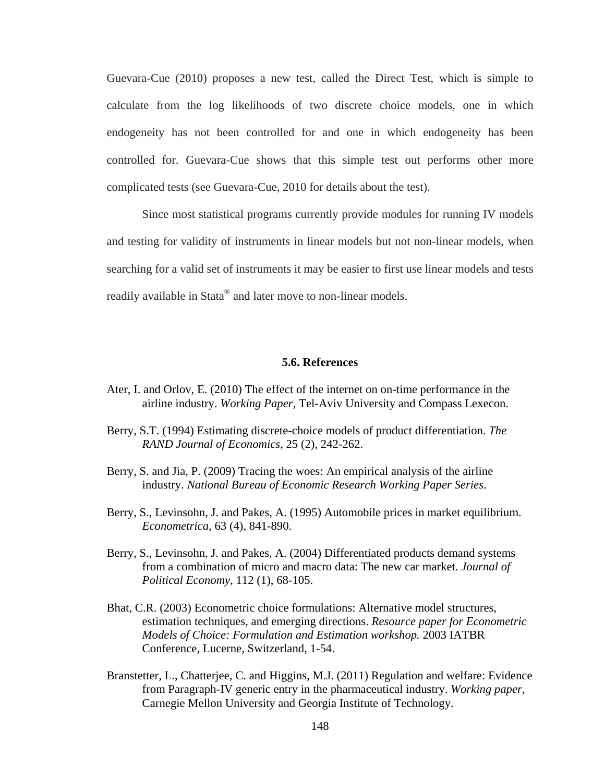Guevara-Cue (2010) proposes a new test, called the Direct Test, which is simple to calculate from the log likelihoods of two discrete choice models, one in which endogeneity has not been controlled for and one in which endogeneity has been controlled for. Guevara-Cue shows that this simple test out performs other more complicated tests (see Guevara-Cue, 2010 for details about the test).

 Since most statistical programs currently provide modules for running IV models and testing for validity of instruments in linear models but not non-linear models, when searching for a valid set of instruments it may be easier to first use linear models and tests readily available in Stata<sup>®</sup> and later move to non-linear models.

#### **5.6. References**

- Ater, I. and Orlov, E. (2010) The effect of the internet on on-time performance in the airline industry. *Working Paper*, Tel-Aviv University and Compass Lexecon.
- Berry, S.T. (1994) Estimating discrete-choice models of product differentiation. *The RAND Journal of Economics*, 25 (2), 242-262.
- Berry, S. and Jia, P. (2009) Tracing the woes: An empirical analysis of the airline industry. *National Bureau of Economic Research Working Paper Series*.
- Berry, S., Levinsohn, J. and Pakes, A. (1995) Automobile prices in market equilibrium. *Econometrica*, 63 (4), 841-890.
- Berry, S., Levinsohn, J. and Pakes, A. (2004) Differentiated products demand systems from a combination of micro and macro data: The new car market. *Journal of Political Economy*, 112 (1), 68-105.
- Bhat, C.R. (2003) Econometric choice formulations: Alternative model structures, estimation techniques, and emerging directions. *Resource paper for Econometric Models of Choice: Formulation and Estimation workshop.* 2003 IATBR Conference, Lucerne, Switzerland, 1-54.
- Branstetter, L., Chatterjee, C. and Higgins, M.J. (2011) Regulation and welfare: Evidence from Paragraph-IV generic entry in the pharmaceutical industry. *Working paper*, Carnegie Mellon University and Georgia Institute of Technology.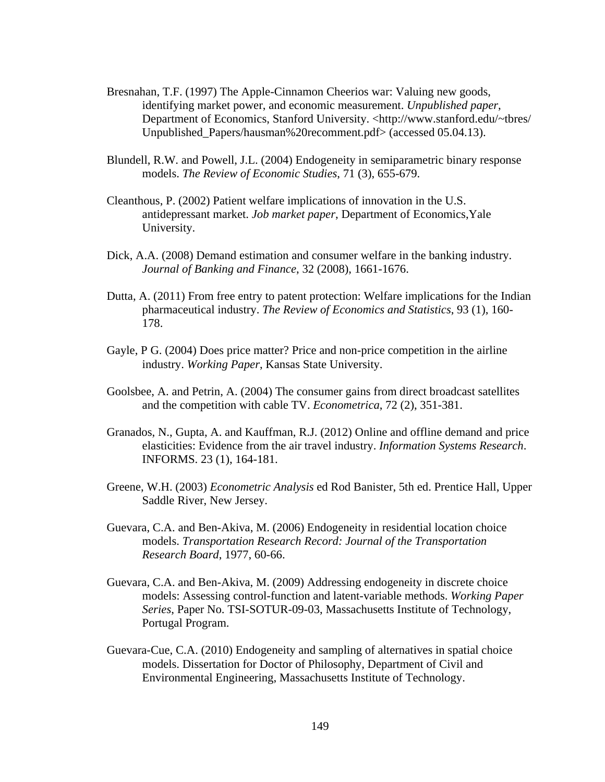- Bresnahan, T.F. (1997) The Apple-Cinnamon Cheerios war: Valuing new goods, identifying market power, and economic measurement. *Unpublished paper*, Department of Economics, Stanford University. <http://www.stanford.edu/~tbres/ Unpublished Papers/hausman%20recomment.pdf> (accessed 05.04.13).
- Blundell, R.W. and Powell, J.L. (2004) Endogeneity in semiparametric binary response models. *The Review of Economic Studies*, 71 (3), 655-679.
- Cleanthous, P. (2002) Patient welfare implications of innovation in the U.S. antidepressant market. *Job market paper*, Department of Economics,Yale University.
- Dick, A.A. (2008) Demand estimation and consumer welfare in the banking industry. *Journal of Banking and Finance*, 32 (2008), 1661-1676.
- Dutta, A. (2011) From free entry to patent protection: Welfare implications for the Indian pharmaceutical industry. *The Review of Economics and Statistics*, 93 (1), 160- 178.
- Gayle, P G. (2004) Does price matter? Price and non-price competition in the airline industry. *Working Paper*, Kansas State University.
- Goolsbee, A. and Petrin, A. (2004) The consumer gains from direct broadcast satellites and the competition with cable TV. *Econometrica*, 72 (2), 351-381.
- Granados, N., Gupta, A. and Kauffman, R.J. (2012) Online and offline demand and price elasticities: Evidence from the air travel industry. *Information Systems Research*. INFORMS. 23 (1), 164-181.
- Greene, W.H. (2003) *Econometric Analysis* ed Rod Banister, 5th ed. Prentice Hall, Upper Saddle River, New Jersey.
- Guevara, C.A. and Ben-Akiva, M. (2006) Endogeneity in residential location choice models. *Transportation Research Record: Journal of the Transportation Research Board*, 1977, 60-66.
- Guevara, C.A. and Ben-Akiva, M. (2009) Addressing endogeneity in discrete choice models: Assessing control-function and latent-variable methods. *Working Paper Series*, Paper No. TSI-SOTUR-09-03, Massachusetts Institute of Technology, Portugal Program.
- Guevara-Cue, C.A. (2010) Endogeneity and sampling of alternatives in spatial choice models. Dissertation for Doctor of Philosophy, Department of Civil and Environmental Engineering, Massachusetts Institute of Technology.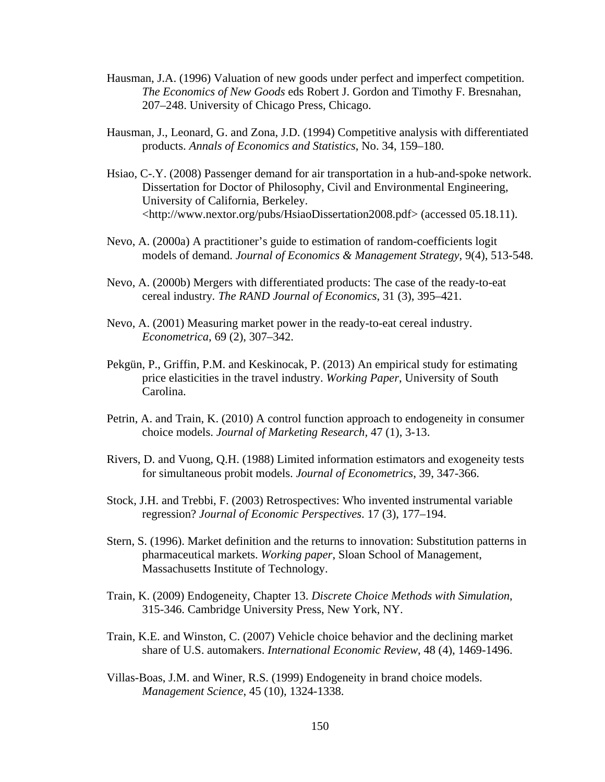- Hausman, J.A. (1996) Valuation of new goods under perfect and imperfect competition. *The Economics of New Goods* eds Robert J. Gordon and Timothy F. Bresnahan, 207–248. University of Chicago Press, Chicago.
- Hausman, J., Leonard, G. and Zona, J.D. (1994) Competitive analysis with differentiated products. *Annals of Economics and Statistics*, No. 34, 159–180.
- Hsiao, C-.Y. (2008) Passenger demand for air transportation in a hub-and-spoke network. Dissertation for Doctor of Philosophy, Civil and Environmental Engineering, University of California, Berkeley. <<http://www.nextor.org/pubs/HsiaoDissertation2008.pdf>> (accessed 05.18.11).
- Nevo, A. (2000a) A practitioner's guide to estimation of random-coefficients logit models of demand. *Journal of Economics & Management Strategy*, 9(4), 513-548.
- Nevo, A. (2000b) Mergers with differentiated products: The case of the ready-to-eat cereal industry*. The RAND Journal of Economics*, 31 (3), 395–421.
- Nevo, A. (2001) Measuring market power in the ready-to-eat cereal industry. *Econometrica*, 69 (2), 307–342.
- Pekgün, P., Griffin, P.M. and Keskinocak, P. (2013) An empirical study for estimating price elasticities in the travel industry. *Working Paper*, University of South Carolina.
- Petrin, A. and Train, K. (2010) A control function approach to endogeneity in consumer choice models. *Journal of Marketing Research,* 47 (1), 3-13.
- Rivers, D. and Vuong, Q.H. (1988) Limited information estimators and exogeneity tests for simultaneous probit models. *Journal of Econometrics*, 39, 347-366.
- Stock, J.H. and Trebbi, F. (2003) Retrospectives: Who invented instrumental variable regression? *Journal of Economic Perspectives*. 17 (3), 177–194.
- Stern, S. (1996). Market definition and the returns to innovation: Substitution patterns in pharmaceutical markets. *Working paper*, Sloan School of Management, Massachusetts Institute of Technology.
- Train, K. (2009) Endogeneity, Chapter 13. *Discrete Choice Methods with Simulation*, 315-346. Cambridge University Press, New York, NY.
- Train, K.E. and Winston, C. (2007) Vehicle choice behavior and the declining market share of U.S. automakers. *International Economic Review*, 48 (4), 1469-1496.
- Villas-Boas, J.M. and Winer, R.S. (1999) Endogeneity in brand choice models. *Management Science*, 45 (10), 1324-1338.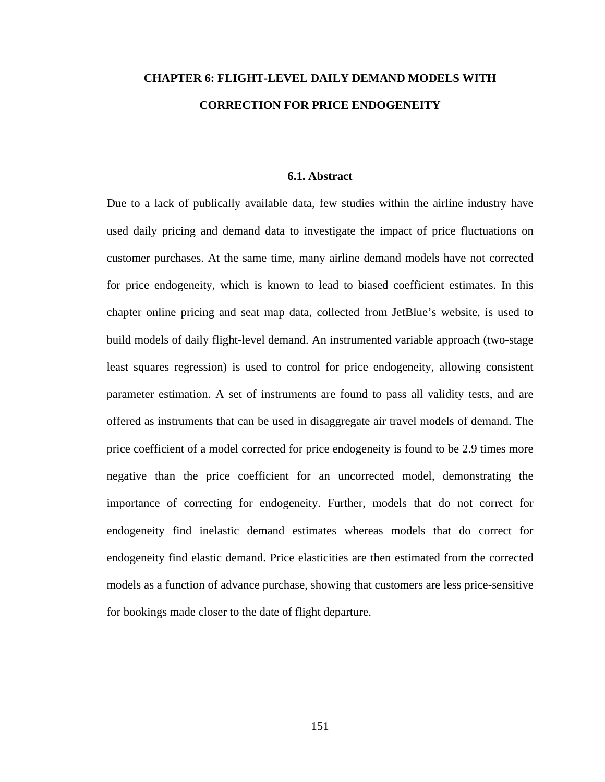# **CHAPTER 6: FLIGHT-LEVEL DAILY DEMAND MODELS WITH CORRECTION FOR PRICE ENDOGENEITY**

## **6.1. Abstract**

Due to a lack of publically available data, few studies within the airline industry have used daily pricing and demand data to investigate the impact of price fluctuations on customer purchases. At the same time, many airline demand models have not corrected for price endogeneity, which is known to lead to biased coefficient estimates. In this chapter online pricing and seat map data, collected from JetBlue's website, is used to build models of daily flight-level demand. An instrumented variable approach (two-stage least squares regression) is used to control for price endogeneity, allowing consistent parameter estimation. A set of instruments are found to pass all validity tests, and are offered as instruments that can be used in disaggregate air travel models of demand. The price coefficient of a model corrected for price endogeneity is found to be 2.9 times more negative than the price coefficient for an uncorrected model, demonstrating the importance of correcting for endogeneity. Further, models that do not correct for endogeneity find inelastic demand estimates whereas models that do correct for endogeneity find elastic demand. Price elasticities are then estimated from the corrected models as a function of advance purchase, showing that customers are less price-sensitive for bookings made closer to the date of flight departure.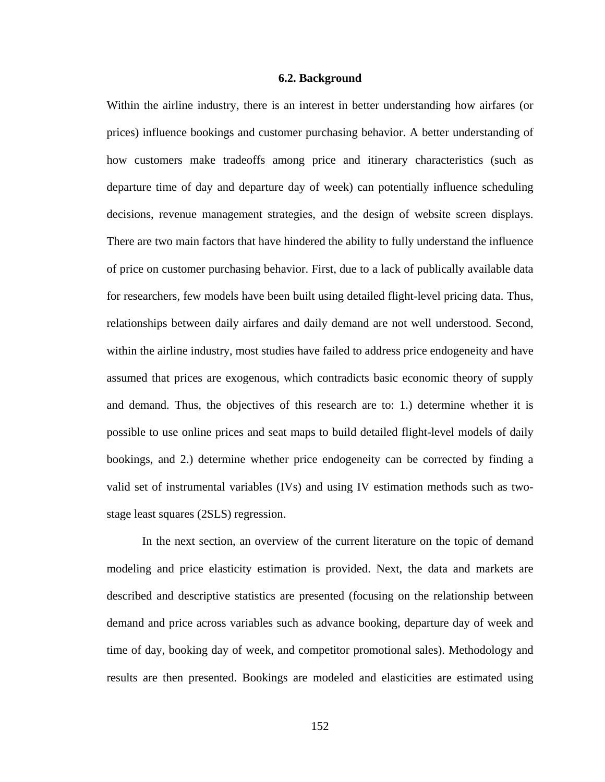#### **6.2. Background**

Within the airline industry, there is an interest in better understanding how airfares (or prices) influence bookings and customer purchasing behavior. A better understanding of how customers make tradeoffs among price and itinerary characteristics (such as departure time of day and departure day of week) can potentially influence scheduling decisions, revenue management strategies, and the design of website screen displays. There are two main factors that have hindered the ability to fully understand the influence of price on customer purchasing behavior. First, due to a lack of publically available data for researchers, few models have been built using detailed flight-level pricing data. Thus, relationships between daily airfares and daily demand are not well understood. Second, within the airline industry, most studies have failed to address price endogeneity and have assumed that prices are exogenous, which contradicts basic economic theory of supply and demand. Thus, the objectives of this research are to: 1.) determine whether it is possible to use online prices and seat maps to build detailed flight-level models of daily bookings, and 2.) determine whether price endogeneity can be corrected by finding a valid set of instrumental variables (IVs) and using IV estimation methods such as twostage least squares (2SLS) regression.

 In the next section, an overview of the current literature on the topic of demand modeling and price elasticity estimation is provided. Next, the data and markets are described and descriptive statistics are presented (focusing on the relationship between demand and price across variables such as advance booking, departure day of week and time of day, booking day of week, and competitor promotional sales). Methodology and results are then presented. Bookings are modeled and elasticities are estimated using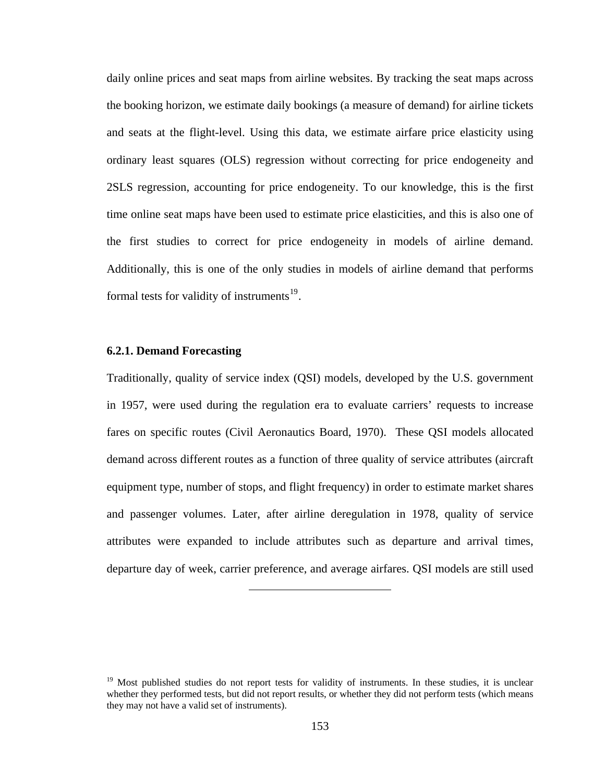<span id="page-165-0"></span>daily online prices and seat maps from airline websites. By tracking the seat maps across the booking horizon, we estimate daily bookings (a measure of demand) for airline tickets and seats at the flight-level. Using this data, we estimate airfare price elasticity using ordinary least squares (OLS) regression without correcting for price endogeneity and 2SLS regression, accounting for price endogeneity. To our knowledge, this is the first time online seat maps have been used to estimate price elasticities, and this is also one of the first studies to correct for price endogeneity in models of airline demand. Additionally, this is one of the only studies in models of airline demand that performs formal tests for validity of instruments<sup>[19](#page-165-0)</sup>.

## **6.2.1. Demand Forecasting**

Traditionally, quality of service index (QSI) models, developed by the U.S. government in 1957, were used during the regulation era to evaluate carriers' requests to increase fares on specific routes (Civil Aeronautics Board, 1970). These QSI models allocated demand across different routes as a function of three quality of service attributes (aircraft equipment type, number of stops, and flight frequency) in order to estimate market shares and passenger volumes. Later, after airline deregulation in 1978, quality of service attributes were expanded to include attributes such as departure and arrival times, departure day of week, carrier preference, and average airfares. QSI models are still used

<sup>&</sup>lt;sup>19</sup> Most published studies do not report tests for validity of instruments. In these studies, it is unclear whether they performed tests, but did not report results, or whether they did not perform tests (which means they may not have a valid set of instruments).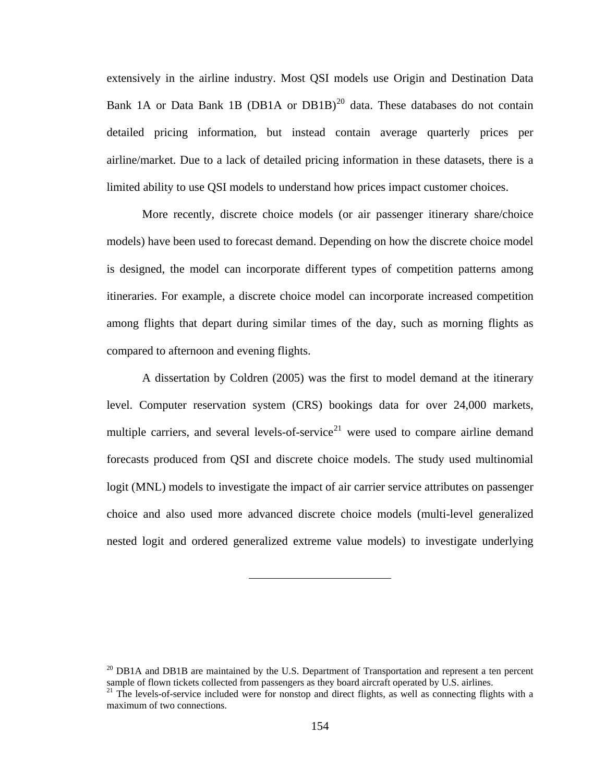<span id="page-166-0"></span>extensively in the airline industry. Most QSI models use Origin and Destination Data Bank 1A or Data Bank 1B (DB1A or DB1B)<sup>[20](#page-166-0)</sup> data. These databases do not contain detailed pricing information, but instead contain average quarterly prices per airline/market. Due to a lack of detailed pricing information in these datasets, there is a limited ability to use QSI models to understand how prices impact customer choices.

 More recently, discrete choice models (or air passenger itinerary share/choice models) have been used to forecast demand. Depending on how the discrete choice model is designed, the model can incorporate different types of competition patterns among itineraries. For example, a discrete choice model can incorporate increased competition among flights that depart during similar times of the day, such as morning flights as compared to afternoon and evening flights.

 A dissertation by Coldren (2005) was the first to model demand at the itinerary level. Computer reservation system (CRS) bookings data for over 24,000 markets, multiple carriers, and several levels-of-service<sup>[21](#page-166-0)</sup> were used to compare airline demand forecasts produced from QSI and discrete choice models. The study used multinomial logit (MNL) models to investigate the impact of air carrier service attributes on passenger choice and also used more advanced discrete choice models (multi-level generalized nested logit and ordered generalized extreme value models) to investigate underlying

 $^{20}$  DB1A and DB1B are maintained by the U.S. Department of Transportation and represent a ten percent sample of flown tickets collected from passengers as they board aircraft operated by U.S. airlines.

<sup>&</sup>lt;sup>21</sup> The levels-of-service included were for nonstop and direct flights, as well as connecting flights with a maximum of two connections.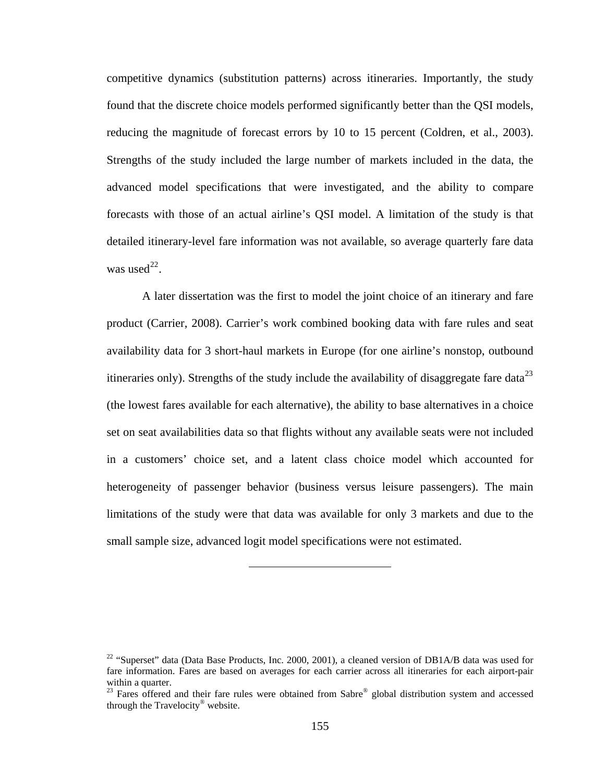<span id="page-167-0"></span>competitive dynamics (substitution patterns) across itineraries. Importantly, the study found that the discrete choice models performed significantly better than the QSI models, reducing the magnitude of forecast errors by 10 to 15 percent (Coldren, et al., 2003). Strengths of the study included the large number of markets included in the data, the advanced model specifications that were investigated, and the ability to compare forecasts with those of an actual airline's QSI model. A limitation of the study is that detailed itinerary-level fare information was not available, so average quarterly fare data was used $^{22}$  $^{22}$  $^{22}$ .

 A later dissertation was the first to model the joint choice of an itinerary and fare product (Carrier, 2008). Carrier's work combined booking data with fare rules and seat availability data for 3 short-haul markets in Europe (for one airline's nonstop, outbound itineraries only). Strengths of the study include the availability of disaggregate fare data<sup>[23](#page-167-0)</sup> (the lowest fares available for each alternative), the ability to base alternatives in a choice set on seat availabilities data so that flights without any available seats were not included in a customers' choice set, and a latent class choice model which accounted for heterogeneity of passenger behavior (business versus leisure passengers). The main limitations of the study were that data was available for only 3 markets and due to the small sample size, advanced logit model specifications were not estimated.

<sup>&</sup>lt;sup>22</sup> "Superset" data (Data Base Products, Inc. 2000, 2001), a cleaned version of DB1A/B data was used for fare information. Fares are based on averages for each carrier across all itineraries for each airport-pair within a quarter.

<sup>&</sup>lt;sup>23</sup> Fares offered and their fare rules were obtained from Sabre<sup>®</sup> global distribution system and accessed through the Travelocity® website.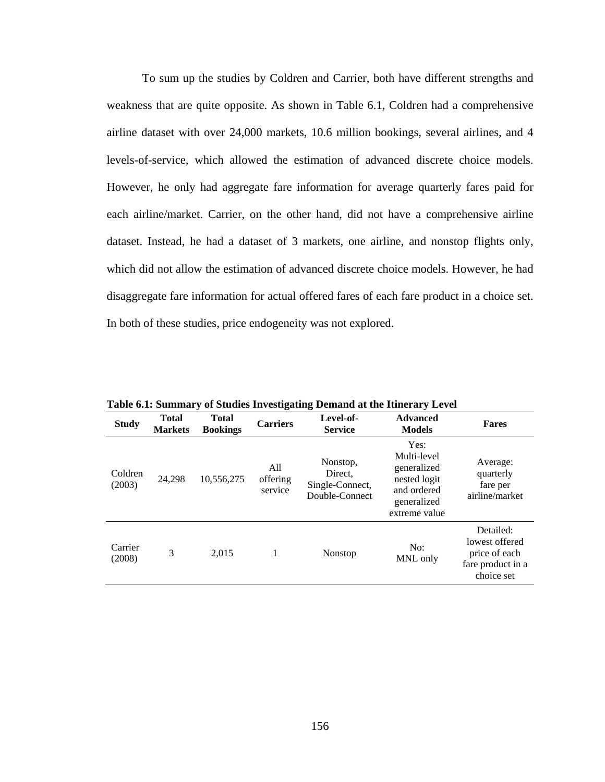To sum up the studies by Coldren and Carrier, both have different strengths and weakness that are quite opposite. As shown in Table 6.1, Coldren had a comprehensive airline dataset with over 24,000 markets, 10.6 million bookings, several airlines, and 4 levels-of-service, which allowed the estimation of advanced discrete choice models. However, he only had aggregate fare information for average quarterly fares paid for each airline/market. Carrier, on the other hand, did not have a comprehensive airline dataset. Instead, he had a dataset of 3 markets, one airline, and nonstop flights only, which did not allow the estimation of advanced discrete choice models. However, he had disaggregate fare information for actual offered fares of each fare product in a choice set. In both of these studies, price endogeneity was not explored.

| <b>Study</b>      | <b>Total</b><br><b>Markets</b> | <b>Total</b><br><b>Bookings</b> | $\mathbf{C}$<br><b>Carriers</b> | -<br>Level-of-<br><b>Service</b>                         | <b>Advanced</b><br><b>Models</b>                                                                  | <b>Fares</b>                                                                    |
|-------------------|--------------------------------|---------------------------------|---------------------------------|----------------------------------------------------------|---------------------------------------------------------------------------------------------------|---------------------------------------------------------------------------------|
| Coldren<br>(2003) | 24,298                         | 10,556,275                      | All<br>offering<br>service      | Nonstop,<br>Direct.<br>Single-Connect,<br>Double-Connect | Yes:<br>Multi-level<br>generalized<br>nested logit<br>and ordered<br>generalized<br>extreme value | Average:<br>quarterly<br>fare per<br>airline/market                             |
| Carrier<br>(2008) | 3                              | 2.015                           | 1                               | Nonstop                                                  | No:<br>MNL only                                                                                   | Detailed:<br>lowest offered<br>price of each<br>fare product in a<br>choice set |

**Table 6.1: Summary of Studies Investigating Demand at the Itinerary Level**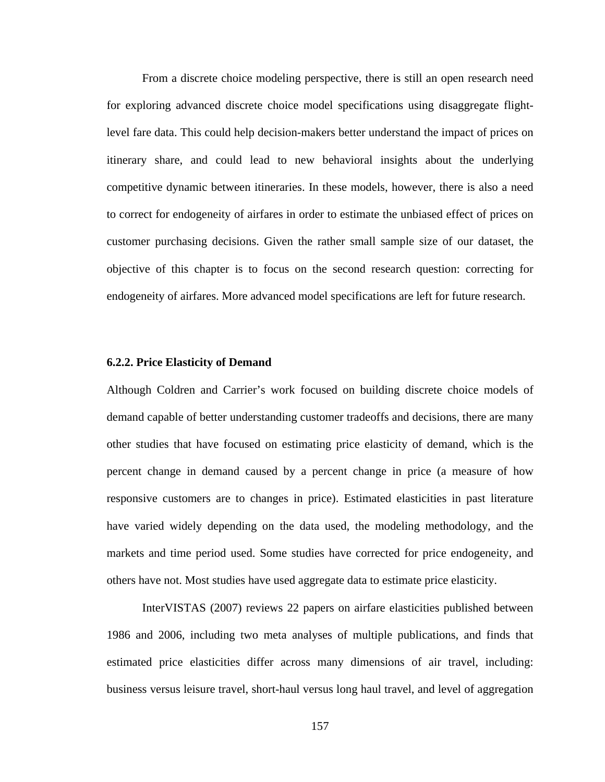From a discrete choice modeling perspective, there is still an open research need for exploring advanced discrete choice model specifications using disaggregate flightlevel fare data. This could help decision-makers better understand the impact of prices on itinerary share, and could lead to new behavioral insights about the underlying competitive dynamic between itineraries. In these models, however, there is also a need to correct for endogeneity of airfares in order to estimate the unbiased effect of prices on customer purchasing decisions. Given the rather small sample size of our dataset, the objective of this chapter is to focus on the second research question: correcting for endogeneity of airfares. More advanced model specifications are left for future research.

#### **6.2.2. Price Elasticity of Demand**

Although Coldren and Carrier's work focused on building discrete choice models of demand capable of better understanding customer tradeoffs and decisions, there are many other studies that have focused on estimating price elasticity of demand, which is the percent change in demand caused by a percent change in price (a measure of how responsive customers are to changes in price). Estimated elasticities in past literature have varied widely depending on the data used, the modeling methodology, and the markets and time period used. Some studies have corrected for price endogeneity, and others have not. Most studies have used aggregate data to estimate price elasticity.

 InterVISTAS (2007) reviews 22 papers on airfare elasticities published between 1986 and 2006, including two meta analyses of multiple publications, and finds that estimated price elasticities differ across many dimensions of air travel, including: business versus leisure travel, short-haul versus long haul travel, and level of aggregation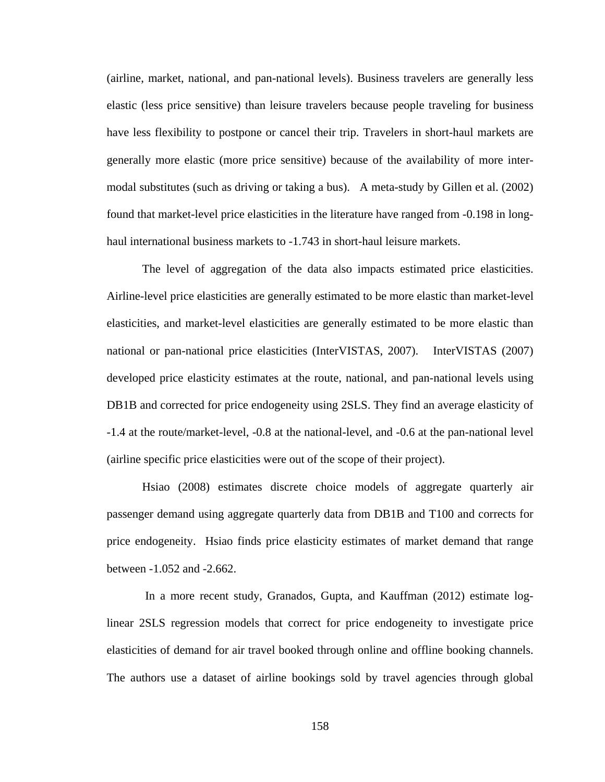(airline, market, national, and pan-national levels). Business travelers are generally less elastic (less price sensitive) than leisure travelers because people traveling for business have less flexibility to postpone or cancel their trip. Travelers in short-haul markets are generally more elastic (more price sensitive) because of the availability of more intermodal substitutes (such as driving or taking a bus). A meta-study by Gillen et al. (2002) found that market-level price elasticities in the literature have ranged from -0.198 in longhaul international business markets to -1.743 in short-haul leisure markets.

 The level of aggregation of the data also impacts estimated price elasticities. Airline-level price elasticities are generally estimated to be more elastic than market-level elasticities, and market-level elasticities are generally estimated to be more elastic than national or pan-national price elasticities (InterVISTAS, 2007). InterVISTAS (2007) developed price elasticity estimates at the route, national, and pan-national levels using DB1B and corrected for price endogeneity using 2SLS. They find an average elasticity of -1.4 at the route/market-level, -0.8 at the national-level, and -0.6 at the pan-national level (airline specific price elasticities were out of the scope of their project).

 Hsiao (2008) estimates discrete choice models of aggregate quarterly air passenger demand using aggregate quarterly data from DB1B and T100 and corrects for price endogeneity. Hsiao finds price elasticity estimates of market demand that range between -1.052 and -2.662.

 In a more recent study, Granados, Gupta, and Kauffman (2012) estimate loglinear 2SLS regression models that correct for price endogeneity to investigate price elasticities of demand for air travel booked through online and offline booking channels. The authors use a dataset of airline bookings sold by travel agencies through global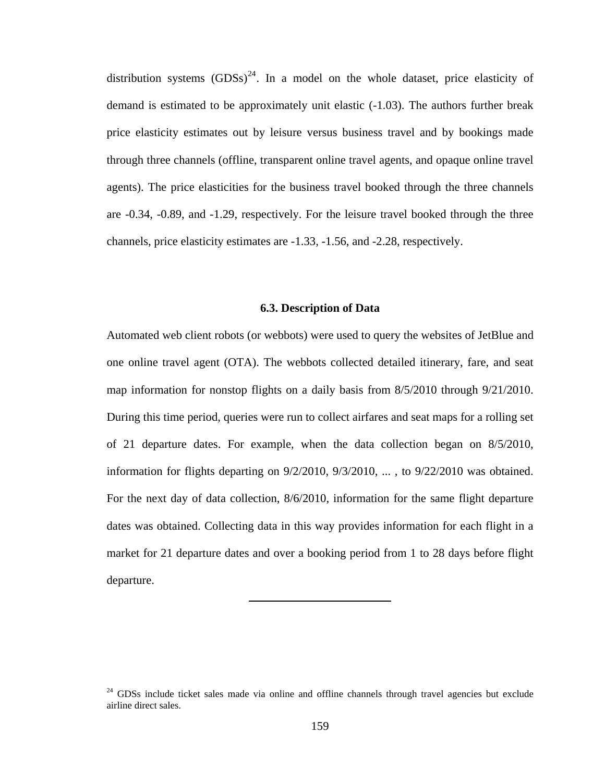<span id="page-171-0"></span>distribution systems  $(GDSS)^{24}$  $(GDSS)^{24}$  $(GDSS)^{24}$ . In a model on the whole dataset, price elasticity of demand is estimated to be approximately unit elastic (-1.03). The authors further break price elasticity estimates out by leisure versus business travel and by bookings made through three channels (offline, transparent online travel agents, and opaque online travel agents). The price elasticities for the business travel booked through the three channels are -0.34, -0.89, and -1.29, respectively. For the leisure travel booked through the three channels, price elasticity estimates are -1.33, -1.56, and -2.28, respectively.

#### **6.3. Description of Data**

Automated web client robots (or webbots) were used to query the websites of JetBlue and one online travel agent (OTA). The webbots collected detailed itinerary, fare, and seat map information for nonstop flights on a daily basis from  $8/5/2010$  through  $9/21/2010$ . During this time period, queries were run to collect airfares and seat maps for a rolling set of 21 departure dates. For example, when the data collection began on 8/5/2010, information for flights departing on  $9/2/2010$ ,  $9/3/2010$ , ..., to  $9/22/2010$  was obtained. For the next day of data collection, 8/6/2010, information for the same flight departure dates was obtained. Collecting data in this way provides information for each flight in a market for 21 departure dates and over a booking period from 1 to 28 days before flight departure.

<sup>&</sup>lt;sup>24</sup> GDSs include ticket sales made via online and offline channels through travel agencies but exclude airline direct sales.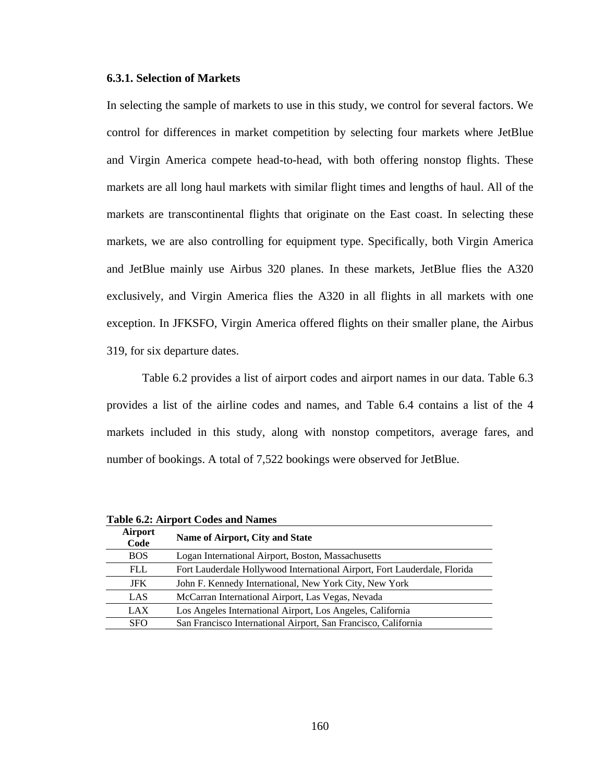## **6.3.1. Selection of Markets**

In selecting the sample of markets to use in this study, we control for several factors. We control for differences in market competition by selecting four markets where JetBlue and Virgin America compete head-to-head, with both offering nonstop flights. These markets are all long haul markets with similar flight times and lengths of haul. All of the markets are transcontinental flights that originate on the East coast. In selecting these markets, we are also controlling for equipment type. Specifically, both Virgin America and JetBlue mainly use Airbus 320 planes. In these markets, JetBlue flies the A320 exclusively, and Virgin America flies the A320 in all flights in all markets with one exception. In JFKSFO, Virgin America offered flights on their smaller plane, the Airbus 319, for six departure dates.

 Table 6.2 provides a list of airport codes and airport names in our data. Table 6.3 provides a list of the airline codes and names, and Table 6.4 contains a list of the 4 markets included in this study, along with nonstop competitors, average fares, and number of bookings. A total of 7,522 bookings were observed for JetBlue.

| <b>Airport</b><br>Code | Name of Airport, City and State                                           |
|------------------------|---------------------------------------------------------------------------|
| <b>BOS</b>             | Logan International Airport, Boston, Massachusetts                        |
| FLL                    | Fort Lauderdale Hollywood International Airport, Fort Lauderdale, Florida |
| <b>JFK</b>             | John F. Kennedy International, New York City, New York                    |
| LAS                    | McCarran International Airport, Las Vegas, Nevada                         |
| LAX                    | Los Angeles International Airport, Los Angeles, California                |
| <b>SFO</b>             | San Francisco International Airport, San Francisco, California            |

**Table 6.2: Airport Codes and Names**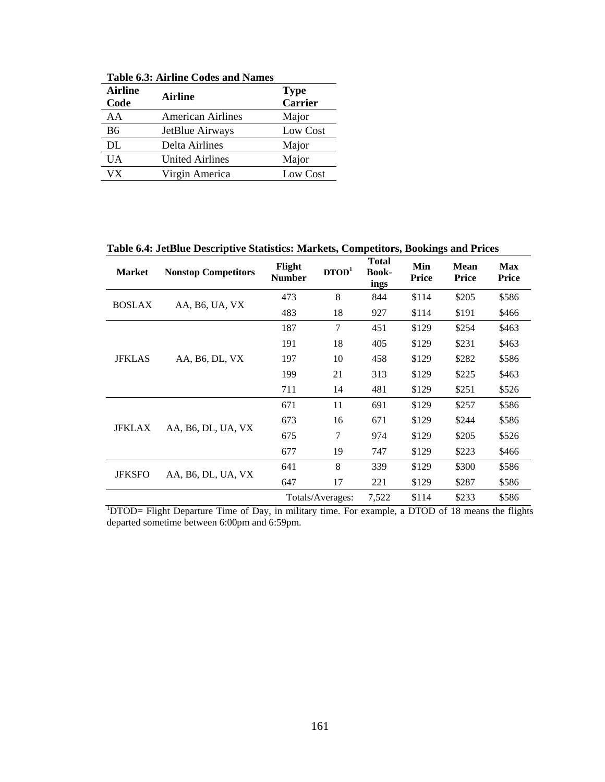| <b>Airline</b><br>Code | <b>Airline</b>           | <b>Type</b><br><b>Carrier</b> |
|------------------------|--------------------------|-------------------------------|
| AA                     | <b>American Airlines</b> | Major                         |
| <b>B6</b>              | JetBlue Airways          | Low Cost                      |
| DL                     | Delta Airlines           | Major                         |
| <b>UA</b>              | <b>United Airlines</b>   | Major                         |
| $V\overline{X}$        | Virgin America           | Low Cost                      |

**Table 6.3: Airline Codes and Names** 

**Table 6.4: JetBlue Descriptive Statistics: Markets, Competitors, Bookings and Prices** 

| <b>Market</b>                                                                                                  | <b>Nonstop Competitors</b>  | Flight<br><b>Number</b> | $\mathbf{D} \mathbf{TOD}^1$ | <b>Total</b><br><b>Book-</b><br>ings | Min<br><b>Price</b> | <b>Mean</b><br><b>Price</b> | <b>Max</b><br><b>Price</b> |
|----------------------------------------------------------------------------------------------------------------|-----------------------------|-------------------------|-----------------------------|--------------------------------------|---------------------|-----------------------------|----------------------------|
|                                                                                                                |                             | 473                     | 8                           | 844                                  | \$114               | \$205                       | \$586                      |
| <b>BOSLAX</b>                                                                                                  | AA, B <sub>6</sub> , UA, VX | 483                     | 18                          | 927                                  | \$114               | \$191                       | \$466                      |
|                                                                                                                |                             | 187                     | 7                           | 451                                  | \$129               | \$254                       | \$463                      |
|                                                                                                                |                             | 191                     | 18                          | 405                                  | \$129               | \$231                       | \$463                      |
| <b>JFKLAS</b>                                                                                                  | AA, B <sub>6</sub> , DL, VX | 197                     | 10                          | 458                                  | \$129               | \$282                       | \$586                      |
|                                                                                                                |                             | 199                     | 21                          | 313                                  | \$129               | \$225                       | \$463                      |
|                                                                                                                |                             | 711                     | 14                          | 481                                  | \$129               | \$251                       | \$526                      |
|                                                                                                                |                             | 671                     | 11                          | 691                                  | \$129               | \$257                       | \$586                      |
|                                                                                                                |                             | 673                     | 16                          | 671                                  | \$129               | \$244                       | \$586                      |
| <b>JFKLAX</b>                                                                                                  | AA, B6, DL, UA, VX          | 675                     | 7                           | 974                                  | \$129               | \$205                       | \$526                      |
|                                                                                                                |                             | 677                     | 19                          | 747                                  | \$129               | \$223                       | \$466                      |
| <b>JFKSFO</b>                                                                                                  |                             | 641                     | 8                           | 339                                  | \$129               | \$300                       | \$586                      |
|                                                                                                                | AA, B6, DL, UA, VX          | 647                     | 17                          | 221                                  | \$129               | \$287                       | \$586                      |
|                                                                                                                |                             |                         | Totals/Averages:            | 7,522                                | \$114               | \$233                       | \$586                      |
| <sup>1</sup> DTOD= Flight Departure Time of Day, in military time. For example, a DTOD of 18 means the flights |                             |                         |                             |                                      |                     |                             |                            |

departed sometime between 6:00pm and 6:59pm.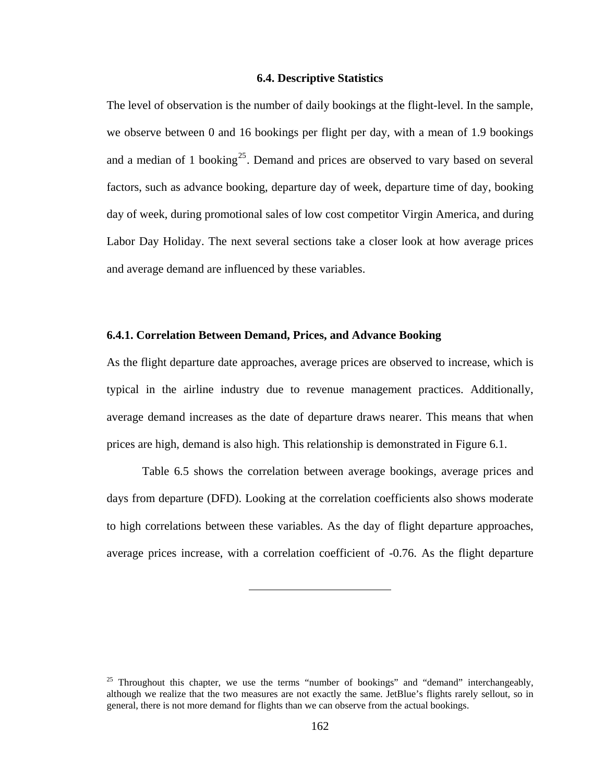## **6.4. Descriptive Statistics**

<span id="page-174-0"></span>The level of observation is the number of daily bookings at the flight-level. In the sample, we observe between 0 and 16 bookings per flight per day, with a mean of 1.9 bookings and a median of 1 booking<sup>[25](#page-174-0)</sup>. Demand and prices are observed to vary based on several factors, such as advance booking, departure day of week, departure time of day, booking day of week, during promotional sales of low cost competitor Virgin America, and during Labor Day Holiday. The next several sections take a closer look at how average prices and average demand are influenced by these variables.

## **6.4.1. Correlation Between Demand, Prices, and Advance Booking**

As the flight departure date approaches, average prices are observed to increase, which is typical in the airline industry due to revenue management practices. Additionally, average demand increases as the date of departure draws nearer. This means that when prices are high, demand is also high. This relationship is demonstrated in Figure 6.1.

 Table 6.5 shows the correlation between average bookings, average prices and days from departure (DFD). Looking at the correlation coefficients also shows moderate to high correlations between these variables. As the day of flight departure approaches, average prices increase, with a correlation coefficient of -0.76. As the flight departure

<sup>&</sup>lt;sup>25</sup> Throughout this chapter, we use the terms "number of bookings" and "demand" interchangeably, although we realize that the two measures are not exactly the same. JetBlue's flights rarely sellout, so in general, there is not more demand for flights than we can observe from the actual bookings.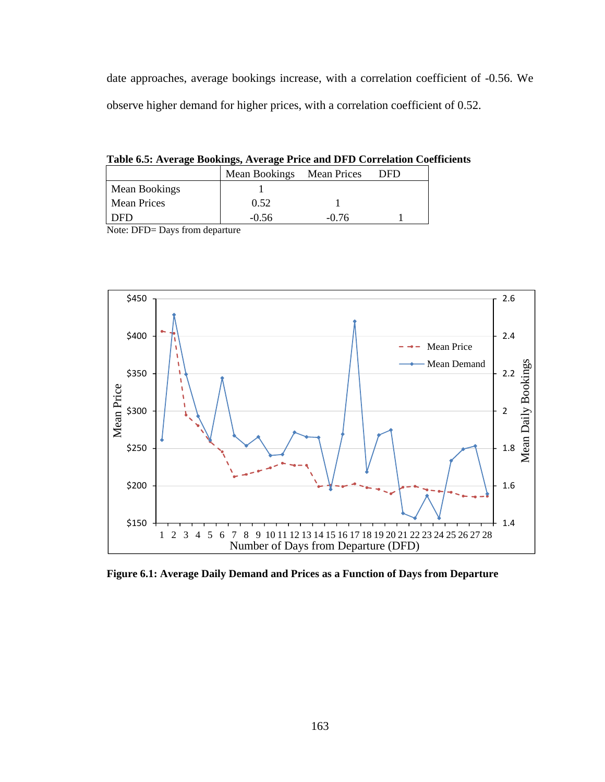date approaches, average bookings increase, with a correlation coefficient of -0.56. We observe higher demand for higher prices, with a correlation coefficient of 0.52.

**Table 6.5: Average Bookings, Average Price and DFD Correlation Coefficients** 

|                    | Mean Bookings Mean Prices |       | DFD |
|--------------------|---------------------------|-------|-----|
| Mean Bookings      |                           |       |     |
| <b>Mean Prices</b> | 0.52                      |       |     |
|                    | -0.56                     | -0.76 |     |

Note: DFD= Days from departure



**Figure 6.1: Average Daily Demand and Prices as a Function of Days from Departure**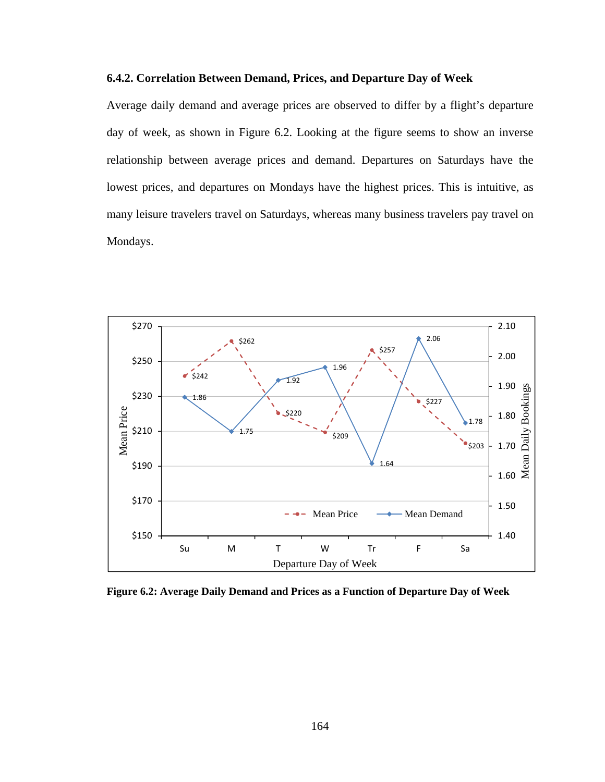## **6.4.2. Correlation Between Demand, Prices, and Departure Day of Week**

Average daily demand and average prices are observed to differ by a flight's departure day of week, as shown in Figure 6.2. Looking at the figure seems to show an inverse relationship between average prices and demand. Departures on Saturdays have the lowest prices, and departures on Mondays have the highest prices. This is intuitive, as many leisure travelers travel on Saturdays, whereas many business travelers pay travel on Mondays.



**Figure 6.2: Average Daily Demand and Prices as a Function of Departure Day of Week**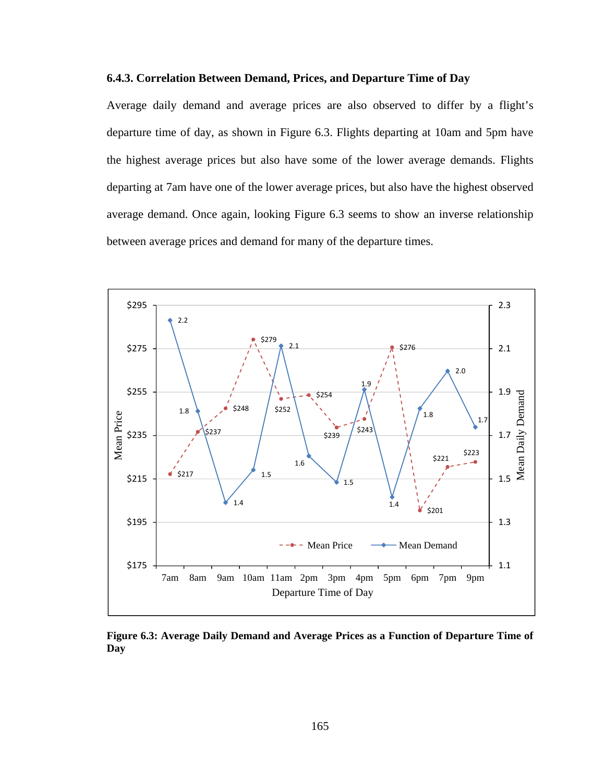## **6.4.3. Correlation Between Demand, Prices, and Departure Time of Day**

Average daily demand and average prices are also observed to differ by a flight's departure time of day, as shown in Figure 6.3. Flights departing at 10am and 5pm have the highest average prices but also have some of the lower average demands. Flights departing at 7am have one of the lower average prices, but also have the highest observed average demand. Once again, looking Figure 6.3 seems to show an inverse relationship between average prices and demand for many of the departure times.



**Figure 6.3: Average Daily Demand and Average Prices as a Function of Departure Time of Day**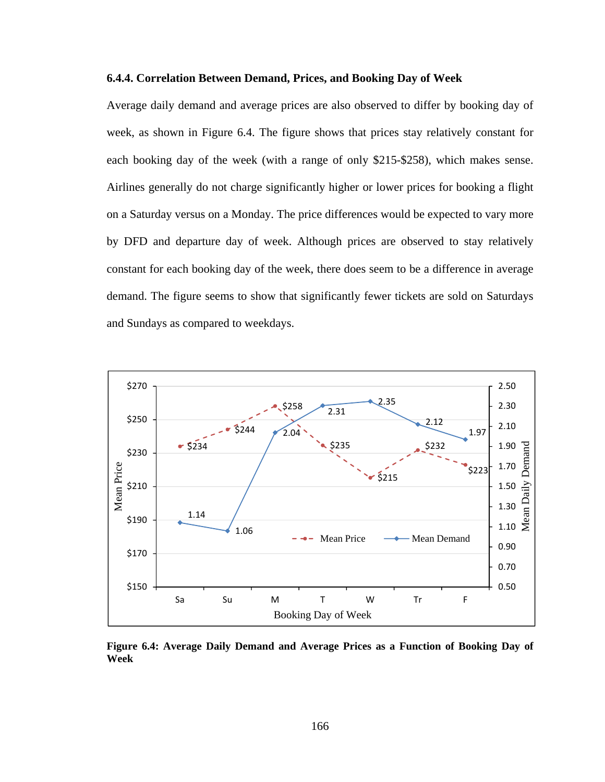### **6.4.4. Correlation Between Demand, Prices, and Booking Day of Week**

Average daily demand and average prices are also observed to differ by booking day of week, as shown in Figure 6.4. The figure shows that prices stay relatively constant for each booking day of the week (with a range of only \$215-\$258), which makes sense. Airlines generally do not charge significantly higher or lower prices for booking a flight on a Saturday versus on a Monday. The price differences would be expected to vary more by DFD and departure day of week. Although prices are observed to stay relatively constant for each booking day of the week, there does seem to be a difference in average demand. The figure seems to show that significantly fewer tickets are sold on Saturdays and Sundays as compared to weekdays.



**Figure 6.4: Average Daily Demand and Average Prices as a Function of Booking Day of Week**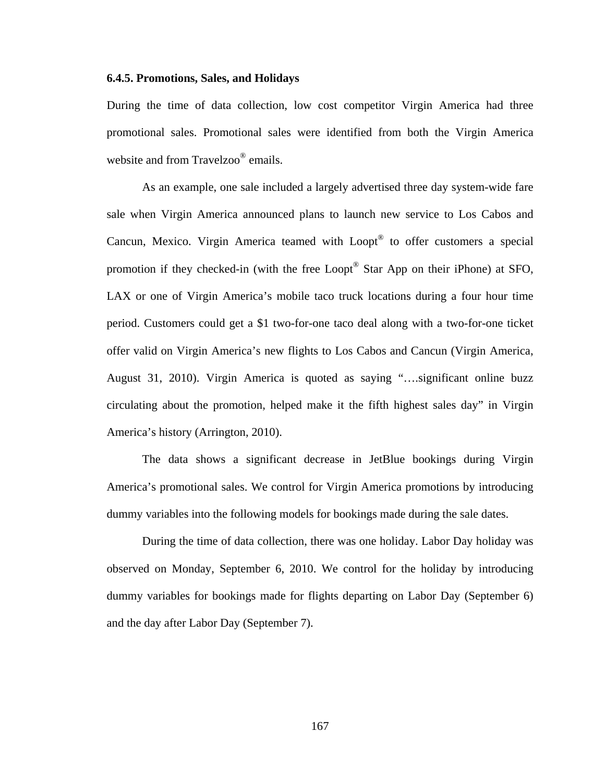# **6.4.5. Promotions, Sales, and Holidays**

During the time of data collection, low cost competitor Virgin America had three promotional sales. Promotional sales were identified from both the Virgin America website and from Travelzoo<sup>®</sup> emails.

 As an example, one sale included a largely advertised three day system-wide fare sale when Virgin America announced plans to launch new service to Los Cabos and Cancun, Mexico. Virgin America teamed with Loopt® to offer customers a special promotion if they checked-in (with the free Loopt® Star App on their iPhone) at SFO, LAX or one of Virgin America's mobile taco truck locations during a four hour time period. Customers could get a \$1 two-for-one taco deal along with a two-for-one ticket offer valid on Virgin America's new flights to Los Cabos and Cancun (Virgin America, August 31, 2010). Virgin America is quoted as saying "….significant online buzz circulating about the promotion, helped make it the fifth highest sales day" in Virgin America's history (Arrington, 2010).

 The data shows a significant decrease in JetBlue bookings during Virgin America's promotional sales. We control for Virgin America promotions by introducing dummy variables into the following models for bookings made during the sale dates.

 During the time of data collection, there was one holiday. Labor Day holiday was observed on Monday, September 6, 2010. We control for the holiday by introducing dummy variables for bookings made for flights departing on Labor Day (September 6) and the day after Labor Day (September 7).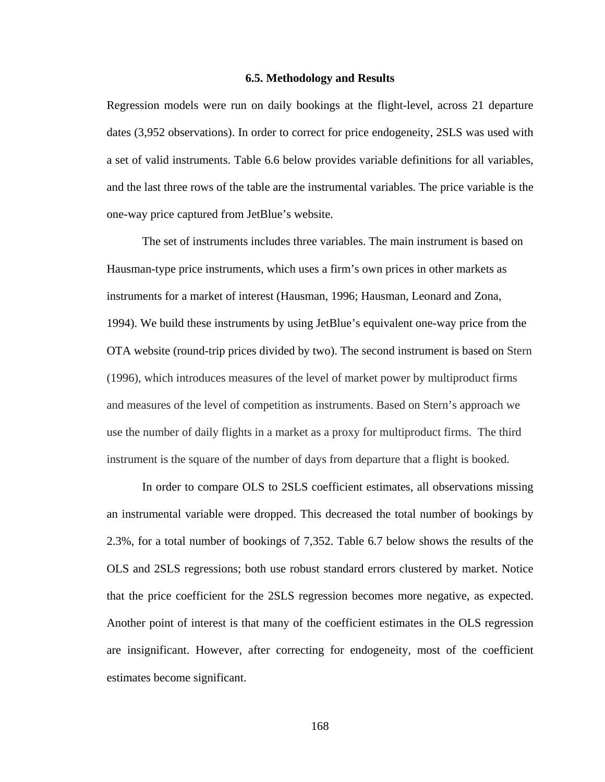#### **6.5. Methodology and Results**

Regression models were run on daily bookings at the flight-level, across 21 departure dates (3,952 observations). In order to correct for price endogeneity, 2SLS was used with a set of valid instruments. Table 6.6 below provides variable definitions for all variables, and the last three rows of the table are the instrumental variables. The price variable is the one-way price captured from JetBlue's website.

 The set of instruments includes three variables. The main instrument is based on Hausman-type price instruments, which uses a firm's own prices in other markets as instruments for a market of interest (Hausman, 1996; Hausman, Leonard and Zona, 1994). We build these instruments by using JetBlue's equivalent one-way price from the OTA website (round-trip prices divided by two). The second instrument is based on Stern (1996), which introduces measures of the level of market power by multiproduct firms and measures of the level of competition as instruments. Based on Stern's approach we use the number of daily flights in a market as a proxy for multiproduct firms. The third instrument is the square of the number of days from departure that a flight is booked.

 In order to compare OLS to 2SLS coefficient estimates, all observations missing an instrumental variable were dropped. This decreased the total number of bookings by 2.3%, for a total number of bookings of 7,352. Table 6.7 below shows the results of the OLS and 2SLS regressions; both use robust standard errors clustered by market. Notice that the price coefficient for the 2SLS regression becomes more negative, as expected. Another point of interest is that many of the coefficient estimates in the OLS regression are insignificant. However, after correcting for endogeneity, most of the coefficient estimates become significant.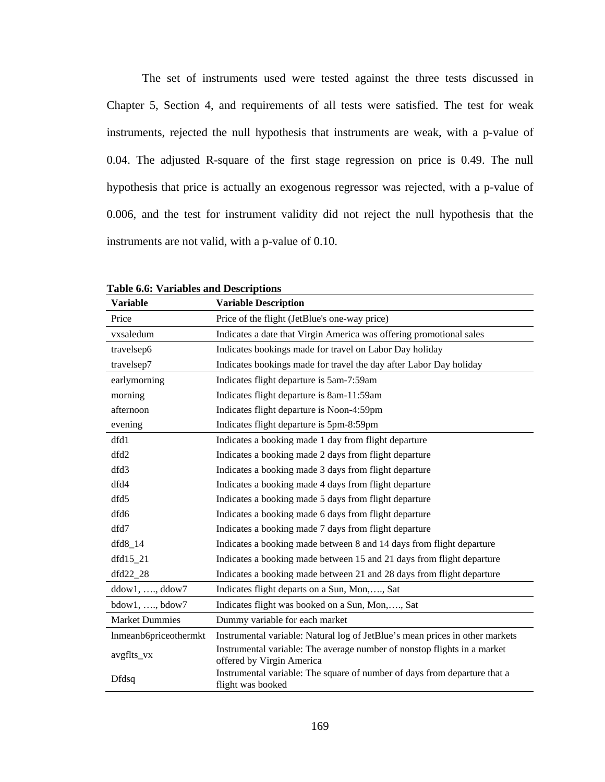The set of instruments used were tested against the three tests discussed in Chapter 5, Section 4, and requirements of all tests were satisfied. The test for weak instruments, rejected the null hypothesis that instruments are weak, with a p-value of 0.04. The adjusted R-square of the first stage regression on price is 0.49. The null hypothesis that price is actually an exogenous regressor was rejected, with a p-value of 0.006, and the test for instrument validity did not reject the null hypothesis that the instruments are not valid, with a p-value of 0.10.

| <b>Variable</b>        | <b>Variable Description</b>                                                                           |  |  |  |  |  |  |
|------------------------|-------------------------------------------------------------------------------------------------------|--|--|--|--|--|--|
| Price                  | Price of the flight (JetBlue's one-way price)                                                         |  |  |  |  |  |  |
| vxsaledum              | Indicates a date that Virgin America was offering promotional sales                                   |  |  |  |  |  |  |
| travelsep6             | Indicates bookings made for travel on Labor Day holiday                                               |  |  |  |  |  |  |
| travelsep7             | Indicates bookings made for travel the day after Labor Day holiday                                    |  |  |  |  |  |  |
| earlymorning           | Indicates flight departure is 5am-7:59am                                                              |  |  |  |  |  |  |
| morning                | Indicates flight departure is 8am-11:59am                                                             |  |  |  |  |  |  |
| afternoon              | Indicates flight departure is Noon-4:59pm                                                             |  |  |  |  |  |  |
| evening                | Indicates flight departure is 5pm-8:59pm                                                              |  |  |  |  |  |  |
| dfd1                   | Indicates a booking made 1 day from flight departure                                                  |  |  |  |  |  |  |
| dfd2                   | Indicates a booking made 2 days from flight departure                                                 |  |  |  |  |  |  |
| dfd3                   | Indicates a booking made 3 days from flight departure                                                 |  |  |  |  |  |  |
| dfd4                   | Indicates a booking made 4 days from flight departure                                                 |  |  |  |  |  |  |
| dfd5                   | Indicates a booking made 5 days from flight departure                                                 |  |  |  |  |  |  |
| dfd6                   | Indicates a booking made 6 days from flight departure                                                 |  |  |  |  |  |  |
| dfd7                   | Indicates a booking made 7 days from flight departure                                                 |  |  |  |  |  |  |
| $dfd8_14$              | Indicates a booking made between 8 and 14 days from flight departure                                  |  |  |  |  |  |  |
| $dfd15_21$             | Indicates a booking made between 15 and 21 days from flight departure                                 |  |  |  |  |  |  |
| $dfd22_28$             | Indicates a booking made between 21 and 28 days from flight departure                                 |  |  |  |  |  |  |
| $ddow1, \ldots, ddow7$ | Indicates flight departs on a Sun, Mon,, Sat                                                          |  |  |  |  |  |  |
| $bdow1, \ldots, bdow7$ | Indicates flight was booked on a Sun, Mon,, Sat                                                       |  |  |  |  |  |  |
| <b>Market Dummies</b>  | Dummy variable for each market                                                                        |  |  |  |  |  |  |
| lnmeanb6priceothermkt  | Instrumental variable: Natural log of JetBlue's mean prices in other markets                          |  |  |  |  |  |  |
| avgflts_vx             | Instrumental variable: The average number of nonstop flights in a market<br>offered by Virgin America |  |  |  |  |  |  |
| <b>Dfdsq</b>           | Instrumental variable: The square of number of days from departure that a<br>flight was booked        |  |  |  |  |  |  |

**Table 6.6: Variables and Descriptions**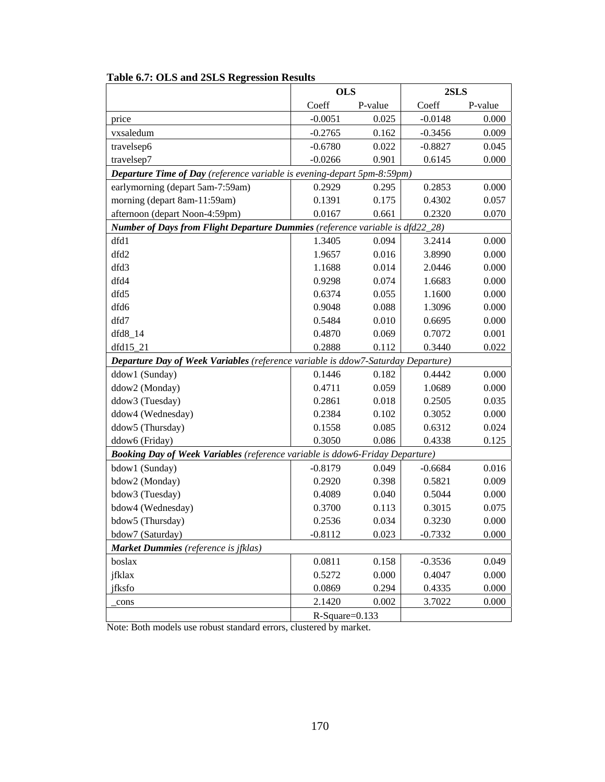|                                                                                      |                  | <b>OLS</b> |           | 2SLS    |  |
|--------------------------------------------------------------------------------------|------------------|------------|-----------|---------|--|
|                                                                                      | Coeff            | P-value    | Coeff     | P-value |  |
| price                                                                                | $-0.0051$        | 0.025      | $-0.0148$ | 0.000   |  |
| vxsaledum                                                                            | $-0.2765$        | 0.162      | $-0.3456$ | 0.009   |  |
| travelsep6                                                                           | $-0.6780$        | 0.022      | $-0.8827$ | 0.045   |  |
| travelsep7                                                                           | $-0.0266$        | 0.901      | 0.6145    | 0.000   |  |
| <b>Departure Time of Day</b> (reference variable is evening-depart 5pm-8:59pm)       |                  |            |           |         |  |
| earlymorning (depart 5am-7:59am)                                                     | 0.2929           | 0.295      | 0.2853    | 0.000   |  |
| morning (depart 8am-11:59am)                                                         | 0.1391           | 0.175      | 0.4302    | 0.057   |  |
| afternoon (depart Noon-4:59pm)                                                       | 0.0167           | 0.661      | 0.2320    | 0.070   |  |
| <b>Number of Days from Flight Departure Dummies</b> (reference variable is dfd22_28) |                  |            |           |         |  |
| dfd1                                                                                 | 1.3405           | 0.094      | 3.2414    | 0.000   |  |
| dfd2                                                                                 | 1.9657           | 0.016      | 3.8990    | 0.000   |  |
| dfd3                                                                                 | 1.1688           | 0.014      | 2.0446    | 0.000   |  |
| dfd4                                                                                 | 0.9298           | 0.074      | 1.6683    | 0.000   |  |
| dfd5                                                                                 | 0.6374           | 0.055      | 1.1600    | 0.000   |  |
| dfd6                                                                                 | 0.9048           | 0.088      | 1.3096    | 0.000   |  |
| dfd7                                                                                 | 0.5484           | 0.010      | 0.6695    | 0.000   |  |
| $dfd8_14$                                                                            | 0.4870           | 0.069      | 0.7072    | 0.001   |  |
| dfd15_21                                                                             | 0.2888           | 0.112      | 0.3440    | 0.022   |  |
| Departure Day of Week Variables (reference variable is ddow7-Saturday Departure)     |                  |            |           |         |  |
| ddow1 (Sunday)                                                                       | 0.1446           | 0.182      | 0.4442    | 0.000   |  |
| ddow2 (Monday)                                                                       | 0.4711           | 0.059      | 1.0689    | 0.000   |  |
| ddow3 (Tuesday)                                                                      | 0.2861           | 0.018      | 0.2505    | 0.035   |  |
| ddow4 (Wednesday)                                                                    | 0.2384           | 0.102      | 0.3052    | 0.000   |  |
| ddow5 (Thursday)                                                                     | 0.1558           | 0.085      | 0.6312    | 0.024   |  |
| ddow6 (Friday)                                                                       | 0.3050           | 0.086      | 0.4338    | 0.125   |  |
| <b>Booking Day of Week Variables</b> (reference variable is ddow6-Friday Departure)  |                  |            |           |         |  |
| bdow1 (Sunday)                                                                       | $-0.8179$        | 0.049      | $-0.6684$ | 0.016   |  |
| bdow2 (Monday)                                                                       | 0.2920           | 0.398      | 0.5821    | 0.009   |  |
| bdow3 (Tuesday)                                                                      | 0.4089           | 0.040      | 0.5044    | 0.000   |  |
| bdow4 (Wednesday)                                                                    | 0.3700           | 0.113      | 0.3015    | 0.075   |  |
| bdow5 (Thursday)                                                                     | 0.2536           | 0.034      | 0.3230    | 0.000   |  |
| bdow7 (Saturday)                                                                     | $-0.8112$        | 0.023      | $-0.7332$ | 0.000   |  |
| Market Dummies (reference is jfklas)                                                 |                  |            |           |         |  |
| boslax                                                                               | 0.0811           | 0.158      | $-0.3536$ | 0.049   |  |
| jfklax                                                                               | 0.5272           | 0.000      | 0.4047    | 0.000   |  |
| jfksfo                                                                               | 0.0869           | 0.294      | 0.4335    | 0.000   |  |
| cons                                                                                 | 2.1420           | 0.002      | 3.7022    | 0.000   |  |
|                                                                                      | $R-Square=0.133$ |            |           |         |  |

# **Table 6.7: OLS and 2SLS Regression Results**

Note: Both models use robust standard errors, clustered by market.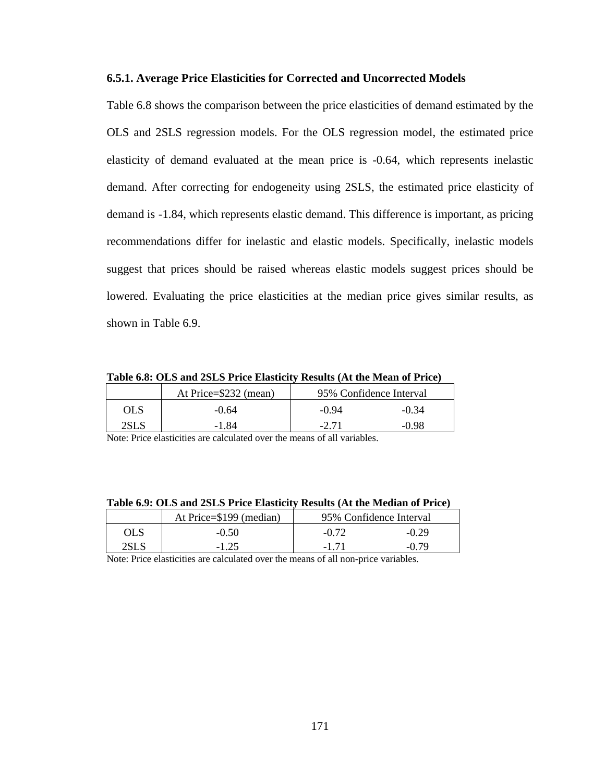# **6.5.1. Average Price Elasticities for Corrected and Uncorrected Models**

Table 6.8 shows the comparison between the price elasticities of demand estimated by the OLS and 2SLS regression models. For the OLS regression model, the estimated price elasticity of demand evaluated at the mean price is -0.64, which represents inelastic demand. After correcting for endogeneity using 2SLS, the estimated price elasticity of demand is -1.84, which represents elastic demand. This difference is important, as pricing recommendations differ for inelastic and elastic models. Specifically, inelastic models suggest that prices should be raised whereas elastic models suggest prices should be lowered. Evaluating the price elasticities at the median price gives similar results, as shown in Table 6.9.

**Table 6.8: OLS and 2SLS Price Elasticity Results (At the Mean of Price)** 

|      | At Price=\$232 (mean) | 95% Confidence Interval |         |
|------|-----------------------|-------------------------|---------|
| OLS  | $-0.64$               | $-0.94$                 | $-0.34$ |
| 2SLS | -1.84                 | $-2.71$                 | -0.98   |

Note: Price elasticities are calculated over the means of all variables.

|            |                         | Table 0.7. Only and 2010 Trice masticity results (Tri the Median of Fried) |
|------------|-------------------------|----------------------------------------------------------------------------|
|            | At Price=\$199 (median) | 95% Confidence Interval                                                    |
| <b>OLS</b> | $-0.50$                 | $-0.29$<br>$-0.72$                                                         |
| 2SLS       | $-1.25$                 | $-0.79$<br>-171                                                            |

**Table 6.9: OLS and 2SLS Price Elasticity Results (At the Median of Price)** 

Note: Price elasticities are calculated over the means of all non-price variables.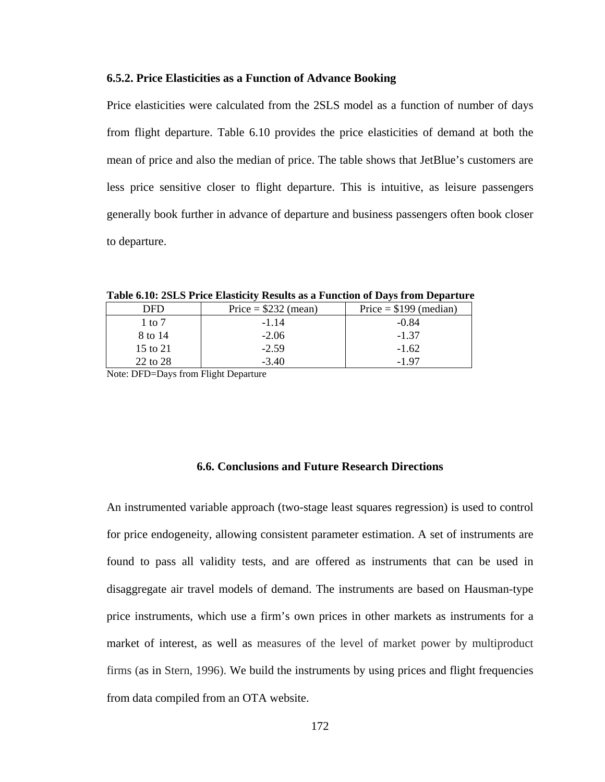# **6.5.2. Price Elasticities as a Function of Advance Booking**

Price elasticities were calculated from the 2SLS model as a function of number of days from flight departure. Table 6.10 provides the price elasticities of demand at both the mean of price and also the median of price. The table shows that JetBlue's customers are less price sensitive closer to flight departure. This is intuitive, as leisure passengers generally book further in advance of departure and business passengers often book closer to departure.

| <b>DFD</b> | Price = $$232$ (mean) | Price = $$199$ (median) |
|------------|-----------------------|-------------------------|
| 1 to $7$   | $-1.14$               | $-0.84$                 |
| 8 to 14    | $-2.06$               | $-1.37$                 |
| 15 to 21   | $-2.59$               | $-1.62$                 |
| 22 to 28   | $-3.40$               | -197                    |

**Table 6.10: 2SLS Price Elasticity Results as a Function of Days from Departure** 

Note: DFD=Days from Flight Departure

# **6.6. Conclusions and Future Research Directions**

An instrumented variable approach (two-stage least squares regression) is used to control for price endogeneity, allowing consistent parameter estimation. A set of instruments are found to pass all validity tests, and are offered as instruments that can be used in disaggregate air travel models of demand. The instruments are based on Hausman-type price instruments, which use a firm's own prices in other markets as instruments for a market of interest, as well as measures of the level of market power by multiproduct firms (as in Stern, 1996). We build the instruments by using prices and flight frequencies from data compiled from an OTA website.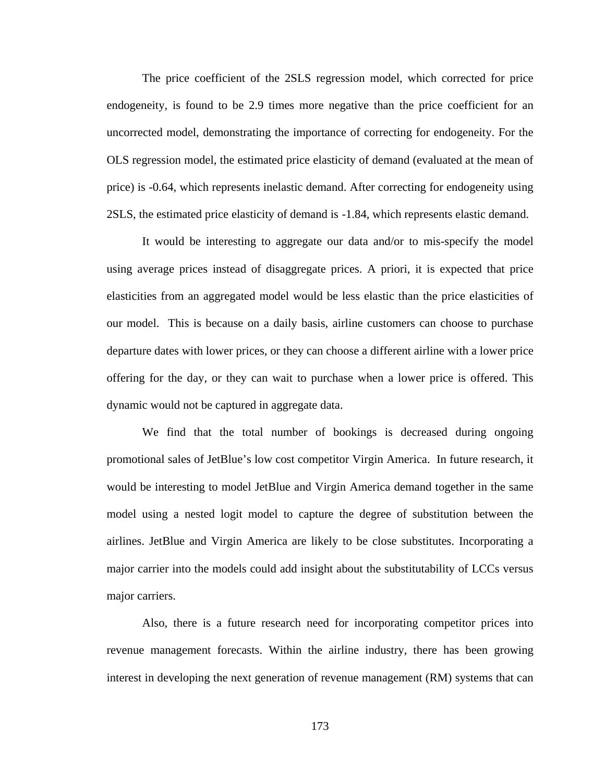The price coefficient of the 2SLS regression model, which corrected for price endogeneity, is found to be 2.9 times more negative than the price coefficient for an uncorrected model, demonstrating the importance of correcting for endogeneity. For the OLS regression model, the estimated price elasticity of demand (evaluated at the mean of price) is -0.64, which represents inelastic demand. After correcting for endogeneity using 2SLS, the estimated price elasticity of demand is -1.84, which represents elastic demand.

 It would be interesting to aggregate our data and/or to mis-specify the model using average prices instead of disaggregate prices. A priori, it is expected that price elasticities from an aggregated model would be less elastic than the price elasticities of our model. This is because on a daily basis, airline customers can choose to purchase departure dates with lower prices, or they can choose a different airline with a lower price offering for the day, or they can wait to purchase when a lower price is offered. This dynamic would not be captured in aggregate data.

 We find that the total number of bookings is decreased during ongoing promotional sales of JetBlue's low cost competitor Virgin America. In future research, it would be interesting to model JetBlue and Virgin America demand together in the same model using a nested logit model to capture the degree of substitution between the airlines. JetBlue and Virgin America are likely to be close substitutes. Incorporating a major carrier into the models could add insight about the substitutability of LCCs versus major carriers.

 Also, there is a future research need for incorporating competitor prices into revenue management forecasts. Within the airline industry, there has been growing interest in developing the next generation of revenue management (RM) systems that can

173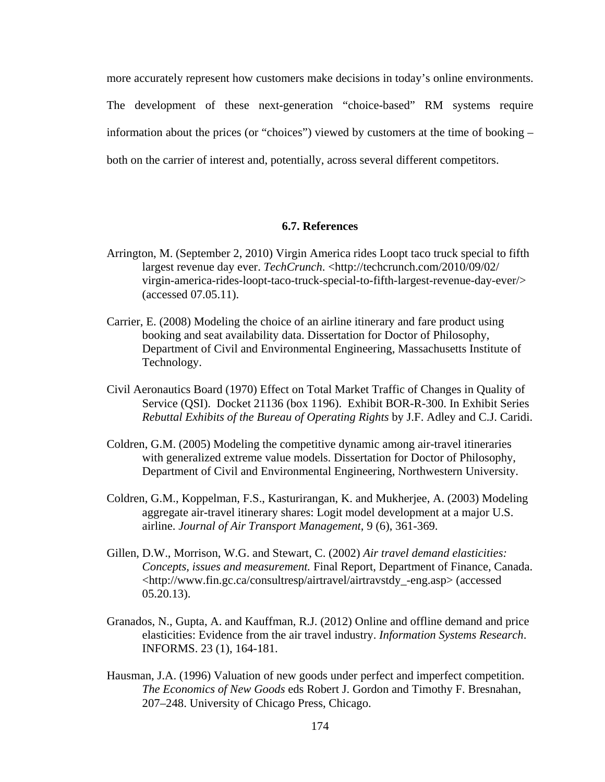more accurately represent how customers make decisions in today's online environments. The development of these next-generation "choice-based" RM systems require information about the prices (or "choices") viewed by customers at the time of booking – both on the carrier of interest and, potentially, across several different competitors.

#### **6.7. References**

- Arrington, M. (September 2, 2010) Virgin America rides Loopt taco truck special to fifth largest revenue day ever. *TechCrunch*. [<http://techcrunch.com/2010/09/02/](http://techcrunch.com/2010/09/02/%20virgin-america-rides-loopt-taco-truck-special-to-fifth-largest-revenue-day-ever/)  [virgin-america-rides-loopt-taco-truck-special-to-fifth-largest-revenue-day-ever/>](http://techcrunch.com/2010/09/02/%20virgin-america-rides-loopt-taco-truck-special-to-fifth-largest-revenue-day-ever/) (accessed 07.05.11).
- Carrier, E. (2008) Modeling the choice of an airline itinerary and fare product using booking and seat availability data. Dissertation for Doctor of Philosophy, Department of Civil and Environmental Engineering, Massachusetts Institute of Technology.
- Civil Aeronautics Board (1970) Effect on Total Market Traffic of Changes in Quality of Service (QSI). Docket 21136 (box 1196). Exhibit BOR-R-300. In Exhibit Series *Rebuttal Exhibits of the Bureau of Operating Rights* by J.F. Adley and C.J. Caridi.
- Coldren, G.M. (2005) Modeling the competitive dynamic among air-travel itineraries with generalized extreme value models. Dissertation for Doctor of Philosophy, Department of Civil and Environmental Engineering, Northwestern University.
- Coldren, G.M., Koppelman, F.S., Kasturirangan, K. and Mukherjee, A. (2003) Modeling aggregate air-travel itinerary shares: Logit model development at a major U.S. airline. *Journal of Air Transport Management*, 9 (6), 361-369.
- Gillen, D.W., Morrison, W.G. and Stewart, C. (2002) *Air travel demand elasticities: Concepts, issues and measurement.* Final Report, Department of Finance, Canada. <[http://www.fin.gc.ca/consultresp/airtravel/airtravstdy\\_-eng.asp> \(accessed](http://www.fin.gc.ca/consultresp/airtravel/airtravstdy_-eng.asp%3e%20(accessed%2005.20.13))  [05.20.13\)](http://www.fin.gc.ca/consultresp/airtravel/airtravstdy_-eng.asp%3e%20(accessed%2005.20.13)).
- Granados, N., Gupta, A. and Kauffman, R.J. (2012) Online and offline demand and price elasticities: Evidence from the air travel industry. *Information Systems Research*. INFORMS. 23 (1), 164-181.
- Hausman, J.A. (1996) Valuation of new goods under perfect and imperfect competition. *The Economics of New Goods* eds Robert J. Gordon and Timothy F. Bresnahan, 207–248. University of Chicago Press, Chicago.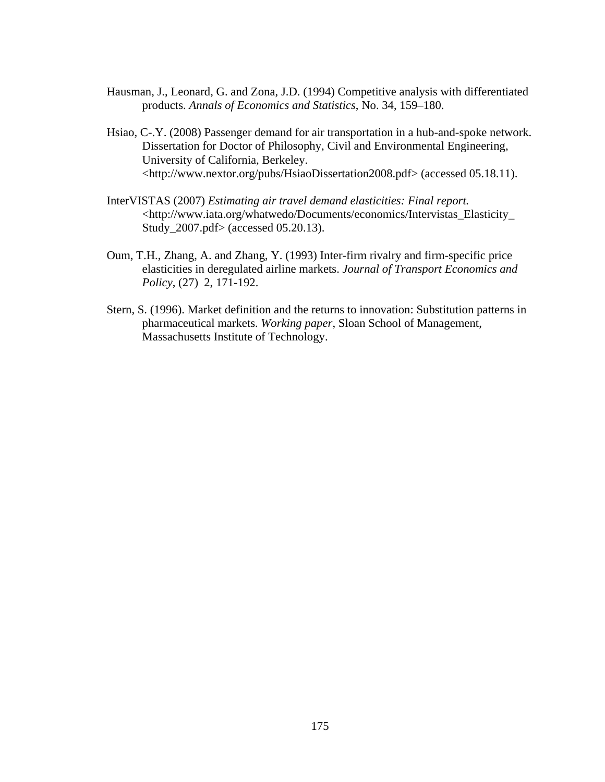- Hausman, J., Leonard, G. and Zona, J.D. (1994) Competitive analysis with differentiated products. *Annals of Economics and Statistics*, No. 34, 159–180.
- Hsiao, C-.Y. (2008) Passenger demand for air transportation in a hub-and-spoke network. Dissertation for Doctor of Philosophy, Civil and Environmental Engineering, University of California, Berkeley. <<http://www.nextor.org/pubs/HsiaoDissertation2008.pdf>> (accessed 05.18.11).
- InterVISTAS (2007) *Estimating air travel demand elasticities: Final report.* <[http://www.iata.org/whatwedo/Documents/economics/Intervistas\\_Elasticity\\_](http://www.iata.org/whatwedo/Documents/economics/Intervistas_Elasticity_%20Study_2007.pdf%3e%20(accessed%2005.20.13))  [Study\\_2007.pdf> \(accessed 05.20.13\).](http://www.iata.org/whatwedo/Documents/economics/Intervistas_Elasticity_%20Study_2007.pdf%3e%20(accessed%2005.20.13))
- Oum, T.H., Zhang, A. and Zhang, Y. (1993) Inter-firm rivalry and firm-specific price elasticities in deregulated airline markets. *Journal of Transport Economics and Policy*, (27) 2, 171-192.
- Stern, S. (1996). Market definition and the returns to innovation: Substitution patterns in pharmaceutical markets. *Working paper*, Sloan School of Management, Massachusetts Institute of Technology.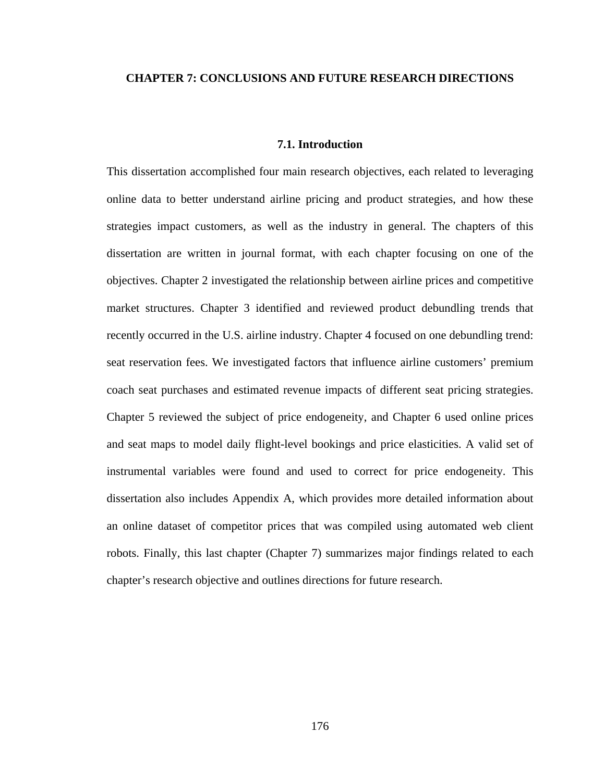# **CHAPTER 7: CONCLUSIONS AND FUTURE RESEARCH DIRECTIONS**

# **7.1. Introduction**

This dissertation accomplished four main research objectives, each related to leveraging online data to better understand airline pricing and product strategies, and how these strategies impact customers, as well as the industry in general. The chapters of this dissertation are written in journal format, with each chapter focusing on one of the objectives. Chapter 2 investigated the relationship between airline prices and competitive market structures. Chapter 3 identified and reviewed product debundling trends that recently occurred in the U.S. airline industry. Chapter 4 focused on one debundling trend: seat reservation fees. We investigated factors that influence airline customers' premium coach seat purchases and estimated revenue impacts of different seat pricing strategies. Chapter 5 reviewed the subject of price endogeneity, and Chapter 6 used online prices and seat maps to model daily flight-level bookings and price elasticities. A valid set of instrumental variables were found and used to correct for price endogeneity. This dissertation also includes Appendix A, which provides more detailed information about an online dataset of competitor prices that was compiled using automated web client robots. Finally, this last chapter (Chapter 7) summarizes major findings related to each chapter's research objective and outlines directions for future research.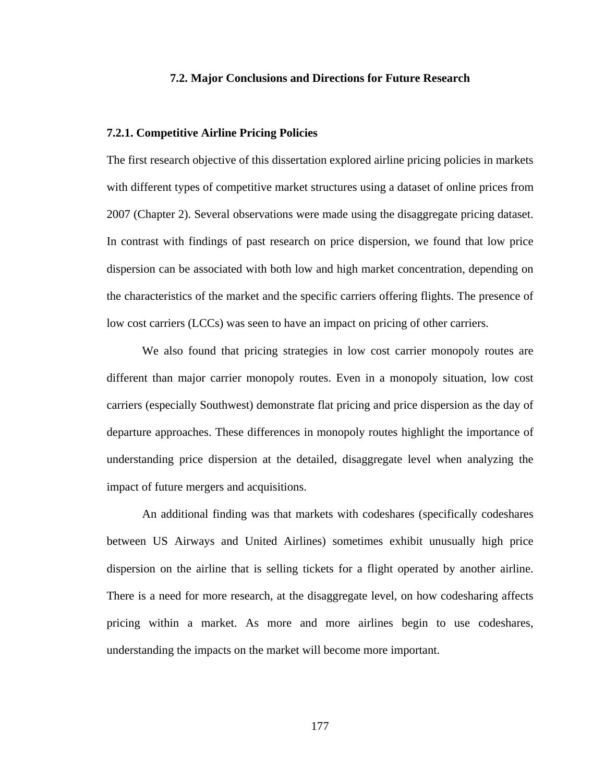# **7.2. Major Conclusions and Directions for Future Research**

# **7.2.1. Competitive Airline Pricing Policies**

The first research objective of this dissertation explored airline pricing policies in markets with different types of competitive market structures using a dataset of online prices from 2007 (Chapter 2). Several observations were made using the disaggregate pricing dataset. In contrast with findings of past research on price dispersion, we found that low price dispersion can be associated with both low and high market concentration, depending on the characteristics of the market and the specific carriers offering flights. The presence of low cost carriers (LCCs) was seen to have an impact on pricing of other carriers.

 We also found that pricing strategies in low cost carrier monopoly routes are different than major carrier monopoly routes. Even in a monopoly situation, low cost carriers (especially Southwest) demonstrate flat pricing and price dispersion as the day of departure approaches. These differences in monopoly routes highlight the importance of understanding price dispersion at the detailed, disaggregate level when analyzing the impact of future mergers and acquisitions.

 An additional finding was that markets with codeshares (specifically codeshares between US Airways and United Airlines) sometimes exhibit unusually high price dispersion on the airline that is selling tickets for a flight operated by another airline. There is a need for more research, at the disaggregate level, on how codesharing affects pricing within a market. As more and more airlines begin to use codeshares, understanding the impacts on the market will become more important.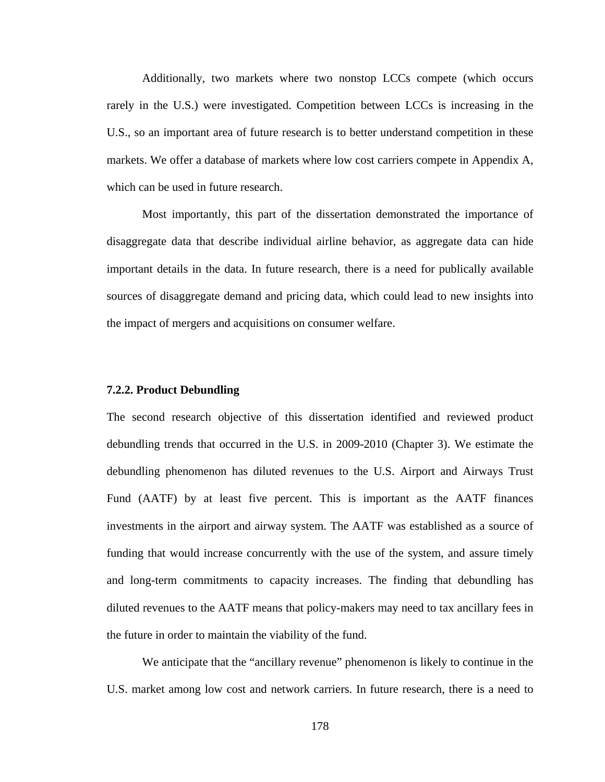Additionally, two markets where two nonstop LCCs compete (which occurs rarely in the U.S.) were investigated. Competition between LCCs is increasing in the U.S., so an important area of future research is to better understand competition in these markets. We offer a database of markets where low cost carriers compete in Appendix A, which can be used in future research.

 Most importantly, this part of the dissertation demonstrated the importance of disaggregate data that describe individual airline behavior, as aggregate data can hide important details in the data. In future research, there is a need for publically available sources of disaggregate demand and pricing data, which could lead to new insights into the impact of mergers and acquisitions on consumer welfare.

# **7.2.2. Product Debundling**

The second research objective of this dissertation identified and reviewed product debundling trends that occurred in the U.S. in 2009-2010 (Chapter 3). We estimate the debundling phenomenon has diluted revenues to the U.S. Airport and Airways Trust Fund (AATF) by at least five percent. This is important as the AATF finances investments in the airport and airway system. The AATF was established as a source of funding that would increase concurrently with the use of the system, and assure timely and long-term commitments to capacity increases. The finding that debundling has diluted revenues to the AATF means that policy-makers may need to tax ancillary fees in the future in order to maintain the viability of the fund.

 We anticipate that the "ancillary revenue" phenomenon is likely to continue in the U.S. market among low cost and network carriers. In future research, there is a need to

178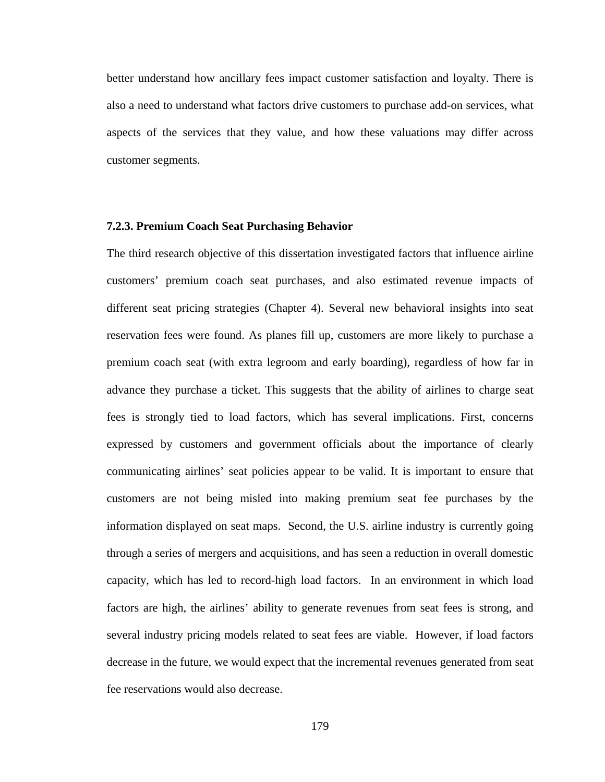better understand how ancillary fees impact customer satisfaction and loyalty. There is also a need to understand what factors drive customers to purchase add-on services, what aspects of the services that they value, and how these valuations may differ across customer segments.

#### **7.2.3. Premium Coach Seat Purchasing Behavior**

The third research objective of this dissertation investigated factors that influence airline customers' premium coach seat purchases, and also estimated revenue impacts of different seat pricing strategies (Chapter 4). Several new behavioral insights into seat reservation fees were found. As planes fill up, customers are more likely to purchase a premium coach seat (with extra legroom and early boarding), regardless of how far in advance they purchase a ticket. This suggests that the ability of airlines to charge seat fees is strongly tied to load factors, which has several implications. First, concerns expressed by customers and government officials about the importance of clearly communicating airlines' seat policies appear to be valid. It is important to ensure that customers are not being misled into making premium seat fee purchases by the information displayed on seat maps. Second, the U.S. airline industry is currently going through a series of mergers and acquisitions, and has seen a reduction in overall domestic capacity, which has led to record-high load factors. In an environment in which load factors are high, the airlines' ability to generate revenues from seat fees is strong, and several industry pricing models related to seat fees are viable. However, if load factors decrease in the future, we would expect that the incremental revenues generated from seat fee reservations would also decrease.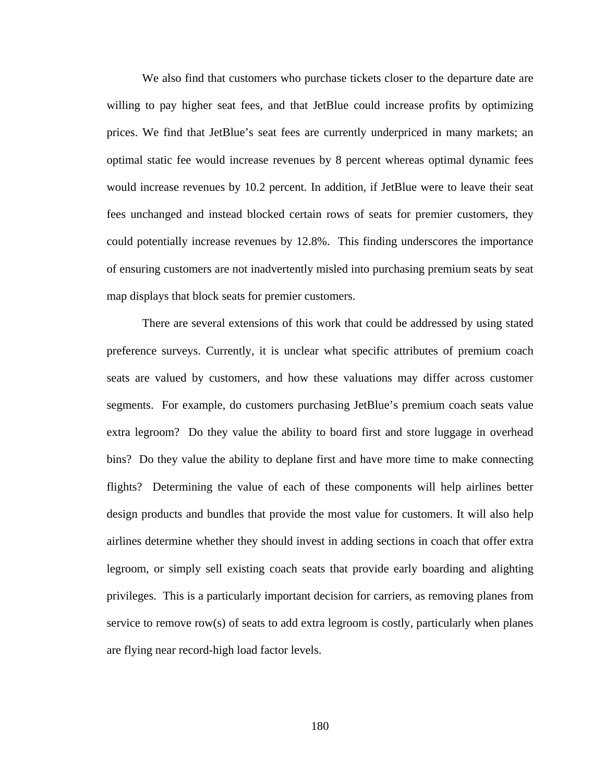We also find that customers who purchase tickets closer to the departure date are willing to pay higher seat fees, and that JetBlue could increase profits by optimizing prices. We find that JetBlue's seat fees are currently underpriced in many markets; an optimal static fee would increase revenues by 8 percent whereas optimal dynamic fees would increase revenues by 10.2 percent. In addition, if JetBlue were to leave their seat fees unchanged and instead blocked certain rows of seats for premier customers, they could potentially increase revenues by 12.8%. This finding underscores the importance of ensuring customers are not inadvertently misled into purchasing premium seats by seat map displays that block seats for premier customers.

 There are several extensions of this work that could be addressed by using stated preference surveys. Currently, it is unclear what specific attributes of premium coach seats are valued by customers, and how these valuations may differ across customer segments. For example, do customers purchasing JetBlue's premium coach seats value extra legroom? Do they value the ability to board first and store luggage in overhead bins? Do they value the ability to deplane first and have more time to make connecting flights? Determining the value of each of these components will help airlines better design products and bundles that provide the most value for customers. It will also help airlines determine whether they should invest in adding sections in coach that offer extra legroom, or simply sell existing coach seats that provide early boarding and alighting privileges. This is a particularly important decision for carriers, as removing planes from service to remove row(s) of seats to add extra legroom is costly, particularly when planes are flying near record-high load factor levels.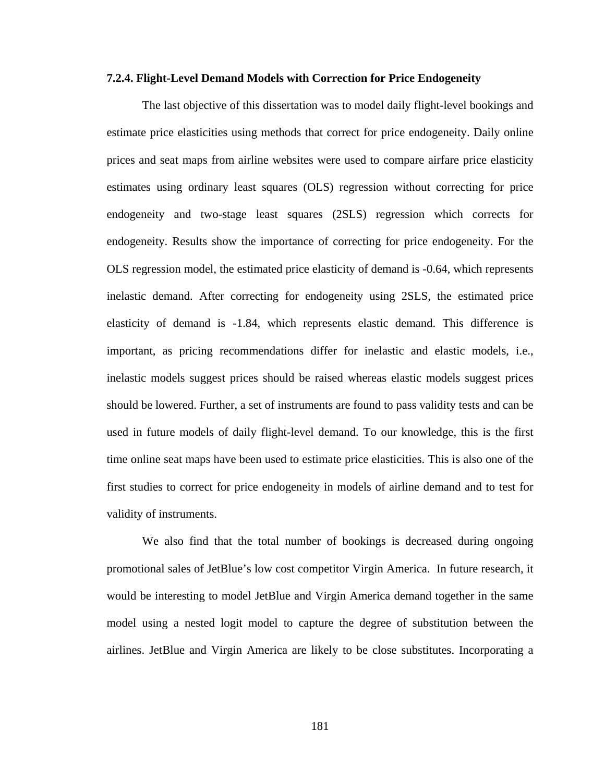## **7.2.4. Flight-Level Demand Models with Correction for Price Endogeneity**

 The last objective of this dissertation was to model daily flight-level bookings and estimate price elasticities using methods that correct for price endogeneity. Daily online prices and seat maps from airline websites were used to compare airfare price elasticity estimates using ordinary least squares (OLS) regression without correcting for price endogeneity and two-stage least squares (2SLS) regression which corrects for endogeneity. Results show the importance of correcting for price endogeneity. For the OLS regression model, the estimated price elasticity of demand is -0.64, which represents inelastic demand. After correcting for endogeneity using 2SLS, the estimated price elasticity of demand is -1.84, which represents elastic demand. This difference is important, as pricing recommendations differ for inelastic and elastic models, i.e., inelastic models suggest prices should be raised whereas elastic models suggest prices should be lowered. Further, a set of instruments are found to pass validity tests and can be used in future models of daily flight-level demand. To our knowledge, this is the first time online seat maps have been used to estimate price elasticities. This is also one of the first studies to correct for price endogeneity in models of airline demand and to test for validity of instruments.

 We also find that the total number of bookings is decreased during ongoing promotional sales of JetBlue's low cost competitor Virgin America. In future research, it would be interesting to model JetBlue and Virgin America demand together in the same model using a nested logit model to capture the degree of substitution between the airlines. JetBlue and Virgin America are likely to be close substitutes. Incorporating a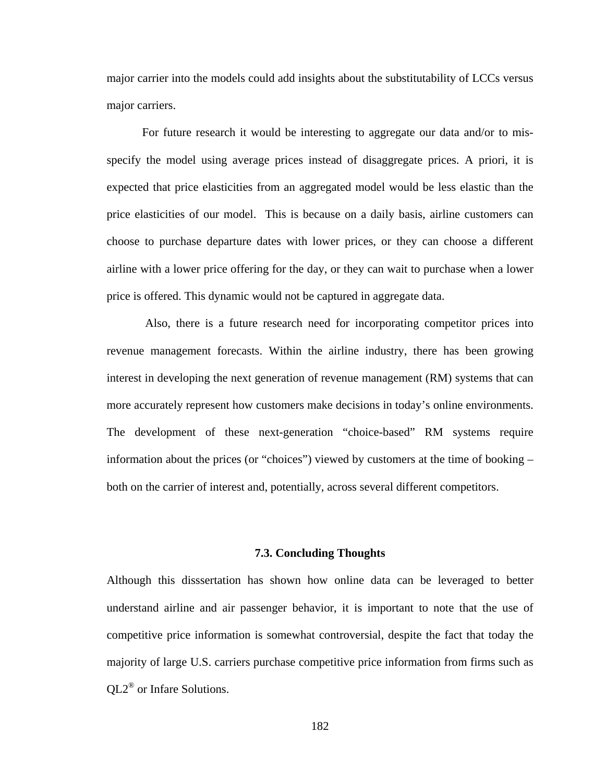major carrier into the models could add insights about the substitutability of LCCs versus major carriers.

 For future research it would be interesting to aggregate our data and/or to misspecify the model using average prices instead of disaggregate prices. A priori, it is expected that price elasticities from an aggregated model would be less elastic than the price elasticities of our model. This is because on a daily basis, airline customers can choose to purchase departure dates with lower prices, or they can choose a different airline with a lower price offering for the day, or they can wait to purchase when a lower price is offered. This dynamic would not be captured in aggregate data.

 Also, there is a future research need for incorporating competitor prices into revenue management forecasts. Within the airline industry, there has been growing interest in developing the next generation of revenue management (RM) systems that can more accurately represent how customers make decisions in today's online environments. The development of these next-generation "choice-based" RM systems require information about the prices (or "choices") viewed by customers at the time of booking – both on the carrier of interest and, potentially, across several different competitors.

# **7.3. Concluding Thoughts**

Although this disssertation has shown how online data can be leveraged to better understand airline and air passenger behavior, it is important to note that the use of competitive price information is somewhat controversial, despite the fact that today the majority of large U.S. carriers purchase competitive price information from firms such as QL2® or Infare Solutions.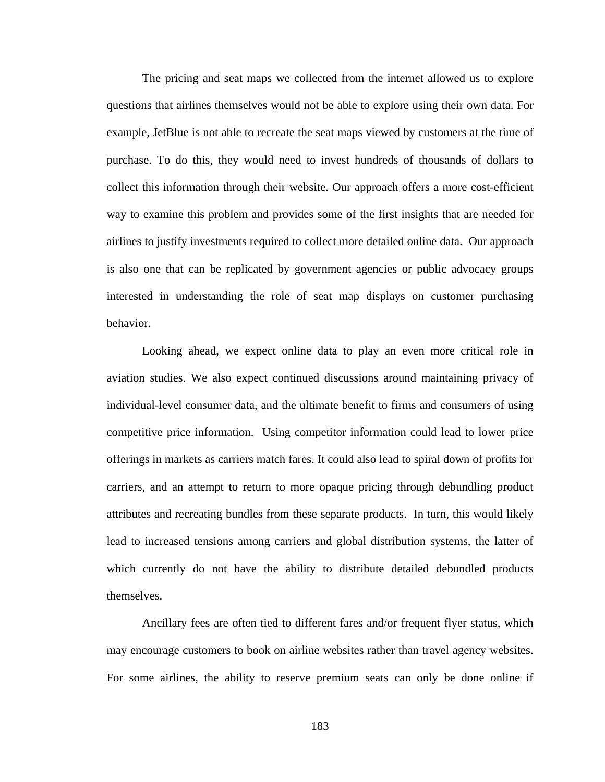The pricing and seat maps we collected from the internet allowed us to explore questions that airlines themselves would not be able to explore using their own data. For example, JetBlue is not able to recreate the seat maps viewed by customers at the time of purchase. To do this, they would need to invest hundreds of thousands of dollars to collect this information through their website. Our approach offers a more cost-efficient way to examine this problem and provides some of the first insights that are needed for airlines to justify investments required to collect more detailed online data. Our approach is also one that can be replicated by government agencies or public advocacy groups interested in understanding the role of seat map displays on customer purchasing behavior.

 Looking ahead, we expect online data to play an even more critical role in aviation studies. We also expect continued discussions around maintaining privacy of individual-level consumer data, and the ultimate benefit to firms and consumers of using competitive price information. Using competitor information could lead to lower price offerings in markets as carriers match fares. It could also lead to spiral down of profits for carriers, and an attempt to return to more opaque pricing through debundling product attributes and recreating bundles from these separate products. In turn, this would likely lead to increased tensions among carriers and global distribution systems, the latter of which currently do not have the ability to distribute detailed debundled products themselves.

 Ancillary fees are often tied to different fares and/or frequent flyer status, which may encourage customers to book on airline websites rather than travel agency websites. For some airlines, the ability to reserve premium seats can only be done online if

183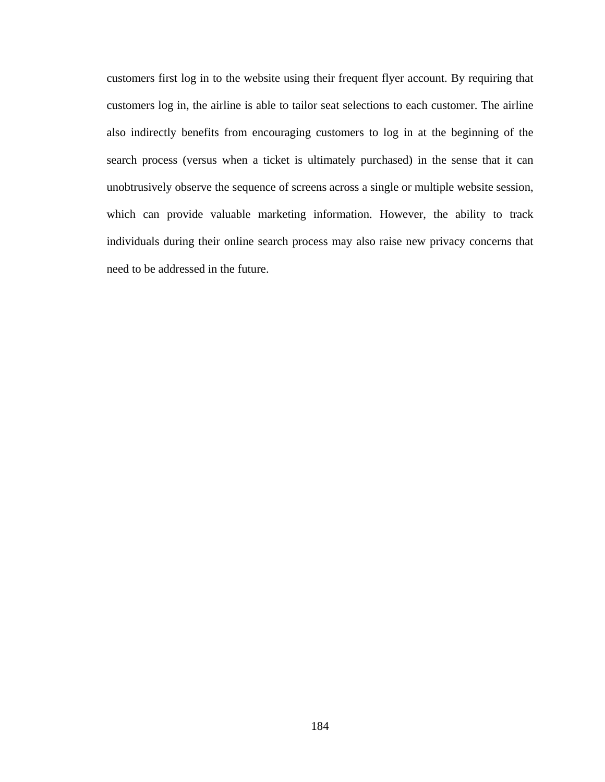customers first log in to the website using their frequent flyer account. By requiring that customers log in, the airline is able to tailor seat selections to each customer. The airline also indirectly benefits from encouraging customers to log in at the beginning of the search process (versus when a ticket is ultimately purchased) in the sense that it can unobtrusively observe the sequence of screens across a single or multiple website session, which can provide valuable marketing information. However, the ability to track individuals during their online search process may also raise new privacy concerns that need to be addressed in the future.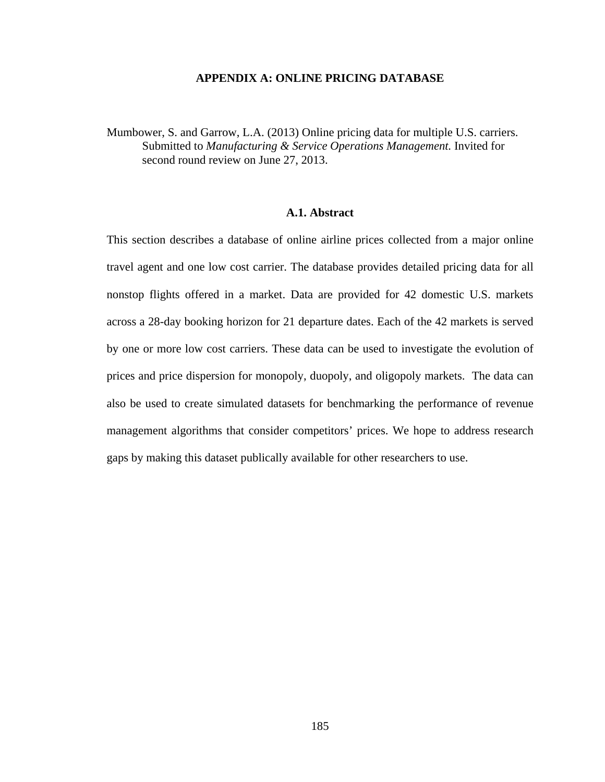#### **APPENDIX A: ONLINE PRICING DATABASE**

Mumbower, S. and Garrow, L.A. (2013) Online pricing data for multiple U.S. carriers. Submitted to *Manufacturing & Service Operations Management.* Invited for second round review on June 27, 2013.

# **A.1. Abstract**

This section describes a database of online airline prices collected from a major online travel agent and one low cost carrier. The database provides detailed pricing data for all nonstop flights offered in a market. Data are provided for 42 domestic U.S. markets across a 28-day booking horizon for 21 departure dates. Each of the 42 markets is served by one or more low cost carriers. These data can be used to investigate the evolution of prices and price dispersion for monopoly, duopoly, and oligopoly markets. The data can also be used to create simulated datasets for benchmarking the performance of revenue management algorithms that consider competitors' prices. We hope to address research gaps by making this dataset publically available for other researchers to use.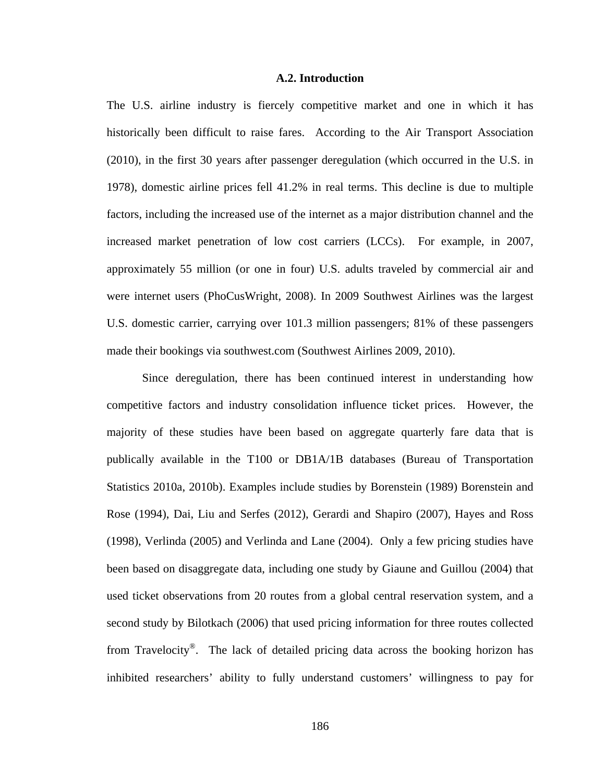# **A.2. Introduction**

The U.S. airline industry is fiercely competitive market and one in which it has historically been difficult to raise fares. According to the Air Transport Association (2010), in the first 30 years after passenger deregulation (which occurred in the U.S. in 1978), domestic airline prices fell 41.2% in real terms. This decline is due to multiple factors, including the increased use of the internet as a major distribution channel and the increased market penetration of low cost carriers (LCCs). For example, in 2007, approximately 55 million (or one in four) U.S. adults traveled by commercial air and were internet users (PhoCusWright, 2008). In 2009 Southwest Airlines was the largest U.S. domestic carrier, carrying over 101.3 million passengers; 81% of these passengers made their bookings via southwest.com (Southwest Airlines 2009, 2010).

 Since deregulation, there has been continued interest in understanding how competitive factors and industry consolidation influence ticket prices. However, the majority of these studies have been based on aggregate quarterly fare data that is publically available in the T100 or DB1A/1B databases (Bureau of Transportation Statistics 2010a, 2010b). Examples include studies by Borenstein (1989) Borenstein and Rose (1994), Dai, Liu and Serfes (2012), Gerardi and Shapiro (2007), Hayes and Ross (1998), Verlinda (2005) and Verlinda and Lane (2004). Only a few pricing studies have been based on disaggregate data, including one study by Giaune and Guillou (2004) that used ticket observations from 20 routes from a global central reservation system, and a second study by Bilotkach (2006) that used pricing information for three routes collected from Travelocity®. The lack of detailed pricing data across the booking horizon has inhibited researchers' ability to fully understand customers' willingness to pay for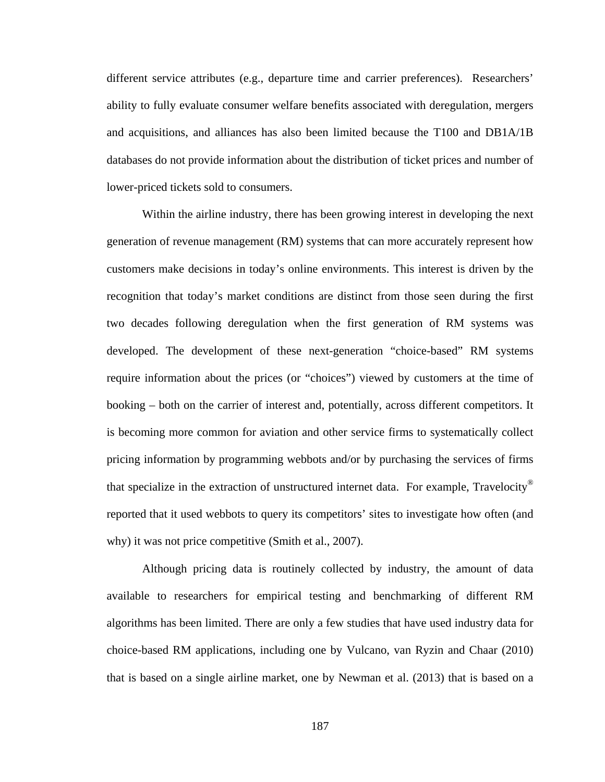different service attributes (e.g., departure time and carrier preferences). Researchers' ability to fully evaluate consumer welfare benefits associated with deregulation, mergers and acquisitions, and alliances has also been limited because the T100 and DB1A/1B databases do not provide information about the distribution of ticket prices and number of lower-priced tickets sold to consumers.

 Within the airline industry, there has been growing interest in developing the next generation of revenue management (RM) systems that can more accurately represent how customers make decisions in today's online environments. This interest is driven by the recognition that today's market conditions are distinct from those seen during the first two decades following deregulation when the first generation of RM systems was developed. The development of these next-generation "choice-based" RM systems require information about the prices (or "choices") viewed by customers at the time of booking – both on the carrier of interest and, potentially, across different competitors. It is becoming more common for aviation and other service firms to systematically collect pricing information by programming webbots and/or by purchasing the services of firms that specialize in the extraction of unstructured internet data. For example, Travelocity® reported that it used webbots to query its competitors' sites to investigate how often (and why) it was not price competitive (Smith et al., 2007).

 Although pricing data is routinely collected by industry, the amount of data available to researchers for empirical testing and benchmarking of different RM algorithms has been limited. There are only a few studies that have used industry data for choice-based RM applications, including one by Vulcano, van Ryzin and Chaar (2010) that is based on a single airline market, one by Newman et al. (2013) that is based on a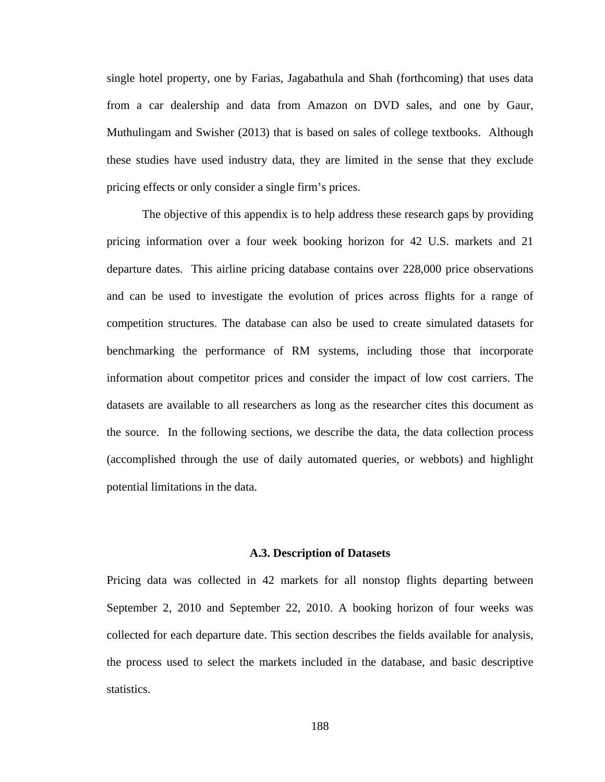single hotel property, one by Farias, Jagabathula and Shah (forthcoming) that uses data from a car dealership and data from Amazon on DVD sales, and one by Gaur, Muthulingam and Swisher (2013) that is based on sales of college textbooks. Although these studies have used industry data, they are limited in the sense that they exclude pricing effects or only consider a single firm's prices.

 The objective of this appendix is to help address these research gaps by providing pricing information over a four week booking horizon for 42 U.S. markets and 21 departure dates. This airline pricing database contains over 228,000 price observations and can be used to investigate the evolution of prices across flights for a range of competition structures. The database can also be used to create simulated datasets for benchmarking the performance of RM systems, including those that incorporate information about competitor prices and consider the impact of low cost carriers. The datasets are available to all researchers as long as the researcher cites this document as the source. In the following sections, we describe the data, the data collection process (accomplished through the use of daily automated queries, or webbots) and highlight potential limitations in the data.

# **A.3. Description of Datasets**

Pricing data was collected in 42 markets for all nonstop flights departing between September 2, 2010 and September 22, 2010. A booking horizon of four weeks was collected for each departure date. This section describes the fields available for analysis, the process used to select the markets included in the database, and basic descriptive statistics.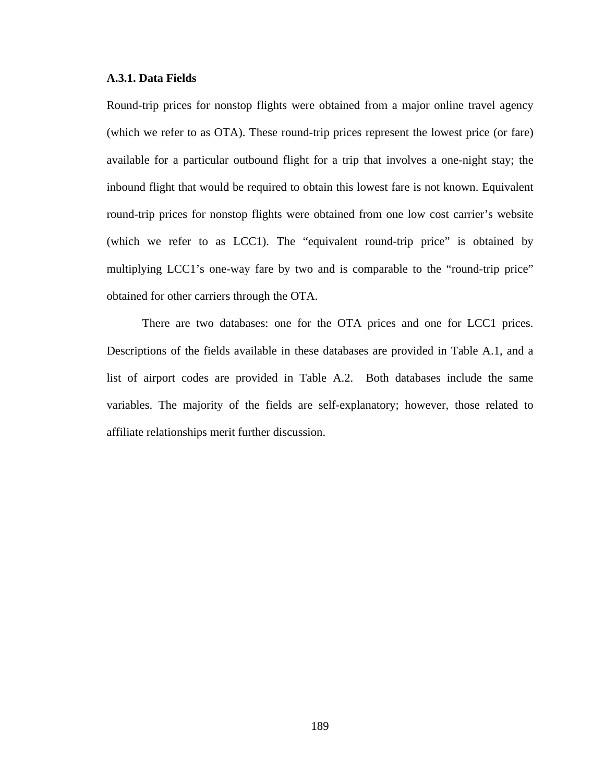# **A.3.1. Data Fields**

Round-trip prices for nonstop flights were obtained from a major online travel agency (which we refer to as OTA). These round-trip prices represent the lowest price (or fare) available for a particular outbound flight for a trip that involves a one-night stay; the inbound flight that would be required to obtain this lowest fare is not known. Equivalent round-trip prices for nonstop flights were obtained from one low cost carrier's website (which we refer to as LCC1). The "equivalent round-trip price" is obtained by multiplying LCC1's one-way fare by two and is comparable to the "round-trip price" obtained for other carriers through the OTA.

 There are two databases: one for the OTA prices and one for LCC1 prices. Descriptions of the fields available in these databases are provided in Table A.1, and a list of airport codes are provided in Table A.2. Both databases include the same variables. The majority of the fields are self-explanatory; however, those related to affiliate relationships merit further discussion.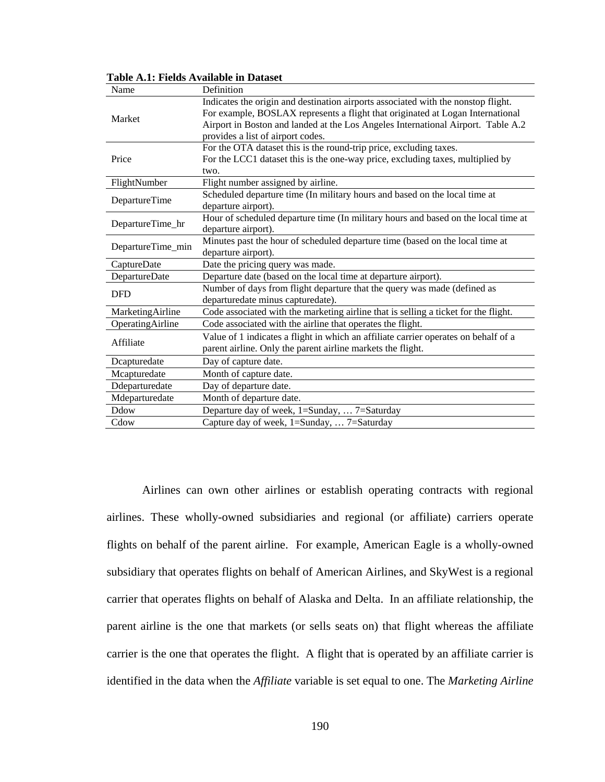| Name              | Definition                                                                          |  |  |  |  |  |  |
|-------------------|-------------------------------------------------------------------------------------|--|--|--|--|--|--|
|                   | Indicates the origin and destination airports associated with the nonstop flight.   |  |  |  |  |  |  |
| Market            | For example, BOSLAX represents a flight that originated at Logan International      |  |  |  |  |  |  |
|                   | Airport in Boston and landed at the Los Angeles International Airport. Table A.2    |  |  |  |  |  |  |
|                   | provides a list of airport codes.                                                   |  |  |  |  |  |  |
|                   | For the OTA dataset this is the round-trip price, excluding taxes.                  |  |  |  |  |  |  |
| Price             | For the LCC1 dataset this is the one-way price, excluding taxes, multiplied by      |  |  |  |  |  |  |
|                   | two.                                                                                |  |  |  |  |  |  |
| FlightNumber      | Flight number assigned by airline.                                                  |  |  |  |  |  |  |
| DepartureTime     | Scheduled departure time (In military hours and based on the local time at          |  |  |  |  |  |  |
|                   | departure airport).                                                                 |  |  |  |  |  |  |
| DepartureTime_hr  | Hour of scheduled departure time (In military hours and based on the local time at  |  |  |  |  |  |  |
|                   | departure airport).                                                                 |  |  |  |  |  |  |
| DepartureTime_min | Minutes past the hour of scheduled departure time (based on the local time at       |  |  |  |  |  |  |
|                   | departure airport).                                                                 |  |  |  |  |  |  |
| CaptureDate       | Date the pricing query was made.                                                    |  |  |  |  |  |  |
| DepartureDate     | Departure date (based on the local time at departure airport).                      |  |  |  |  |  |  |
| <b>DFD</b>        | Number of days from flight departure that the query was made (defined as            |  |  |  |  |  |  |
|                   | departuredate minus capturedate).                                                   |  |  |  |  |  |  |
| MarketingAirline  | Code associated with the marketing airline that is selling a ticket for the flight. |  |  |  |  |  |  |
| OperatingAirline  | Code associated with the airline that operates the flight.                          |  |  |  |  |  |  |
|                   | Value of 1 indicates a flight in which an affiliate carrier operates on behalf of a |  |  |  |  |  |  |
| Affiliate         | parent airline. Only the parent airline markets the flight.                         |  |  |  |  |  |  |
| Dcapturedate      | Day of capture date.                                                                |  |  |  |  |  |  |
| Mcapturedate      | Month of capture date.                                                              |  |  |  |  |  |  |
| Ddeparturedate    | Day of departure date.                                                              |  |  |  |  |  |  |
| Mdeparturedate    | Month of departure date.                                                            |  |  |  |  |  |  |
| Ddow              | Departure day of week, 1=Sunday,  7=Saturday                                        |  |  |  |  |  |  |
| Cdow              | Capture day of week, 1=Sunday,  7=Saturday                                          |  |  |  |  |  |  |

**Table A.1: Fields Available in Dataset** 

 Airlines can own other airlines or establish operating contracts with regional airlines. These wholly-owned subsidiaries and regional (or affiliate) carriers operate flights on behalf of the parent airline. For example, American Eagle is a wholly-owned subsidiary that operates flights on behalf of American Airlines, and SkyWest is a regional carrier that operates flights on behalf of Alaska and Delta. In an affiliate relationship, the parent airline is the one that markets (or sells seats on) that flight whereas the affiliate carrier is the one that operates the flight. A flight that is operated by an affiliate carrier is identified in the data when the *Affiliate* variable is set equal to one. The *Marketing Airline*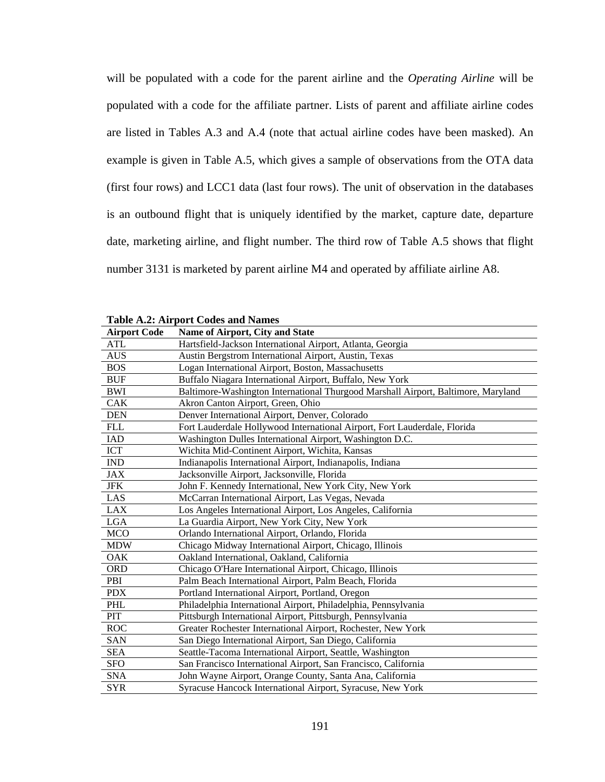will be populated with a code for the parent airline and the *Operating Airline* will be populated with a code for the affiliate partner. Lists of parent and affiliate airline codes are listed in Tables A.3 and A.4 (note that actual airline codes have been masked). An example is given in Table A.5, which gives a sample of observations from the OTA data (first four rows) and LCC1 data (last four rows). The unit of observation in the databases is an outbound flight that is uniquely identified by the market, capture date, departure date, marketing airline, and flight number. The third row of Table A.5 shows that flight number 3131 is marketed by parent airline M4 and operated by affiliate airline A8.

| <b>Airport Code</b> | Name of Airport, City and State                                                   |
|---------------------|-----------------------------------------------------------------------------------|
| <b>ATL</b>          | Hartsfield-Jackson International Airport, Atlanta, Georgia                        |
| <b>AUS</b>          | Austin Bergstrom International Airport, Austin, Texas                             |
| <b>BOS</b>          | Logan International Airport, Boston, Massachusetts                                |
| <b>BUF</b>          | Buffalo Niagara International Airport, Buffalo, New York                          |
| <b>BWI</b>          | Baltimore-Washington International Thurgood Marshall Airport, Baltimore, Maryland |
| CAK                 | Akron Canton Airport, Green, Ohio                                                 |
| <b>DEN</b>          | Denver International Airport, Denver, Colorado                                    |
| <b>FLL</b>          | Fort Lauderdale Hollywood International Airport, Fort Lauderdale, Florida         |
| <b>IAD</b>          | Washington Dulles International Airport, Washington D.C.                          |
| <b>ICT</b>          | Wichita Mid-Continent Airport, Wichita, Kansas                                    |
| <b>IND</b>          | Indianapolis International Airport, Indianapolis, Indiana                         |
| <b>JAX</b>          | Jacksonville Airport, Jacksonville, Florida                                       |
| ${\rm JFK}$         | John F. Kennedy International, New York City, New York                            |
| LAS                 | McCarran International Airport, Las Vegas, Nevada                                 |
| <b>LAX</b>          | Los Angeles International Airport, Los Angeles, California                        |
| <b>LGA</b>          | La Guardia Airport, New York City, New York                                       |
| <b>MCO</b>          | Orlando International Airport, Orlando, Florida                                   |
| <b>MDW</b>          | Chicago Midway International Airport, Chicago, Illinois                           |
| <b>OAK</b>          | Oakland International, Oakland, California                                        |
| <b>ORD</b>          | Chicago O'Hare International Airport, Chicago, Illinois                           |
| PBI                 | Palm Beach International Airport, Palm Beach, Florida                             |
| <b>PDX</b>          | Portland International Airport, Portland, Oregon                                  |
| PHL                 | Philadelphia International Airport, Philadelphia, Pennsylvania                    |
| PIT                 | Pittsburgh International Airport, Pittsburgh, Pennsylvania                        |
| <b>ROC</b>          | Greater Rochester International Airport, Rochester, New York                      |
| <b>SAN</b>          | San Diego International Airport, San Diego, California                            |
| <b>SEA</b>          | Seattle-Tacoma International Airport, Seattle, Washington                         |
| <b>SFO</b>          | San Francisco International Airport, San Francisco, California                    |
| <b>SNA</b>          | John Wayne Airport, Orange County, Santa Ana, California                          |
| <b>SYR</b>          | Syracuse Hancock International Airport, Syracuse, New York                        |

**Table A.2: Airport Codes and Names**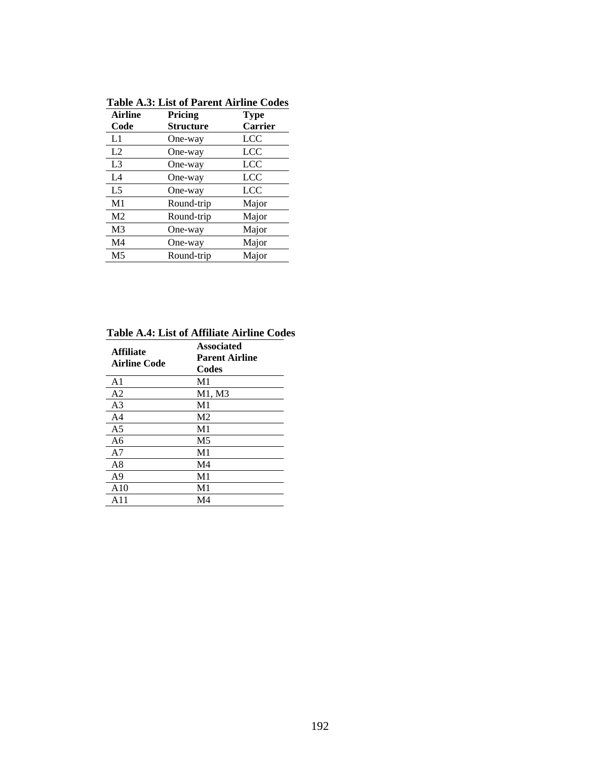| <b>Table A.3: List of Parent Airline Codes</b> |
|------------------------------------------------|
|------------------------------------------------|

| <b>Airline</b> | Pricing          | <b>Type</b>    |
|----------------|------------------|----------------|
| Code           | <b>Structure</b> | <b>Carrier</b> |
| L1             | One-way          | <b>LCC</b>     |
| L2             | One-way          | LCC            |
| L <sub>3</sub> | One-way          | <b>LCC</b>     |
| L4             | One-way          | LCC            |
| L <sub>5</sub> | One-way          | <b>LCC</b>     |
| M1             | Round-trip       | Major          |
| M <sub>2</sub> | Round-trip       | Major          |
| M <sub>3</sub> | One-way          | Major          |
| M <sub>4</sub> | One-way          | Major          |
| M <sub>5</sub> | Round-trip       | Major          |

**Table A.4: List of Affiliate Airline Codes** 

| <b>Affiliate</b><br><b>Airline Code</b> | Associated<br><b>Parent Airline</b><br>Codes |
|-----------------------------------------|----------------------------------------------|
| A <sub>1</sub>                          | M <sub>1</sub>                               |
| A <sub>2</sub>                          | M1, M3                                       |
| A <sub>3</sub>                          | M1                                           |
| A4                                      | M <sub>2</sub>                               |
| A <sub>5</sub>                          | M <sub>1</sub>                               |
| A6                                      | M <sub>5</sub>                               |
| A7                                      | M1                                           |
| A8                                      | M4                                           |
| A9                                      | M1                                           |
| A10                                     | M1                                           |
| A 11                                    | M4                                           |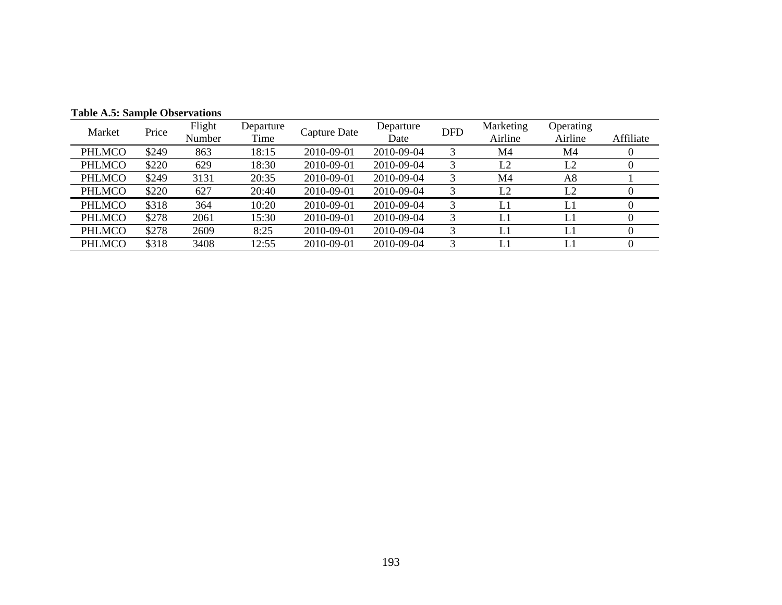| Table <i>The Ballipic</i> Obset vations |       |                  |                   |              |                   |            |                      |                      |           |
|-----------------------------------------|-------|------------------|-------------------|--------------|-------------------|------------|----------------------|----------------------|-----------|
| Market                                  | Price | Flight<br>Number | Departure<br>Time | Capture Date | Departure<br>Date | <b>DFD</b> | Marketing<br>Airline | Operating<br>Airline | Affiliate |
| <b>PHLMCO</b>                           | \$249 | 863              | 18:15             | 2010-09-01   | 2010-09-04        |            | M4                   | M4                   |           |
| <b>PHLMCO</b>                           | \$220 | 629              | 18:30             | 2010-09-01   | 2010-09-04        |            | L2                   | L2                   | v         |
| PHLMCO                                  | \$249 | 3131             | 20:35             | 2010-09-01   | 2010-09-04        |            | M4                   | A8                   |           |
| PHLMCO                                  | \$220 | 627              | 20:40             | 2010-09-01   | 2010-09-04        | 3          | L2                   | L <sub>2</sub>       |           |
| PHLMCO                                  | \$318 | 364              | 10:20             | 2010-09-01   | 2010-09-04        | 3          | L1                   | L1                   |           |
| <b>PHLMCO</b>                           | \$278 | 2061             | 15:30             | 2010-09-01   | 2010-09-04        | 3          | L1                   | L1                   |           |
| PHLMCO                                  | \$278 | 2609             | 8:25              | 2010-09-01   | 2010-09-04        | 3          | L1                   | L1                   |           |
| <b>PHLMCO</b>                           | \$318 | 3408             | 12:55             | 2010-09-01   | 2010-09-04        | 3          | L1                   | L1                   |           |

**Table A.5: Sample Observations**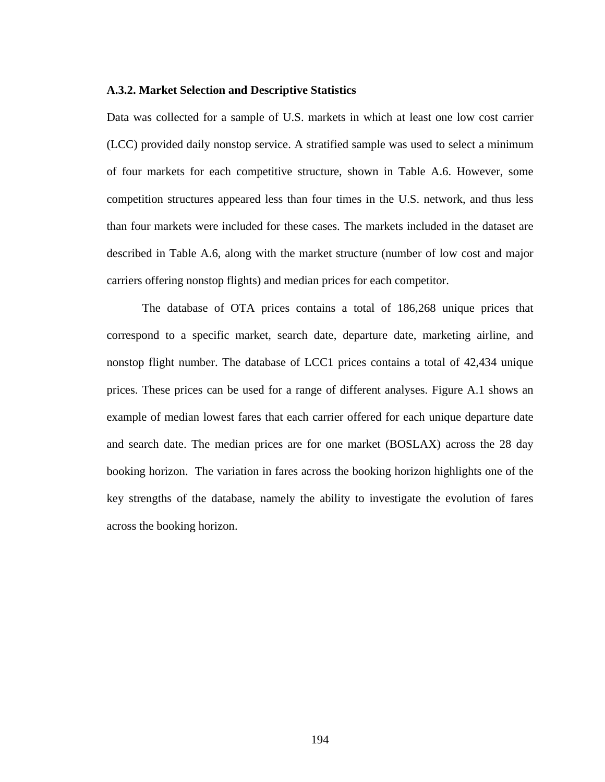# **A.3.2. Market Selection and Descriptive Statistics**

Data was collected for a sample of U.S. markets in which at least one low cost carrier (LCC) provided daily nonstop service. A stratified sample was used to select a minimum of four markets for each competitive structure, shown in Table A.6. However, some competition structures appeared less than four times in the U.S. network, and thus less than four markets were included for these cases. The markets included in the dataset are described in Table A.6, along with the market structure (number of low cost and major carriers offering nonstop flights) and median prices for each competitor.

 The database of OTA prices contains a total of 186,268 unique prices that correspond to a specific market, search date, departure date, marketing airline, and nonstop flight number. The database of LCC1 prices contains a total of 42,434 unique prices. These prices can be used for a range of different analyses. Figure A.1 shows an example of median lowest fares that each carrier offered for each unique departure date and search date. The median prices are for one market (BOSLAX) across the 28 day booking horizon. The variation in fares across the booking horizon highlights one of the key strengths of the database, namely the ability to investigate the evolution of fares across the booking horizon.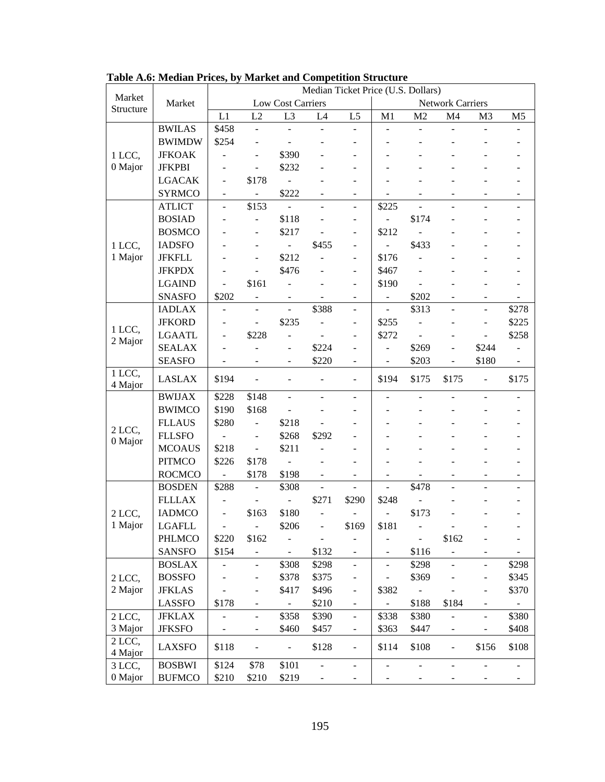|                     |               | Median Ticket Price (U.S. Dollars) |                              |                              |                          |                              |                              |                |                          |                              |                |
|---------------------|---------------|------------------------------------|------------------------------|------------------------------|--------------------------|------------------------------|------------------------------|----------------|--------------------------|------------------------------|----------------|
| Market<br>Structure | Market        |                                    |                              | <b>Low Cost Carriers</b>     |                          |                              |                              |                | <b>Network Carriers</b>  |                              |                |
|                     |               | L1                                 | L2                           | L3                           | L4                       | L <sub>5</sub>               | M <sub>1</sub>               | M <sub>2</sub> | M <sub>4</sub>           | M <sub>3</sub>               | M <sub>5</sub> |
|                     | <b>BWILAS</b> | \$458                              | $\frac{1}{2}$                |                              |                          | $\blacksquare$               |                              | $\blacksquare$ |                          |                              |                |
|                     | <b>BWIMDW</b> | \$254                              |                              |                              |                          |                              |                              |                |                          |                              |                |
| 1 LCC,              | <b>JFKOAK</b> | -                                  | $\overline{\phantom{a}}$     | \$390                        |                          | $\overline{\phantom{m}}$     |                              |                |                          |                              |                |
| 0 Major             | <b>JFKPBI</b> | $\overline{\phantom{m}}$           | $\overline{a}$               | \$232                        |                          | $\overline{\phantom{a}}$     |                              |                |                          |                              |                |
|                     | <b>LGACAK</b> |                                    | \$178                        |                              |                          |                              |                              |                |                          |                              |                |
|                     | <b>SYRMCO</b> | $\overline{\phantom{a}}$           | $\Box$                       | \$222                        |                          | $\overline{\phantom{a}}$     | ÷                            |                |                          |                              | ٠              |
|                     | <b>ATLICT</b> | $\overline{a}$                     | \$153                        | $\overline{a}$               | L.                       | $\overline{a}$               | \$225                        | $\overline{a}$ |                          |                              |                |
|                     | <b>BOSIAD</b> |                                    | $\frac{1}{2}$                | \$118                        |                          | $\blacksquare$               | ÷,                           | \$174          |                          |                              |                |
|                     | <b>BOSMCO</b> |                                    |                              | \$217                        |                          | $\overline{\phantom{a}}$     | \$212                        | $\overline{a}$ |                          |                              |                |
| 1 LCC,              | <b>IADSFO</b> |                                    |                              | $\blacksquare$               | \$455                    | $\qquad \qquad \blacksquare$ | ÷,                           | \$433          |                          |                              |                |
| 1 Major             | <b>JFKFLL</b> |                                    | $\blacksquare$               | \$212                        | $\overline{a}$           | $\overline{\phantom{a}}$     | \$176                        | ÷,             |                          |                              |                |
|                     | <b>JFKPDX</b> |                                    | $\overline{\phantom{a}}$     | \$476                        |                          | $\blacksquare$               | \$467                        | $\overline{a}$ |                          |                              |                |
|                     | <b>LGAIND</b> | $\overline{a}$                     | \$161                        |                              |                          | $\overline{a}$               | \$190                        | ÷,             |                          |                              |                |
|                     | <b>SNASFO</b> | \$202                              | $\blacksquare$               |                              |                          | $\blacksquare$               | $\blacksquare$               | \$202          |                          | L.                           | $\blacksquare$ |
|                     | <b>IADLAX</b> | $\overline{\phantom{0}}$           | $\blacksquare$               | ÷,                           | \$388                    | $\blacksquare$               | $\overline{\phantom{a}}$     | \$313          | $\overline{a}$           | $\overline{a}$               | \$278          |
|                     | <b>JFKORD</b> |                                    | $\qquad \qquad \blacksquare$ | \$235                        |                          | $\overline{\phantom{a}}$     | \$255                        |                |                          | -                            | \$225          |
| 1 LCC,<br>2 Major   | <b>LGAATL</b> | $\overline{\phantom{m}}$           | \$228                        |                              | $\overline{\phantom{a}}$ | $\overline{\phantom{a}}$     | \$272                        | $\blacksquare$ | $\blacksquare$           | ÷,                           | \$258          |
|                     | <b>SEALAX</b> |                                    |                              | ÷,                           | \$224                    | $\blacksquare$               | $\overline{a}$               | \$269          |                          | \$244                        |                |
|                     | <b>SEASFO</b> |                                    |                              |                              | \$220                    | $\blacksquare$               |                              | \$203          | $\overline{\phantom{a}}$ | \$180                        |                |
| 1 LCC,              | <b>LASLAX</b> | \$194                              | $\blacksquare$               |                              | ÷,                       | $\blacksquare$               | \$194                        | \$175          | \$175                    | $\overline{a}$               | \$175          |
| 4 Major             |               |                                    |                              |                              |                          |                              |                              |                |                          |                              |                |
| 2 LCC,              | <b>BWIJAX</b> | \$228                              | \$148                        |                              |                          | $\overline{\phantom{a}}$     |                              |                |                          |                              |                |
|                     | <b>BWIMCO</b> | \$190                              | \$168                        |                              |                          |                              |                              |                |                          |                              |                |
|                     | <b>FLLAUS</b> | \$280                              | $\blacksquare$               | \$218                        |                          |                              |                              |                |                          |                              |                |
| 0 Major             | <b>FLLSFO</b> | $\overline{a}$                     | $\overline{\phantom{a}}$     | \$268                        | \$292                    | ۰                            |                              |                |                          |                              |                |
|                     | <b>MCOAUS</b> | \$218                              | $\Box$                       | \$211                        | $\overline{a}$           | $\overline{\phantom{0}}$     |                              |                |                          |                              |                |
|                     | <b>PITMCO</b> | \$226                              | \$178                        | ÷,                           |                          | $\overline{\phantom{m}}$     |                              |                |                          |                              |                |
|                     | <b>ROCMCO</b> | $\sim$                             | \$178                        | \$198                        |                          | $\blacksquare$               | ÷.                           |                |                          |                              | $\sim$         |
|                     | <b>BOSDEN</b> | \$288                              | ÷,                           | \$308                        | ÷,                       | $\overline{a}$               | $\blacksquare$               | \$478          |                          |                              |                |
|                     | <b>FLLLAX</b> |                                    |                              |                              | \$271                    | \$290                        | \$248                        |                |                          |                              |                |
| 2 LCC,              | <b>IADMCO</b> | $\qquad \qquad \blacksquare$       | \$163                        | \$180                        | ÷,                       | $\overline{\phantom{a}}$     | ÷,                           | \$173          |                          |                              |                |
| 1 Major             | LGAFLL        |                                    |                              | \$206                        |                          | \$169                        | \$181                        |                |                          |                              |                |
|                     | PHLMCO        | \$220                              | \$162                        |                              |                          |                              |                              | $\blacksquare$ | \$162                    |                              |                |
|                     | <b>SANSFO</b> | \$154                              | $\qquad \qquad \blacksquare$ | $\qquad \qquad \blacksquare$ | \$132                    | $\overline{\phantom{a}}$     | $\frac{1}{2}$                | \$116          | $\overline{\phantom{0}}$ |                              |                |
| 2 LCC,<br>2 Major   | <b>BOSLAX</b> | -                                  | $\qquad \qquad \blacksquare$ | \$308                        | \$298                    | $\qquad \qquad \blacksquare$ | $\qquad \qquad \blacksquare$ | \$298          |                          | -                            | \$298          |
|                     | <b>BOSSFO</b> |                                    | $\overline{\phantom{0}}$     | \$378                        | \$375                    | $\overline{\phantom{0}}$     | $\qquad \qquad \blacksquare$ | \$369          |                          | $\overline{\phantom{0}}$     | \$345          |
|                     | <b>JFKLAS</b> | -                                  | $\overline{\phantom{0}}$     | \$417                        | \$496                    | $\qquad \qquad \blacksquare$ | \$382                        | $\blacksquare$ |                          | -                            | \$370          |
|                     | <b>LASSFO</b> | \$178                              | $\overline{\phantom{0}}$     | $\omega_{\rm c}$             | \$210                    | $\blacksquare$               | ÷,                           | \$188          | \$184                    | -                            | $\pm$          |
| 2 LCC,              | <b>JFKLAX</b> | $\qquad \qquad -$                  | $\Box$                       | \$358                        | \$390                    | $\blacksquare$               | \$338                        | \$380          |                          | $\overline{\phantom{a}}$     | \$380          |
| 3 Major             | <b>JFKSFO</b> |                                    | $\qquad \qquad \blacksquare$ | \$460                        | \$457                    | $\qquad \qquad \blacksquare$ | \$363                        | \$447          |                          |                              | \$408          |
| 2 LCC,<br>4 Major   | <b>LAXSFO</b> | \$118                              | $\overline{\phantom{a}}$     | $\overline{a}$               | \$128                    | $\blacksquare$               | \$114                        | \$108          | $\overline{a}$           | \$156                        | \$108          |
| 3 LCC,              | <b>BOSBWI</b> | \$124                              | \$78                         | \$101                        |                          | $\overline{\phantom{a}}$     | ÷,                           | $\blacksquare$ | $\overline{a}$           |                              |                |
| 0 Major             | <b>BUFMCO</b> | \$210                              | \$210                        | \$219                        | $\frac{1}{2}$            | $\qquad \qquad \blacksquare$ | Ξ.                           | $\blacksquare$ | $\overline{\phantom{a}}$ | $\qquad \qquad \blacksquare$ | $\blacksquare$ |

**Table A.6: Median Prices, by Market and Competition Structure**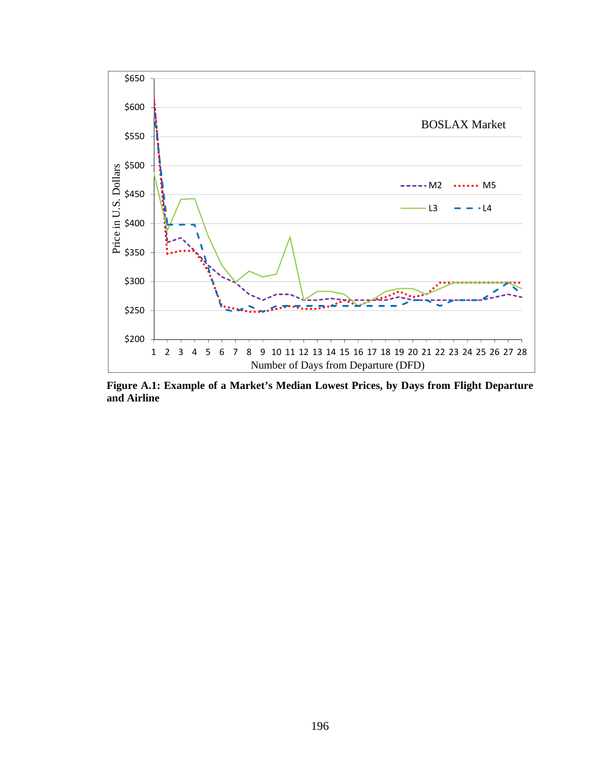

**Figure A.1: Example of a Market's Median Lowest Prices, by Days from Flight Departure and Airline**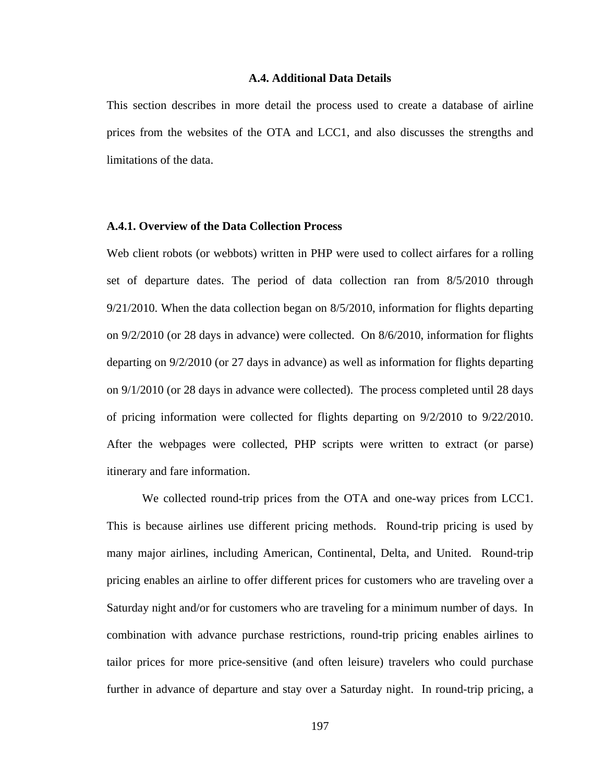#### **A.4. Additional Data Details**

This section describes in more detail the process used to create a database of airline prices from the websites of the OTA and LCC1, and also discusses the strengths and limitations of the data.

#### **A.4.1. Overview of the Data Collection Process**

Web client robots (or webbots) written in PHP were used to collect airfares for a rolling set of departure dates. The period of data collection ran from 8/5/2010 through 9/21/2010. When the data collection began on 8/5/2010, information for flights departing on 9/2/2010 (or 28 days in advance) were collected. On 8/6/2010, information for flights departing on 9/2/2010 (or 27 days in advance) as well as information for flights departing on 9/1/2010 (or 28 days in advance were collected). The process completed until 28 days of pricing information were collected for flights departing on 9/2/2010 to 9/22/2010. After the webpages were collected, PHP scripts were written to extract (or parse) itinerary and fare information.

 We collected round-trip prices from the OTA and one-way prices from LCC1. This is because airlines use different pricing methods. Round-trip pricing is used by many major airlines, including American, Continental, Delta, and United. Round-trip pricing enables an airline to offer different prices for customers who are traveling over a Saturday night and/or for customers who are traveling for a minimum number of days. In combination with advance purchase restrictions, round-trip pricing enables airlines to tailor prices for more price-sensitive (and often leisure) travelers who could purchase further in advance of departure and stay over a Saturday night. In round-trip pricing, a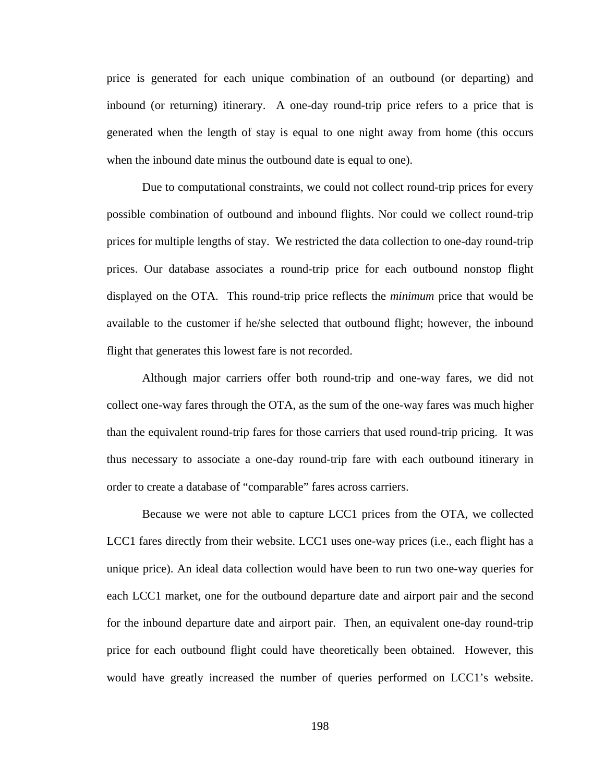price is generated for each unique combination of an outbound (or departing) and inbound (or returning) itinerary. A one-day round-trip price refers to a price that is generated when the length of stay is equal to one night away from home (this occurs when the inbound date minus the outbound date is equal to one).

 Due to computational constraints, we could not collect round-trip prices for every possible combination of outbound and inbound flights. Nor could we collect round-trip prices for multiple lengths of stay. We restricted the data collection to one-day round-trip prices. Our database associates a round-trip price for each outbound nonstop flight displayed on the OTA. This round-trip price reflects the *minimum* price that would be available to the customer if he/she selected that outbound flight; however, the inbound flight that generates this lowest fare is not recorded.

 Although major carriers offer both round-trip and one-way fares, we did not collect one-way fares through the OTA, as the sum of the one-way fares was much higher than the equivalent round-trip fares for those carriers that used round-trip pricing. It was thus necessary to associate a one-day round-trip fare with each outbound itinerary in order to create a database of "comparable" fares across carriers.

 Because we were not able to capture LCC1 prices from the OTA, we collected LCC1 fares directly from their website. LCC1 uses one-way prices (i.e., each flight has a unique price). An ideal data collection would have been to run two one-way queries for each LCC1 market, one for the outbound departure date and airport pair and the second for the inbound departure date and airport pair. Then, an equivalent one-day round-trip price for each outbound flight could have theoretically been obtained. However, this would have greatly increased the number of queries performed on LCC1's website.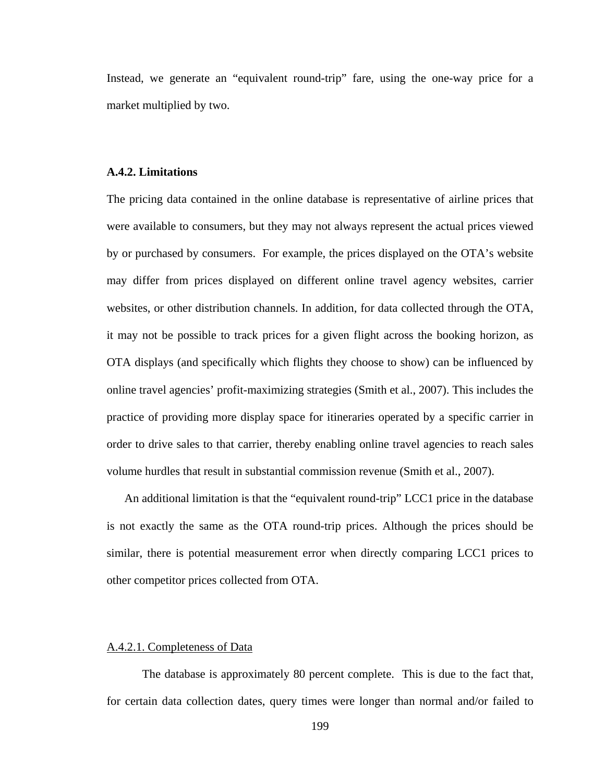Instead, we generate an "equivalent round-trip" fare, using the one-way price for a market multiplied by two.

# **A.4.2. Limitations**

The pricing data contained in the online database is representative of airline prices that were available to consumers, but they may not always represent the actual prices viewed by or purchased by consumers. For example, the prices displayed on the OTA's website may differ from prices displayed on different online travel agency websites, carrier websites, or other distribution channels. In addition, for data collected through the OTA, it may not be possible to track prices for a given flight across the booking horizon, as OTA displays (and specifically which flights they choose to show) can be influenced by online travel agencies' profit-maximizing strategies (Smith et al., 2007). This includes the practice of providing more display space for itineraries operated by a specific carrier in order to drive sales to that carrier, thereby enabling online travel agencies to reach sales volume hurdles that result in substantial commission revenue (Smith et al., 2007).

 An additional limitation is that the "equivalent round-trip" LCC1 price in the database is not exactly the same as the OTA round-trip prices. Although the prices should be similar, there is potential measurement error when directly comparing LCC1 prices to other competitor prices collected from OTA.

# A.4.2.1. Completeness of Data

 The database is approximately 80 percent complete. This is due to the fact that, for certain data collection dates, query times were longer than normal and/or failed to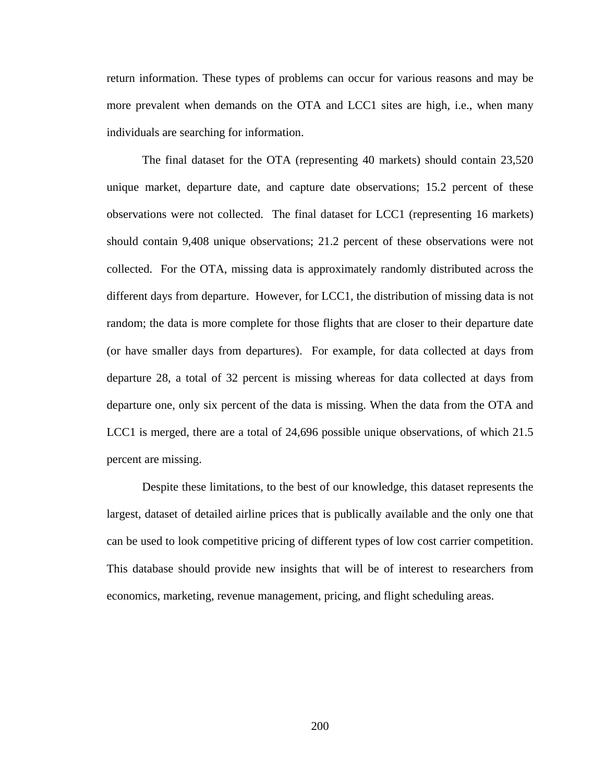return information. These types of problems can occur for various reasons and may be more prevalent when demands on the OTA and LCC1 sites are high, i.e., when many individuals are searching for information.

 The final dataset for the OTA (representing 40 markets) should contain 23,520 unique market, departure date, and capture date observations; 15.2 percent of these observations were not collected. The final dataset for LCC1 (representing 16 markets) should contain 9,408 unique observations; 21.2 percent of these observations were not collected. For the OTA, missing data is approximately randomly distributed across the different days from departure. However, for LCC1, the distribution of missing data is not random; the data is more complete for those flights that are closer to their departure date (or have smaller days from departures). For example, for data collected at days from departure 28, a total of 32 percent is missing whereas for data collected at days from departure one, only six percent of the data is missing. When the data from the OTA and LCC1 is merged, there are a total of 24,696 possible unique observations, of which 21.5 percent are missing.

 Despite these limitations, to the best of our knowledge, this dataset represents the largest, dataset of detailed airline prices that is publically available and the only one that can be used to look competitive pricing of different types of low cost carrier competition. This database should provide new insights that will be of interest to researchers from economics, marketing, revenue management, pricing, and flight scheduling areas.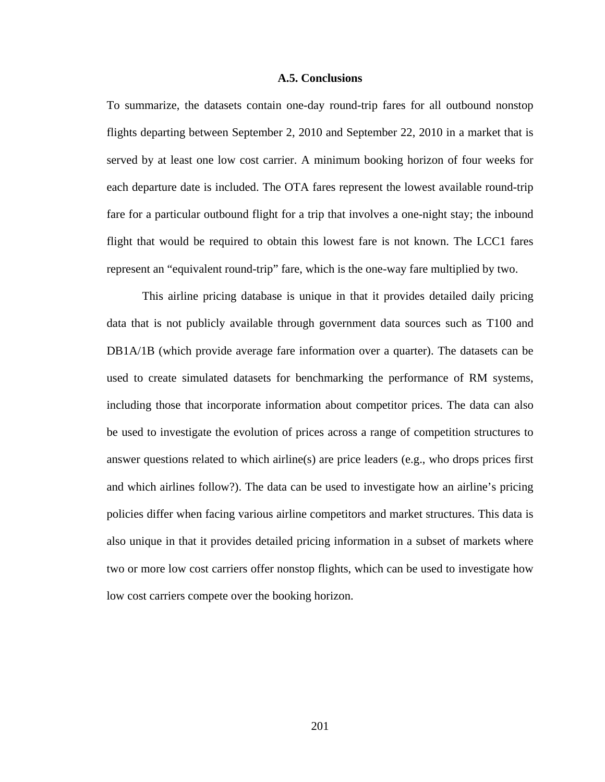# **A.5. Conclusions**

To summarize, the datasets contain one-day round-trip fares for all outbound nonstop flights departing between September 2, 2010 and September 22, 2010 in a market that is served by at least one low cost carrier. A minimum booking horizon of four weeks for each departure date is included. The OTA fares represent the lowest available round-trip fare for a particular outbound flight for a trip that involves a one-night stay; the inbound flight that would be required to obtain this lowest fare is not known. The LCC1 fares represent an "equivalent round-trip" fare, which is the one-way fare multiplied by two.

 This airline pricing database is unique in that it provides detailed daily pricing data that is not publicly available through government data sources such as T100 and DB1A/1B (which provide average fare information over a quarter). The datasets can be used to create simulated datasets for benchmarking the performance of RM systems, including those that incorporate information about competitor prices. The data can also be used to investigate the evolution of prices across a range of competition structures to answer questions related to which airline(s) are price leaders (e.g., who drops prices first and which airlines follow?). The data can be used to investigate how an airline's pricing policies differ when facing various airline competitors and market structures. This data is also unique in that it provides detailed pricing information in a subset of markets where two or more low cost carriers offer nonstop flights, which can be used to investigate how low cost carriers compete over the booking horizon.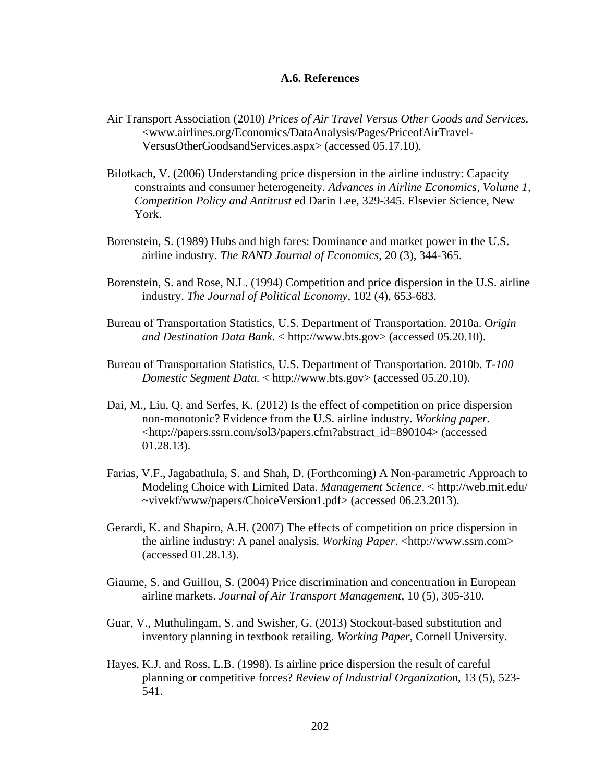# **A.6. References**

- Air Transport Association (2010) *Prices of Air Travel Versus Other Goods and Services*. <www.airlines.org/Economics/DataAnalysis/Pages/PriceofAirTravel-VersusOtherGoodsandServices.aspx> (accessed 05.17.10).
- Bilotkach, V. (2006) Understanding price dispersion in the airline industry: Capacity constraints and consumer heterogeneity. *Advances in Airline Economics, Volume 1, Competition Policy and Antitrust* ed Darin Lee, 329-345. Elsevier Science, New York.
- Borenstein, S. (1989) Hubs and high fares: Dominance and market power in the U.S. airline industry. *The RAND Journal of Economics*, 20 (3), 344-365.
- Borenstein, S. and Rose, N.L. (1994) Competition and price dispersion in the U.S. airline industry. *The Journal of Political Economy*, 102 (4), 653-683.
- Bureau of Transportation Statistics, U.S. Department of Transportation. 2010a. O*rigin and Destination Data Bank.* < [http://www.bts.gov](http://www.bts.gov/)> (accessed 05.20.10).
- Bureau of Transportation Statistics, U.S. Department of Transportation. 2010b. *T-100 Domestic Segment Data.* < [http://www.bts.gov](http://www.bts.gov/)> (accessed 05.20.10).
- Dai, M., Liu, Q. and Serfes, K. (2012) Is the effect of competition on price dispersion non-monotonic? Evidence from the U.S. airline industry. *Working paper.* <[http://papers.ssrn.com/sol3/papers.cfm?abstract\\_id=890104](http://papers.ssrn.com/sol3/papers.cfm?abstract_id=890104)> (accessed 01.28.13).
- Farias, V.F., Jagabathula, S. and Shah, D. (Forthcoming) A Non-parametric Approach to Modeling Choice with Limited Data. *Management Science*. < [http://web.mit.edu/](http://web.mit.edu/%20%7Evivekf/www/papers/ChoiceVersion1.pdf)  [~vivekf/www/papers/ChoiceVersion1.pdf](http://web.mit.edu/%20%7Evivekf/www/papers/ChoiceVersion1.pdf)> (accessed 06.23.2013).
- Gerardi, K. and Shapiro, A.H. (2007) The effects of competition on price dispersion in the airline industry: A panel analysis. *Working Paper*. <http://www.ssrn.com> (accessed 01.28.13).
- Giaume, S. and Guillou, S. (2004) Price discrimination and concentration in European airline markets. *Journal of Air Transport Management*, 10 (5), 305-310.
- Guar, V., Muthulingam, S. and Swisher, G. (2013) Stockout-based substitution and inventory planning in textbook retailing. *Working Paper*, Cornell University.
- Hayes, K.J. and Ross, L.B. (1998). Is airline price dispersion the result of careful planning or competitive forces? *Review of Industrial Organization*, 13 (5), 523- 541.